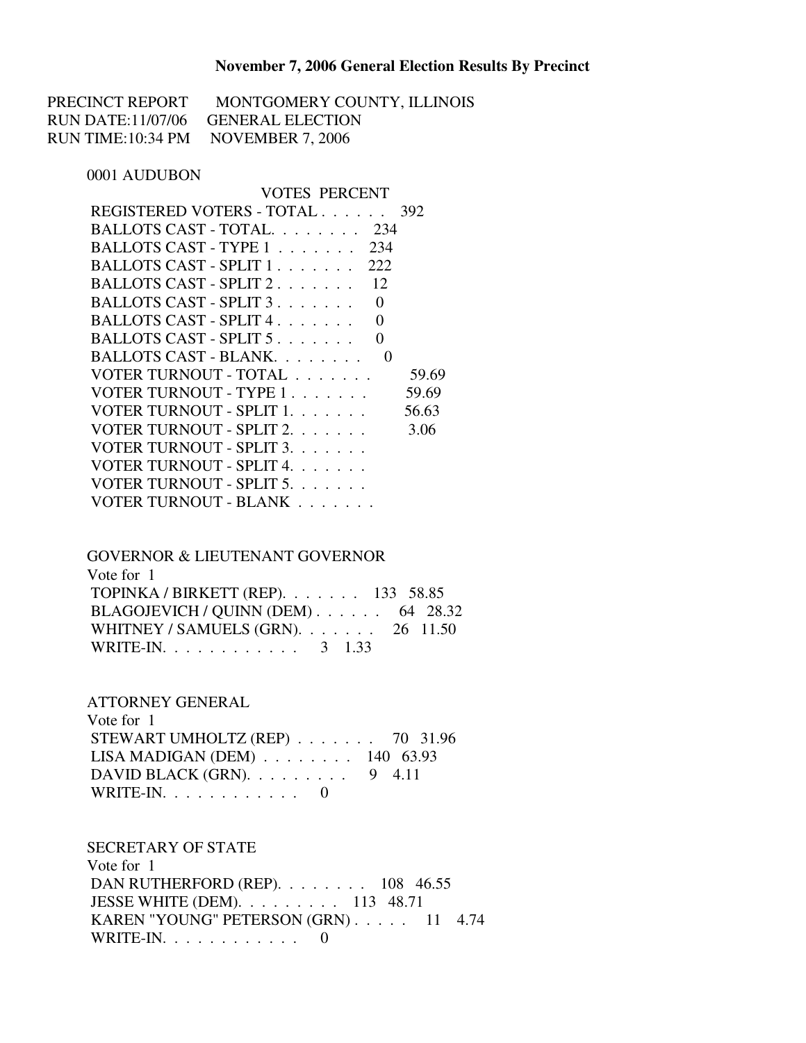#### **November 7, 2006 General Election Results By Precinct**

PRECINCT REPORT MONTGOMERY COUNTY, ILLINOIS RUN DATE:11/07/06 GENERAL ELECTION RUN TIME:10:34 PM NOVEMBER 7, 2006

#### 0001 AUDUBON

VOTES PERCENT

| REGISTERED VOTERS - TOTAL                    | 392   |
|----------------------------------------------|-------|
| BALLOTS CAST - TOTAL 234                     |       |
| $BALI.OTS CAST - TYPE 1$<br>234              |       |
| BALLOTS CAST - SPLIT 1<br>222                |       |
| BALLOTS CAST - SPLIT 2.<br>12                |       |
| BALLOTS CAST - SPLIT 3.<br>$\mathbf{\Omega}$ |       |
| BALLOTS CAST - SPLIT 4.<br>$\mathbf{\Omega}$ |       |
| $BALLOTS CAST - SPIJT 5$                     |       |
| BALLOTS CAST - BLANK<br>0                    |       |
| VOTER TURNOUT - TOTAL                        | 59.69 |
| VOTER TURNOUT - TYPE 1.                      | 59.69 |
| VOTER TURNOUT - SPLIT 1.                     | 56.63 |
| VOTER TURNOUT - SPLIT 2.                     | 3.06  |
| VOTER TURNOUT - SPLIT 3.                     |       |
| VOTER TURNOUT - SPLIT 4.                     |       |
| VOTER TURNOUT - SPLIT 5.                     |       |
| VOTER TURNOUT - BLANK                        |       |
|                                              |       |

 GOVERNOR & LIEUTENANT GOVERNOR Vote for 1 TOPINKA / BIRKETT (REP). . . . . . . 133 58.85 BLAGOJEVICH / QUINN (DEM) . . . . . . 64 28.32 WHITNEY / SAMUELS (GRN). . . . . . . 26 11.50 WRITE-IN. . . . . . . . . . . . . 3 1.33

ATTORNEY GENERAL

| Vote for 1                                          |  |
|-----------------------------------------------------|--|
| STEWART UMHOLTZ (REP) $\ldots$ 70 31.96             |  |
| LISA MADIGAN (DEM) $\ldots \ldots \ldots$ 140 63.93 |  |
| DAVID BLACK (GRN). $\ldots \ldots \ldots$ 9 4.11    |  |
| WRITE-IN. $\ldots$ 0                                |  |

SECRETARY OF STATE

 Vote for 1 DAN RUTHERFORD (REP). . . . . . . . 108 46.55 JESSE WHITE (DEM). . . . . . . . . 113 48.71 KAREN "YOUNG" PETERSON (GRN) . . . . . 11 4.74 WRITE-IN.  $\ldots$  . . . . . . . . . 0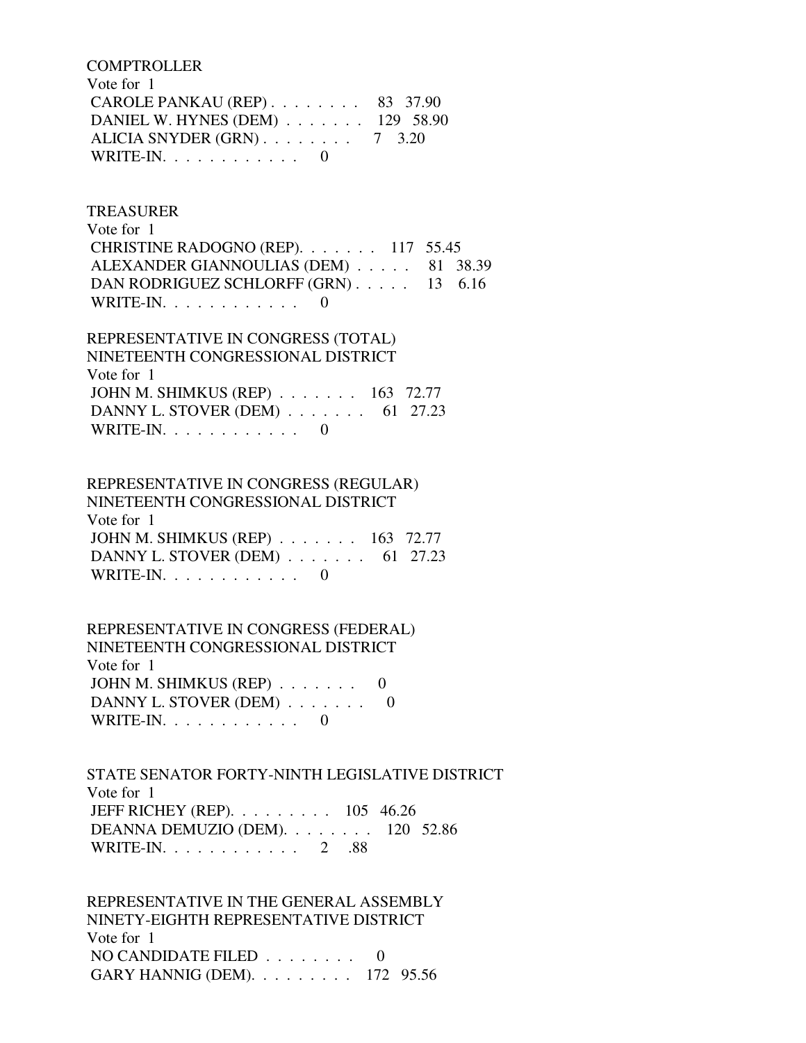**COMPTROLLER**  Vote for 1 CAROLE PANKAU (REP) . . . . . . . . 83 37.90 DANIEL W. HYNES (DEM) . . . . . . . 129 58.90 ALICIA SNYDER (GRN) . . . . . . . . 7 3.20 WRITE-IN.  $\ldots$  . . . . . . . . 0

 TREASURER Vote for 1 CHRISTINE RADOGNO (REP). . . . . . . 117 55.45 ALEXANDER GIANNOULIAS (DEM) . . . . . 81 38.39 DAN RODRIGUEZ SCHLORFF (GRN) . . . . . 13 6.16 WRITE-IN.  $\ldots$  . . . . . . . . 0

 REPRESENTATIVE IN CONGRESS (TOTAL) NINETEENTH CONGRESSIONAL DISTRICT Vote for 1 JOHN M. SHIMKUS (REP) . . . . . . . 163 72.77 DANNY L. STOVER (DEM) . . . . . . . 61 27.23 WRITE-IN.  $\ldots$  . . . . . . . . 0

 REPRESENTATIVE IN CONGRESS (REGULAR) NINETEENTH CONGRESSIONAL DISTRICT Vote for 1 JOHN M. SHIMKUS (REP) . . . . . . . 163 72.77 DANNY L. STOVER (DEM) . . . . . . . 61 27.23 WRITE-IN.  $\ldots$  . . . . . . . . 0

 REPRESENTATIVE IN CONGRESS (FEDERAL) NINETEENTH CONGRESSIONAL DISTRICT Vote for 1 JOHN M. SHIMKUS (REP)  $\ldots$ ..... 0 DANNY L. STOVER (DEM) . . . . . . . 0 WRITE-IN. . . . . . . . . . . . . . . 0

 STATE SENATOR FORTY-NINTH LEGISLATIVE DISTRICT Vote for 1 JEFF RICHEY (REP). . . . . . . . . 105 46.26 DEANNA DEMUZIO (DEM). . . . . . . . 120 52.86 WRITE-IN. . . . . . . . . . . . 2 .88

 REPRESENTATIVE IN THE GENERAL ASSEMBLY NINETY-EIGHTH REPRESENTATIVE DISTRICT Vote for 1 NO CANDIDATE FILED  $\ldots \ldots \ldots$  0 GARY HANNIG (DEM). . . . . . . . . 172 95.56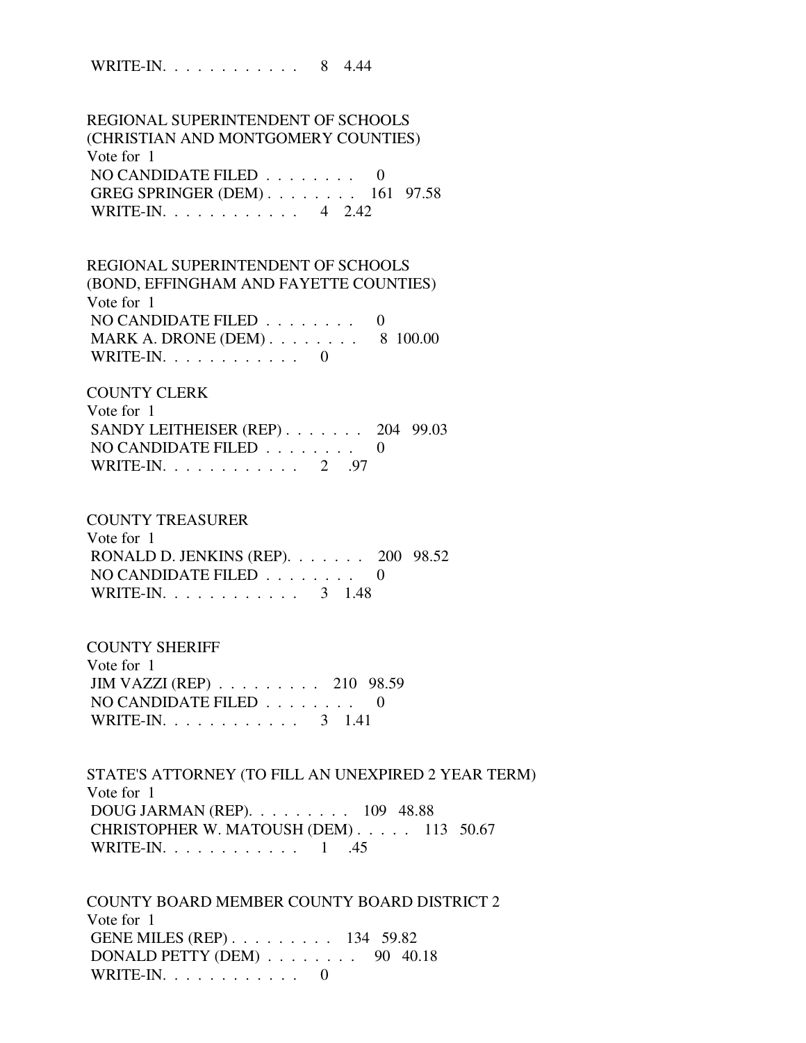WRITE-IN. . . . . . . . . . . . 8 4.44

 REGIONAL SUPERINTENDENT OF SCHOOLS (CHRISTIAN AND MONTGOMERY COUNTIES) Vote for 1 NO CANDIDATE FILED . . . . . . . . 0 GREG SPRINGER (DEM) . . . . . . . . 161 97.58 WRITE-IN. . . . . . . . . . . . 4 2.42

 REGIONAL SUPERINTENDENT OF SCHOOLS (BOND, EFFINGHAM AND FAYETTE COUNTIES) Vote for 1 NO CANDIDATE FILED  $\ldots \ldots \ldots$ MARK A. DRONE (DEM) . . . . . . . . 8 100.00 WRITE-IN. . . . . . . . . . . . 0

 COUNTY CLERK Vote for 1 SANDY LEITHEISER (REP) . . . . . . . 204 99.03 NO CANDIDATE FILED  $\ldots \ldots \ldots$ WRITE-IN. . . . . . . . . . . . . 2 .97

 COUNTY TREASURER Vote for 1 RONALD D. JENKINS (REP). . . . . . . 200 98.52 NO CANDIDATE FILED . . . . . . . . 0 WRITE-IN. . . . . . . . . . . . . 3 1.48

 COUNTY SHERIFF Vote for 1 JIM VAZZI (REP) . . . . . . . . . 210 98.59 NO CANDIDATE FILED . . . . . . . . 0 WRITE-IN. . . . . . . . . . . . 3 1.41

 STATE'S ATTORNEY (TO FILL AN UNEXPIRED 2 YEAR TERM) Vote for 1 DOUG JARMAN (REP). . . . . . . . . 109 48.88 CHRISTOPHER W. MATOUSH (DEM) . . . . . 113 50.67 WRITE-IN. . . . . . . . . . . . 1 .45

 COUNTY BOARD MEMBER COUNTY BOARD DISTRICT 2 Vote for 1 GENE MILES (REP) . . . . . . . . . 134 59.82 DONALD PETTY (DEM) . . . . . . . . 90 40.18 WRITE-IN.  $\ldots$  . . . . . . . . . 0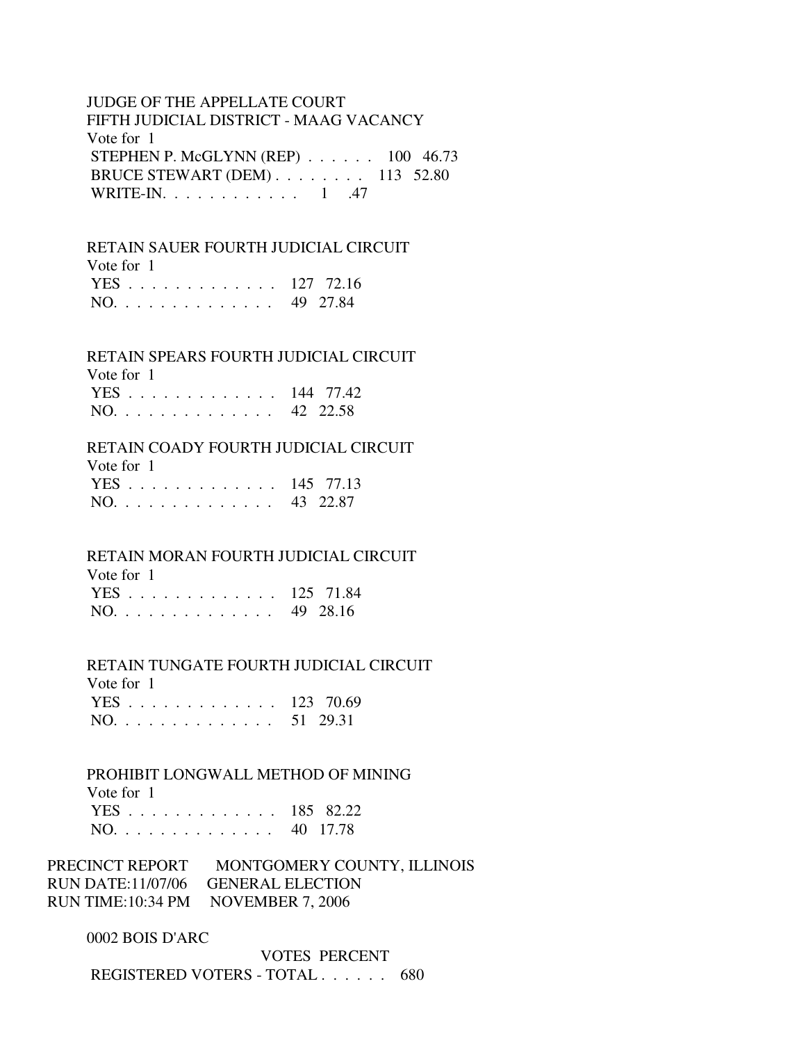## JUDGE OF THE APPELLATE COURT FIFTH JUDICIAL DISTRICT - MAAG VACANCY Vote for 1 STEPHEN P. McGLYNN (REP) . . . . . . 100 46.73 BRUCE STEWART (DEM) . . . . . . . . 113 52.80 WRITE-IN. . . . . . . . . . . . 1 .47

### RETAIN SAUER FOURTH JUDICIAL CIRCUIT

Vote for 1

|  |  |  | YES 127 72.16 |
|--|--|--|---------------|
|  |  |  | NO. 49 27.84  |

### RETAIN SPEARS FOURTH JUDICIAL CIRCUIT

| Vote for 1    |  |
|---------------|--|
| YES 144 77.42 |  |
| NO. 42 22.58  |  |

#### RETAIN COADY FOURTH JUDICIAL CIRCUIT

| Vote for 1    |  |
|---------------|--|
| YES 145 77.13 |  |
| NO. 43 22.87  |  |

### RETAIN MORAN FOURTH JUDICIAL CIRCUIT

| Vote for 1    |  |
|---------------|--|
| YES 125 71.84 |  |
| NO. 49 28.16  |  |

## RETAIN TUNGATE FOURTH JUDICIAL CIRCUIT

| Vote for 1    |  |
|---------------|--|
| YES 123 70.69 |  |
| NO. 51 29.31  |  |

### PROHIBIT LONGWALL METHOD OF MINING

|  |  |  |  |  |  |  |  | YES 185 82.22 |
|--|--|--|--|--|--|--|--|---------------|
|  |  |  |  |  |  |  |  | NO. 40 17.78  |

| PRECINCT REPORT | MONTGOMERY COUNTY, ILLINOIS        |
|-----------------|------------------------------------|
|                 | RUN DATE:11/07/06 GENERAL ELECTION |
|                 | RUN TIME:10:34 PM NOVEMBER 7, 2006 |

#### 0002 BOIS D'ARC

 VOTES PERCENT REGISTERED VOTERS - TOTAL . . . . . . 680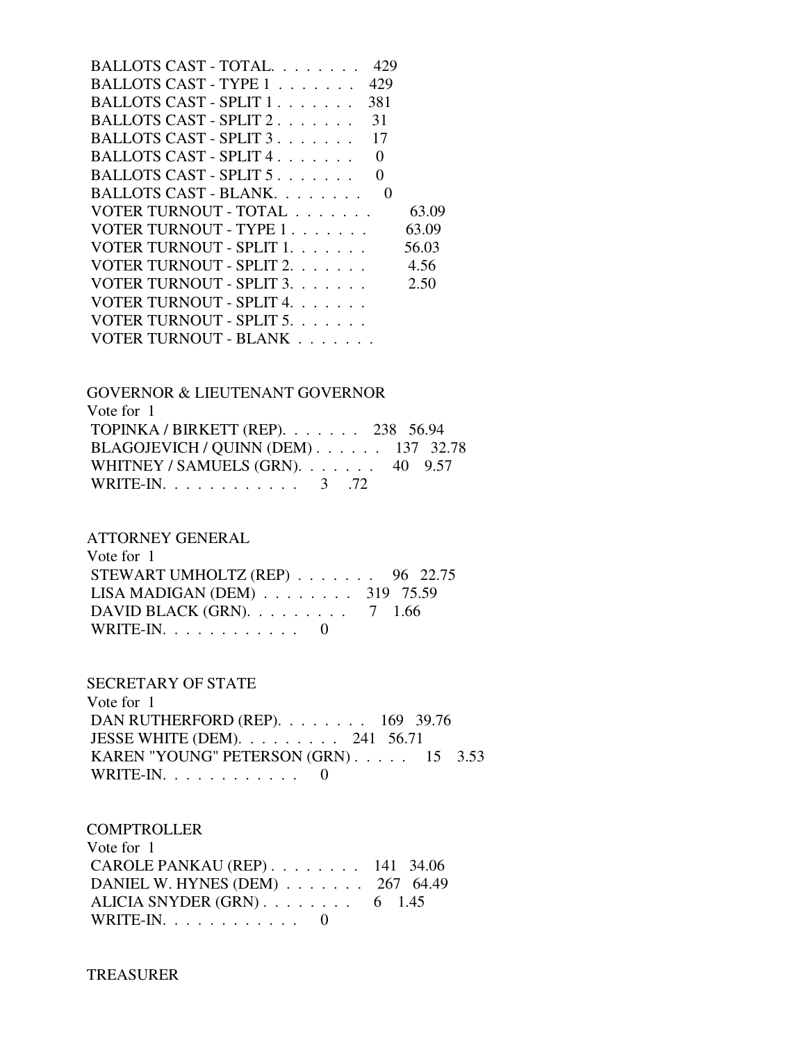| BALLOTS CAST - TOTAL.<br>429                       |       |
|----------------------------------------------------|-------|
| 429<br>BALLOTS CAST - TYPE 1                       |       |
| BALLOTS CAST - SPLIT 1<br>381                      |       |
| BALLOTS CAST - SPLIT 2.<br>31                      |       |
| BALLOTS CAST - SPLIT 3.<br>17                      |       |
| BALLOTS CAST - SPLIT $4 \ldots \ldots$<br>$\theta$ |       |
| BALLOTS CAST - SPLIT 5.<br>0                       |       |
| BALLOTS CAST - BLANK.<br>$\theta$                  |       |
| VOTER TURNOUT - TOTAL                              | 63.09 |
| VOTER TURNOUT - TYPE 1                             | 63.09 |
| VOTER TURNOUT - SPLIT 1.                           | 56.03 |
| VOTER TURNOUT - SPLIT 2.                           | 4.56  |
|                                                    |       |
| VOTER TURNOUT - SPLIT 4.                           |       |
| VOTER TURNOUT - SPLIT 5.                           |       |
| VOTER TURNOUT - BLANK                              |       |

| <b>GOVERNOR &amp; LIEUTENANT GOVERNOR</b>   |
|---------------------------------------------|
| Vote for 1                                  |
| TOPINKA / BIRKETT (REP). $\ldots$ 238 56.94 |
| BLAGOJEVICH / QUINN (DEM) 137 32.78         |
| WHITNEY / SAMUELS (GRN). 40 9.57            |
| WRITE-IN. 3 .72                             |

# ATTORNEY GENERAL

| Vote for 1                                          |  |  |
|-----------------------------------------------------|--|--|
| STEWART UMHOLTZ (REP) $\ldots \ldots$ 96 22.75      |  |  |
| LISA MADIGAN (DEM) $\ldots \ldots \ldots$ 319 75.59 |  |  |
| DAVID BLACK (GRN). $\ldots \ldots \ldots$ 7 1.66    |  |  |
| WRITE-IN. $\ldots$ 0                                |  |  |

## SECRETARY OF STATE

 Vote for 1 DAN RUTHERFORD (REP). . . . . . . . 169 39.76 JESSE WHITE (DEM). . . . . . . . . 241 56.71 KAREN "YOUNG" PETERSON (GRN) . . . . . 15 3.53 WRITE-IN.  $\ldots \ldots \ldots \ldots 0$ 

#### **COMPTROLLER** Vote for 1

| VOLE TOLI                              |  |
|----------------------------------------|--|
| CAROLE PANKAU (REP) $\ldots$ 141 34.06 |  |
| DANIEL W. HYNES (DEM) 267 64.49        |  |
| ALICIA SNYDER $(GRN)$ 6 1.45           |  |
| WRITE-IN. $\ldots$ 0                   |  |

#### TREASURER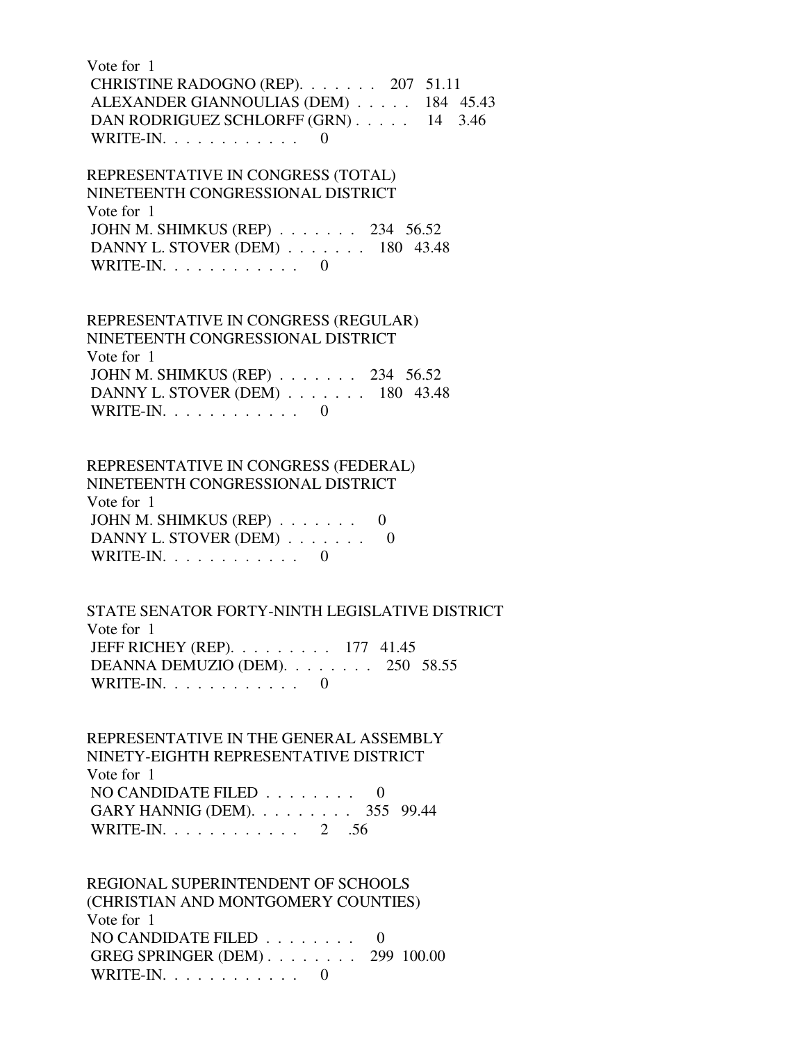Vote for 1 CHRISTINE RADOGNO (REP). . . . . . . 207 51.11 ALEXANDER GIANNOULIAS (DEM) . . . . . 184 45.43 DAN RODRIGUEZ SCHLORFF (GRN) . . . . . 14 3.46 WRITE-IN.  $\ldots$  . . . . . . . . . 0

 REPRESENTATIVE IN CONGRESS (TOTAL) NINETEENTH CONGRESSIONAL DISTRICT Vote for 1 JOHN M. SHIMKUS (REP) . . . . . . . 234 56.52 DANNY L. STOVER (DEM) . . . . . . . 180 43.48 WRITE-IN. . . . . . . . . . . . 0

 REPRESENTATIVE IN CONGRESS (REGULAR) NINETEENTH CONGRESSIONAL DISTRICT Vote for 1 JOHN M. SHIMKUS (REP) . . . . . . . 234 56.52 DANNY L. STOVER (DEM) . . . . . . . 180 43.48 WRITE-IN.  $\ldots$  . . . . . . . . . 0

 REPRESENTATIVE IN CONGRESS (FEDERAL) NINETEENTH CONGRESSIONAL DISTRICT Vote for 1 JOHN M. SHIMKUS (REP)  $\ldots \ldots$  0 DANNY L. STOVER (DEM) . . . . . . . 0 WRITE-IN. . . . . . . . . . . . 0

 STATE SENATOR FORTY-NINTH LEGISLATIVE DISTRICT Vote for 1 JEFF RICHEY (REP). . . . . . . . . 177 41.45 DEANNA DEMUZIO (DEM). . . . . . . . 250 58.55 WRITE-IN.  $\ldots$  . . . . . . . . . 0

 REPRESENTATIVE IN THE GENERAL ASSEMBLY NINETY-EIGHTH REPRESENTATIVE DISTRICT Vote for 1 NO CANDIDATE FILED . . . . . . . . 0 GARY HANNIG (DEM). . . . . . . . . 355 99.44 WRITE-IN. . . . . . . . . . . . 2 .56

 REGIONAL SUPERINTENDENT OF SCHOOLS (CHRISTIAN AND MONTGOMERY COUNTIES) Vote for 1 NO CANDIDATE FILED  $\ldots \ldots \ldots$  GREG SPRINGER (DEM) . . . . . . . . 299 100.00 WRITE-IN. . . . . . . . . . . . 0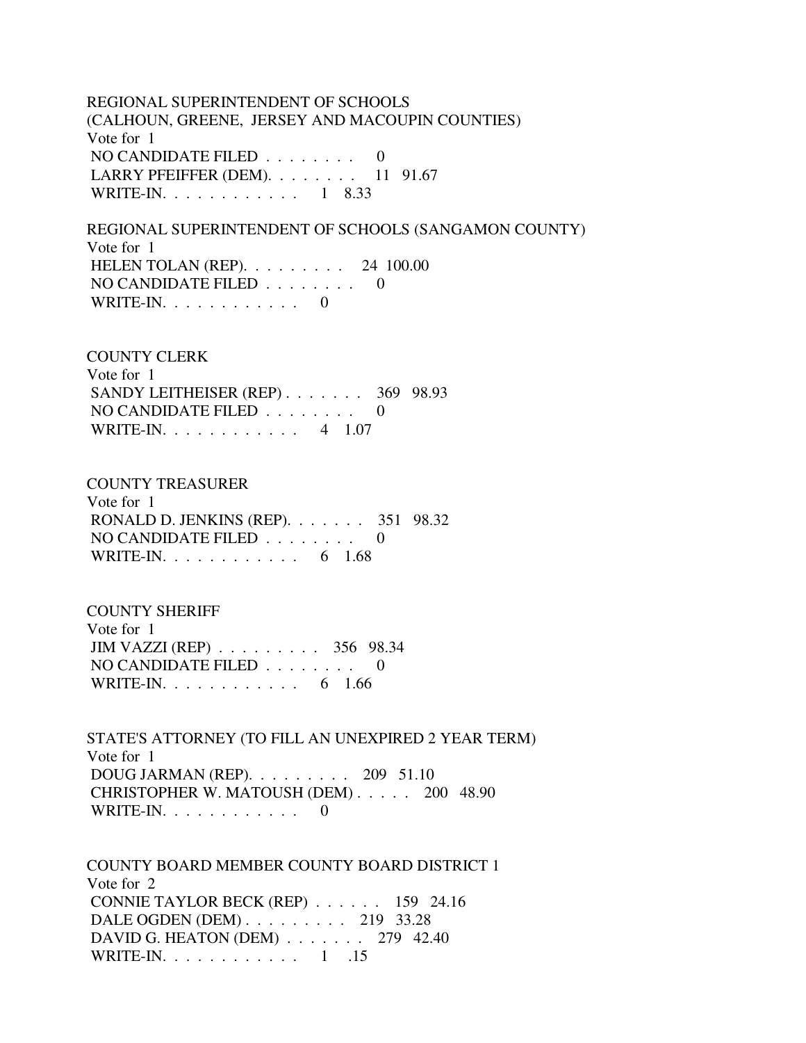REGIONAL SUPERINTENDENT OF SCHOOLS (CALHOUN, GREENE, JERSEY AND MACOUPIN COUNTIES) Vote for 1 NO CANDIDATE FILED  $\ldots \ldots \ldots$  LARRY PFEIFFER (DEM). . . . . . . . 11 91.67 WRITE-IN. . . . . . . . . . . . 1 8.33 REGIONAL SUPERINTENDENT OF SCHOOLS (SANGAMON COUNTY)

 Vote for 1 HELEN TOLAN (REP). . . . . . . . . 24 100.00 NO CANDIDATE FILED  $\ldots \ldots \ldots$ WRITE-IN.  $\ldots$  . . . . . . . . 0

### COUNTY CLERK

 Vote for 1 SANDY LEITHEISER (REP) . . . . . . . 369 98.93 NO CANDIDATE FILED . . . . . . . . 0 WRITE-IN. . . . . . . . . . . . 4 1.07

#### COUNTY TREASURER

 Vote for 1 RONALD D. JENKINS (REP). . . . . . . 351 98.32 NO CANDIDATE FILED  $\ldots$ , . . . . . 0 WRITE-IN. . . . . . . . . . . . . 6 1.68

### COUNTY SHERIFF

 Vote for 1 JIM VAZZI (REP) . . . . . . . . . 356 98.34 NO CANDIDATE FILED . . . . . . . . 0 WRITE-IN. . . . . . . . . . . . . 6 1.66

 STATE'S ATTORNEY (TO FILL AN UNEXPIRED 2 YEAR TERM) Vote for 1 DOUG JARMAN (REP). . . . . . . . . 209 51.10 CHRISTOPHER W. MATOUSH (DEM) . . . . . 200 48.90 WRITE-IN. . . . . . . . . . . . 0

 COUNTY BOARD MEMBER COUNTY BOARD DISTRICT 1 Vote for 2 CONNIE TAYLOR BECK (REP) . . . . . . 159 24.16 DALE OGDEN (DEM) . . . . . . . . . 219 33.28 DAVID G. HEATON (DEM) . . . . . . . 279 42.40 WRITE-IN. . . . . . . . . . . . 1 .15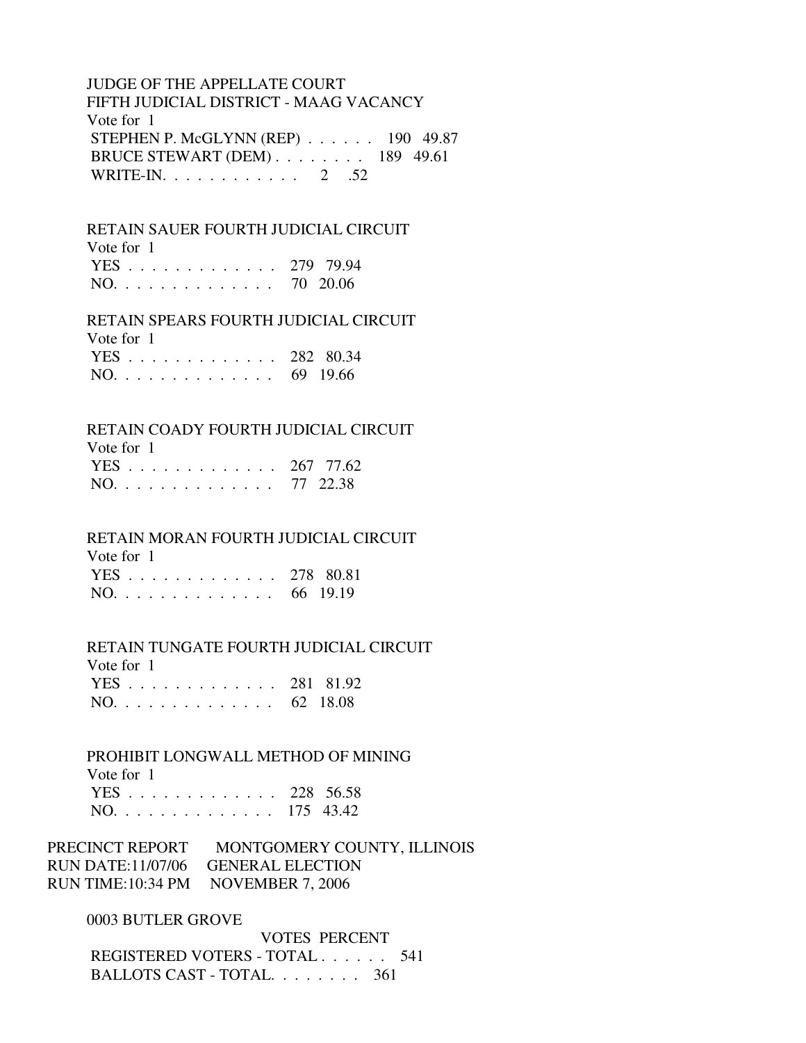## JUDGE OF THE APPELLATE COURT FIFTH JUDICIAL DISTRICT - MAAG VACANCY Vote for 1 STEPHEN P. McGLYNN (REP) . . . . . . 190 49.87 BRUCE STEWART (DEM) . . . . . . . . 189 49.61 WRITE-IN. . . . . . . . . . . . . 2 .52

#### RETAIN SAUER FOURTH JUDICIAL CIRCUIT

| Vote for 1    |  |
|---------------|--|
| YES 279 79.94 |  |
| NO. 70 20.06  |  |

#### RETAIN SPEARS FOURTH JUDICIAL CIRCUIT

| Vote for 1    |  |
|---------------|--|
| YES 282 80.34 |  |
| NO. 69 19.66  |  |

#### RETAIN COADY FOURTH JUDICIAL CIRCUIT

| Vote for 1 |  |
|------------|--|
|------------|--|

|  |  |  | YES 267 77.62 |
|--|--|--|---------------|
|  |  |  | NO. 77 22.38  |

### RETAIN MORAN FOURTH JUDICIAL CIRCUIT

| Vote for 1    |  |
|---------------|--|
| YES 278 80.81 |  |
| NO. 66 19.19  |  |

#### RETAIN TUNGATE FOURTH JUDICIAL CIRCUIT

| Vote for 1    |  |
|---------------|--|
| YES 281 81.92 |  |
| NO. 62 18.08  |  |

### PROHIBIT LONGWALL METHOD OF MINING Vote for 1 YES . . . . . . . . . . . . . 228 56.58 NO. . . . . . . . . . . . . . 175 43.42

PRECINCT REPORT MONTGOMERY COUNTY, ILLINOIS RUN DATE:11/07/06 GENERAL ELECTION RUN TIME:10:34 PM NOVEMBER 7, 2006

#### 0003 BUTLER GROVE

 VOTES PERCENT REGISTERED VOTERS - TOTAL . . . . . . 541 BALLOTS CAST - TOTAL. . . . . . . . 361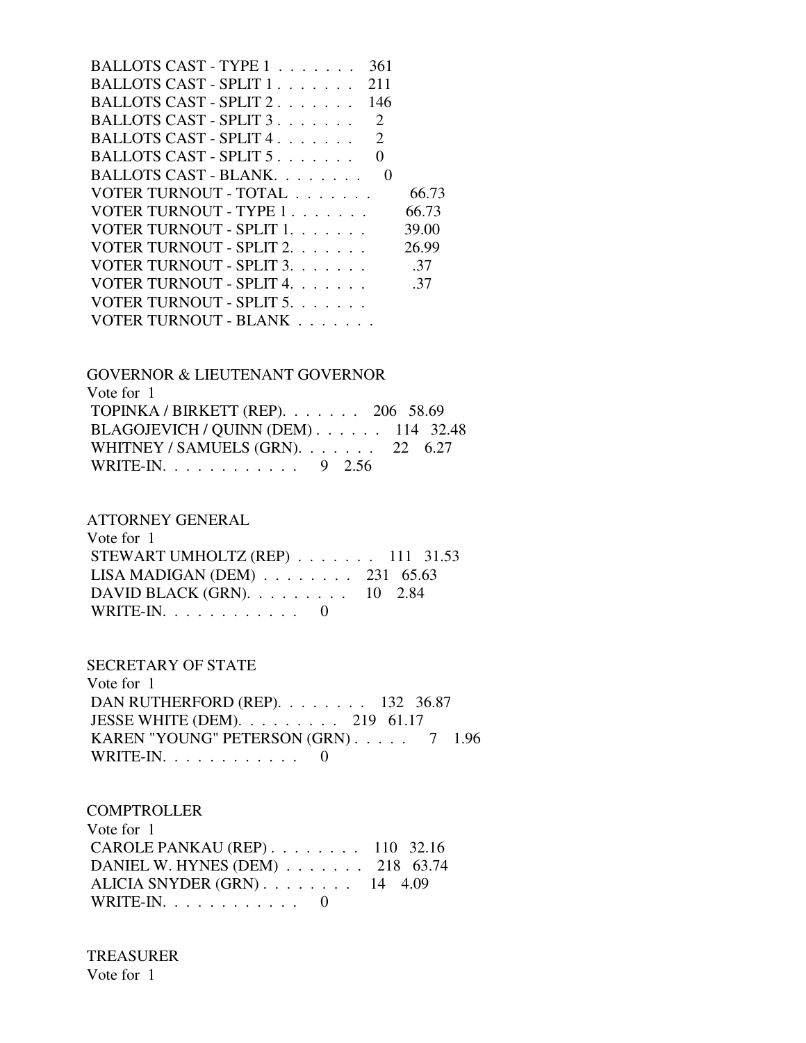| BALLOTS CAST - TYPE 1<br>361   |       |
|--------------------------------|-------|
| BALLOTS CAST - SPLIT 1<br>211  |       |
| BALLOTS CAST - SPLIT 2.<br>146 |       |
| BALLOTS CAST - SPLIT 3<br>2    |       |
| BALLOTS CAST - SPLIT 4.<br>2   |       |
| BALLOTS CAST - SPLIT 5         |       |
| BALLOTS CAST - BLANK.          |       |
| VOTER TURNOUT - TOTAL          | 66.73 |
| VOTER TURNOUT - TYPE 1         | 66.73 |
| VOTER TURNOUT - SPLIT 1.       | 39.00 |
| VOTER TURNOUT - SPLIT 2.       | 26.99 |
| VOTER TURNOUT - SPLIT 3.       | .37   |
| VOTER TURNOUT - SPLIT 4.       | .37   |
| VOTER TURNOUT - SPLIT 5.       |       |
| VOTER TURNOUT - BLANK          |       |

| <b>GOVERNOR &amp; LIEUTENANT GOVERNOR</b>   |  |
|---------------------------------------------|--|
| Vote for 1                                  |  |
| TOPINKA / BIRKETT (REP). $\ldots$ 206 58.69 |  |
| BLAGOJEVICH / QUINN (DEM) 114 32.48         |  |
| WHITNEY / SAMUELS (GRN). 22 6.27            |  |
| WRITE-IN. 9 2.56                            |  |

#### ATTORNEY GENERAL  $V_{\alpha}$  for  $1$

| vote for T                                               |  |
|----------------------------------------------------------|--|
| STEWART UMHOLTZ (REP) $\ldots$ 111 31.53                 |  |
| LISA MADIGAN (DEM) $\ldots$ 231 65.63                    |  |
| DAVID BLACK (GRN). $\ldots \ldots \ldots \ldots 10$ 2.84 |  |
| WRITE-IN. $\ldots$ 0                                     |  |

#### SECRETARY OF STATE

 Vote for 1 DAN RUTHERFORD (REP). . . . . . . . 132 36.87 JESSE WHITE (DEM). . . . . . . . . 219 61.17 KAREN "YOUNG" PETERSON (GRN) . . . . . 7 1.96 WRITE-IN. . . . . . . . . . . . 0

## **COMPTROLLER**

| Vote for 1                               |  |
|------------------------------------------|--|
| CAROLE PANKAU (REP) $\ldots$ 110 32.16   |  |
| DANIEL W. HYNES (DEM) $\ldots$ 218 63.74 |  |
| ALICIA SNYDER (GRN). 14 4.09             |  |
| WRITE-IN. $\ldots$ 0                     |  |

# TREASURER

Vote for 1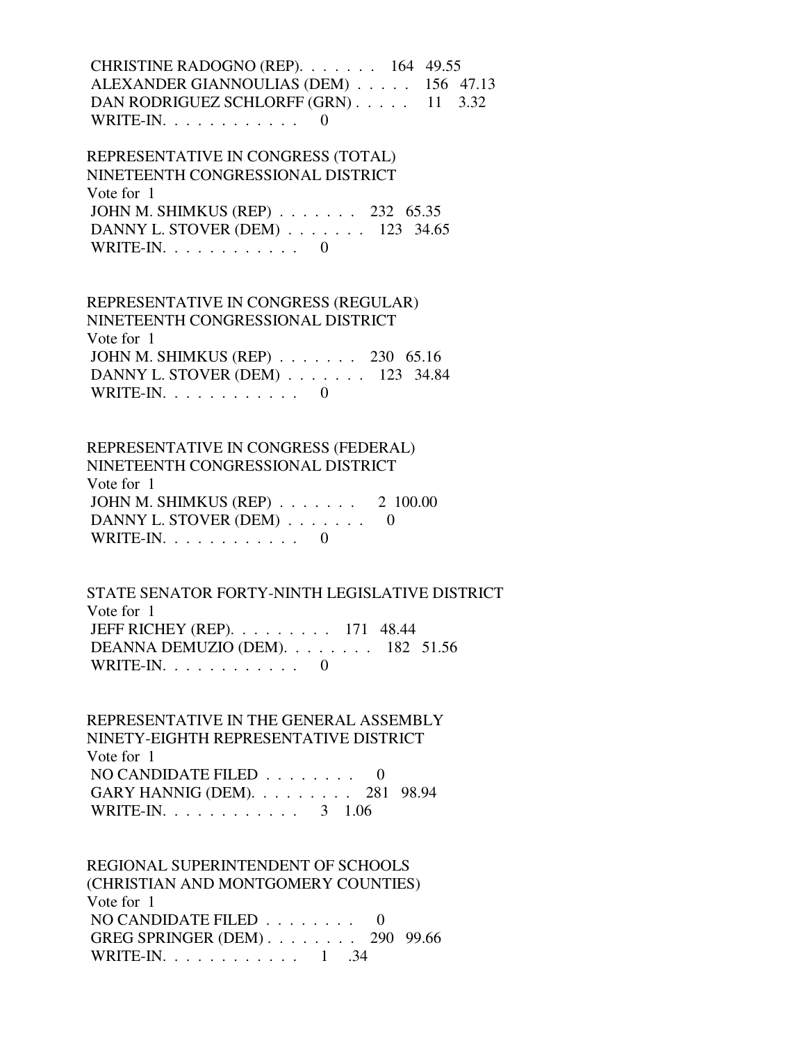CHRISTINE RADOGNO (REP). . . . . . . 164 49.55 ALEXANDER GIANNOULIAS (DEM) . . . . . 156 47.13 DAN RODRIGUEZ SCHLORFF (GRN) . . . . . 11 3.32 WRITE-IN.  $\ldots$  . . . . . . . . . 0

 REPRESENTATIVE IN CONGRESS (TOTAL) NINETEENTH CONGRESSIONAL DISTRICT Vote for 1 JOHN M. SHIMKUS (REP) . . . . . . . 232 65.35 DANNY L. STOVER (DEM) . . . . . . . 123 34.65 WRITE-IN.  $\ldots$  . . . . . . . . 0

 REPRESENTATIVE IN CONGRESS (REGULAR) NINETEENTH CONGRESSIONAL DISTRICT Vote for 1 JOHN M. SHIMKUS (REP) . . . . . . . 230 65.16 DANNY L. STOVER (DEM) . . . . . . . 123 34.84 WRITE-IN.  $\ldots$  . . . . . . . . 0

 REPRESENTATIVE IN CONGRESS (FEDERAL) NINETEENTH CONGRESSIONAL DISTRICT Vote for 1 JOHN M. SHIMKUS (REP) . . . . . . . 2 100.00 DANNY L. STOVER (DEM) . . . . . . . 0 WRITE-IN. . . . . . . . . . . . 0

 STATE SENATOR FORTY-NINTH LEGISLATIVE DISTRICT Vote for 1 JEFF RICHEY (REP). . . . . . . . . 171 48.44 DEANNA DEMUZIO (DEM). . . . . . . . 182 51.56 WRITE-IN.  $\ldots$  . . . . . . . . . 0

 REPRESENTATIVE IN THE GENERAL ASSEMBLY NINETY-EIGHTH REPRESENTATIVE DISTRICT Vote for 1 NO CANDIDATE FILED . . . . . . . . 0 GARY HANNIG (DEM). . . . . . . . . 281 98.94 WRITE-IN. . . . . . . . . . . . 3 1.06

 REGIONAL SUPERINTENDENT OF SCHOOLS (CHRISTIAN AND MONTGOMERY COUNTIES) Vote for 1 NO CANDIDATE FILED . . . . . . . . 0 GREG SPRINGER (DEM) . . . . . . . . 290 99.66 WRITE-IN. . . . . . . . . . . . 1 .34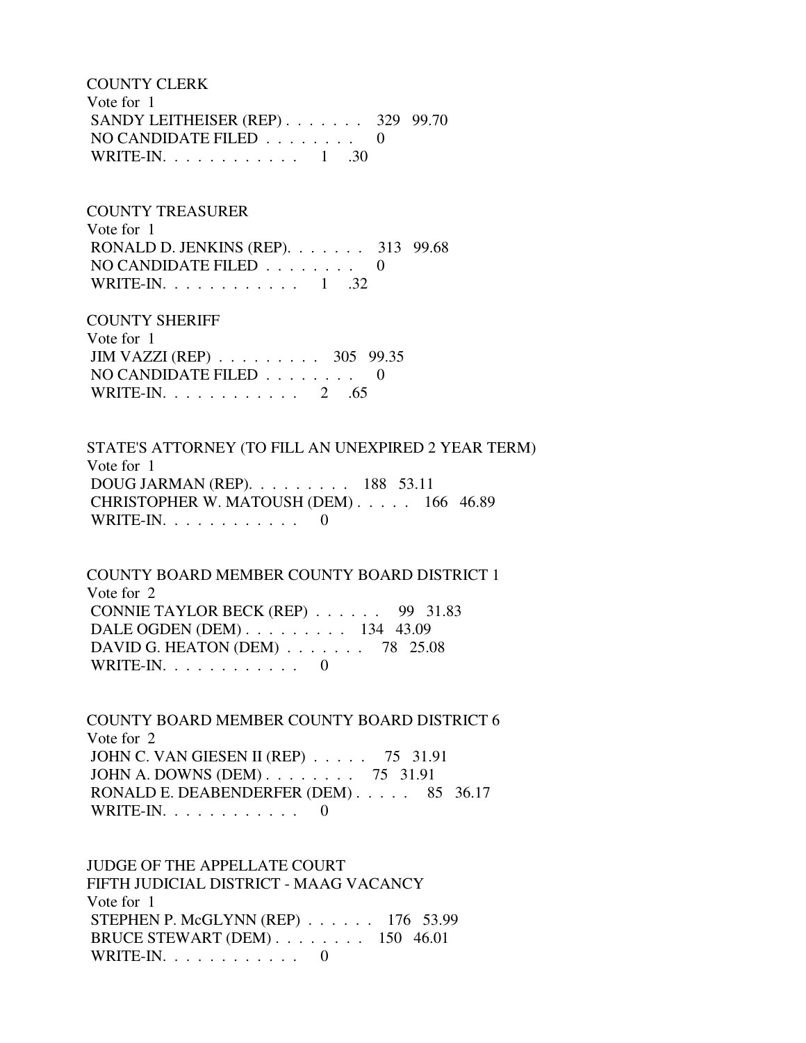COUNTY CLERK Vote for 1 SANDY LEITHEISER (REP) . . . . . . . 329 99.70 NO CANDIDATE FILED . . . . . . . . 0 WRITE-IN. . . . . . . . . . . . 1 .30

COUNTY TREASURER

 Vote for 1 RONALD D. JENKINS (REP). . . . . . . 313 99.68 NO CANDIDATE FILED . . . . . . . . 0 WRITE-IN. . . . . . . . . . . . 1 .32

 COUNTY SHERIFF Vote for 1 JIM VAZZI (REP) . . . . . . . . . 305 99.35 NO CANDIDATE FILED . . . . . . . . 0 WRITE-IN. . . . . . . . . . . . 2 .65

 STATE'S ATTORNEY (TO FILL AN UNEXPIRED 2 YEAR TERM) Vote for 1 DOUG JARMAN (REP). . . . . . . . . 188 53.11 CHRISTOPHER W. MATOUSH (DEM) . . . . . 166 46.89 WRITE-IN.  $\ldots$  . . . . . . . . . 0

 COUNTY BOARD MEMBER COUNTY BOARD DISTRICT 1 Vote for 2 CONNIE TAYLOR BECK (REP) . . . . . . 99 31.83 DALE OGDEN (DEM) . . . . . . . . . 134 43.09 DAVID G. HEATON (DEM) . . . . . . . 78 25.08 WRITE-IN.  $\ldots$  . . . . . . . . . 0

 COUNTY BOARD MEMBER COUNTY BOARD DISTRICT 6 Vote for 2 JOHN C. VAN GIESEN II (REP) . . . . . 75 31.91 JOHN A. DOWNS (DEM) . . . . . . . . 75 31.91 RONALD E. DEABENDERFER (DEM) . . . . . 85 36.17 WRITE-IN. . . . . . . . . . . . 0

 JUDGE OF THE APPELLATE COURT FIFTH JUDICIAL DISTRICT - MAAG VACANCY Vote for 1 STEPHEN P. McGLYNN (REP) . . . . . . 176 53.99 BRUCE STEWART (DEM) . . . . . . . . 150 46.01 WRITE-IN. . . . . . . . . . . . 0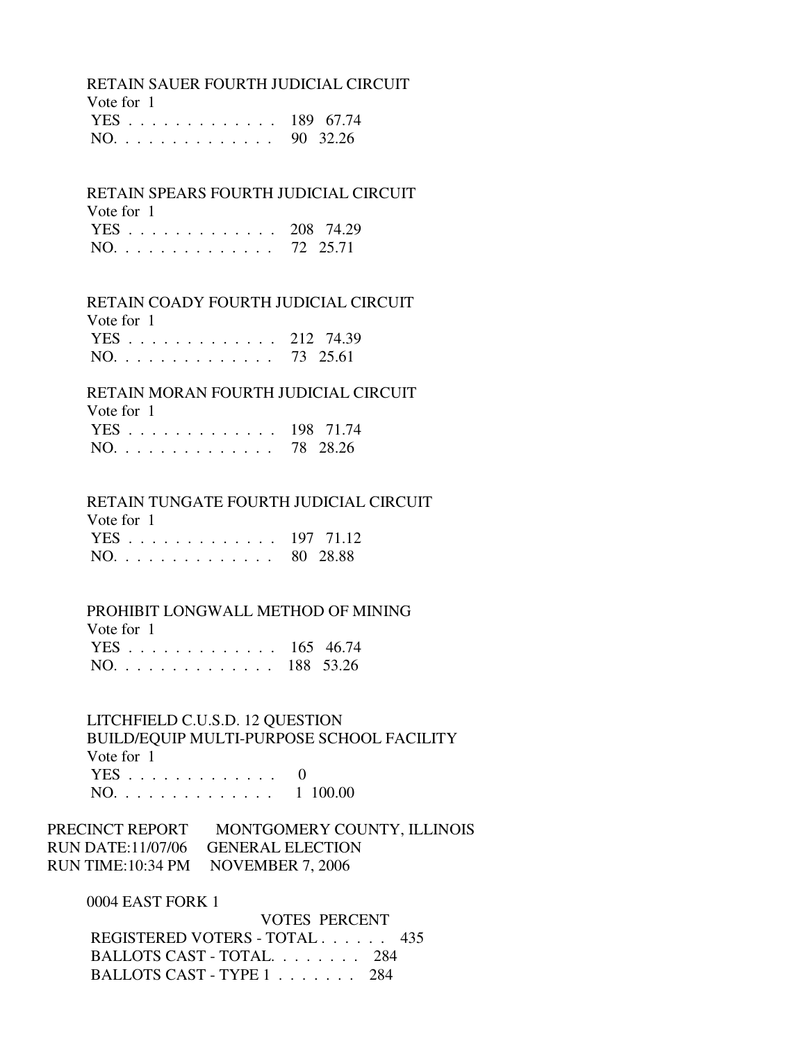RETAIN SAUER FOURTH JUDICIAL CIRCUIT

| Vote for 1    |  |
|---------------|--|
| YES 189 67.74 |  |
| NO. 90 32.26  |  |

 RETAIN SPEARS FOURTH JUDICIAL CIRCUIT Vote for 1 YES . . . . . . . . . . . . . 208 74.29

NO. . . . . . . . . . . . . . 72 25.71

RETAIN COADY FOURTH JUDICIAL CIRCUIT

| Vote for 1    |  |
|---------------|--|
| YES 212 74.39 |  |
| NO. 73 25.61  |  |

## RETAIN MORAN FOURTH JUDICIAL CIRCUIT

| Vote for 1    |  |
|---------------|--|
| YES 198 71.74 |  |
| NO. 78 28.26  |  |

## RETAIN TUNGATE FOURTH JUDICIAL CIRCUIT

| Vote for 1    |  |
|---------------|--|
| YES 197 71.12 |  |
| NO. 80 28.88  |  |

## PROHIBIT LONGWALL METHOD OF MINING

| Vote for 1    |  |
|---------------|--|
| YES 165 46.74 |  |
| NO. 188 53.26 |  |

 LITCHFIELD C.U.S.D. 12 QUESTION BUILD/EQUIP MULTI-PURPOSE SCHOOL FACILITY Vote for 1 YES . . . . . . . . . . . . . 0 NO. . . . . . . . . . . . . . 1 100.00

PRECINCT REPORT MONTGOMERY COUNTY, ILLINOIS RUN DATE:11/07/06 GENERAL ELECTION RUN TIME:10:34 PM NOVEMBER 7, 2006

0004 EAST FORK 1

 VOTES PERCENT REGISTERED VOTERS - TOTAL . . . . . . 435 BALLOTS CAST - TOTAL. . . . . . . . 284 BALLOTS CAST - TYPE 1 . . . . . . . 284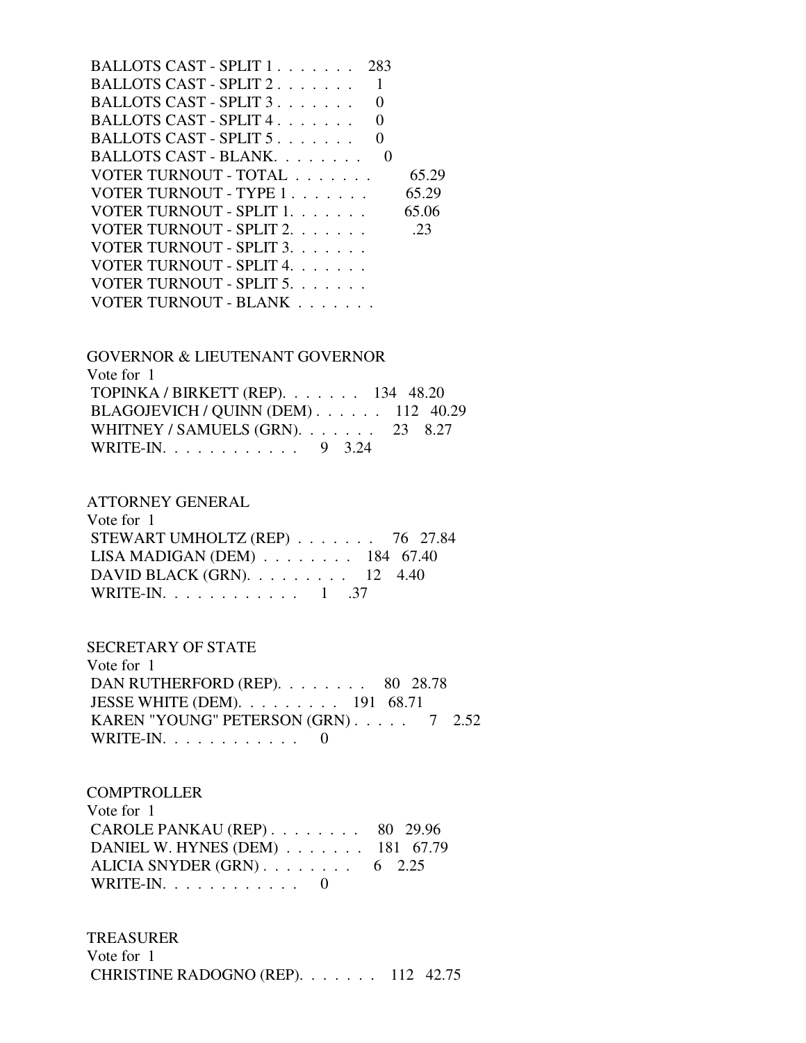| BALLOTS CAST - SPLIT 1<br>283            |       |
|------------------------------------------|-------|
| BALLOTS CAST - SPLIT $2 \ldots \ldots$   |       |
| BALLOTS CAST - SPLIT 3.                  |       |
| BALLOTS CAST - SPLIT 4                   |       |
| BALLOTS CAST - SPLIT $5, \ldots, \ldots$ |       |
| BALLOTS CAST - BLANK                     |       |
| VOTER TURNOUT - TOTAL                    | 65.29 |
| VOTER TURNOUT - TYPE 1                   | 65.29 |
| VOTER TURNOUT - SPLIT 1.                 | 65.06 |
| VOTER TURNOUT - SPLIT 2.                 | .23   |
| VOTER TURNOUT - SPLIT 3.                 |       |
| VOTER TURNOUT - SPLIT 4.                 |       |
| VOTER TURNOUT - SPLIT 5.                 |       |
| VOTER TURNOUT - BLANK                    |       |

 GOVERNOR & LIEUTENANT GOVERNOR Vote for 1 TOPINKA / BIRKETT (REP). . . . . . . 134 48.20 BLAGOJEVICH / QUINN (DEM) . . . . . . 112 40.29 WHITNEY / SAMUELS (GRN). . . . . . . 23 8.27 WRITE-IN. . . . . . . . . . . . 9 3.24

## ATTORNEY GENERAL

 Vote for 1 STEWART UMHOLTZ (REP) . . . . . . . 76 27.84 LISA MADIGAN (DEM) . . . . . . . . 184 67.40 DAVID BLACK (GRN). . . . . . . . . . 12 4.40 WRITE-IN. . . . . . . . . . . . 1 .37

## SECRETARY OF STATE

 Vote for 1 DAN RUTHERFORD (REP). . . . . . . . 80 28.78 JESSE WHITE (DEM). . . . . . . . . 191 68.71 KAREN "YOUNG" PETERSON (GRN) . . . . . 7 2.52 WRITE-IN. . . . . . . . . . . . 0

#### COMPTROLLER

| Vote for 1                                              |  |
|---------------------------------------------------------|--|
| CAROLE PANKAU (REP) $\ldots$ $\ldots$ $\ldots$ 80 29.96 |  |
| DANIEL W. HYNES (DEM) 181 67.79                         |  |
| ALICIA SNYDER $(GRN)$ 6 2.25                            |  |
| WRITE-IN. $\ldots$ , 0                                  |  |

#### TREASURER

 Vote for 1 CHRISTINE RADOGNO (REP). . . . . . . 112 42.75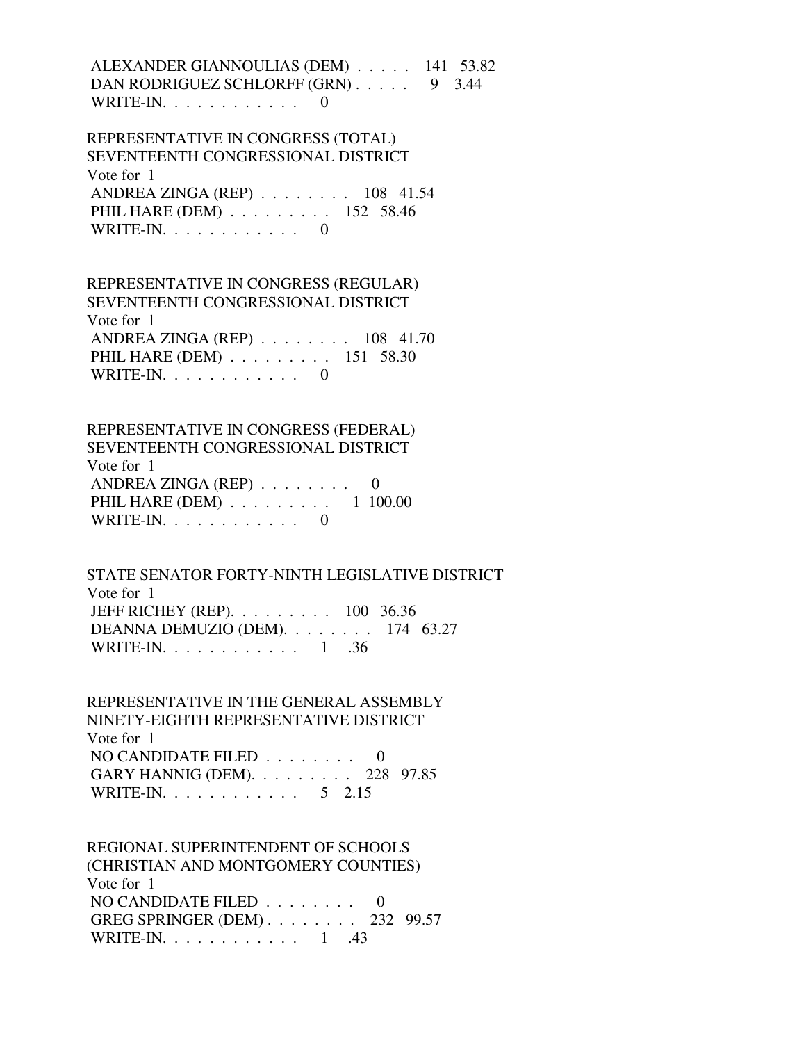ALEXANDER GIANNOULIAS (DEM) . . . . . 141 53.82 DAN RODRIGUEZ SCHLORFF (GRN) . . . . . 9 3.44 WRITE-IN. . . . . . . . . . . . 0

 REPRESENTATIVE IN CONGRESS (TOTAL) SEVENTEENTH CONGRESSIONAL DISTRICT Vote for 1 ANDREA ZINGA (REP) . . . . . . . . 108 41.54 PHIL HARE (DEM) . . . . . . . . . 152 58.46 WRITE-IN. . . . . . . . . . . . 0

 REPRESENTATIVE IN CONGRESS (REGULAR) SEVENTEENTH CONGRESSIONAL DISTRICT Vote for 1 ANDREA ZINGA (REP) . . . . . . . . 108 41.70 PHIL HARE (DEM) . . . . . . . . . 151 58.30 WRITE-IN.  $\ldots$  . . . . . . . . . 0

 REPRESENTATIVE IN CONGRESS (FEDERAL) SEVENTEENTH CONGRESSIONAL DISTRICT Vote for 1 ANDREA ZINGA (REP) . . . . . . . . 0 PHIL HARE (DEM) . . . . . . . . . 1 100.00 WRITE-IN.  $\ldots$  . . . . . . . . . 0

 STATE SENATOR FORTY-NINTH LEGISLATIVE DISTRICT Vote for 1 JEFF RICHEY (REP). . . . . . . . . 100 36.36 DEANNA DEMUZIO (DEM). . . . . . . . 174 63.27 WRITE-IN. . . . . . . . . . . . 1 .36

 REPRESENTATIVE IN THE GENERAL ASSEMBLY NINETY-EIGHTH REPRESENTATIVE DISTRICT Vote for 1 NO CANDIDATE FILED  $\ldots \ldots \ldots$  GARY HANNIG (DEM). . . . . . . . . 228 97.85 WRITE-IN. . . . . . . . . . . . . 5 2.15

 REGIONAL SUPERINTENDENT OF SCHOOLS (CHRISTIAN AND MONTGOMERY COUNTIES) Vote for 1 NO CANDIDATE FILED  $\ldots$ , . . . . . 0 GREG SPRINGER (DEM) . . . . . . . . 232 99.57 WRITE-IN. . . . . . . . . . . . 1 .43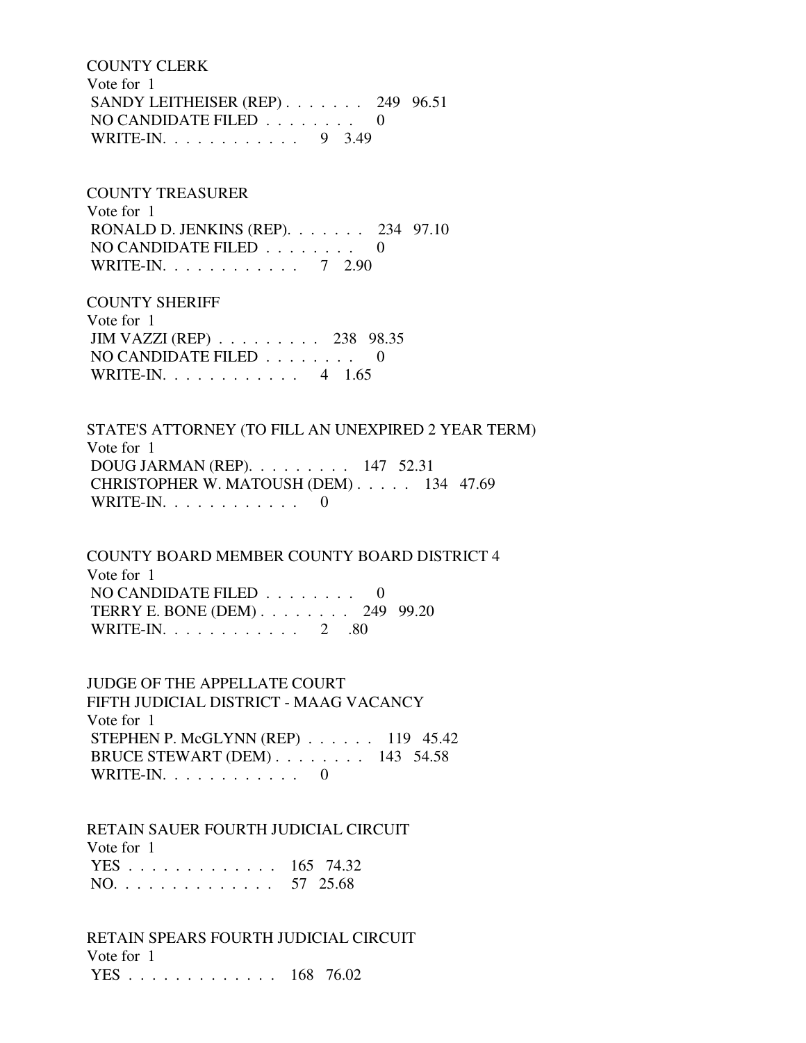COUNTY CLERK Vote for 1 SANDY LEITHEISER (REP) . . . . . . . 249 96.51 NO CANDIDATE FILED . . . . . . . . 0 WRITE-IN. . . . . . . . . . . . 9 3.49

 COUNTY TREASURER Vote for 1 RONALD D. JENKINS (REP). . . . . . . 234 97.10 NO CANDIDATE FILED . . . . . . . . 0 WRITE-IN. . . . . . . . . . . . 7 2.90

 COUNTY SHERIFF Vote for 1 JIM VAZZI (REP) . . . . . . . . . 238 98.35 NO CANDIDATE FILED . . . . . . . . 0 WRITE-IN. . . . . . . . . . . . 4 1.65

 STATE'S ATTORNEY (TO FILL AN UNEXPIRED 2 YEAR TERM) Vote for 1 DOUG JARMAN (REP). . . . . . . . . 147 52.31 CHRISTOPHER W. MATOUSH (DEM) . . . . . 134 47.69 WRITE-IN.  $\ldots$  . . . . . . . . 0

 COUNTY BOARD MEMBER COUNTY BOARD DISTRICT 4 Vote for 1 NO CANDIDATE FILED . . . . . . . . 0 TERRY E. BONE (DEM) . . . . . . . . 249 99.20 WRITE-IN. . . . . . . . . . . . 2 .80

 JUDGE OF THE APPELLATE COURT FIFTH JUDICIAL DISTRICT - MAAG VACANCY Vote for 1 STEPHEN P. McGLYNN (REP) . . . . . . 119 45.42 BRUCE STEWART (DEM) . . . . . . . . 143 54.58 WRITE-IN.  $\ldots$  . . . . . . . . . 0

 RETAIN SAUER FOURTH JUDICIAL CIRCUIT Vote for 1 YES . . . . . . . . . . . . . 165 74.32 NO. . . . . . . . . . . . . . 57 25.68

 RETAIN SPEARS FOURTH JUDICIAL CIRCUIT Vote for 1 YES . . . . . . . . . . . . . 168 76.02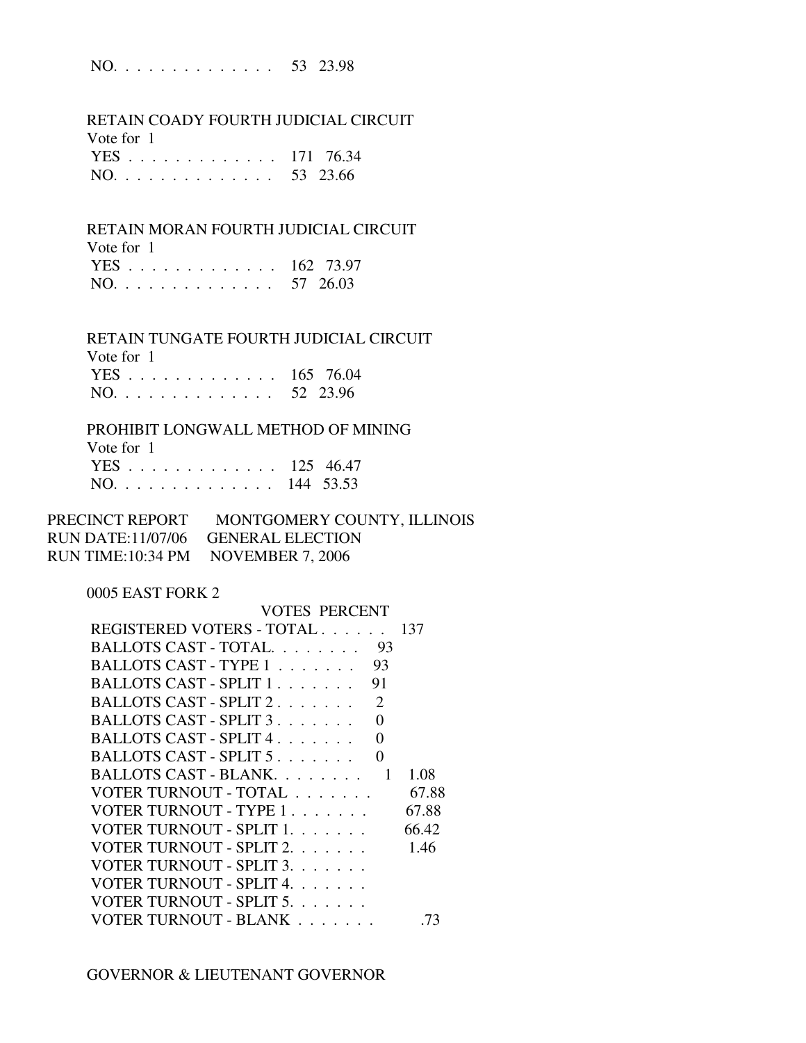RETAIN COADY FOURTH JUDICIAL CIRCUIT

Vote for 1

|  |  |  |  |  |  |  |  | YES 171 76.34 |
|--|--|--|--|--|--|--|--|---------------|
|  |  |  |  |  |  |  |  | NO. 53 23.66  |

#### RETAIN MORAN FOURTH JUDICIAL CIRCUIT

| Vote for 1    |  |
|---------------|--|
| YES 162 73.97 |  |
| NO. 57 26.03  |  |

#### RETAIN TUNGATE FOURTH JUDICIAL CIRCUIT

Vote for 1

| YES 165 76.04 |  |
|---------------|--|
| NO. 52 23.96  |  |

## PROHIBIT LONGWALL METHOD OF MINING

|  |  |  |  |  |  |  | YES 125 46.47 |
|--|--|--|--|--|--|--|---------------|
|  |  |  |  |  |  |  | NO. 144 53.53 |

| PRECINCT REPORT | MONTGOMERY COUNTY, ILLINOIS        |
|-----------------|------------------------------------|
|                 | RUN DATE:11/07/06 GENERAL ELECTION |
|                 | RUN TIME:10:34 PM NOVEMBER 7, 2006 |

#### 0005 EAST FORK 2

| VOTES PERCENT                                          |       |
|--------------------------------------------------------|-------|
| REGISTERED VOTERS - TOTAL                              | 137   |
| BALLOTS CAST - TOTAL.<br>93                            |       |
| BALLOTS CAST - TYPE 1<br>93                            |       |
| BALLOTS CAST - SPLIT 1<br>91                           |       |
| $\mathcal{D}_{\mathcal{L}}$<br>BALLOTS CAST - SPLIT 2. |       |
| BALLOTS CAST - SPLIT 3<br>0                            |       |
| BALLOTS CAST - SPLIT 4<br>0                            |       |
| BALLOTS CAST - SPLIT 5<br>$\mathbf{\Omega}$            |       |
| BALLOTS CAST - BLANK                                   | 1.08  |
| VOTER TURNOUT - TOTAL                                  | 67.88 |
| VOTER TURNOUT - TYPE 1                                 | 67.88 |
| VOTER TURNOUT - SPLIT 1.                               | 66.42 |
| VOTER TURNOUT - SPLIT 2.                               | 1.46  |
| VOTER TURNOUT - SPLIT 3.                               |       |
| VOTER TURNOUT - SPLIT 4.                               |       |
| VOTER TURNOUT - SPLIT 5.                               |       |
| VOTER TURNOUT - BLANK                                  | 73    |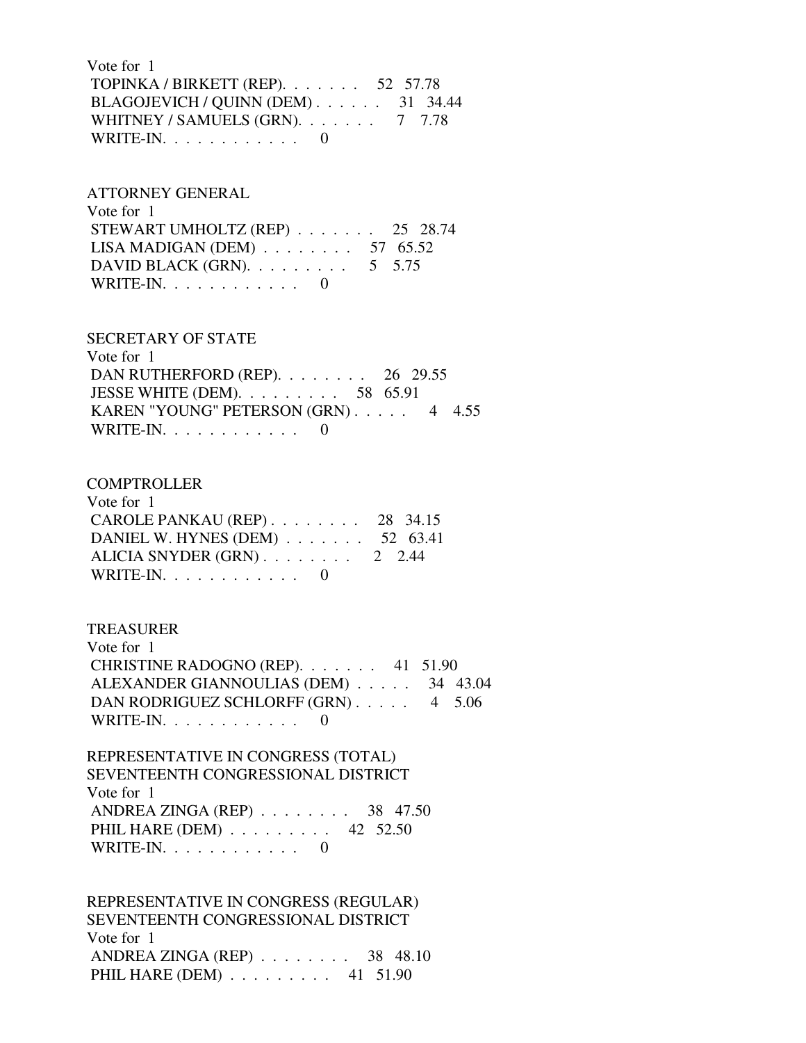Vote for 1 TOPINKA / BIRKETT (REP). . . . . . . 52 57.78 BLAGOJEVICH / QUINN (DEM) . . . . . . 31 34.44 WHITNEY / SAMUELS (GRN). . . . . . . 7 7.78 WRITE-IN.  $\ldots$  . . . . . . . . . 0

 ATTORNEY GENERAL Vote for 1 STEWART UMHOLTZ (REP)  $\ldots$  . . . . . 25 28.74 LISA MADIGAN (DEM) . . . . . . . . 57 65.52 DAVID BLACK (GRN).  $\ldots$  . . . . . . . 5 5.75 WRITE-IN.  $\ldots$  . . . . . . . . 0

#### SECRETARY OF STATE

 Vote for 1 DAN RUTHERFORD (REP). . . . . . . . 26 29.55 JESSE WHITE (DEM). . . . . . . . . 58 65.91 KAREN "YOUNG" PETERSON (GRN) . . . . . 4 4.55 WRITE-IN.  $\ldots$  . . . . . . . . . 0

#### **COMPTROLLER**

| Vote for 1                              |  |
|-----------------------------------------|--|
| CAROLE PANKAU (REP) $\ldots$ 28 34.15   |  |
| DANIEL W. HYNES (DEM) $\ldots$ 52 63.41 |  |
| ALICIA SNYDER $(GRN)$ 2 2.44            |  |
| WRITE-IN. $\ldots$ 0                    |  |

#### TREASURER

| Vote for $1$                         |  |  |
|--------------------------------------|--|--|
| CHRISTINE RADOGNO (REP). 41 51.90    |  |  |
| ALEXANDER GIANNOULIAS (DEM) 34 43.04 |  |  |
| DAN RODRIGUEZ SCHLORFF (GRN) 4 5.06  |  |  |
| WRITE-IN. $\ldots$ 0                 |  |  |

 REPRESENTATIVE IN CONGRESS (TOTAL) SEVENTEENTH CONGRESSIONAL DISTRICT Vote for 1 ANDREA ZINGA (REP) . . . . . . . . 38 47.50 PHIL HARE (DEM) . . . . . . . . . 42 52.50 WRITE-IN. . . . . . . . . . . . 0

 REPRESENTATIVE IN CONGRESS (REGULAR) SEVENTEENTH CONGRESSIONAL DISTRICT Vote for 1 ANDREA ZINGA (REP) . . . . . . . . 38 48.10 PHIL HARE (DEM) . . . . . . . . . 41 51.90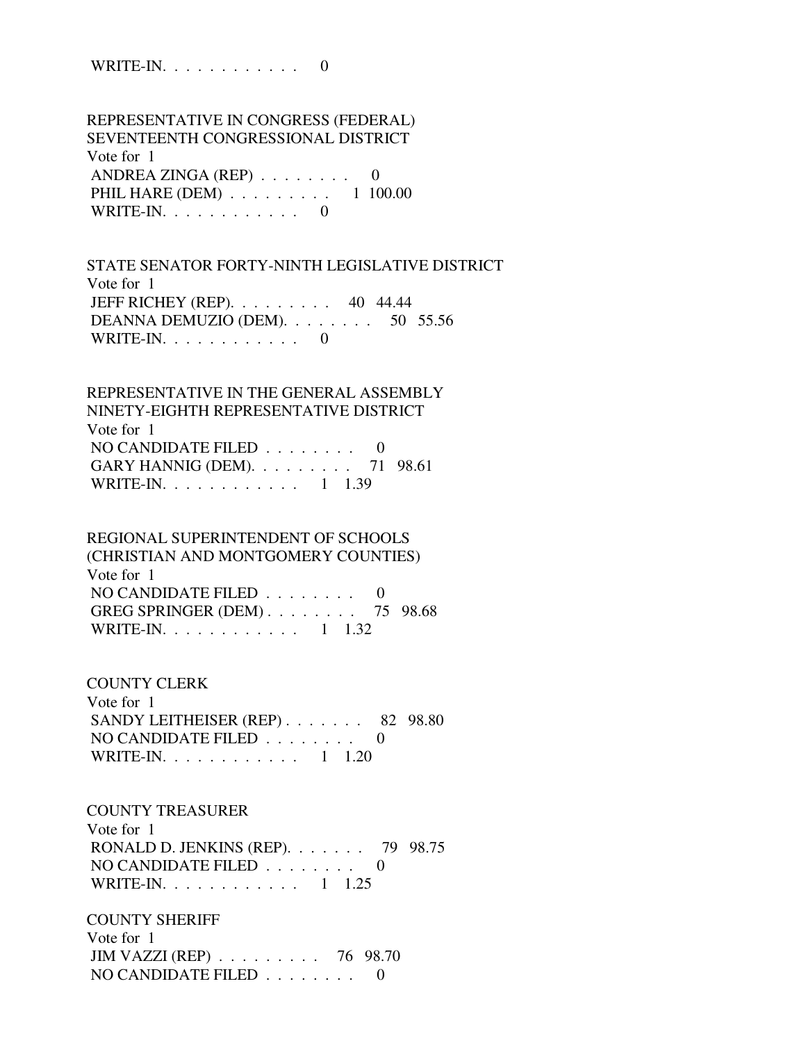WRITE-IN.  $\ldots$  . . . . . . . . 0

 REPRESENTATIVE IN CONGRESS (FEDERAL) SEVENTEENTH CONGRESSIONAL DISTRICT Vote for 1 ANDREA ZINGA (REP)  $\ldots \ldots \ldots$  0 PHIL HARE (DEM) . . . . . . . . . 1 100.00 WRITE-IN. . . . . . . . . . . . 0

 STATE SENATOR FORTY-NINTH LEGISLATIVE DISTRICT Vote for 1 JEFF RICHEY (REP). . . . . . . . . 40 44.44 DEANNA DEMUZIO (DEM). . . . . . . . 50 55.56 WRITE-IN.  $\ldots$  . . . . . . . . . 0

 REPRESENTATIVE IN THE GENERAL ASSEMBLY NINETY-EIGHTH REPRESENTATIVE DISTRICT Vote for 1 NO CANDIDATE FILED  $\ldots \ldots \ldots$  0 GARY HANNIG (DEM). . . . . . . . . 71 98.61 WRITE-IN. . . . . . . . . . . . 1 1.39

## REGIONAL SUPERINTENDENT OF SCHOOLS

 (CHRISTIAN AND MONTGOMERY COUNTIES) Vote for 1 NO CANDIDATE FILED . . . . . . . . 0 GREG SPRINGER (DEM) . . . . . . . . 75 98.68 WRITE-IN. . . . . . . . . . . . . 1 1.32

#### COUNTY CLERK

 Vote for 1 SANDY LEITHEISER (REP) . . . . . . . 82 98.80 NO CANDIDATE FILED . . . . . . . . 0 WRITE-IN. . . . . . . . . . . . 1 1.20

#### COUNTY TREASURER

 Vote for 1 RONALD D. JENKINS (REP). . . . . . . 79 98.75 NO CANDIDATE FILED . . . . . . . . 0 WRITE-IN. . . . . . . . . . . . 1 1.25

 COUNTY SHERIFF Vote for 1 JIM VAZZI (REP) . . . . . . . . . 76 98.70 NO CANDIDATE FILED . . . . . . . . 0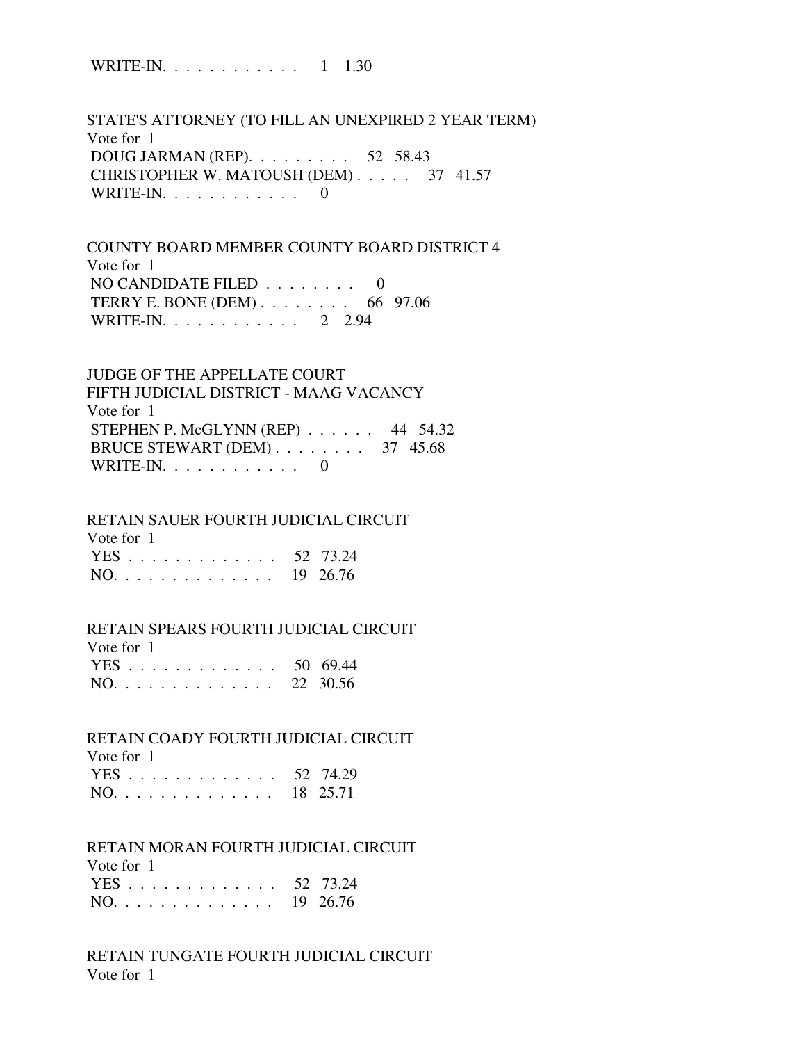WRITE-IN. . . . . . . . . . . . 1 1.30

 STATE'S ATTORNEY (TO FILL AN UNEXPIRED 2 YEAR TERM) Vote for 1 DOUG JARMAN (REP). . . . . . . . . 52 58.43 CHRISTOPHER W. MATOUSH (DEM) . . . . . 37 41.57 WRITE-IN.  $\ldots$  . . . . . . . . . 0

 COUNTY BOARD MEMBER COUNTY BOARD DISTRICT 4 Vote for 1 NO CANDIDATE FILED  $\ldots \ldots \ldots$  TERRY E. BONE (DEM) . . . . . . . . 66 97.06 WRITE-IN. . . . . . . . . . . . 2 2.94

 JUDGE OF THE APPELLATE COURT FIFTH JUDICIAL DISTRICT - MAAG VACANCY Vote for 1 STEPHEN P. McGLYNN (REP) . . . . . . 44 54.32 BRUCE STEWART (DEM) . . . . . . . . 37 45.68 WRITE-IN. . . . . . . . . . . . 0

 RETAIN SAUER FOURTH JUDICIAL CIRCUIT Vote for 1

| $\sqrt{2}$   |  |
|--------------|--|
| YES 52 73.24 |  |
| NO. 19 26.76 |  |

#### RETAIN SPEARS FOURTH JUDICIAL CIRCUIT

| Vote for 1   |  |
|--------------|--|
| YES 50 69.44 |  |
| NO. 22 30.56 |  |

RETAIN COADY FOURTH JUDICIAL CIRCUIT

 Vote for 1 YES . . . . . . . . . . . . . 52 74.29 NO. . . . . . . . . . . . . . 18 25.71

#### RETAIN MORAN FOURTH JUDICIAL CIRCUIT

| Vote for 1   |  |
|--------------|--|
| YES 52 73.24 |  |
| NO. 19 26.76 |  |

 RETAIN TUNGATE FOURTH JUDICIAL CIRCUIT Vote for 1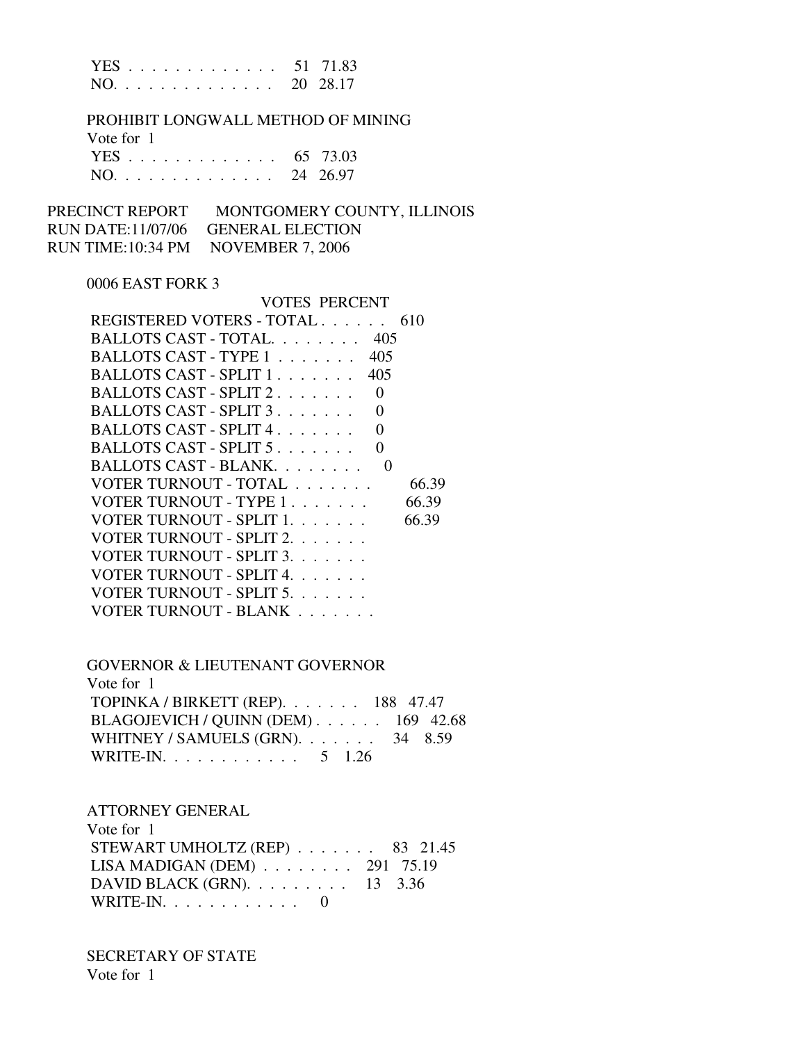|  |  |  |  |  |  |  |  | YES 51 71.83 |
|--|--|--|--|--|--|--|--|--------------|
|  |  |  |  |  |  |  |  | NO. 20 28.17 |

#### PROHIBIT LONGWALL METHOD OF MINING

| Vote for 1   |  |
|--------------|--|
| YES 65 73.03 |  |
| NO. 24 26.97 |  |

### PRECINCT REPORT MONTGOMERY COUNTY, ILLINOIS RUN DATE:11/07/06 GENERAL ELECTION RUN TIME:10:34 PM NOVEMBER 7, 2006

#### 0006 EAST FORK 3

| VOTES PERCENT                                                 |       |
|---------------------------------------------------------------|-------|
| REGISTERED VOTERS - TOTAL<br>610                              |       |
| BALLOTS CAST - TOTAL.<br>-405                                 |       |
| BALLOTS CAST - TYPE 1<br>405                                  |       |
| BALLOTS CAST - SPLIT 1<br>405                                 |       |
| BALLOTS CAST - SPLIT 2<br>$\mathbf{\Omega}$                   |       |
| BALLOTS CAST - SPLIT 3<br>$\mathbf{\Omega}$                   |       |
| BALLOTS CAST - SPLIT 4<br>$\mathbf{\Omega}$                   |       |
| BALLOTS CAST - SPLIT $5, \ldots, \ldots$<br>$\mathbf{\Omega}$ |       |
| BALLOTS CAST - BLANK<br>$\mathbf{\Omega}$                     |       |
| VOTER TURNOUT - TOTAL                                         | 66.39 |
| VOTER TURNOUT - TYPE 1.                                       | 66.39 |
| VOTER TURNOUT - SPLIT 1.                                      | 66.39 |
| VOTER TURNOUT - SPLIT 2.                                      |       |
| VOTER TURNOUT - SPLIT 3.                                      |       |
| VOTER TURNOUT - SPLIT 4.                                      |       |
| VOTER TURNOUT - SPLIT 5.                                      |       |
| VOTER TURNOUT - BLANK                                         |       |

#### GOVERNOR & LIEUTENANT GOVERNOR Vote for 1 TOPINKA / BIRKETT (REP). . . . . . . 188 47.47

 BLAGOJEVICH / QUINN (DEM) . . . . . . 169 42.68 WHITNEY / SAMUELS (GRN). . . . . . . 34 8.59 WRITE-IN. . . . . . . . . . . . 5 1.26

#### ATTORNEY GENERAL

| Vote for 1                              |  |  |
|-----------------------------------------|--|--|
| STEWART UMHOLTZ (REP) $\ldots$ 83 21.45 |  |  |
| LISA MADIGAN (DEM) $\ldots$ 291 75.19   |  |  |
| DAVID BLACK (GRN). $\ldots$ 13 3.36     |  |  |
| WRITE-IN. $\ldots$ 0                    |  |  |

## SECRETARY OF STATE Vote for 1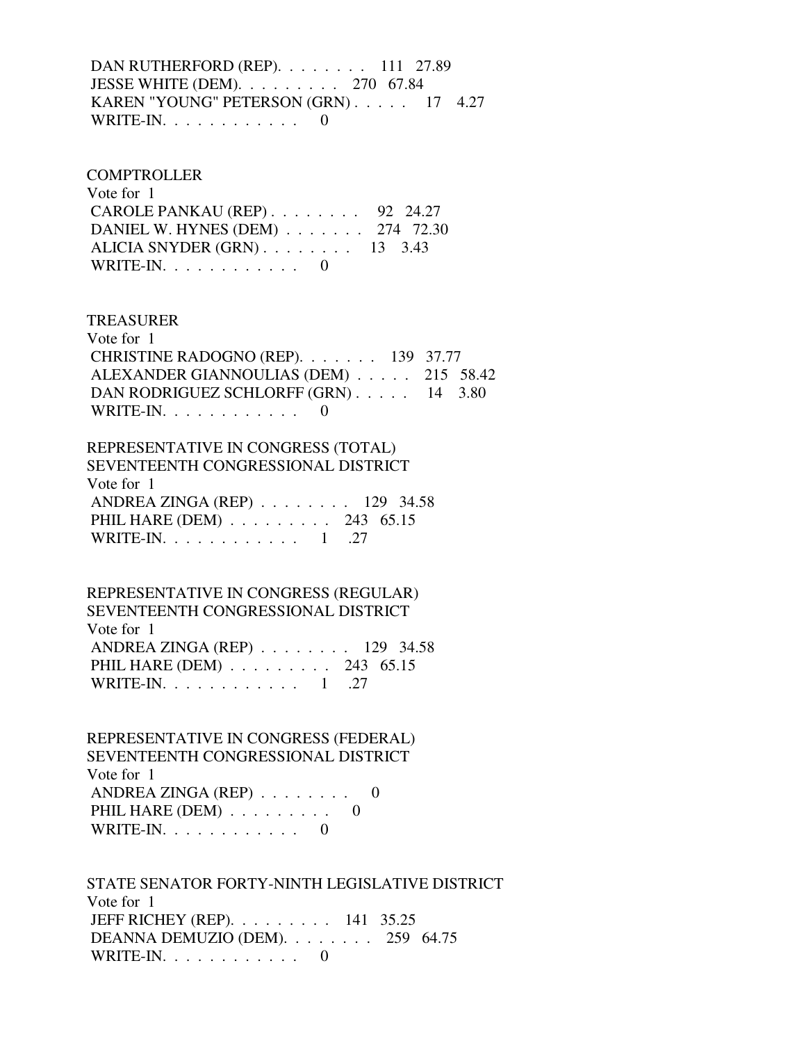DAN RUTHERFORD (REP). . . . . . . . 111 27.89 JESSE WHITE (DEM). . . . . . . . . 270 67.84 KAREN "YOUNG" PETERSON (GRN) . . . . . 17 4.27 WRITE-IN. . . . . . . . . . . . 0

#### **COMPTROLLER**

| Vote for 1                               |  |
|------------------------------------------|--|
| CAROLE PANKAU (REP) $\ldots$ 92 24.27    |  |
| DANIEL W. HYNES (DEM) $\ldots$ 274 72.30 |  |
| ALICIA SNYDER $(GRN)$ 13 3.43            |  |
| WRITE-IN. $\ldots$ 0                     |  |

#### TREASURER

| Vote for 1                                  |  |
|---------------------------------------------|--|
| CHRISTINE RADOGNO (REP). $\ldots$ 139 37.77 |  |
| ALEXANDER GIANNOULIAS (DEM) 215 58.42       |  |
| DAN RODRIGUEZ SCHLORFF (GRN) 14 3.80        |  |
| WRITE-IN. $\ldots$                          |  |

 REPRESENTATIVE IN CONGRESS (TOTAL) SEVENTEENTH CONGRESSIONAL DISTRICT Vote for 1 ANDREA ZINGA (REP) . . . . . . . . 129 34.58 PHIL HARE (DEM) . . . . . . . . . 243 65.15 WRITE-IN. . . . . . . . . . . . . 1 .27

 REPRESENTATIVE IN CONGRESS (REGULAR) SEVENTEENTH CONGRESSIONAL DISTRICT Vote for 1 ANDREA ZINGA (REP) . . . . . . . . 129 34.58 PHIL HARE (DEM) . . . . . . . . . 243 65.15 WRITE-IN. . . . . . . . . . . . 1 .27

 REPRESENTATIVE IN CONGRESS (FEDERAL) SEVENTEENTH CONGRESSIONAL DISTRICT Vote for 1 ANDREA ZINGA (REP) . . . . . . . . 0 PHIL HARE  $(DEM)$  . . . . . . . . . 0 WRITE-IN.  $\ldots$  . . . . . . . . . 0

 STATE SENATOR FORTY-NINTH LEGISLATIVE DISTRICT Vote for 1 JEFF RICHEY (REP). . . . . . . . . 141 35.25 DEANNA DEMUZIO (DEM). . . . . . . . 259 64.75 WRITE-IN. . . . . . . . . . . . 0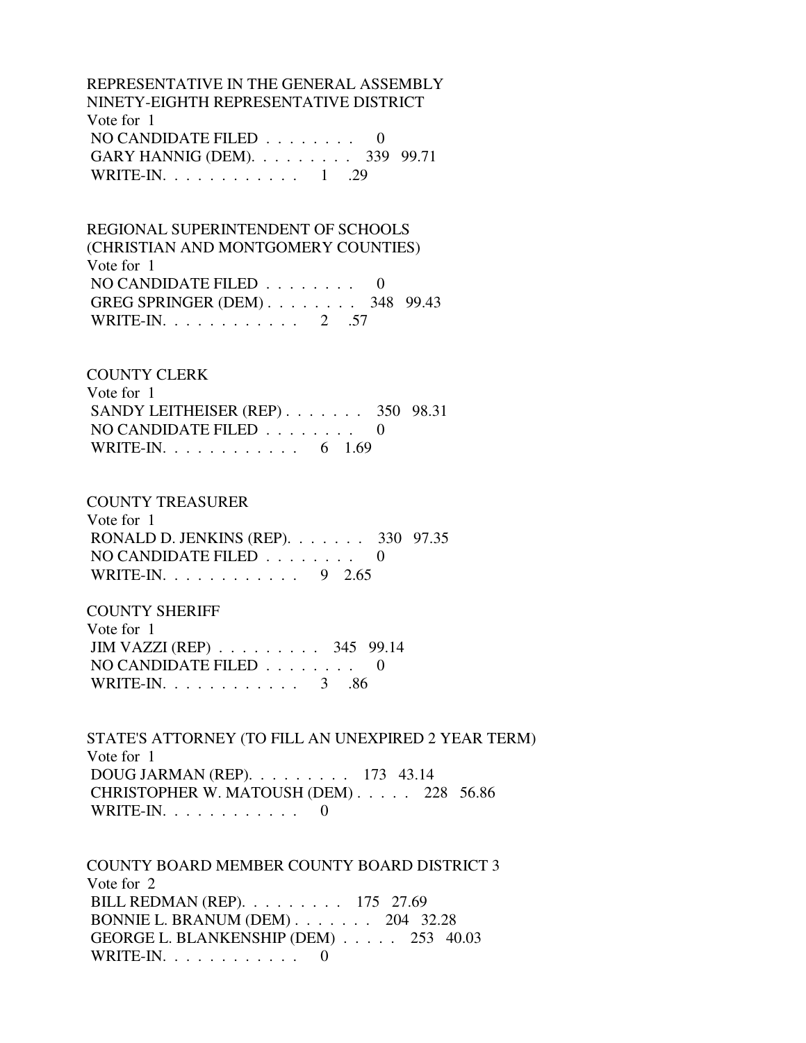REPRESENTATIVE IN THE GENERAL ASSEMBLY NINETY-EIGHTH REPRESENTATIVE DISTRICT Vote for 1 NO CANDIDATE FILED . . . . . . . . 0 GARY HANNIG (DEM). . . . . . . . . 339 99.71 WRITE-IN. . . . . . . . . . . . 1 .29

 REGIONAL SUPERINTENDENT OF SCHOOLS (CHRISTIAN AND MONTGOMERY COUNTIES) Vote for 1 NO CANDIDATE FILED  $\ldots \ldots \ldots$  GREG SPRINGER (DEM) . . . . . . . . 348 99.43 WRITE-IN. . . . . . . . . . . . . 2 .57

 COUNTY CLERK Vote for 1 SANDY LEITHEISER (REP) . . . . . . . 350 98.31 NO CANDIDATE FILED . . . . . . . . 0 WRITE-IN. . . . . . . . . . . . . 6 1.69

 COUNTY TREASURER Vote for 1 RONALD D. JENKINS (REP). . . . . . . 330 97.35 NO CANDIDATE FILED . . . . . . . . 0 WRITE-IN. . . . . . . . . . . . 9 2.65

 COUNTY SHERIFF Vote for 1 JIM VAZZI (REP) . . . . . . . . . 345 99.14 NO CANDIDATE FILED . . . . . . . . 0 WRITE-IN. . . . . . . . . . . . . 3 .86

 STATE'S ATTORNEY (TO FILL AN UNEXPIRED 2 YEAR TERM) Vote for 1 DOUG JARMAN (REP). . . . . . . . . 173 43.14 CHRISTOPHER W. MATOUSH (DEM) . . . . . 228 56.86 WRITE-IN.  $\ldots$  . . . . . . . . 0

 COUNTY BOARD MEMBER COUNTY BOARD DISTRICT 3 Vote for 2 BILL REDMAN (REP). . . . . . . . . 175 27.69 BONNIE L. BRANUM (DEM) . . . . . . . 204 32.28 GEORGE L. BLANKENSHIP (DEM) . . . . . 253 40.03 WRITE-IN. . . . . . . . . . . . 0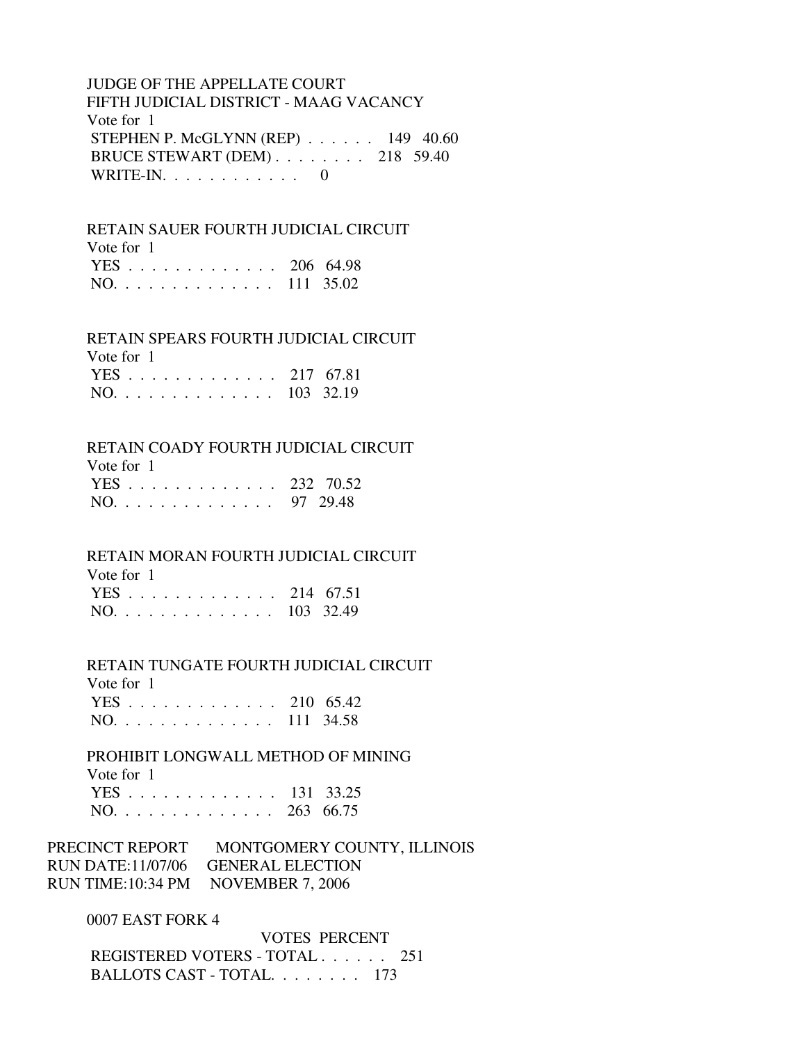### JUDGE OF THE APPELLATE COURT FIFTH JUDICIAL DISTRICT - MAAG VACANCY Vote for 1 STEPHEN P. McGLYNN (REP) . . . . . . 149 40.60 BRUCE STEWART (DEM) . . . . . . . . 218 59.40 WRITE-IN.  $\ldots$  . . . . . . . . . 0

#### RETAIN SAUER FOURTH JUDICIAL CIRCUIT

| Vote for 1    |  |
|---------------|--|
| YES 206 64.98 |  |
| NO. 111 35.02 |  |

#### RETAIN SPEARS FOURTH JUDICIAL CIRCUIT

| Vote for 1    |  |
|---------------|--|
| YES 217 67.81 |  |
| NO. 103 32.19 |  |

#### RETAIN COADY FOURTH JUDICIAL CIRCUIT

| Vote for 1    |  |
|---------------|--|
| YES 232 70.52 |  |
| NO. 97 29.48  |  |

#### RETAIN MORAN FOURTH JUDICIAL CIRCUIT  $V_{\text{eff}}$   $\mathcal{L}_{\text{eff}}$

| Vote for T    |  |
|---------------|--|
| YES 214 67.51 |  |
| NO. 103 32.49 |  |

### RETAIN TUNGATE FOURTH JUDICIAL CIRCUIT

| Vote for 1    |  |
|---------------|--|
| YES 210 65.42 |  |
| NO. 111 34.58 |  |

### PROHIBIT LONGWALL METHOD OF MINING Vote for 1 YES . . . . . . . . . . . . . 131 33.25 NO. . . . . . . . . . . . . . 263 66.75

PRECINCT REPORT MONTGOMERY COUNTY, ILLINOIS RUN DATE:11/07/06 GENERAL ELECTION RUN TIME:10:34 PM NOVEMBER 7, 2006

#### 0007 EAST FORK 4

 VOTES PERCENT REGISTERED VOTERS - TOTAL . . . . . . 251 BALLOTS CAST - TOTAL. . . . . . . . 173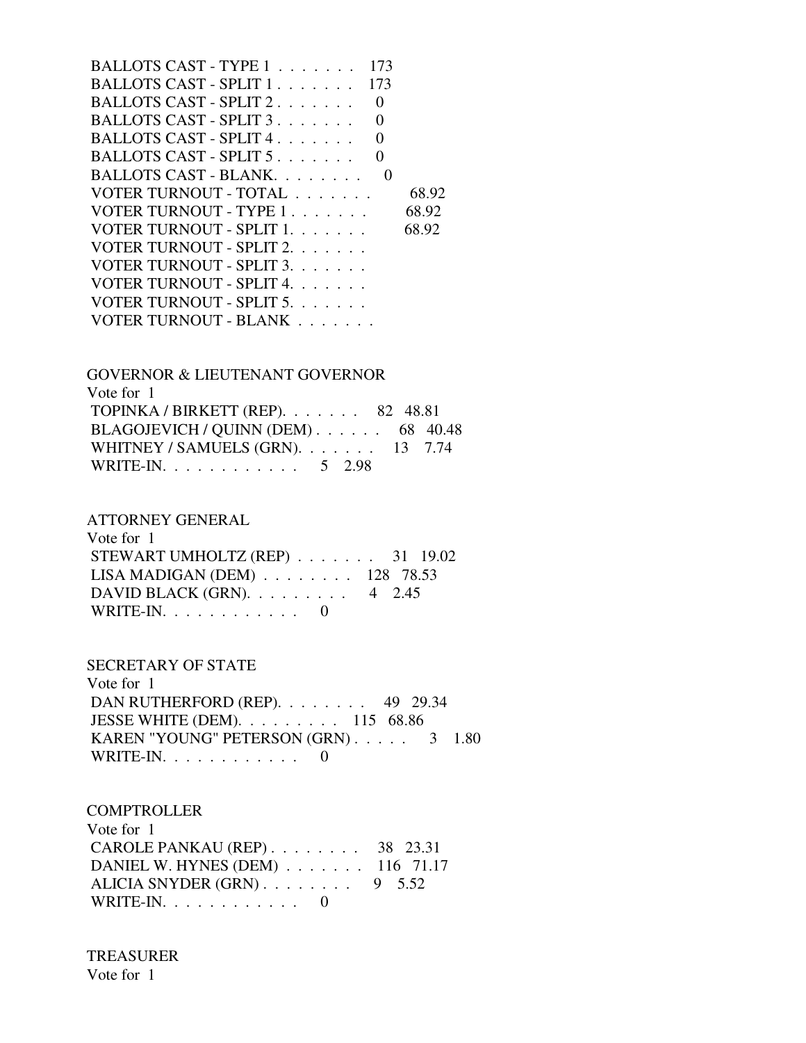| BALLOTS CAST - TYPE $1, \ldots, \ldots$<br>173  |       |
|-------------------------------------------------|-------|
| BALLOTS CAST - SPLIT $1, \ldots, \ldots$<br>173 |       |
| BALLOTS CAST - SPLIT 2.                         |       |
| BALLOTS CAST - SPLIT $3 \ldots \ldots$          |       |
| BALLOTS CAST - SPLIT 4                          |       |
| BALLOTS CAST - SPLIT $5, \ldots, \ldots$        |       |
| BALLOTS CAST - BLANK.                           |       |
| VOTER TURNOUT - TOTAL                           | 68.92 |
| VOTER TURNOUT - TYPE 1                          | 68.92 |
| VOTER TURNOUT - SPLIT 1.                        | 68.92 |
| VOTER TURNOUT - SPLIT 2.                        |       |
| VOTER TURNOUT - SPLIT 3.                        |       |
| VOTER TURNOUT - SPLIT 4.                        |       |
| VOTER TURNOUT - SPLIT 5.                        |       |
| VOTER TURNOUT - BLANK                           |       |

| <b>GOVERNOR &amp; LIEUTENANT GOVERNOR</b> |  |
|-------------------------------------------|--|
| Vote for 1                                |  |
| TOPINKA / BIRKETT (REP). 82 48.81         |  |
| BLAGOJEVICH / QUINN (DEM) 68 40.48        |  |
| WHITNEY / SAMUELS (GRN). 13 7.74          |  |
| WRITE-IN. 5 2.98                          |  |

#### ATTORNEY GENERAL  $V_{\alpha}$  for  $1$

| vote for T                                          |  |
|-----------------------------------------------------|--|
| STEWART UMHOLTZ (REP) $\ldots \ldots$ 31 19.02      |  |
| LISA MADIGAN (DEM) $\ldots \ldots \ldots$ 128 78.53 |  |
| DAVID BLACK (GRN). $\ldots \ldots \ldots$ 4 2.45    |  |
| WRITE-IN. $\ldots$ 0                                |  |

#### SECRETARY OF STATE

 Vote for 1 DAN RUTHERFORD (REP). . . . . . . . 49 29.34 JESSE WHITE (DEM). . . . . . . . . 115 68.86 KAREN "YOUNG" PETERSON (GRN) . . . . . 3 1.80 WRITE-IN. . . . . . . . . . . . 0

## **COMPTROLLER**

| Vote for 1                                              |  |
|---------------------------------------------------------|--|
| CAROLE PANKAU (REP) $\ldots$ $\ldots$ $\ldots$ 38 23.31 |  |
| DANIEL W. HYNES (DEM) 116 71.17                         |  |
| ALICIA SNYDER $(GRN)$ 9 5.52                            |  |
| WRITE-IN. $\ldots$ 0                                    |  |

## TREASURER

Vote for 1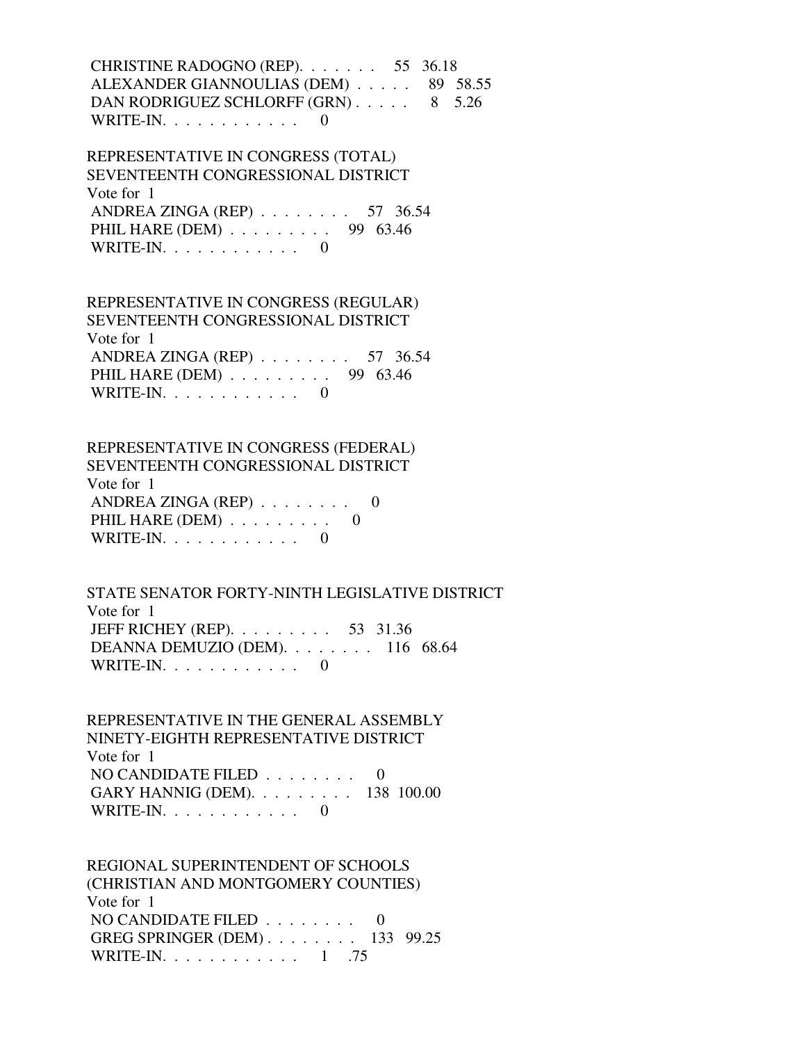CHRISTINE RADOGNO (REP). . . . . . . 55 36.18 ALEXANDER GIANNOULIAS (DEM) . . . . . 89 58.55 DAN RODRIGUEZ SCHLORFF (GRN) . . . . . 8 5.26 WRITE-IN.  $\ldots$  . . . . . . . . . 0

 REPRESENTATIVE IN CONGRESS (TOTAL) SEVENTEENTH CONGRESSIONAL DISTRICT Vote for 1 ANDREA ZINGA (REP) . . . . . . . . 57 36.54 PHIL HARE (DEM) . . . . . . . . . 99 63.46 WRITE-IN.  $\ldots$  . . . . . . . . 0

 REPRESENTATIVE IN CONGRESS (REGULAR) SEVENTEENTH CONGRESSIONAL DISTRICT Vote for 1 ANDREA ZINGA (REP) . . . . . . . . 57 36.54 PHIL HARE (DEM) . . . . . . . . . 99 63.46 WRITE-IN.  $\ldots$  . . . . . . . . 0

 REPRESENTATIVE IN CONGRESS (FEDERAL) SEVENTEENTH CONGRESSIONAL DISTRICT Vote for 1 ANDREA ZINGA (REP) . . . . . . . . 0 PHIL HARE  $(DEM)$  . . . . . . . . . 0 WRITE-IN. . . . . . . . . . . . 0

 STATE SENATOR FORTY-NINTH LEGISLATIVE DISTRICT Vote for 1 JEFF RICHEY (REP). . . . . . . . . 53 31.36 DEANNA DEMUZIO (DEM). . . . . . . . 116 68.64 WRITE-IN.  $\ldots$  . . . . . . . . . 0

 REPRESENTATIVE IN THE GENERAL ASSEMBLY NINETY-EIGHTH REPRESENTATIVE DISTRICT Vote for 1 NO CANDIDATE FILED . . . . . . . . 0 GARY HANNIG (DEM). . . . . . . . . 138 100.00 WRITE-IN.  $\ldots$  . . . . . . . . 0

 REGIONAL SUPERINTENDENT OF SCHOOLS (CHRISTIAN AND MONTGOMERY COUNTIES) Vote for 1 NO CANDIDATE FILED . . . . . . . . 0 GREG SPRINGER (DEM) . . . . . . . . 133 99.25 WRITE-IN. . . . . . . . . . . . 1 .75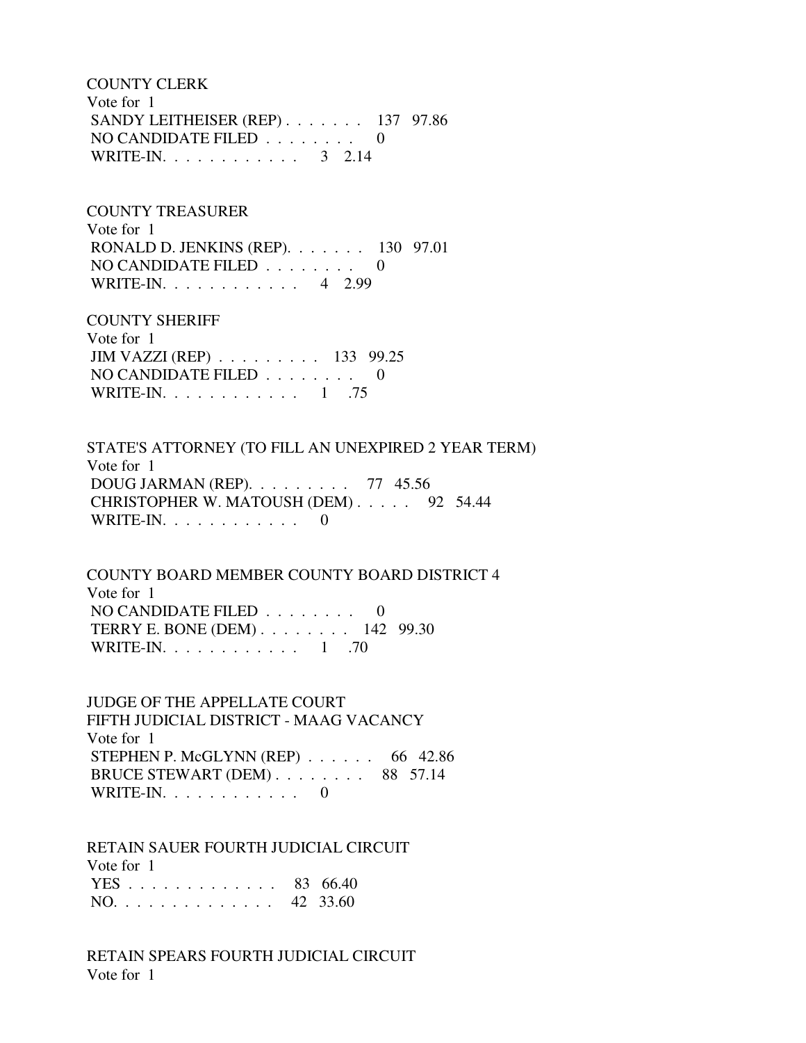COUNTY CLERK Vote for 1 SANDY LEITHEISER (REP) . . . . . . . 137 97.86 NO CANDIDATE FILED . . . . . . . . 0 WRITE-IN. . . . . . . . . . . . . 3 2.14

COUNTY TREASURER

 Vote for 1 RONALD D. JENKINS (REP). . . . . . . 130 97.01 NO CANDIDATE FILED . . . . . . . . 0 WRITE-IN. . . . . . . . . . . . 4 2.99

 COUNTY SHERIFF Vote for 1 JIM VAZZI (REP) . . . . . . . . . 133 99.25 NO CANDIDATE FILED . . . . . . . . 0 WRITE-IN. . . . . . . . . . . . 1 .75

 STATE'S ATTORNEY (TO FILL AN UNEXPIRED 2 YEAR TERM) Vote for 1 DOUG JARMAN (REP). . . . . . . . . 77 45.56 CHRISTOPHER W. MATOUSH (DEM) . . . . . 92 54.44 WRITE-IN.  $\ldots$  . . . . . . . . . 0

 COUNTY BOARD MEMBER COUNTY BOARD DISTRICT 4 Vote for 1 NO CANDIDATE FILED  $\ldots \ldots \ldots$  TERRY E. BONE (DEM) . . . . . . . . 142 99.30 WRITE-IN. . . . . . . . . . . . . 1 .70

 JUDGE OF THE APPELLATE COURT FIFTH JUDICIAL DISTRICT - MAAG VACANCY Vote for 1 STEPHEN P. McGLYNN (REP) . . . . . . 66 42.86 BRUCE STEWART (DEM) . . . . . . . . 88 57.14 WRITE-IN. . . . . . . . . . . . 0

 RETAIN SAUER FOURTH JUDICIAL CIRCUIT Vote for 1 YES . . . . . . . . . . . . . 83 66.40 NO. . . . . . . . . . . . . . 42 33.60

 RETAIN SPEARS FOURTH JUDICIAL CIRCUIT Vote for 1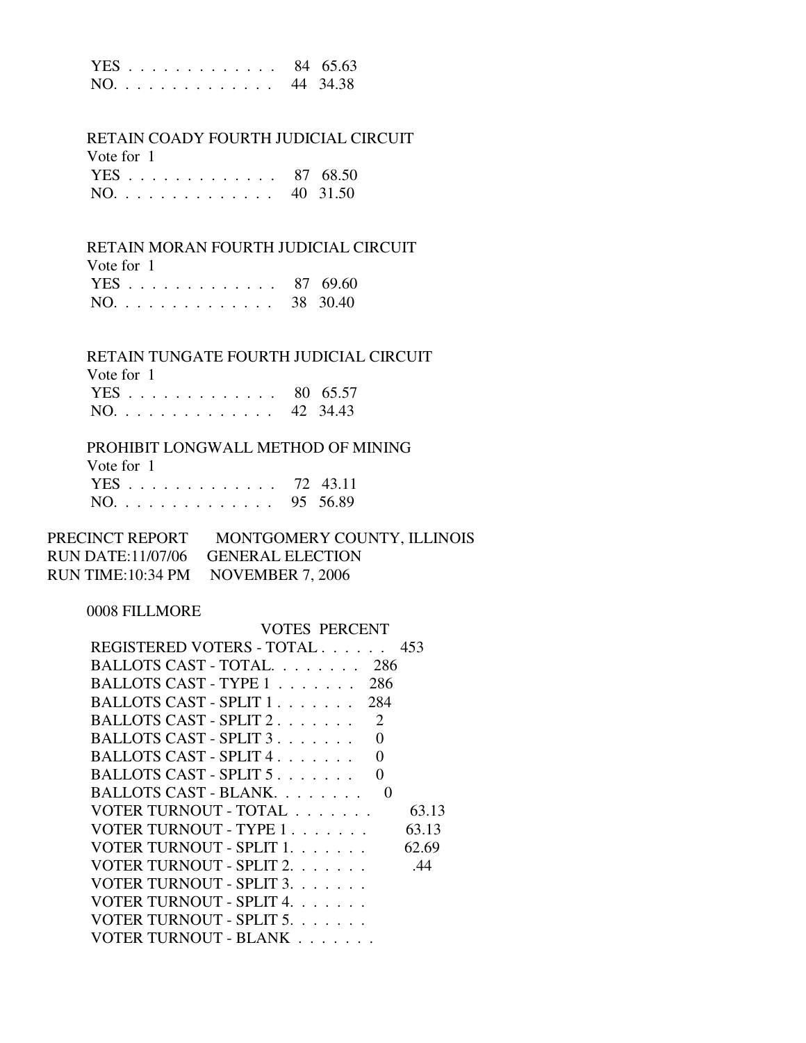|  |  |  |  |  |  |  | YES 84 65.63 |
|--|--|--|--|--|--|--|--------------|
|  |  |  |  |  |  |  | NO. 44 34.38 |

## RETAIN COADY FOURTH JUDICIAL CIRCUIT

Vote for 1

|  |  |  |  |  |  |  | YES 87 68.50 |
|--|--|--|--|--|--|--|--------------|
|  |  |  |  |  |  |  | NO. 40 31.50 |

## RETAIN MORAN FOURTH JUDICIAL CIRCUIT

Vote for 1

|  |  |  |  |  |  |  |  | YES 87 69.60 |
|--|--|--|--|--|--|--|--|--------------|
|  |  |  |  |  |  |  |  | NO. 38 30.40 |

## RETAIN TUNGATE FOURTH JUDICIAL CIRCUIT

| Vote for 1   |  |
|--------------|--|
| YES 80 65.57 |  |
| NO. 42 34.43 |  |

#### PROHIBIT LONGWALL METHOD OF MINING

| Vote for 1   |  |
|--------------|--|
| YES 72 43.11 |  |
| NO. 95 56.89 |  |

| PRECINCT REPORT | MONTGOMERY COUNTY, ILLINOIS        |
|-----------------|------------------------------------|
|                 | RUN DATE:11/07/06 GENERAL ELECTION |
|                 | RUN TIME:10:34 PM NOVEMBER 7, 2006 |

### 0008 FILLMORE

| VOTES PERCENT                                          |       |
|--------------------------------------------------------|-------|
| REGISTERED VOTERS - TOTAL 453                          |       |
| BALLOTS CAST - TOTAL 286                               |       |
| BALLOTS CAST - TYPE 1<br>286                           |       |
| BALLOTS CAST - SPLIT 1<br>284                          |       |
| BALLOTS CAST - SPLIT 2.<br>$\mathcal{D}_{\mathcal{L}}$ |       |
| BALLOTS CAST - SPLIT 3.<br>0                           |       |
| $BALLOTS CAST - SPIIT 4$<br>∩                          |       |
| BALLOTS CAST - SPLIT 5<br>0                            |       |
| BALLOTS CAST - BLANK<br>$\mathbf{0}$                   |       |
| VOTER TURNOUT - TOTAL                                  | 63.13 |
| VOTER TURNOUT - TYPE 1                                 | 63.13 |
| VOTER TURNOUT - SPLIT 1.                               | 62.69 |
| VOTER TURNOUT - SPLIT 2.                               | .44   |
| VOTER TURNOUT - SPLIT 3.                               |       |
| VOTER TURNOUT - SPLIT 4.                               |       |
| VOTER TURNOUT - SPLIT 5.                               |       |
| VOTER TURNOUT - BLANK                                  |       |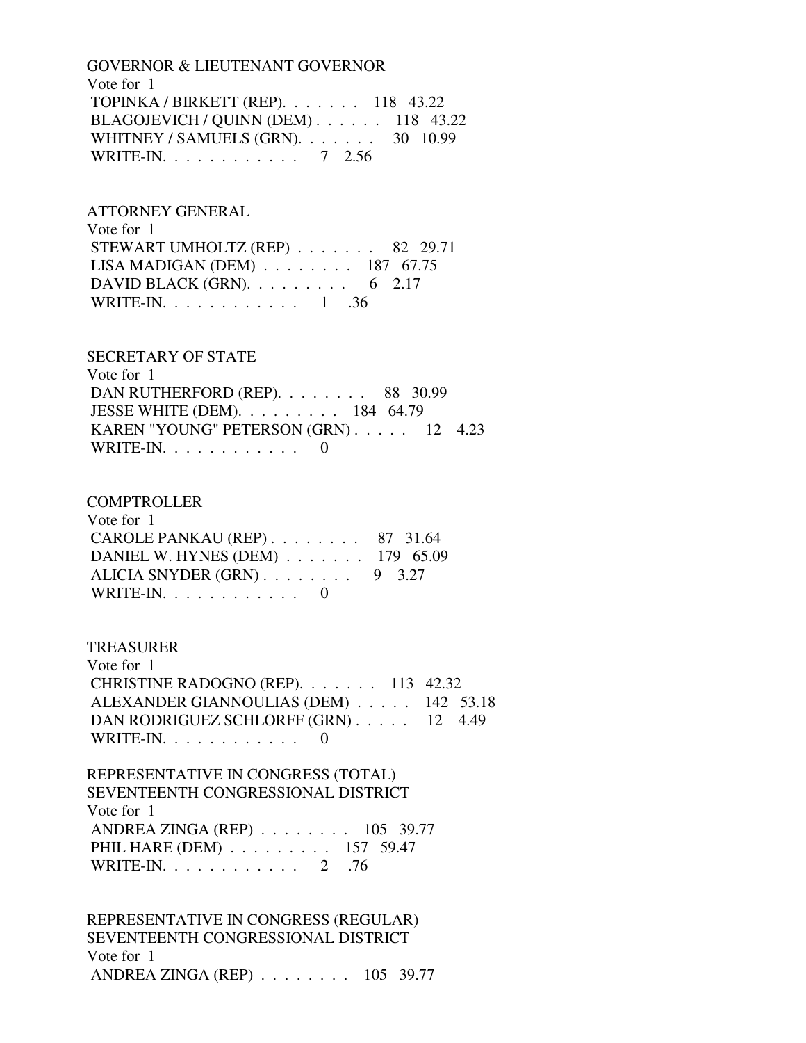GOVERNOR & LIEUTENANT GOVERNOR Vote for 1 TOPINKA / BIRKETT (REP). . . . . . . 118 43.22 BLAGOJEVICH / QUINN (DEM) . . . . . . 118 43.22 WHITNEY / SAMUELS (GRN). . . . . . . . 30 10.99 WRITE-IN. . . . . . . . . . . . . 7 2.56

ATTORNEY GENERAL

| Vote for 1                                          |  |  |
|-----------------------------------------------------|--|--|
| STEWART UMHOLTZ (REP) $\ldots$ 82 29.71             |  |  |
| LISA MADIGAN (DEM) $\ldots \ldots \ldots 187$ 67.75 |  |  |
| DAVID BLACK (GRN). $\ldots$ 6 2.17                  |  |  |
| WRITE-IN. $\ldots$ 1 .36                            |  |  |

#### SECRETARY OF STATE

| Vote for 1                            |  |  |
|---------------------------------------|--|--|
| DAN RUTHERFORD (REP). 88 30.99        |  |  |
| JESSE WHITE (DEM). $\ldots$ 184 64.79 |  |  |
| KAREN "YOUNG" PETERSON (GRN) 12 4.23  |  |  |
| WRITE-IN. $\ldots$ 0                  |  |  |

#### **COMPTROLLER**

| Vote for $1$                                            |  |
|---------------------------------------------------------|--|
| CAROLE PANKAU (REP) $\ldots$ $\ldots$ $\ldots$ 87 31.64 |  |
| DANIEL W. HYNES (DEM) 179 65.09                         |  |
| ALICIA SNYDER $(GRN)$ 9 3.27                            |  |
| WRITE-IN. $\ldots$ 0                                    |  |

TREASURER

 Vote for 1 CHRISTINE RADOGNO (REP). . . . . . . 113 42.32 ALEXANDER GIANNOULIAS (DEM) . . . . . 142 53.18 DAN RODRIGUEZ SCHLORFF (GRN) . . . . . 12 4.49 WRITE-IN. . . . . . . . . . . . 0

 REPRESENTATIVE IN CONGRESS (TOTAL) SEVENTEENTH CONGRESSIONAL DISTRICT Vote for 1 ANDREA ZINGA (REP) . . . . . . . . 105 39.77 PHIL HARE (DEM) . . . . . . . . . . 157 59.47 WRITE-IN. . . . . . . . . . . . . 2 .76

 REPRESENTATIVE IN CONGRESS (REGULAR) SEVENTEENTH CONGRESSIONAL DISTRICT Vote for 1 ANDREA ZINGA (REP) . . . . . . . . 105 39.77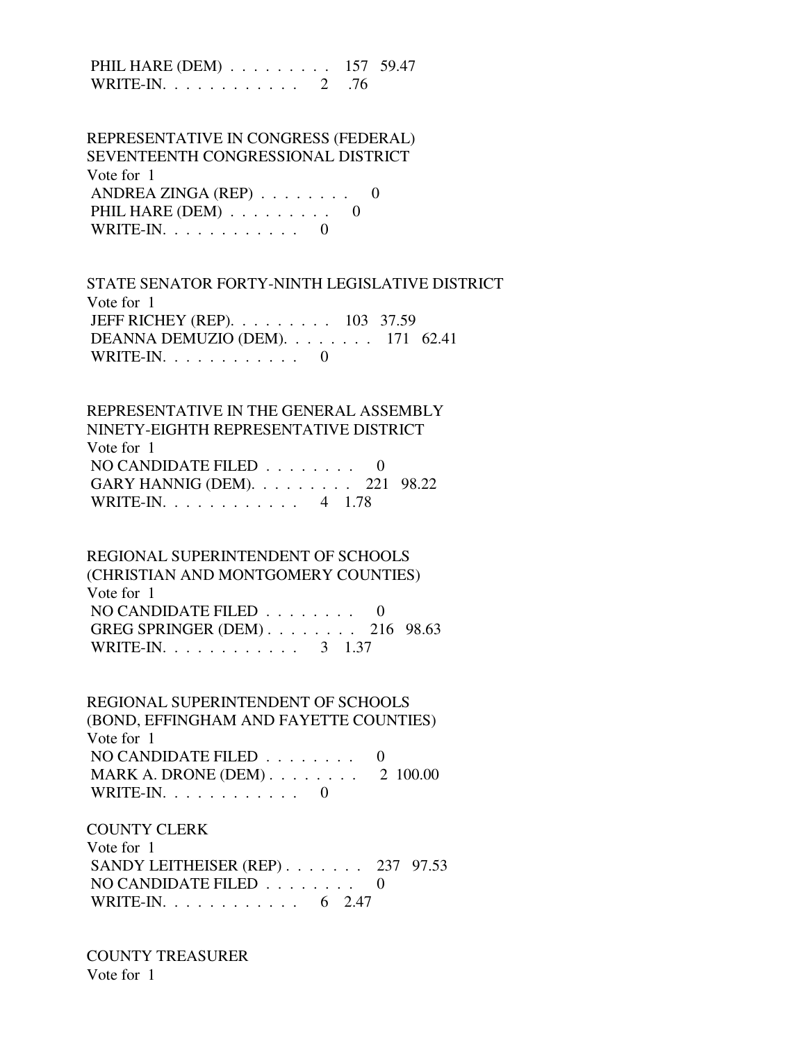PHIL HARE (DEM) . . . . . . . . . 157 59.47 WRITE-IN. . . . . . . . . . . . 2 .76

 REPRESENTATIVE IN CONGRESS (FEDERAL) SEVENTEENTH CONGRESSIONAL DISTRICT Vote for 1 ANDREA ZINGA (REP) . . . . . . . . 0 PHIL HARE  $(DEM)$  . . . . . . . . . 0 WRITE-IN. . . . . . . . . . . . 0

 STATE SENATOR FORTY-NINTH LEGISLATIVE DISTRICT Vote for 1 JEFF RICHEY (REP). . . . . . . . . 103 37.59 DEANNA DEMUZIO (DEM). . . . . . . . 171 62.41 WRITE-IN. . . . . . . . . . . . 0

 REPRESENTATIVE IN THE GENERAL ASSEMBLY NINETY-EIGHTH REPRESENTATIVE DISTRICT Vote for 1 NO CANDIDATE FILED . . . . . . . . 0 GARY HANNIG (DEM). . . . . . . . . 221 98.22 WRITE-IN. . . . . . . . . . . . 4 1.78

 REGIONAL SUPERINTENDENT OF SCHOOLS (CHRISTIAN AND MONTGOMERY COUNTIES) Vote for 1 NO CANDIDATE FILED  $\ldots \ldots \ldots$  GREG SPRINGER (DEM) . . . . . . . . 216 98.63 WRITE-IN. . . . . . . . . . . . . 3 1.37

 REGIONAL SUPERINTENDENT OF SCHOOLS (BOND, EFFINGHAM AND FAYETTE COUNTIES) Vote for 1 NO CANDIDATE FILED  $\ldots \ldots \ldots$ MARK A. DRONE (DEM) . . . . . . . . 2 100.00 WRITE-IN. . . . . . . . . . . . 0

COUNTY CLERK

 Vote for 1 SANDY LEITHEISER (REP) . . . . . . . 237 97.53 NO CANDIDATE FILED . . . . . . . . 0 WRITE-IN. . . . . . . . . . . . . 6 2.47

 COUNTY TREASURER Vote for 1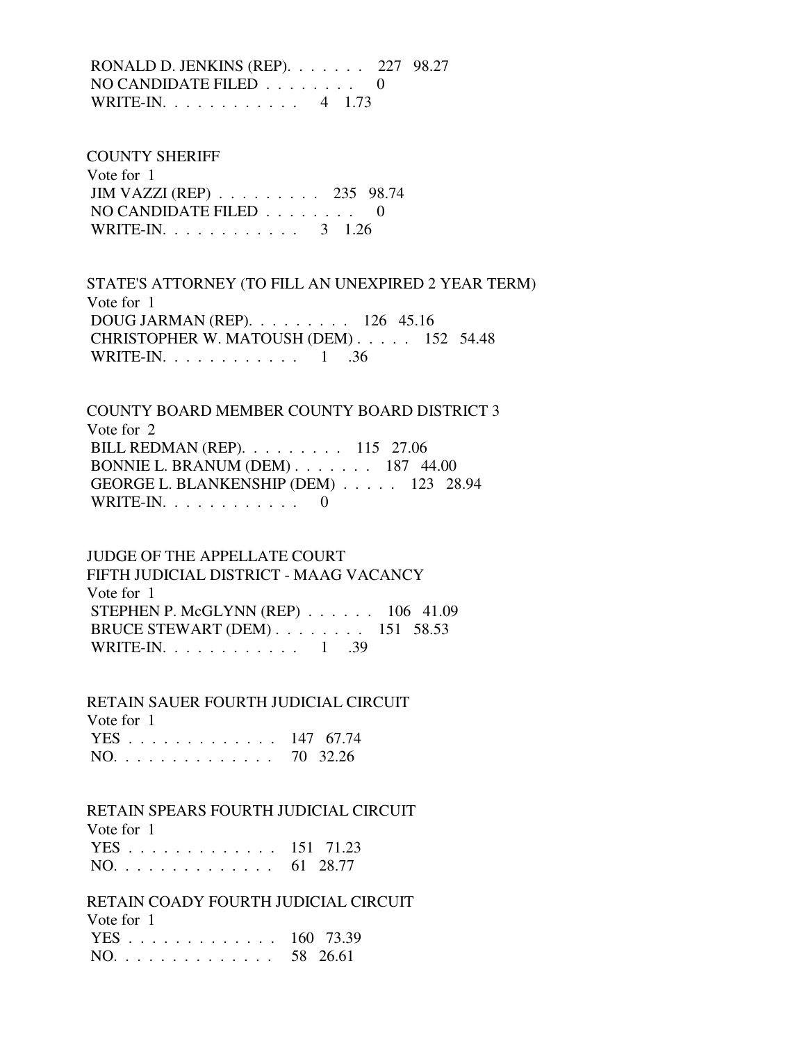RONALD D. JENKINS (REP). . . . . . . 227 98.27 NO CANDIDATE FILED . . . . . . . . 0 WRITE-IN. . . . . . . . . . . . 4 1.73

 COUNTY SHERIFF Vote for 1 JIM VAZZI (REP) . . . . . . . . . 235 98.74 NO CANDIDATE FILED . . . . . . . . 0 WRITE-IN. . . . . . . . . . . . . 3 1.26

 STATE'S ATTORNEY (TO FILL AN UNEXPIRED 2 YEAR TERM) Vote for 1 DOUG JARMAN (REP). . . . . . . . . 126 45.16 CHRISTOPHER W. MATOUSH (DEM) . . . . . 152 54.48 WRITE-IN. . . . . . . . . . . . 1 . 36

 COUNTY BOARD MEMBER COUNTY BOARD DISTRICT 3 Vote for 2 BILL REDMAN (REP). . . . . . . . . 115 27.06 BONNIE L. BRANUM (DEM) . . . . . . . 187 44.00 GEORGE L. BLANKENSHIP (DEM) . . . . . 123 28.94 WRITE-IN.  $\ldots$  . . . . . . . . . 0

 JUDGE OF THE APPELLATE COURT FIFTH JUDICIAL DISTRICT - MAAG VACANCY Vote for 1 STEPHEN P. McGLYNN (REP) . . . . . . 106 41.09 BRUCE STEWART (DEM) . . . . . . . . 151 58.53 WRITE-IN. . . . . . . . . . . . 1 .39

 RETAIN SAUER FOURTH JUDICIAL CIRCUIT Vote for 1 YES . . . . . . . . . . . . . 147 67.74 NO. . . . . . . . . . . . . . 70 32.26

 RETAIN SPEARS FOURTH JUDICIAL CIRCUIT Vote for 1 YES . . . . . . . . . . . . . 151 71.23

NO. . . . . . . . . . . . . . 61 28.77

 RETAIN COADY FOURTH JUDICIAL CIRCUIT  $V_{\alpha}$ to for 1

| VOIE TOT 1    |  |
|---------------|--|
| YES 160 73.39 |  |
| NO. 58 26.61  |  |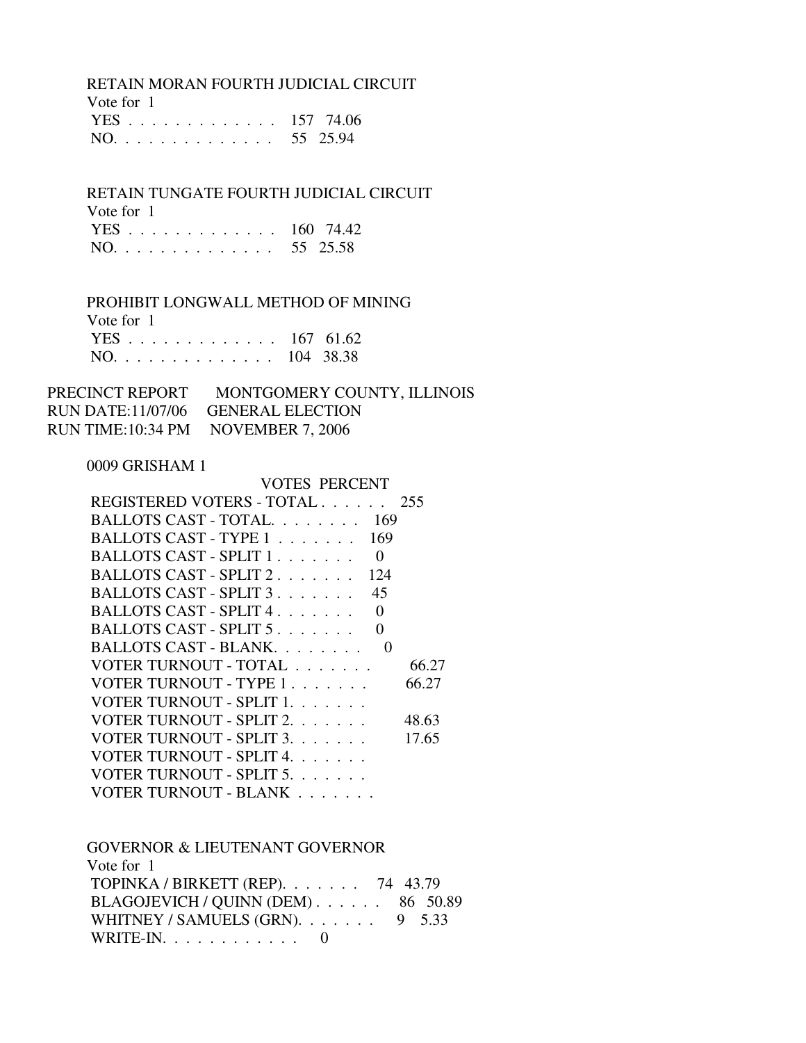RETAIN MORAN FOURTH JUDICIAL CIRCUIT

Vote for 1

|  |  |  |  |  |  |  |  | YES 157 74.06 |
|--|--|--|--|--|--|--|--|---------------|
|  |  |  |  |  |  |  |  | NO. 55 25.94  |

 RETAIN TUNGATE FOURTH JUDICIAL CIRCUIT Vote for 1

| $\sqrt{2}$    |  |
|---------------|--|
| YES 160 74.42 |  |
| NO. 55 25.58  |  |

PROHIBIT LONGWALL METHOD OF MINING

| Vote for 1    |  |
|---------------|--|
| YES 167 61.62 |  |
| NO. 104 38.38 |  |

## PRECINCT REPORT MONTGOMERY COUNTY, ILLINOIS RUN DATE:11/07/06 GENERAL ELECTION RUN TIME:10:34 PM NOVEMBER 7, 2006

### 0009 GRISHAM 1

| VOTES PERCENT                                |       |
|----------------------------------------------|-------|
| REGISTERED VOTERS - TOTAL                    | 255   |
| BALLOTS CAST - TOTAL 169                     |       |
| BALLOTS CAST - TYPE 1<br>169                 |       |
| BALLOTS CAST - SPLIT 1.<br>$\mathbf{\Omega}$ |       |
| BALLOTS CAST - SPLIT 2.<br>124               |       |
| BALLOTS CAST - SPLIT 3<br>45                 |       |
| BALLOTS CAST - SPLIT 4<br>0                  |       |
| BALLOTS CAST - SPLIT 5.<br>$\mathbf{\Omega}$ |       |
| BALLOTS CAST - BLANK.<br>$\mathbf{\Omega}$   |       |
| VOTER TURNOUT - TOTAL                        | 66.27 |
| VOTER TURNOUT - TYPE 1                       | 66.27 |
| VOTER TURNOUT - SPLIT 1.                     |       |
| VOTER TURNOUT - SPLIT 2.                     | 48.63 |
| VOTER TURNOUT - SPLIT 3.                     | 17.65 |
| VOTER TURNOUT - SPLIT 4.                     |       |
| VOTER TURNOUT - SPLIT 5.                     |       |
| VOTER TURNOUT - BLANK                        |       |

| <b>GOVERNOR &amp; LIEUTENANT GOVERNOR</b>  |  |
|--------------------------------------------|--|
| Vote for 1                                 |  |
| TOPINKA / BIRKETT (REP). $\ldots$ 74 43.79 |  |
| BLAGOJEVICH / QUINN (DEM) 86 50.89         |  |
| WHITNEY / SAMUELS (GRN). $\ldots$ 9 5.33   |  |
| WRITE-IN. $\ldots$                         |  |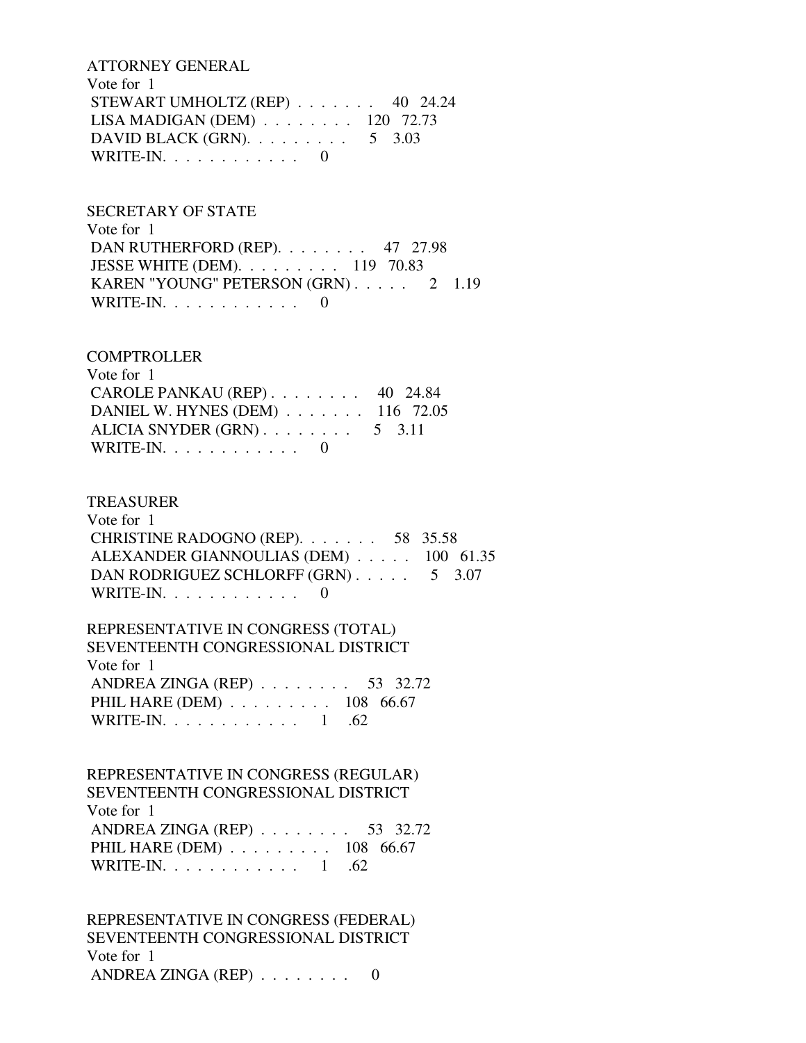ATTORNEY GENERAL Vote for 1 STEWART UMHOLTZ (REP) . . . . . . . 40 24.24 LISA MADIGAN (DEM) . . . . . . . . 120 72.73 DAVID BLACK (GRN). . . . . . . . . 5 3.03 WRITE-IN.  $\ldots$  . . . . . . . . . 0

SECRETARY OF STATE

 Vote for 1 DAN RUTHERFORD (REP). . . . . . . . 47 27.98 JESSE WHITE (DEM). . . . . . . . . 119 70.83 KAREN "YOUNG" PETERSON (GRN) . . . . . 2 1.19 WRITE-IN.  $\ldots$  . . . . . . . . 0

**COMPTROLLER** 

| CAROLE PANKAU (REP) $\ldots$ 40 24.84 |
|---------------------------------------|
| DANIEL W. HYNES (DEM) 116 72.05       |
|                                       |
|                                       |
|                                       |

TREASURER

 Vote for 1 CHRISTINE RADOGNO (REP). . . . . . . 58 35.58 ALEXANDER GIANNOULIAS (DEM) . . . . . 100 61.35 DAN RODRIGUEZ SCHLORFF (GRN) . . . . . 5 3.07 WRITE-IN. . . . . . . . . . . . 0

 REPRESENTATIVE IN CONGRESS (TOTAL) SEVENTEENTH CONGRESSIONAL DISTRICT Vote for 1 ANDREA ZINGA (REP) . . . . . . . . 53 32.72 PHIL HARE (DEM) . . . . . . . . . 108 66.67 WRITE-IN. . . . . . . . . . . . 1 .62

 REPRESENTATIVE IN CONGRESS (REGULAR) SEVENTEENTH CONGRESSIONAL DISTRICT Vote for 1 ANDREA ZINGA (REP) . . . . . . . . 53 32.72 PHIL HARE (DEM) . . . . . . . . . 108 66.67 WRITE-IN. . . . . . . . . . . . . 1 .62

 REPRESENTATIVE IN CONGRESS (FEDERAL) SEVENTEENTH CONGRESSIONAL DISTRICT Vote for 1 ANDREA ZINGA (REP) . . . . . . . . 0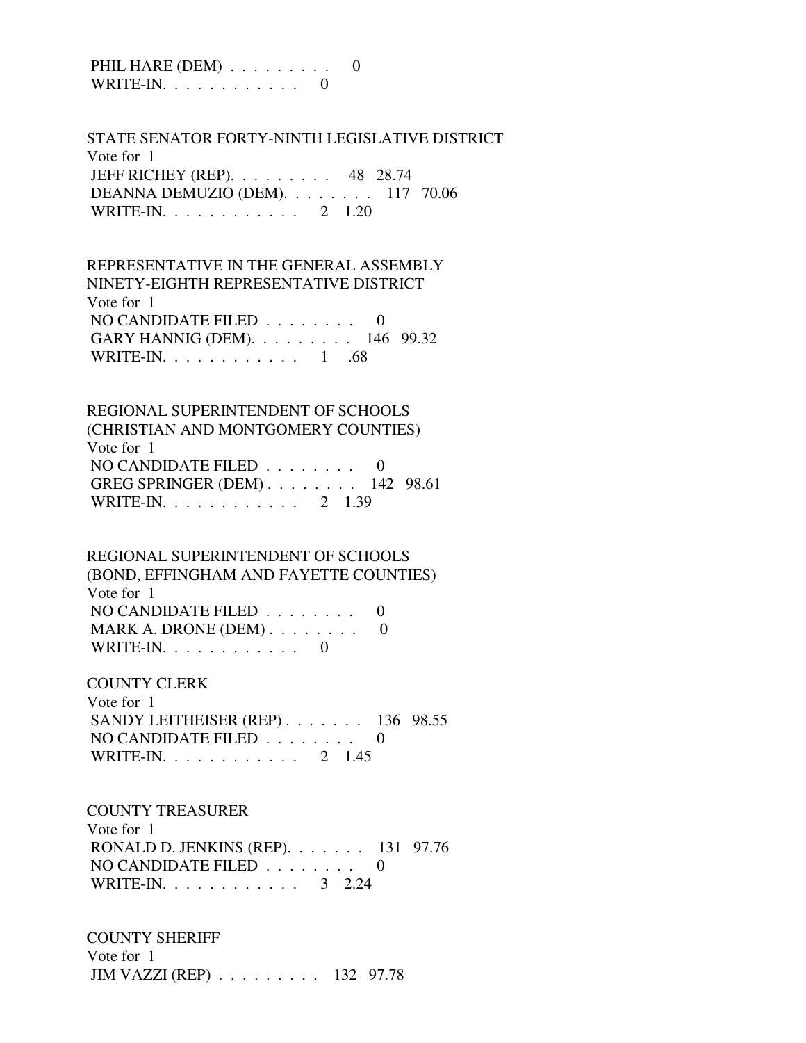| PHIL HARE $(DEM) \ldots \ldots \ldots$ |  |  |  |
|----------------------------------------|--|--|--|
| WRITE-IN. $\ldots$                     |  |  |  |

 STATE SENATOR FORTY-NINTH LEGISLATIVE DISTRICT Vote for 1 JEFF RICHEY (REP). . . . . . . . . 48 28.74 DEANNA DEMUZIO (DEM). . . . . . . . 117 70.06 WRITE-IN. . . . . . . . . . . . 2 1.20

 REPRESENTATIVE IN THE GENERAL ASSEMBLY NINETY-EIGHTH REPRESENTATIVE DISTRICT Vote for 1 NO CANDIDATE FILED . . . . . . . . 0 GARY HANNIG (DEM). . . . . . . . . 146 99.32 WRITE-IN. . . . . . . . . . . . . 1 .68

 REGIONAL SUPERINTENDENT OF SCHOOLS (CHRISTIAN AND MONTGOMERY COUNTIES) Vote for 1 NO CANDIDATE FILED . . . . . . . . 0 GREG SPRINGER (DEM) . . . . . . . . 142 98.61 WRITE-IN. . . . . . . . . . . . 2 1.39

 REGIONAL SUPERINTENDENT OF SCHOOLS (BOND, EFFINGHAM AND FAYETTE COUNTIES) Vote for 1 NO CANDIDATE FILED  $\ldots \ldots \ldots$  0 MARK A. DRONE  $(DEM)$ . . . . . . . . 0 WRITE-IN. . . . . . . . . . . . 0

 COUNTY CLERK Vote for 1

 SANDY LEITHEISER (REP) . . . . . . . 136 98.55 NO CANDIDATE FILED . . . . . . . . 0 WRITE-IN. . . . . . . . . . . . 2 1.45

COUNTY TREASURER

 Vote for 1 RONALD D. JENKINS (REP). . . . . . . 131 97.76 NO CANDIDATE FILED . . . . . . . . 0 WRITE-IN. . . . . . . . . . . . . 3 2.24

 COUNTY SHERIFF Vote for 1 JIM VAZZI (REP) . . . . . . . . . 132 97.78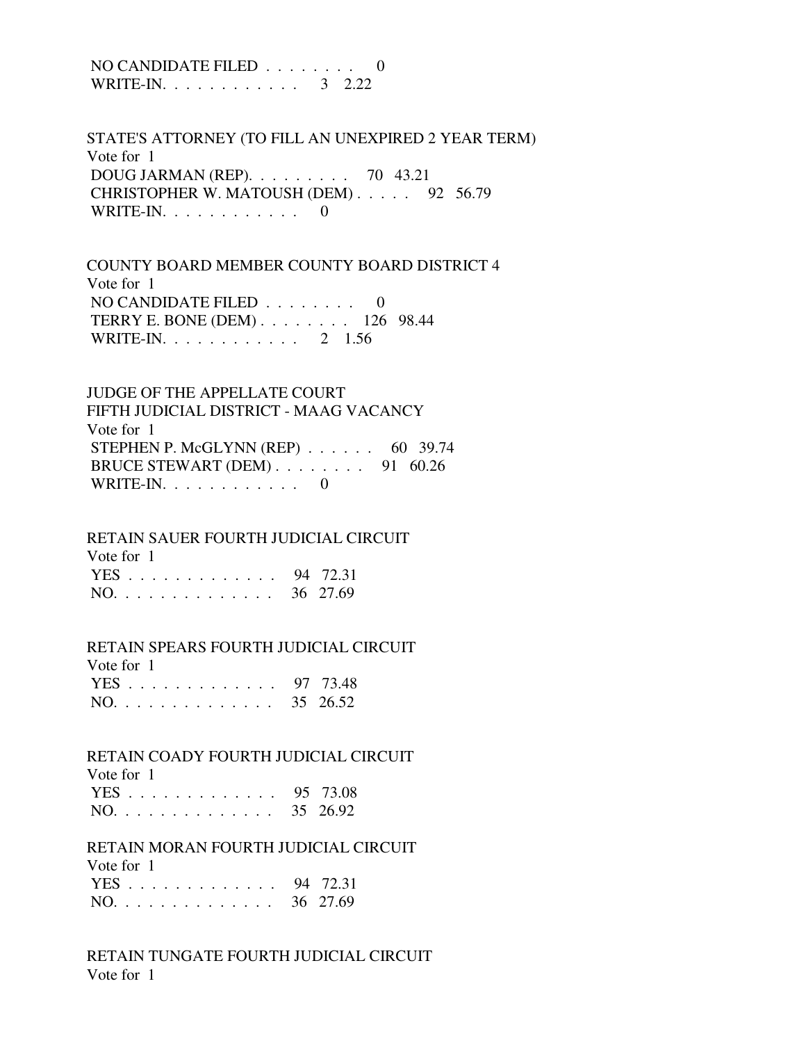#### NO CANDIDATE FILED . . . . . . . . 0 WRITE-IN. . . . . . . . . . . . . 3 2.22

 STATE'S ATTORNEY (TO FILL AN UNEXPIRED 2 YEAR TERM) Vote for 1 DOUG JARMAN (REP). . . . . . . . . 70 43.21 CHRISTOPHER W. MATOUSH (DEM) . . . . . 92 56.79 WRITE-IN.  $\ldots$  . . . . . . . . . 0

 COUNTY BOARD MEMBER COUNTY BOARD DISTRICT 4 Vote for 1 NO CANDIDATE FILED . . . . . . . . 0 TERRY E. BONE (DEM) . . . . . . . . 126 98.44 WRITE-IN. . . . . . . . . . . . 2 1.56

 JUDGE OF THE APPELLATE COURT FIFTH JUDICIAL DISTRICT - MAAG VACANCY Vote for 1 STEPHEN P. McGLYNN (REP) . . . . . . 60 39.74 BRUCE STEWART (DEM) . . . . . . . . 91 60.26 WRITE-IN.  $\ldots$  . . . . . . . . . 0

RETAIN SAUER FOURTH JUDICIAL CIRCUIT

| Vote for 1   |  |
|--------------|--|
| YES 94 72.31 |  |
| NO. 36 27.69 |  |

RETAIN SPEARS FOURTH JUDICIAL CIRCUIT

| Vote for 1   |  |
|--------------|--|
| YES 97 73.48 |  |
| NO. 35 26.52 |  |

RETAIN COADY FOURTH JUDICIAL CIRCUIT

| Vote for 1   |  |
|--------------|--|
| YES 95 73.08 |  |
| NO. 35 26.92 |  |

#### RETAIN MORAN FOURTH JUDICIAL CIRCUIT

| Vote for 1   |  |
|--------------|--|
| YES 94 72.31 |  |
| NO. 36 27.69 |  |

 RETAIN TUNGATE FOURTH JUDICIAL CIRCUIT Vote for 1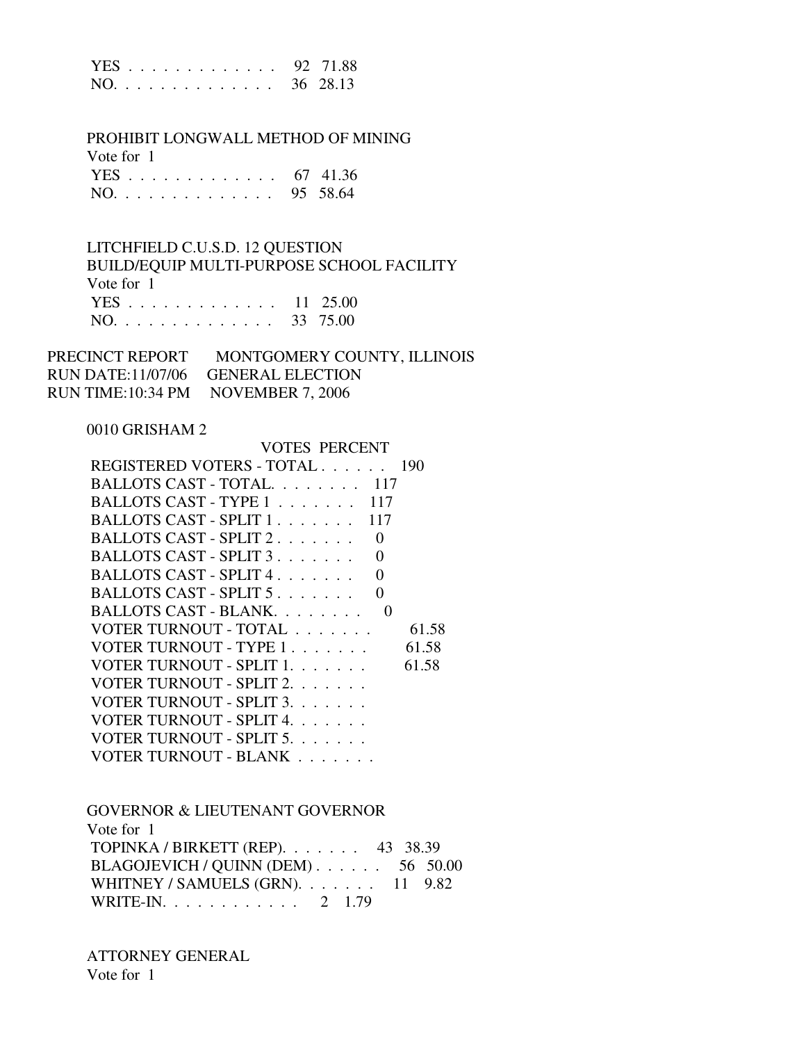|          |  |  |  |  |  |  |  | YES 92 71.88 |
|----------|--|--|--|--|--|--|--|--------------|
| NO. $\%$ |  |  |  |  |  |  |  | 36 28.13     |

PROHIBIT LONGWALL METHOD OF MINING

Vote for 1

|  |  |  |  |  |  |  |  | YES 67 41.36 |
|--|--|--|--|--|--|--|--|--------------|
|  |  |  |  |  |  |  |  | NO. 95 58.64 |

 LITCHFIELD C.U.S.D. 12 QUESTION BUILD/EQUIP MULTI-PURPOSE SCHOOL FACILITY Vote for 1 YES . . . . . . . . . . . . . 11 25.00 NO. . . . . . . . . . . . . . 33 75.00

PRECINCT REPORT MONTGOMERY COUNTY, ILLINOIS RUN DATE:11/07/06 GENERAL ELECTION RUN TIME:10:34 PM NOVEMBER 7, 2006

### 0010 GRISHAM 2

| VOTES PERCENT                                |       |
|----------------------------------------------|-------|
| REGISTERED VOTERS - TOTAL                    | 190   |
| BALLOTS CAST - TOTAL 117                     |       |
| BALLOTS CAST - TYPE 1<br>117                 |       |
| BALLOTS CAST - SPLIT 1<br>117                |       |
| BALLOTS CAST - SPLIT 2.<br>$\mathbf{\Omega}$ |       |
| BALLOTS CAST - SPLIT 3<br>0                  |       |
| BALLOTS CAST - SPLIT 4<br>∩                  |       |
| BALLOTS CAST - SPLIT 5                       |       |
| BALLOTS CAST - BLANK<br>$\mathbf{\Omega}$    |       |
| VOTER TURNOUT - TOTAL                        | 61.58 |
| VOTER TURNOUT - TYPE 1                       | 61.58 |
| VOTER TURNOUT - SPLIT 1.                     | 61.58 |
| VOTER TURNOUT - SPLIT 2.                     |       |
| VOTER TURNOUT - SPLIT 3.                     |       |
| VOTER TURNOUT - SPLIT 4.                     |       |
| VOTER TURNOUT - SPLIT 5.                     |       |
| VOTER TURNOUT - BLANK  .  .  .  .  .  .      |       |

| <b>GOVERNOR &amp; LIEUTENANT GOVERNOR</b> |  |
|-------------------------------------------|--|
| Vote for 1                                |  |
| TOPINKA / BIRKETT (REP). 43 38.39         |  |
| BLAGOJEVICH / QUINN (DEM) 56 50.00        |  |
| WHITNEY / SAMUELS (GRN). 11 9.82          |  |
| WRITE-IN. 2 1.79                          |  |

 ATTORNEY GENERAL Vote for 1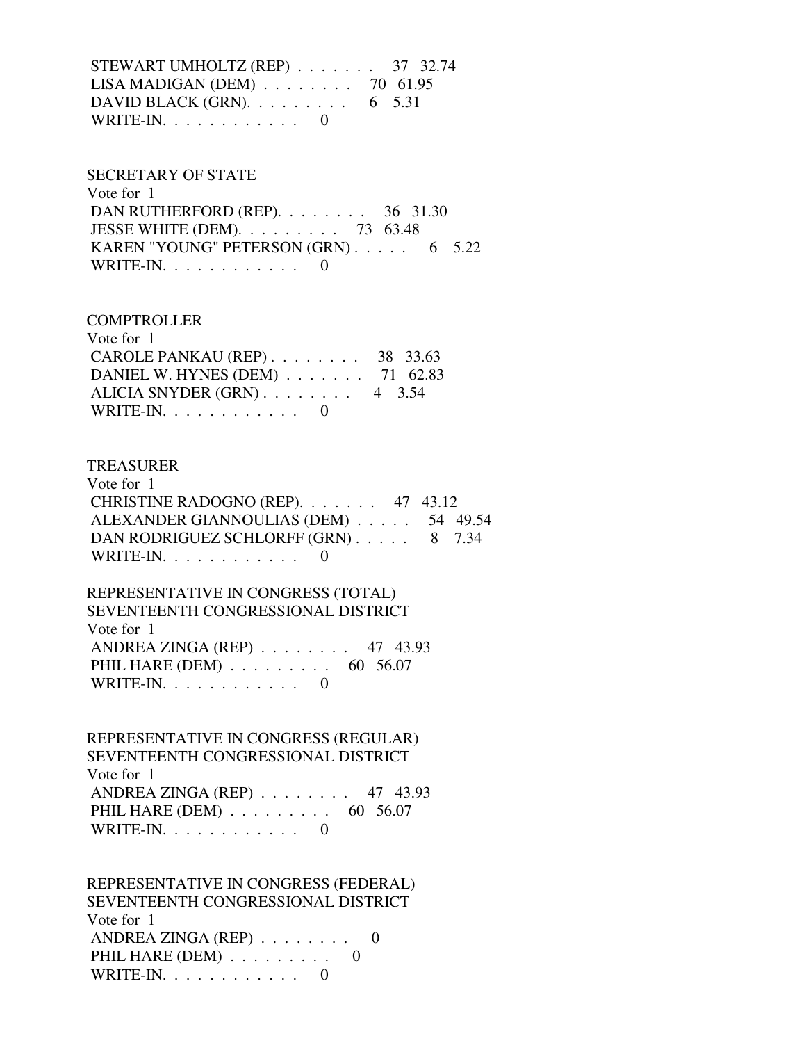STEWART UMHOLTZ (REP) . . . . . . . 37 32.74 LISA MADIGAN (DEM) . . . . . . . . 70 61.95 DAVID BLACK (GRN).  $\ldots$  . . . . . . . 6 5.31 WRITE-IN.  $\ldots$  . . . . . . . . . 0

#### SECRETARY OF STATE

| Vote for 1                                    |  |  |
|-----------------------------------------------|--|--|
| DAN RUTHERFORD (REP). $\ldots$ 36 31.30       |  |  |
| JESSE WHITE (DEM). $\ldots$ $\ldots$ 73 63.48 |  |  |
| KAREN "YOUNG" PETERSON (GRN) 6 5.22           |  |  |
| WRITE-IN. $\ldots$ 0                          |  |  |

### **COMPTROLLER**

| Vote for 1                              |  |
|-----------------------------------------|--|
| CAROLE PANKAU (REP) $\ldots$ 38 33.63   |  |
| DANIEL W. HYNES (DEM) $\ldots$ 71 62.83 |  |
| ALICIA SNYDER $(GRN)$ 4 3.54            |  |
| WRITE-IN. $\ldots$ 0                    |  |

### **TREASURER**

| Vote for 1                                 |  |
|--------------------------------------------|--|
| CHRISTINE RADOGNO (REP). $\ldots$ 47 43.12 |  |
| ALEXANDER GIANNOULIAS (DEM) 54 49.54       |  |
| DAN RODRIGUEZ SCHLORFF (GRN) 8 7.34        |  |
| WRITE-IN.                                  |  |

### REPRESENTATIVE IN CONGRESS (TOTAL) SEVENTEENTH CONGRESSIONAL DISTRICT Vote for 1 ANDREA ZINGA (REP) . . . . . . . . 47 43.93 PHIL HARE (DEM) . . . . . . . . . . 60 56.07 WRITE-IN. . . . . . . . . . . . 0

 REPRESENTATIVE IN CONGRESS (REGULAR) SEVENTEENTH CONGRESSIONAL DISTRICT Vote for 1 ANDREA ZINGA (REP) . . . . . . . . 47 43.93 PHIL HARE (DEM) . . . . . . . . . . 60 56.07 WRITE-IN. . . . . . . . . . . . 0

 REPRESENTATIVE IN CONGRESS (FEDERAL) SEVENTEENTH CONGRESSIONAL DISTRICT Vote for 1 ANDREA ZINGA (REP) . . . . . . . . 0 PHIL HARE  $(DEM)$  . . . . . . . . . 0 WRITE-IN. . . . . . . . . . . . 0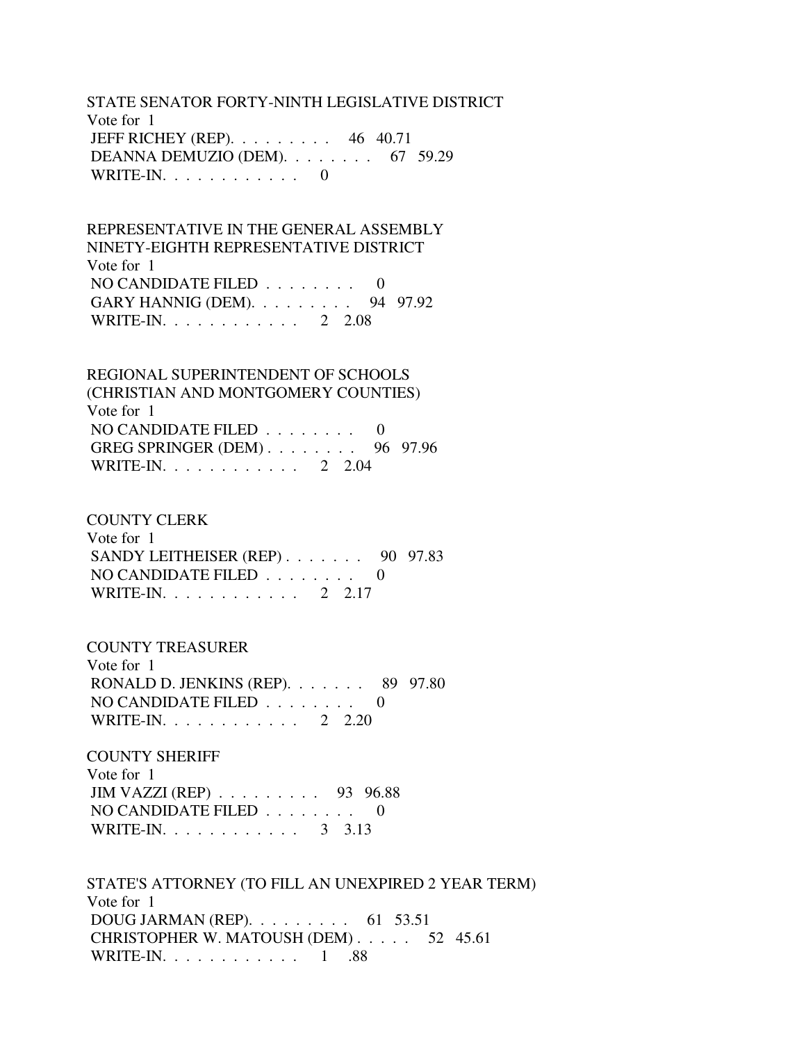STATE SENATOR FORTY-NINTH LEGISLATIVE DISTRICT Vote for 1 JEFF RICHEY (REP). . . . . . . . . 46 40.71 DEANNA DEMUZIO (DEM). . . . . . . . 67 59.29 WRITE-IN.  $\ldots$  . . . . . . . . . 0

 REPRESENTATIVE IN THE GENERAL ASSEMBLY NINETY-EIGHTH REPRESENTATIVE DISTRICT Vote for 1 NO CANDIDATE FILED  $\ldots \ldots \ldots$  GARY HANNIG (DEM). . . . . . . . . 94 97.92 WRITE-IN. . . . . . . . . . . . 2 2.08

 REGIONAL SUPERINTENDENT OF SCHOOLS (CHRISTIAN AND MONTGOMERY COUNTIES) Vote for 1 NO CANDIDATE FILED  $\ldots \ldots \ldots$  GREG SPRINGER (DEM) . . . . . . . . 96 97.96 WRITE-IN. . . . . . . . . . . . . 2 2.04

 COUNTY CLERK Vote for 1 SANDY LEITHEISER (REP) . . . . . . . 90 97.83 NO CANDIDATE FILED . . . . . . . . 0 WRITE-IN. . . . . . . . . . . . 2 2.17

 COUNTY TREASURER Vote for 1 RONALD D. JENKINS (REP). . . . . . . 89 97.80 NO CANDIDATE FILED . . . . . . . . 0 WRITE-IN. . . . . . . . . . . . 2 2.20

 COUNTY SHERIFF Vote for 1 JIM VAZZI (REP) . . . . . . . . . 93 96.88 NO CANDIDATE FILED . . . . . . . . 0 WRITE-IN. . . . . . . . . . . . . 3 3.13

 STATE'S ATTORNEY (TO FILL AN UNEXPIRED 2 YEAR TERM) Vote for 1 DOUG JARMAN (REP). . . . . . . . . 61 53.51 CHRISTOPHER W. MATOUSH (DEM) . . . . . 52 45.61 WRITE-IN. . . . . . . . . . . . 1 .88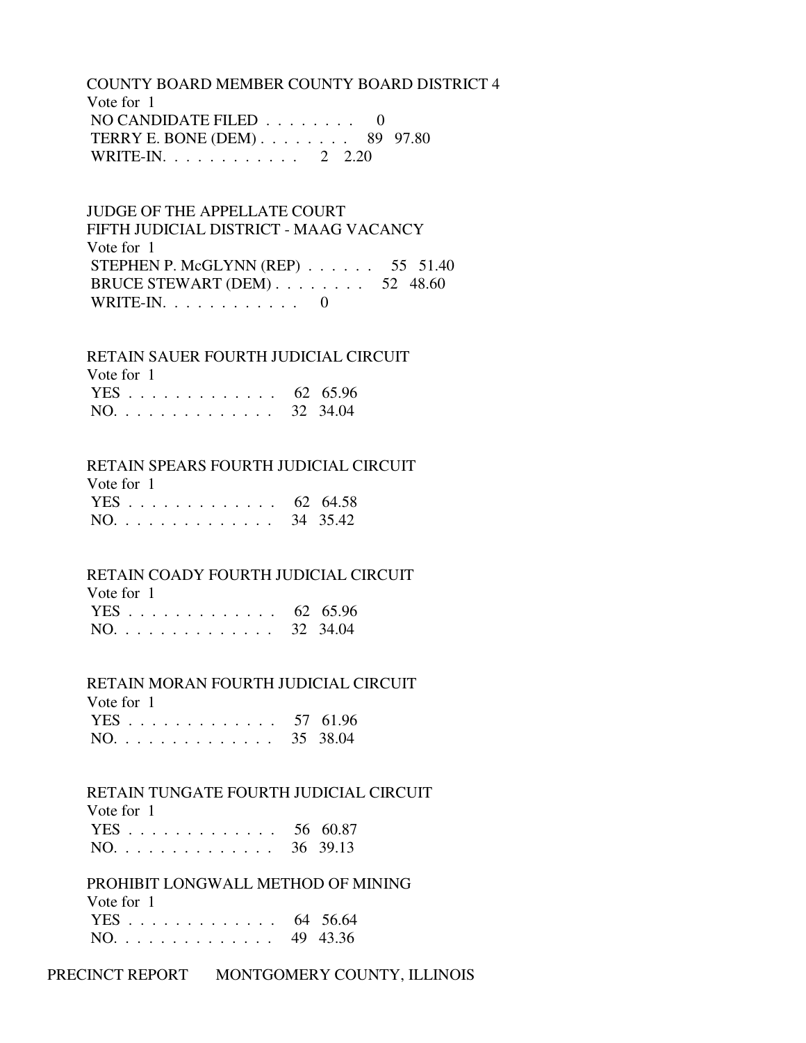COUNTY BOARD MEMBER COUNTY BOARD DISTRICT 4 Vote for 1 NO CANDIDATE FILED . . . . . . . . 0 TERRY E. BONE (DEM) . . . . . . . . 89 97.80 WRITE-IN. . . . . . . . . . . . 2 2.20

 JUDGE OF THE APPELLATE COURT FIFTH JUDICIAL DISTRICT - MAAG VACANCY Vote for 1 STEPHEN P. McGLYNN (REP) . . . . . . 55 51.40 BRUCE STEWART (DEM) . . . . . . . . 52 48.60 WRITE-IN.  $\ldots$  . . . . . . . . 0

RETAIN SAUER FOURTH JUDICIAL CIRCUIT

| Vote for 1   |  |
|--------------|--|
| YES 62 65.96 |  |
| NO. 32 34.04 |  |

RETAIN SPEARS FOURTH JUDICIAL CIRCUIT

Vote for 1

|  |  |  |  |  |  |  | YES 62 64.58 |
|--|--|--|--|--|--|--|--------------|
|  |  |  |  |  |  |  | NO. 34 35.42 |

RETAIN COADY FOURTH JUDICIAL CIRCUIT

| Vote for 1   |  |
|--------------|--|
| YES 62 65.96 |  |
| NO. 32 34.04 |  |

## RETAIN MORAN FOURTH JUDICIAL CIRCUIT

Vote for 1

|  |  |  |  |  |  |  |  | YES 57 61.96 |
|--|--|--|--|--|--|--|--|--------------|
|  |  |  |  |  |  |  |  | NO. 35 38.04 |

RETAIN TUNGATE FOURTH JUDICIAL CIRCUIT

| Vote for 1   |  |
|--------------|--|
| YES 56 60.87 |  |
| NO. 36 39.13 |  |

PROHIBIT LONGWALL METHOD OF MINING

 Vote for 1 YES . . . . . . . . . . . . . 64 56.64 NO. . . . . . . . . . . . . . 49 43.36

| PRECINCT REPORT | MONTGOMERY COUNTY, ILLINOIS |  |
|-----------------|-----------------------------|--|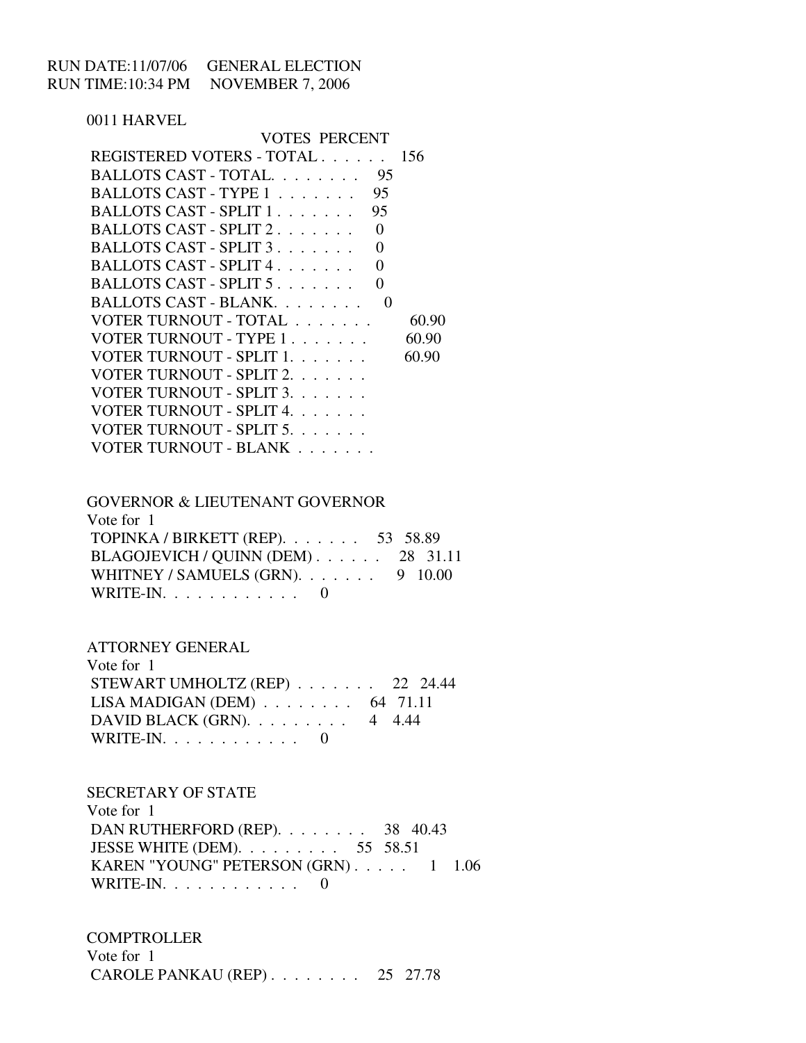| RUN DATE:11/07/06 | <b>GENERAL ELECTION</b> |
|-------------------|-------------------------|
| RUN TIME:10:34 PM | <b>NOVEMBER 7, 2006</b> |

0011 HARVEL

| VOTES PERCENT                                |       |
|----------------------------------------------|-------|
| REGISTERED VOTERS - TOTAL                    | 156   |
| BALLOTS CAST - TOTAL.<br>95                  |       |
| BALLOTS CAST - TYPE 1<br>95                  |       |
| BALLOTS CAST - SPLIT 1<br>95                 |       |
| BALLOTS CAST - SPLIT 2.<br>0                 |       |
| BALLOTS CAST - SPLIT 3<br>0                  |       |
| BALLOTS CAST - SPLIT 4<br>∩                  |       |
| BALLOTS CAST - SPLIT 5.<br>$\mathbf{\Omega}$ |       |
| BALLOTS CAST - BLANK.<br>$\mathbf{0}$        |       |
| VOTER TURNOUT - TOTAL                        | 60.90 |
| VOTER TURNOUT - TYPE 1                       | 60.90 |
| VOTER TURNOUT - SPLIT 1.                     | 60.90 |
| VOTER TURNOUT - SPLIT 2.                     |       |
| VOTER TURNOUT - SPLIT 3.                     |       |
| VOTER TURNOUT - SPLIT 4.                     |       |
| VOTER TURNOUT - SPLIT 5.                     |       |
| VOTER TURNOUT - BLANK                        |       |

# GOVERNOR & LIEUTENANT GOVERNOR Vote for 1 TOPINKA / BIRKETT (REP). . . . . . . 53 58.89 BLAGOJEVICH / QUINN (DEM) . . . . . . 28 31.11 WHITNEY / SAMUELS  $(GRN)$ . . . . . . . 9 10.00 WRITE-IN. . . . . . . . . . . . 0

ATTORNEY GENERAL

 Vote for 1 STEWART UMHOLTZ (REP) . . . . . . . 22 24.44 LISA MADIGAN (DEM) . . . . . . . . 64 71.11 DAVID BLACK (GRN). . . . . . . . . 4 4.44 WRITE-IN. . . . . . . . . . . . 0

#### SECRETARY OF STATE

 Vote for 1 DAN RUTHERFORD (REP). . . . . . . . 38 40.43 JESSE WHITE (DEM). . . . . . . . . 55 58.51 KAREN "YOUNG" PETERSON (GRN) . . . . . 1 1.06 WRITE-IN. . . . . . . . . . . . 0

# **COMPTROLLER**  Vote for 1 CAROLE PANKAU (REP) . . . . . . . . 25 27.78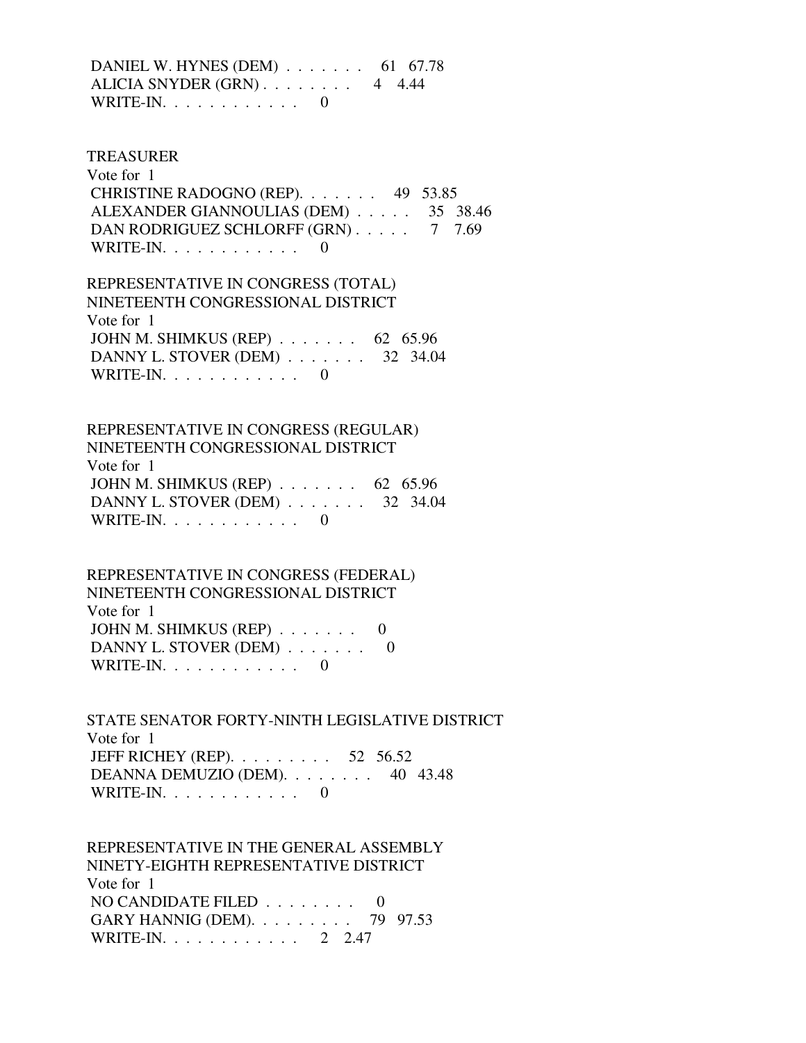DANIEL W. HYNES (DEM) . . . . . . . 61 67.78 ALICIA SNYDER  $(GRN)$ ....... 4 4.44 WRITE-IN.  $\ldots$  . . . . . . . . . 0

 TREASURER Vote for 1 CHRISTINE RADOGNO (REP). . . . . . . 49 53.85 ALEXANDER GIANNOULIAS (DEM) . . . . . 35 38.46 DAN RODRIGUEZ SCHLORFF (GRN) . . . . . 7 7.69 WRITE-IN.  $\ldots$  . . . . . . . . 0

 REPRESENTATIVE IN CONGRESS (TOTAL) NINETEENTH CONGRESSIONAL DISTRICT Vote for 1 JOHN M. SHIMKUS (REP) . . . . . . . 62 65.96 DANNY L. STOVER (DEM) . . . . . . . 32 34.04 WRITE-IN.  $\ldots$  . . . . . . . . . 0

 REPRESENTATIVE IN CONGRESS (REGULAR) NINETEENTH CONGRESSIONAL DISTRICT Vote for 1 JOHN M. SHIMKUS (REP) . . . . . . . 62 65.96 DANNY L. STOVER (DEM) . . . . . . . 32 34.04 WRITE-IN. . . . . . . . . . . . 0

 REPRESENTATIVE IN CONGRESS (FEDERAL) NINETEENTH CONGRESSIONAL DISTRICT Vote for 1 JOHN M. SHIMKUS (REP) . . . . . . . 0 DANNY L. STOVER (DEM) . . . . . . . 0 WRITE-IN.  $\ldots$  . . . . . . . . . 0

 STATE SENATOR FORTY-NINTH LEGISLATIVE DISTRICT Vote for 1 JEFF RICHEY (REP). . . . . . . . . 52 56.52 DEANNA DEMUZIO (DEM). . . . . . . . 40 43.48 WRITE-IN. . . . . . . . . . . . 0

 REPRESENTATIVE IN THE GENERAL ASSEMBLY NINETY-EIGHTH REPRESENTATIVE DISTRICT Vote for 1 NO CANDIDATE FILED . . . . . . . . 0 GARY HANNIG (DEM). . . . . . . . . 79 97.53 WRITE-IN. . . . . . . . . . . . 2 2.47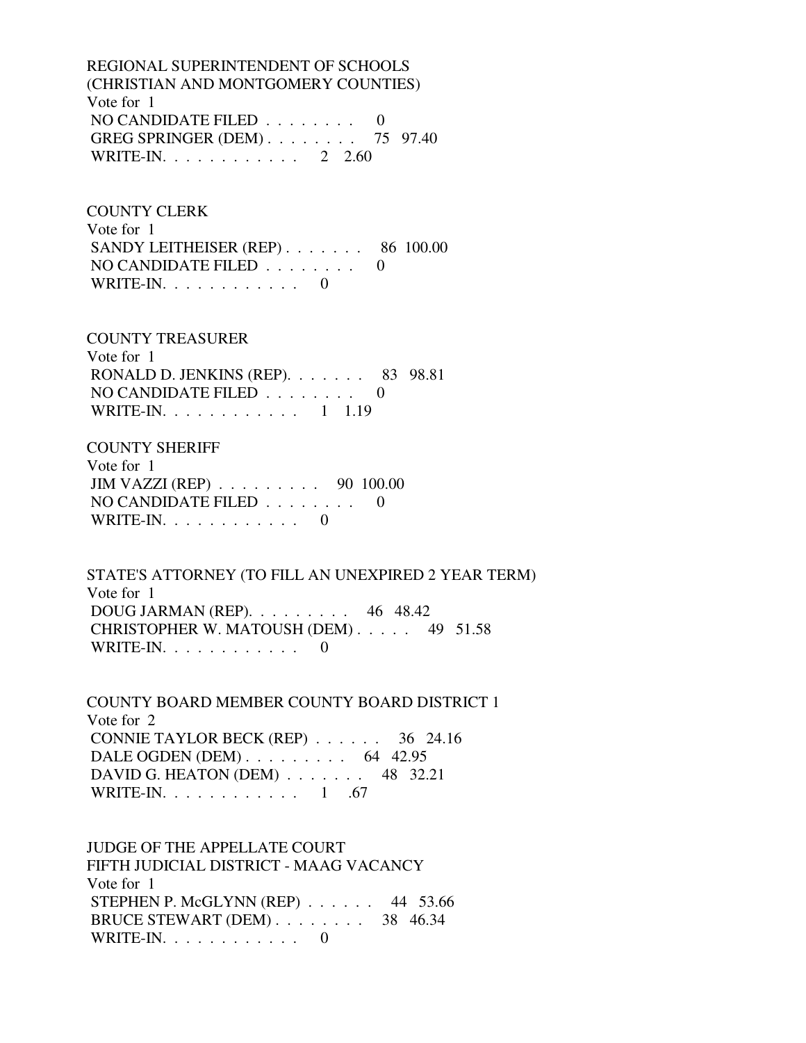REGIONAL SUPERINTENDENT OF SCHOOLS (CHRISTIAN AND MONTGOMERY COUNTIES) Vote for 1 NO CANDIDATE FILED . . . . . . . . 0 GREG SPRINGER (DEM) . . . . . . . . 75 97.40 WRITE-IN. . . . . . . . . . . . 2 2.60

 COUNTY CLERK Vote for 1 SANDY LEITHEISER (REP) . . . . . . . 86 100.00 NO CANDIDATE FILED  $\ldots \ldots \ldots$ WRITE-IN.  $\ldots$  . . . . . . . . 0

 COUNTY TREASURER Vote for 1 RONALD D. JENKINS (REP). . . . . . . 83 98.81 NO CANDIDATE FILED  $\ldots \ldots \ldots$ WRITE-IN. . . . . . . . . . . . . 1 1.19

 COUNTY SHERIFF Vote for 1 JIM VAZZI (REP) . . . . . . . . . 90 100.00 NO CANDIDATE FILED . . . . . . . . 0 WRITE-IN.  $\ldots$  . . . . . . . . . 0

 STATE'S ATTORNEY (TO FILL AN UNEXPIRED 2 YEAR TERM) Vote for 1 DOUG JARMAN (REP). . . . . . . . . 46 48.42 CHRISTOPHER W. MATOUSH (DEM) . . . . . 49 51.58 WRITE-IN. . . . . . . . . . . . 0

 COUNTY BOARD MEMBER COUNTY BOARD DISTRICT 1 Vote for 2 CONNIE TAYLOR BECK (REP) . . . . . . 36 24.16 DALE OGDEN (DEM) . . . . . . . . . 64 42.95 DAVID G. HEATON (DEM) . . . . . . . 48 32.21 WRITE-IN. . . . . . . . . . . . . 1 .67

 JUDGE OF THE APPELLATE COURT FIFTH JUDICIAL DISTRICT - MAAG VACANCY Vote for 1 STEPHEN P. McGLYNN (REP) . . . . . . 44 53.66 BRUCE STEWART (DEM) . . . . . . . . 38 46.34 WRITE-IN. . . . . . . . . . . . 0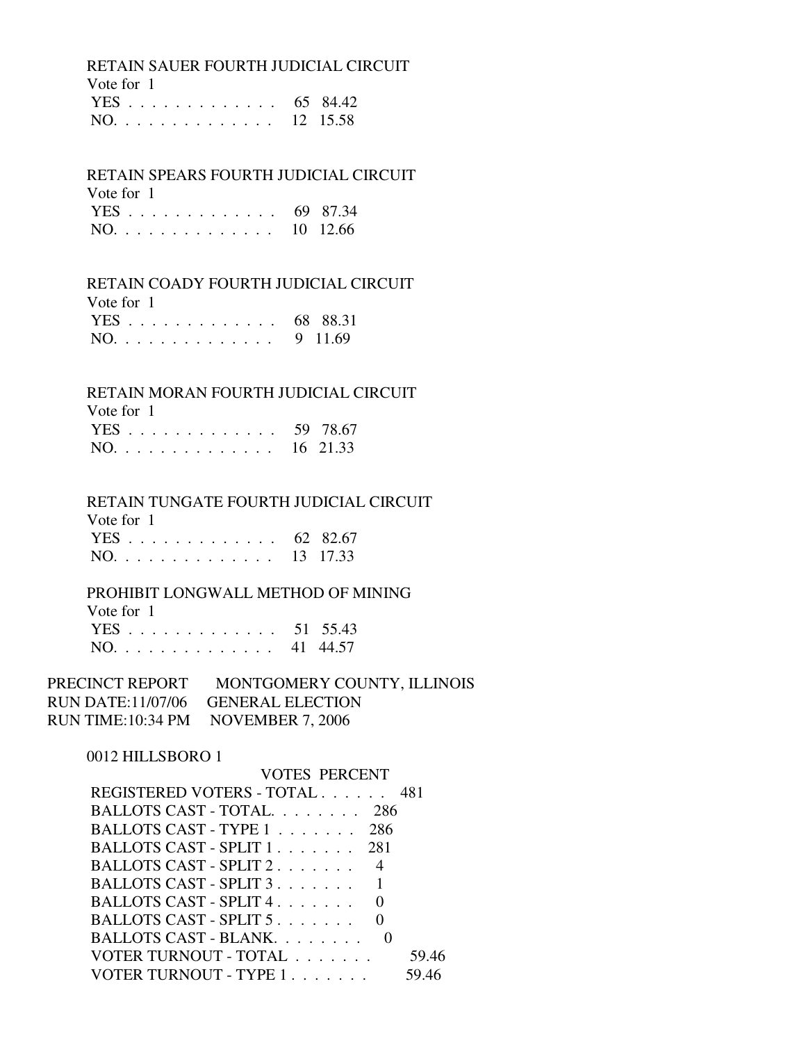RETAIN SAUER FOURTH JUDICIAL CIRCUIT Vote for 1

| VOLE TOLE    |  |
|--------------|--|
| YES 65 84.42 |  |
| NO. 12 15.58 |  |

# RETAIN SPEARS FOURTH JUDICIAL CIRCUIT

| Vote for 1   |  |
|--------------|--|
| YES 69 87.34 |  |
| NO. 10 12.66 |  |

# RETAIN COADY FOURTH JUDICIAL CIRCUIT

Vote for 1

|  |  |  |  |  |  |  | YES 68 88.31 |
|--|--|--|--|--|--|--|--------------|
|  |  |  |  |  |  |  | NO. 9 11.69  |

# RETAIN MORAN FOURTH JUDICIAL CIRCUIT

| Vote for 1   |  |
|--------------|--|
| YES 59 78.67 |  |
| NO. 16 21.33 |  |

# RETAIN TUNGATE FOURTH JUDICIAL CIRCUIT

| Vote for 1   |  |
|--------------|--|
| YES 62 82.67 |  |
| NO. 13 17.33 |  |

#### PROHIBIT LONGWALL METHOD OF MINING

| Vote for $1$ |                |
|--------------|----------------|
| YES 51 55.43 |                |
| $\mathbf{M}$ | $41$ $44$ $57$ |

|  |  |  |  |  |  |  |  | NO. 41 44.57 |  |
|--|--|--|--|--|--|--|--|--------------|--|
|  |  |  |  |  |  |  |  |              |  |

| PRECINCT REPORT                    | MONTGOMERY COUNTY, ILLINOIS        |
|------------------------------------|------------------------------------|
|                                    | RUN DATE:11/07/06 GENERAL ELECTION |
| RUN TIME:10:34 PM NOVEMBER 7, 2006 |                                    |

0012 HILLSBORO 1

| REGISTERED VOTERS - TOTAL 481 |
|-------------------------------|
|                               |
|                               |
|                               |
|                               |
|                               |
|                               |
|                               |
|                               |
| 59.46                         |
|                               |
|                               |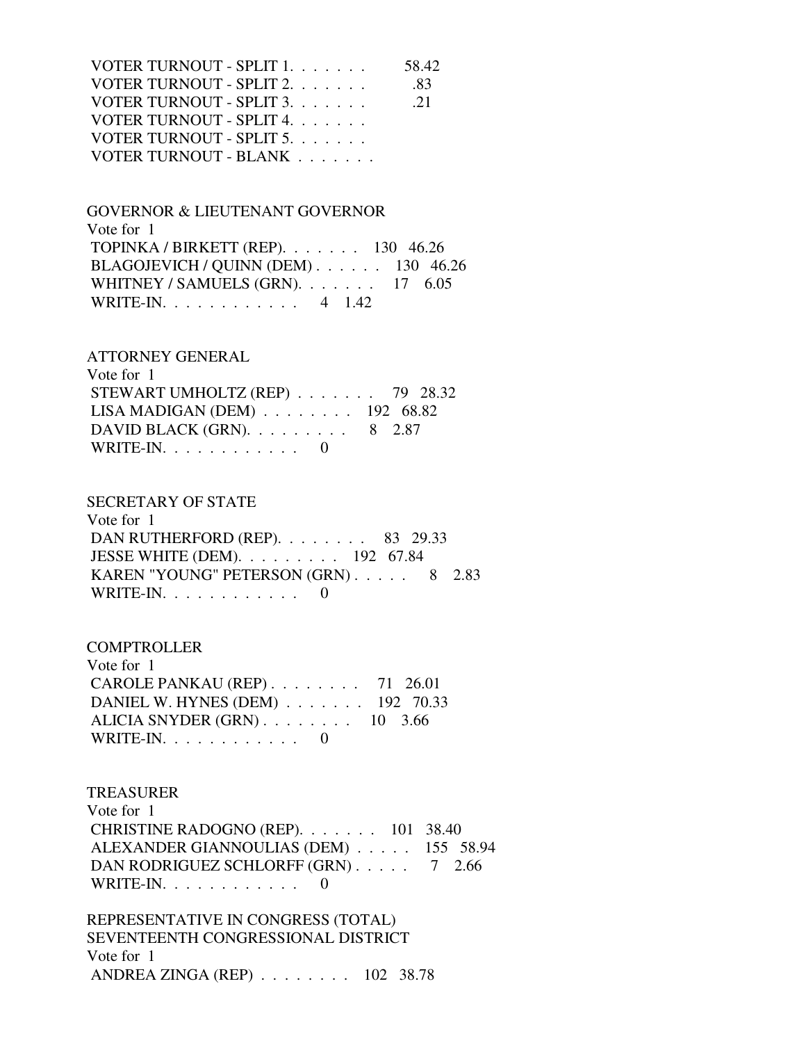| VOTER TURNOUT - SPLIT 1. | 58.42          |
|--------------------------|----------------|
| VOTER TURNOUT - SPLIT 2. | -83            |
| VOTER TURNOUT - SPLIT 3. | $\mathcal{L}1$ |
| VOTER TURNOUT - SPLIT 4. |                |
| VOTER TURNOUT - SPLIT 5. |                |
| VOTER TURNOUT - BLANK    |                |

 GOVERNOR & LIEUTENANT GOVERNOR Vote for 1 TOPINKA / BIRKETT (REP). . . . . . . 130 46.26 BLAGOJEVICH / QUINN (DEM) . . . . . . 130 46.26 WHITNEY / SAMUELS (GRN). . . . . . . 17 6.05 WRITE-IN. . . . . . . . . . . . 4 1.42

#### ATTORNEY GENERAL

| Vote for 1                                            |  |  |
|-------------------------------------------------------|--|--|
| STEWART UMHOLTZ (REP) $\ldots \ldots \ldots$ 79 28.32 |  |  |
| LISA MADIGAN (DEM) $\ldots \ldots \ldots$ 192 68.82   |  |  |
| DAVID BLACK (GRN). $\ldots$ 8 2.87                    |  |  |
| WRITE-IN. $\ldots$ 0                                  |  |  |

#### SECRETARY OF STATE

 Vote for 1 DAN RUTHERFORD (REP). . . . . . . . 83 29.33 JESSE WHITE (DEM). . . . . . . . . 192 67.84 KAREN "YOUNG" PETERSON (GRN) . . . . . 8 2.83 WRITE-IN. . . . . . . . . . . . 0

#### **COMPTROLLER**

 Vote for 1 CAROLE PANKAU (REP) . . . . . . . . 71 26.01 DANIEL W. HYNES (DEM) . . . . . . . 192 70.33 ALICIA SNYDER (GRN) . . . . . . . . 10 3.66 WRITE-IN. . . . . . . . . . . . 0

#### TREASURER

 Vote for 1 CHRISTINE RADOGNO (REP). . . . . . . 101 38.40 ALEXANDER GIANNOULIAS (DEM) . . . . . 155 58.94 DAN RODRIGUEZ SCHLORFF (GRN) . . . . . 7 2.66 WRITE-IN. . . . . . . . . . . . 0

 REPRESENTATIVE IN CONGRESS (TOTAL) SEVENTEENTH CONGRESSIONAL DISTRICT Vote for 1 ANDREA ZINGA (REP) . . . . . . . . 102 38.78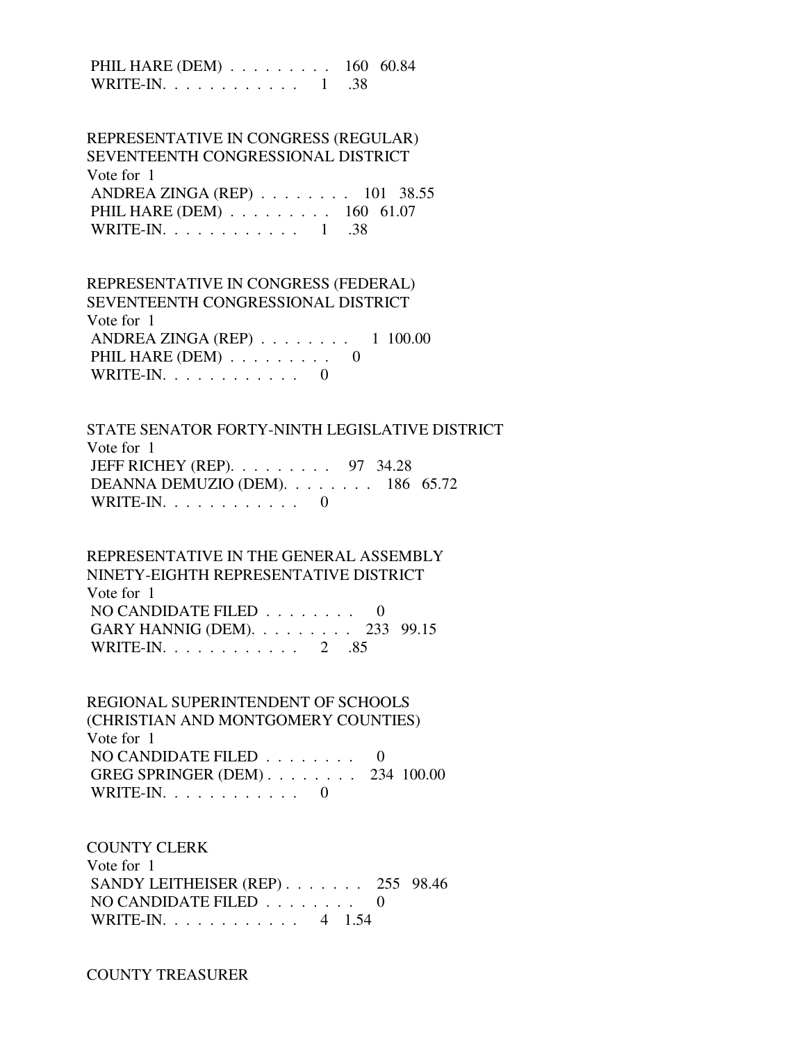PHIL HARE (DEM) . . . . . . . . . 160 60.84 WRITE-IN. . . . . . . . . . . . 1 .38

 REPRESENTATIVE IN CONGRESS (REGULAR) SEVENTEENTH CONGRESSIONAL DISTRICT Vote for 1 ANDREA ZINGA (REP) . . . . . . . . 101 38.55 PHIL HARE (DEM) . . . . . . . . . 160 61.07 WRITE-IN. . . . . . . . . . . . 1 .38

 REPRESENTATIVE IN CONGRESS (FEDERAL) SEVENTEENTH CONGRESSIONAL DISTRICT Vote for 1 ANDREA ZINGA (REP) . . . . . . . . 1 100.00 PHIL HARE  $(DEM)$  . . . . . . . . . 0 WRITE-IN. . . . . . . . . . . . 0

 STATE SENATOR FORTY-NINTH LEGISLATIVE DISTRICT Vote for 1 JEFF RICHEY (REP). . . . . . . . . 97 34.28 DEANNA DEMUZIO (DEM). . . . . . . . 186 65.72 WRITE-IN.  $\ldots$  . . . . . . . . . 0

 REPRESENTATIVE IN THE GENERAL ASSEMBLY NINETY-EIGHTH REPRESENTATIVE DISTRICT Vote for 1 NO CANDIDATE FILED  $\ldots \ldots \ldots$  GARY HANNIG (DEM). . . . . . . . . 233 99.15 WRITE-IN. . . . . . . . . . . . . 2 .85

 REGIONAL SUPERINTENDENT OF SCHOOLS (CHRISTIAN AND MONTGOMERY COUNTIES) Vote for 1 NO CANDIDATE FILED  $\ldots \ldots \ldots$  GREG SPRINGER (DEM) . . . . . . . . 234 100.00 WRITE-IN. . . . . . . . . . . . 0

 COUNTY CLERK Vote for 1 SANDY LEITHEISER (REP) . . . . . . . 255 98.46 NO CANDIDATE FILED  $\ldots \ldots \ldots$  0 WRITE-IN. . . . . . . . . . . . 4 1.54

COUNTY TREASURER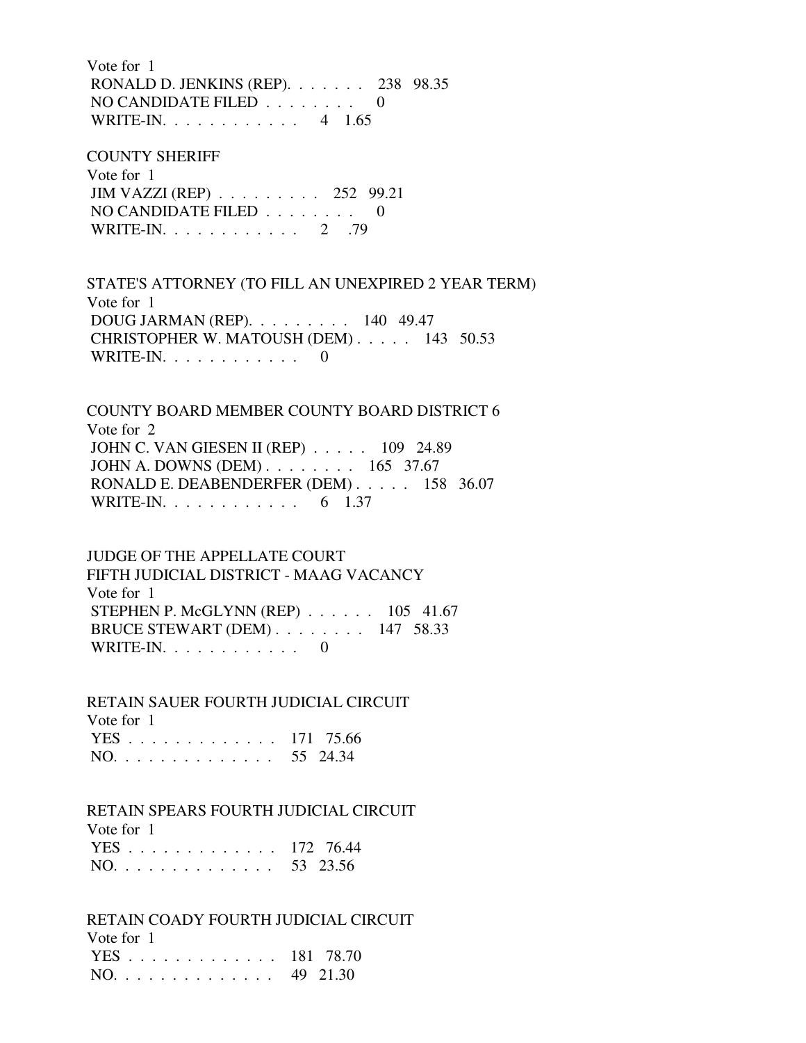Vote for 1 RONALD D. JENKINS (REP). . . . . . . 238 98.35 NO CANDIDATE FILED . . . . . . . . 0 WRITE-IN. . . . . . . . . . . . 4 1.65

 COUNTY SHERIFF Vote for 1 JIM VAZZI (REP) . . . . . . . . . 252 99.21 NO CANDIDATE FILED . . . . . . . . 0 WRITE-IN. . . . . . . . . . . . . 2 .79

 STATE'S ATTORNEY (TO FILL AN UNEXPIRED 2 YEAR TERM) Vote for 1 DOUG JARMAN (REP). . . . . . . . . 140 49.47 CHRISTOPHER W. MATOUSH (DEM) . . . . . 143 50.53 WRITE-IN. . . . . . . . . . . . 0

 COUNTY BOARD MEMBER COUNTY BOARD DISTRICT 6 Vote for 2 JOHN C. VAN GIESEN II (REP) . . . . . 109 24.89 JOHN A. DOWNS (DEM) . . . . . . . . 165 37.67 RONALD E. DEABENDERFER (DEM) . . . . . 158 36.07 WRITE-IN. . . . . . . . . . . . . 6 1.37

 JUDGE OF THE APPELLATE COURT FIFTH JUDICIAL DISTRICT - MAAG VACANCY Vote for 1 STEPHEN P. McGLYNN (REP) . . . . . . 105 41.67 BRUCE STEWART (DEM) . . . . . . . . 147 58.33 WRITE-IN. . . . . . . . . . . . 0

 RETAIN SAUER FOURTH JUDICIAL CIRCUIT Vote for 1 YES . . . . . . . . . . . . . 171 75.66

NO. . . . . . . . . . . . . . 55 24.34

RETAIN SPEARS FOURTH JUDICIAL CIRCUIT

 Vote for 1 YES . . . . . . . . . . . . . 172 76.44

NO. . . . . . . . . . . . . . 53 23.56

 RETAIN COADY FOURTH JUDICIAL CIRCUIT Vote for 1 YES . . . . . . . . . . . . . 181 78.70 NO. . . . . . . . . . . . . . 49 21.30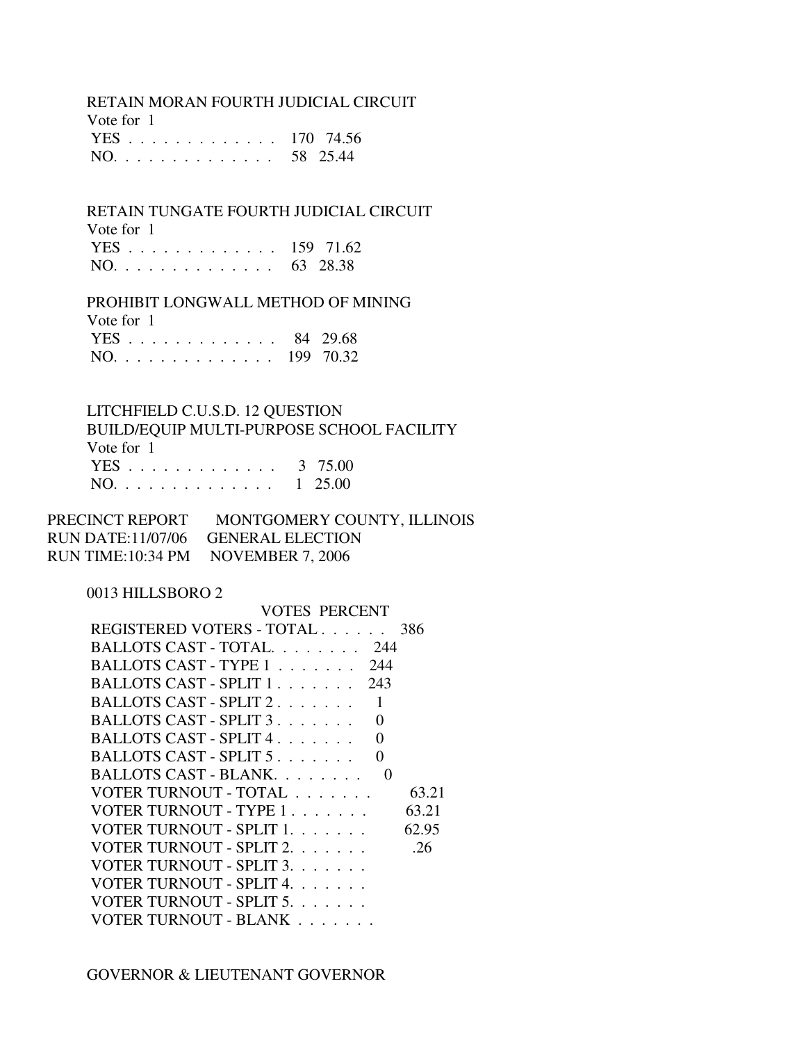RETAIN MORAN FOURTH JUDICIAL CIRCUIT

| Vote for 1    |  |
|---------------|--|
| YES 170 74.56 |  |
| NO. 58 25.44  |  |

RETAIN TUNGATE FOURTH JUDICIAL CIRCUIT

| Vote for 1    |  |
|---------------|--|
| YES 159 71.62 |  |
| NO. 63 28.38  |  |

PROHIBIT LONGWALL METHOD OF MINING

| Vote for 1    |  |
|---------------|--|
| YES 84 29.68  |  |
| NO. 199 70.32 |  |

 LITCHFIELD C.U.S.D. 12 QUESTION BUILD/EQUIP MULTI-PURPOSE SCHOOL FACILITY Vote for 1 YES . . . . . . . . . . . . . 3 75.00 NO. . . . . . . . . . . . . . 1 25.00

| PRECINCT REPORT | MONTGOMERY COUNTY, ILLINOIS        |
|-----------------|------------------------------------|
|                 | RUN DATE:11/07/06 GENERAL ELECTION |
|                 | RUN TIME:10:34 PM NOVEMBER 7, 2006 |

0013 HILLSBORO 2

| VOTES PERCENT                                |       |
|----------------------------------------------|-------|
| REGISTERED VOTERS - TOTAL<br>386             |       |
| BALLOTS CAST - TOTAL.<br>- 244               |       |
| BALLOTS CAST - TYPE 1<br>244                 |       |
| BALLOTS CAST - SPLIT 1<br>243                |       |
| BALLOTS CAST - SPLIT 2                       |       |
| BALLOTS CAST - SPLIT 3<br>∩                  |       |
| BALLOTS CAST - SPLIT 4<br>$\mathbf{\Omega}$  |       |
| BALLOTS CAST - SPLIT 5.<br>$\mathbf{\Omega}$ |       |
| BALLOTS CAST - BLANK<br>$\mathbf{\Omega}$    |       |
| VOTER TURNOUT - TOTAL                        | 63.21 |
| VOTER TURNOUT - TYPE 1<br>63.21              |       |
| VOTER TURNOUT - SPLIT 1.<br>62.95            |       |
| VOTER TURNOUT - SPLIT 2.                     | .26   |
| VOTER TURNOUT - SPLIT 3.                     |       |
| VOTER TURNOUT - SPLIT 4.                     |       |
| VOTER TURNOUT - SPLIT 5.                     |       |
| VOTER TURNOUT - BLANK                        |       |

GOVERNOR & LIEUTENANT GOVERNOR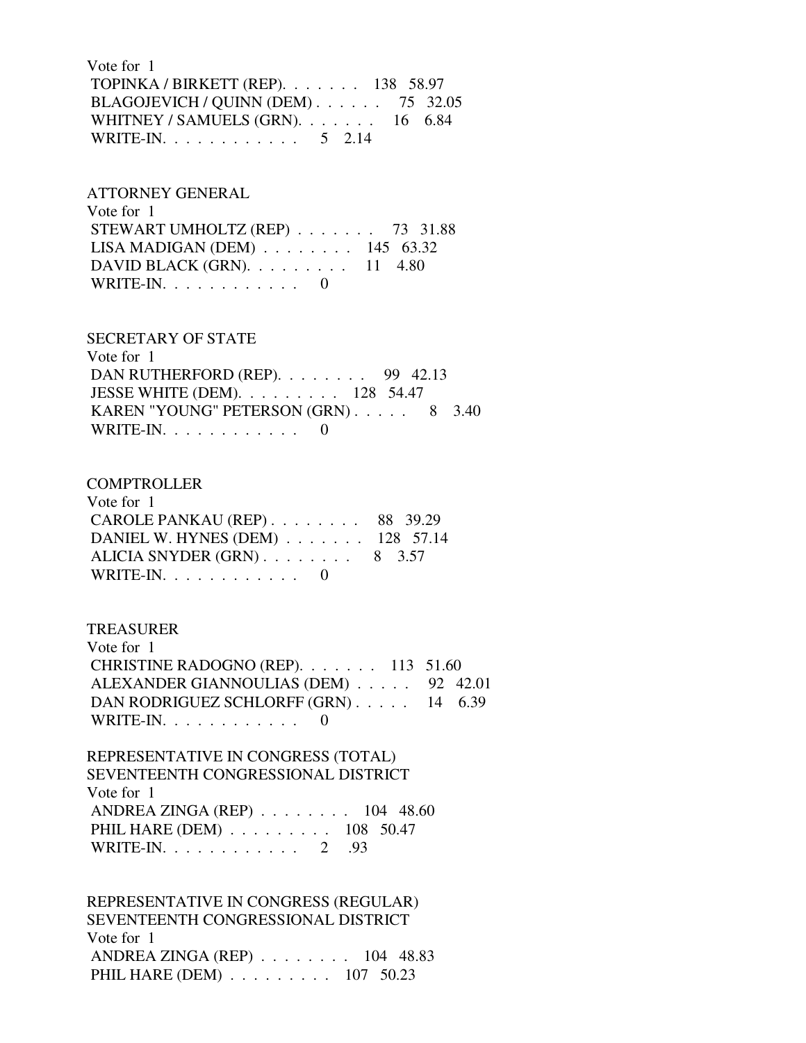Vote for 1 TOPINKA / BIRKETT (REP). . . . . . . 138 58.97 BLAGOJEVICH / QUINN (DEM) . . . . . . 75 32.05 WHITNEY / SAMUELS (GRN). . . . . . . 16 6.84 WRITE-IN. . . . . . . . . . . . . 5 2.14

 ATTORNEY GENERAL Vote for 1 STEWART UMHOLTZ (REP)  $\ldots$  . . . . . 73 31.88 LISA MADIGAN (DEM) . . . . . . . . 145 63.32 DAVID BLACK (GRN). . . . . . . . . 11 4.80 WRITE-IN.  $\ldots$  . . . . . . . . 0

#### SECRETARY OF STATE

 Vote for 1 DAN RUTHERFORD (REP). . . . . . . . 99 42.13 JESSE WHITE (DEM). . . . . . . . . 128 54.47 KAREN "YOUNG" PETERSON (GRN) . . . . . 8 3.40 WRITE-IN.  $\ldots$  . . . . . . . . . 0

#### **COMPTROLLER**

| Vote for 1                                              |  |
|---------------------------------------------------------|--|
| CAROLE PANKAU (REP) $\ldots$ $\ldots$ $\ldots$ 88 39.29 |  |
| DANIEL W. HYNES (DEM) 128 57.14                         |  |
| ALICIA SNYDER $(GRN)$ 8 3.57                            |  |
| WRITE-IN. $\ldots$ 0                                    |  |
|                                                         |  |

#### TREASURER

| Vote for $1$                         |  |
|--------------------------------------|--|
| CHRISTINE RADOGNO (REP). 113 51.60   |  |
| ALEXANDER GIANNOULIAS (DEM) 92 42.01 |  |
| DAN RODRIGUEZ SCHLORFF (GRN) 14 6.39 |  |
| WRITE-IN.                            |  |

 REPRESENTATIVE IN CONGRESS (TOTAL) SEVENTEENTH CONGRESSIONAL DISTRICT Vote for 1 ANDREA ZINGA (REP) . . . . . . . . 104 48.60 PHIL HARE (DEM) . . . . . . . . . 108 50.47 WRITE-IN. . . . . . . . . . . . 2 .93

 REPRESENTATIVE IN CONGRESS (REGULAR) SEVENTEENTH CONGRESSIONAL DISTRICT Vote for 1 ANDREA ZINGA (REP) . . . . . . . . 104 48.83 PHIL HARE (DEM) . . . . . . . . . 107 50.23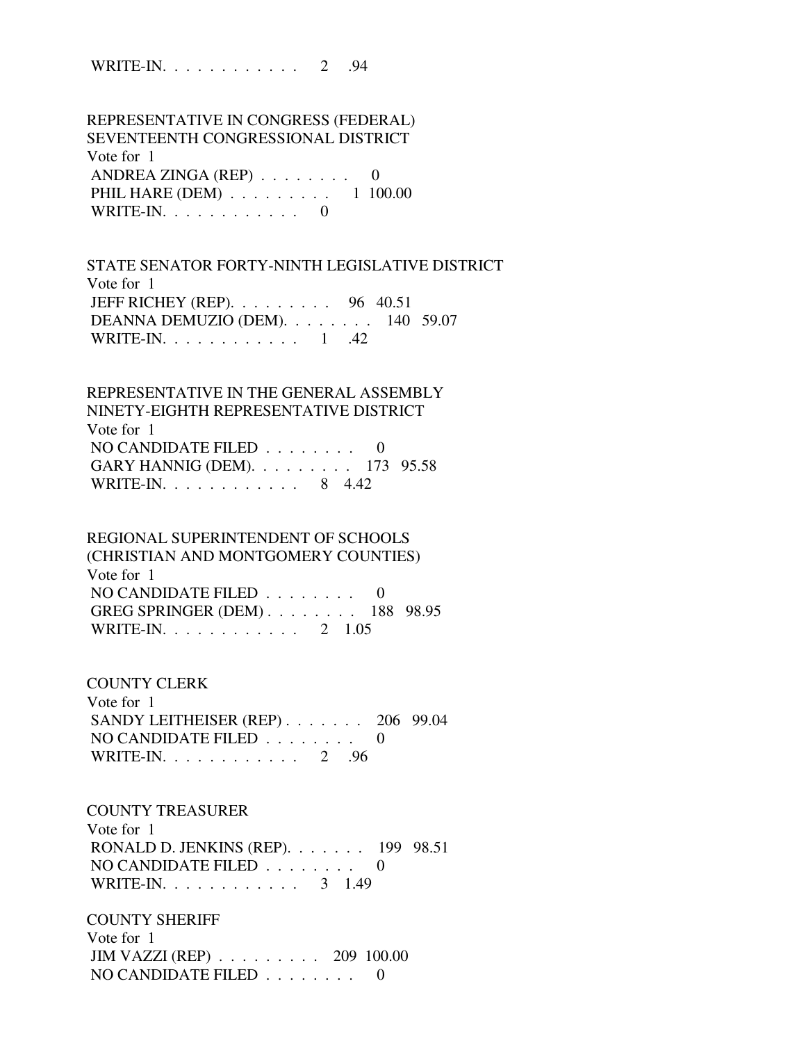WRITE-IN. . . . . . . . . . . . 2 .94

 REPRESENTATIVE IN CONGRESS (FEDERAL) SEVENTEENTH CONGRESSIONAL DISTRICT Vote for 1 ANDREA ZINGA (REP)  $\ldots \ldots \ldots$  0 PHIL HARE (DEM) . . . . . . . . . 1 100.00 WRITE-IN. . . . . . . . . . . . 0

 STATE SENATOR FORTY-NINTH LEGISLATIVE DISTRICT Vote for 1 JEFF RICHEY (REP). . . . . . . . . 96 40.51 DEANNA DEMUZIO (DEM). . . . . . . . 140 59.07 WRITE-IN. . . . . . . . . . . . . 1 .42

 REPRESENTATIVE IN THE GENERAL ASSEMBLY NINETY-EIGHTH REPRESENTATIVE DISTRICT Vote for 1 NO CANDIDATE FILED  $\ldots \ldots \ldots$  0 GARY HANNIG (DEM). . . . . . . . . 173 95.58 WRITE-IN. . . . . . . . . . . . 8 4.42

REGIONAL SUPERINTENDENT OF SCHOOLS

 (CHRISTIAN AND MONTGOMERY COUNTIES) Vote for 1 NO CANDIDATE FILED . . . . . . . . 0 GREG SPRINGER (DEM) . . . . . . . . 188 98.95 WRITE-IN. . . . . . . . . . . . 2 1.05

COUNTY CLERK

 Vote for 1 SANDY LEITHEISER (REP) . . . . . . . 206 99.04 NO CANDIDATE FILED . . . . . . . . 0 WRITE-IN. . . . . . . . . . . . 2 .96

 COUNTY TREASURER Vote for 1 RONALD D. JENKINS (REP). . . . . . . 199 98.51 NO CANDIDATE FILED . . . . . . . . 0 WRITE-IN. . . . . . . . . . . . . 3 1.49

 COUNTY SHERIFF Vote for 1 JIM VAZZI (REP) . . . . . . . . . 209 100.00 NO CANDIDATE FILED . . . . . . . . 0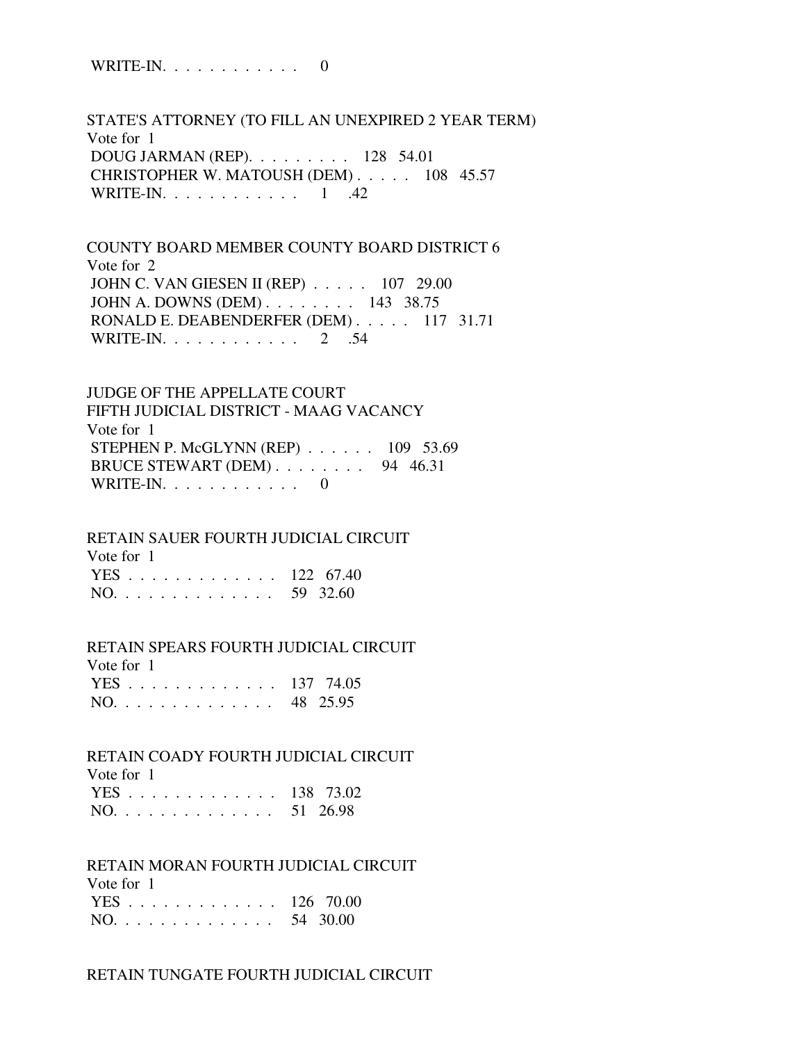WRITE-IN. . . . . . . . . . . . 0

 STATE'S ATTORNEY (TO FILL AN UNEXPIRED 2 YEAR TERM) Vote for 1 DOUG JARMAN (REP). . . . . . . . . 128 54.01 CHRISTOPHER W. MATOUSH (DEM) . . . . . 108 45.57 WRITE-IN. . . . . . . . . . . . . 1 .42

 COUNTY BOARD MEMBER COUNTY BOARD DISTRICT 6 Vote for 2 JOHN C. VAN GIESEN II (REP) . . . . . 107 29.00 JOHN A. DOWNS (DEM) . . . . . . . . 143 38.75 RONALD E. DEABENDERFER (DEM) . . . . . 117 31.71 WRITE-IN. . . . . . . . . . . . 2 .54

 JUDGE OF THE APPELLATE COURT FIFTH JUDICIAL DISTRICT - MAAG VACANCY Vote for 1 STEPHEN P. McGLYNN (REP) . . . . . . 109 53.69 BRUCE STEWART (DEM) . . . . . . . . 94 46.31 WRITE-IN.  $\ldots$  . . . . . . . . . 0

RETAIN SAUER FOURTH JUDICIAL CIRCUIT

| Vote for 1    |  |
|---------------|--|
| YES 122 67.40 |  |
| NO. 59 32.60  |  |

RETAIN SPEARS FOURTH JUDICIAL CIRCUIT

| Vote for 1    |  |
|---------------|--|
| YES 137 74.05 |  |
| NO. 48 25.95  |  |

#### RETAIN COADY FOURTH JUDICIAL CIRCUIT

| Vote for 1    |  |
|---------------|--|
| YES 138 73.02 |  |
| NO. 51 26.98  |  |

#### RETAIN MORAN FOURTH JUDICIAL CIRCUIT

| Vote for 1    |  |
|---------------|--|
| YES 126 70.00 |  |
| NO. 54 30.00  |  |

#### RETAIN TUNGATE FOURTH JUDICIAL CIRCUIT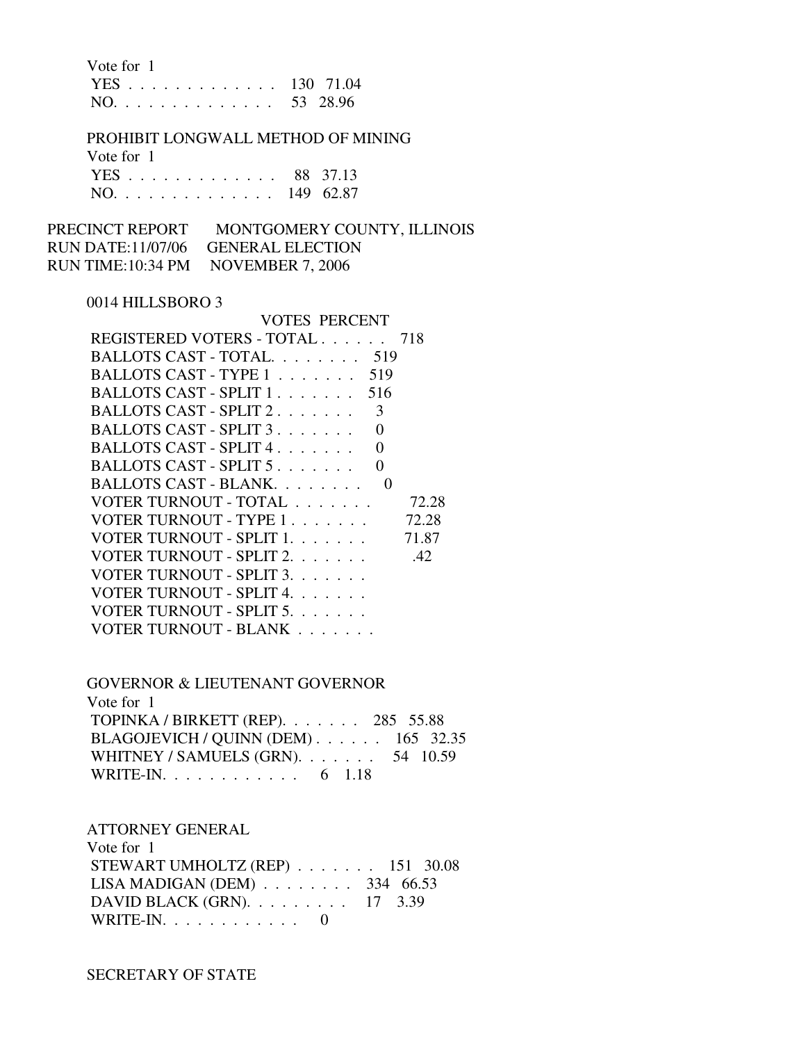| Vote for 1    |  |
|---------------|--|
| YES 130 71.04 |  |
| NO. 53 28.96  |  |

#### PROHIBIT LONGWALL METHOD OF MINING

 Vote for 1 YES . . . . . . . . . . . . . 88 37.13 NO. . . . . . . . . . . . . . 149 62.87

# PRECINCT REPORT MONTGOMERY COUNTY, ILLINOIS RUN DATE:11/07/06 GENERAL ELECTION RUN TIME:10:34 PM NOVEMBER 7, 2006

#### 0014 HILLSBORO 3

| <b>VOTES PERCENT</b>                                          |       |
|---------------------------------------------------------------|-------|
| REGISTERED VOTERS - TOTAL                                     | - 718 |
| BALLOTS CAST - TOTAL.<br>519                                  |       |
| BALLOTS CAST - TYPE 1<br>519                                  |       |
| BALLOTS CAST - SPLIT 1<br>516                                 |       |
| BALLOTS CAST - SPLIT 2<br>3                                   |       |
| BALLOTS CAST - SPLIT $3, \ldots, \ldots$<br>0                 |       |
| BALLOTS CAST - SPLIT $4, \ldots, \ldots$<br>$\mathbf{\Omega}$ |       |
| BALLOTS CAST - SPLIT $5, \ldots, \ldots$<br>0                 |       |
| BALLOTS CAST - BLANK.<br>$\mathbf{\Omega}$                    |       |
| VOTER TURNOUT - TOTAL                                         | 72.28 |
| VOTER TURNOUT - TYPE 1                                        | 72.28 |
| VOTER TURNOUT - SPLIT 1.                                      | 71.87 |
| VOTER TURNOUT - SPLIT 2.                                      | .42   |
| VOTER TURNOUT - SPLIT 3.                                      |       |
| VOTER TURNOUT - SPLIT 4.                                      |       |
| VOTER TURNOUT - SPLIT 5.                                      |       |
| VOTER TURNOUT - BLANK                                         |       |

# GOVERNOR & LIEUTENANT GOVERNOR Vote for 1 TOPINKA / BIRKETT (REP). . . . . . . 285 55.88 BLAGOJEVICH / QUINN (DEM) . . . . . . 165 32.35 WHITNEY / SAMUELS (GRN). . . . . . . 54 10.59 WRITE-IN. . . . . . . . . . . . . 6 1.18

ATTORNEY GENERAL

| Vote for 1                            |  |  |
|---------------------------------------|--|--|
| STEWART UMHOLTZ (REP) 151 30.08       |  |  |
| LISA MADIGAN (DEM) $\ldots$ 334 66.53 |  |  |
| DAVID BLACK (GRN). $\ldots$ 17 3.39   |  |  |
| WRITE-IN. $\ldots$ , 0                |  |  |

SECRETARY OF STATE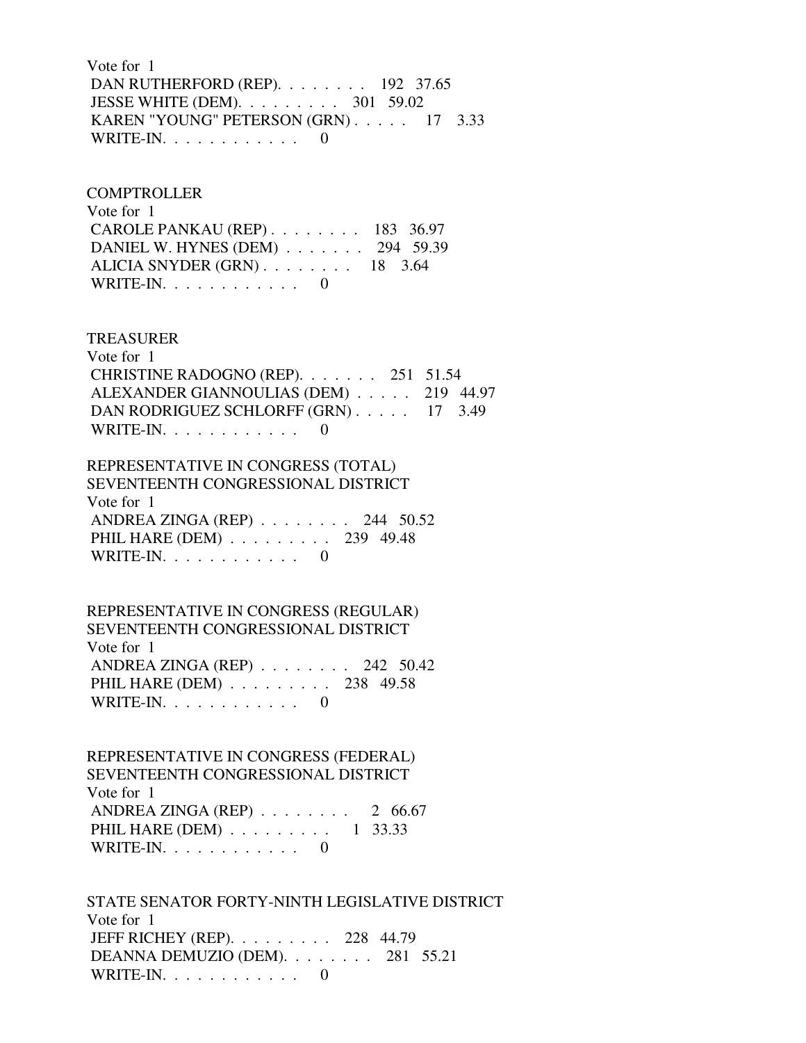Vote for 1 DAN RUTHERFORD (REP). . . . . . . . 192 37.65 JESSE WHITE (DEM). . . . . . . . . 301 59.02 KAREN "YOUNG" PETERSON (GRN) . . . . . 17 3.33 WRITE-IN.  $\ldots$  . . . . . . . . . 0

# **COMPTROLLER**  Vote for 1 CAROLE PANKAU (REP) . . . . . . . . 183 36.97 DANIEL W. HYNES (DEM) . . . . . . . 294 59.39 ALICIA SNYDER (GRN) . . . . . . . . 18 3.64 WRITE-IN.  $\ldots$  . . . . . . . . 0

#### TREASURER

 Vote for 1 CHRISTINE RADOGNO (REP). . . . . . . 251 51.54 ALEXANDER GIANNOULIAS (DEM) . . . . . 219 44.97 DAN RODRIGUEZ SCHLORFF (GRN) . . . . . 17 3.49 WRITE-IN.  $\ldots$  . . . . . . . . . 0

# REPRESENTATIVE IN CONGRESS (TOTAL) SEVENTEENTH CONGRESSIONAL DISTRICT Vote for 1 ANDREA ZINGA (REP) . . . . . . . . 244 50.52 PHIL HARE (DEM) . . . . . . . . . 239 49.48 WRITE-IN.  $\ldots$  . . . . . . . . . 0

 REPRESENTATIVE IN CONGRESS (REGULAR) SEVENTEENTH CONGRESSIONAL DISTRICT Vote for 1 ANDREA ZINGA (REP) . . . . . . . . 242 50.42 PHIL HARE (DEM) . . . . . . . . . 238 49.58 WRITE-IN. . . . . . . . . . . . 0

 REPRESENTATIVE IN CONGRESS (FEDERAL) SEVENTEENTH CONGRESSIONAL DISTRICT Vote for 1 ANDREA ZINGA (REP)  $\ldots$ , . . . . . 2 66.67 PHIL HARE (DEM) . . . . . . . . . 1 33.33 WRITE-IN. . . . . . . . . . . . 0

 STATE SENATOR FORTY-NINTH LEGISLATIVE DISTRICT Vote for 1 JEFF RICHEY (REP). . . . . . . . . 228 44.79 DEANNA DEMUZIO (DEM). . . . . . . . 281 55.21 WRITE-IN. . . . . . . . . . . . 0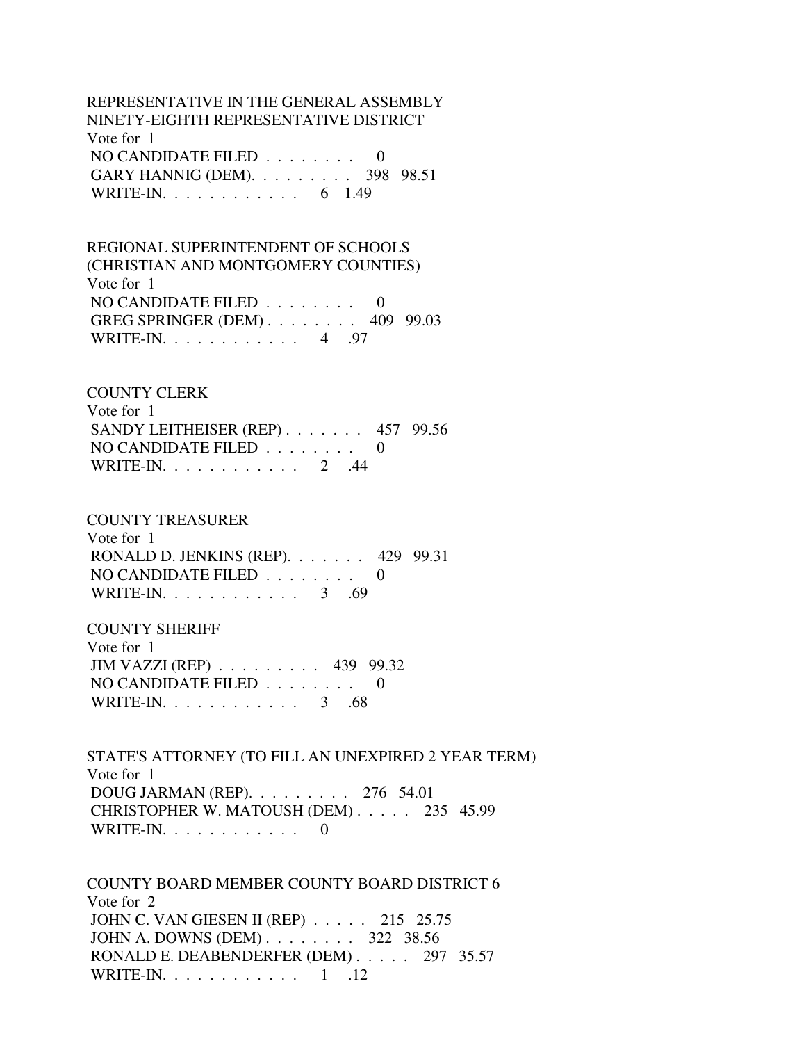REPRESENTATIVE IN THE GENERAL ASSEMBLY NINETY-EIGHTH REPRESENTATIVE DISTRICT Vote for 1 NO CANDIDATE FILED  $\ldots \ldots \ldots$  GARY HANNIG (DEM). . . . . . . . . 398 98.51 WRITE-IN. . . . . . . . . . . . . 6 1.49

 REGIONAL SUPERINTENDENT OF SCHOOLS (CHRISTIAN AND MONTGOMERY COUNTIES) Vote for 1 NO CANDIDATE FILED  $\ldots \ldots \ldots$  GREG SPRINGER (DEM) . . . . . . . . 409 99.03 WRITE-IN. . . . . . . . . . . . 4 .97

#### COUNTY CLERK

 Vote for 1 SANDY LEITHEISER (REP) . . . . . . . 457 99.56 NO CANDIDATE FILED . . . . . . . . 0 WRITE-IN. . . . . . . . . . . . . 2 .44

#### COUNTY TREASURER

 Vote for 1 RONALD D. JENKINS (REP). . . . . . . 429 99.31 NO CANDIDATE FILED . . . . . . . . 0 WRITE-IN. . . . . . . . . . . . . 3 .69

#### COUNTY SHERIFF

 Vote for 1 JIM VAZZI (REP) . . . . . . . . . 439 99.32 NO CANDIDATE FILED . . . . . . . . 0 WRITE-IN. . . . . . . . . . . . . 3 .68

 STATE'S ATTORNEY (TO FILL AN UNEXPIRED 2 YEAR TERM) Vote for 1 DOUG JARMAN (REP). . . . . . . . . 276 54.01 CHRISTOPHER W. MATOUSH (DEM) . . . . . 235 45.99 WRITE-IN.  $\ldots$  . . . . . . . . . 0

 COUNTY BOARD MEMBER COUNTY BOARD DISTRICT 6 Vote for 2 JOHN C. VAN GIESEN II (REP) . . . . . 215 25.75 JOHN A. DOWNS (DEM) . . . . . . . . 322 38.56 RONALD E. DEABENDERFER (DEM) . . . . . 297 35.57 WRITE-IN. . . . . . . . . . . . 1 .12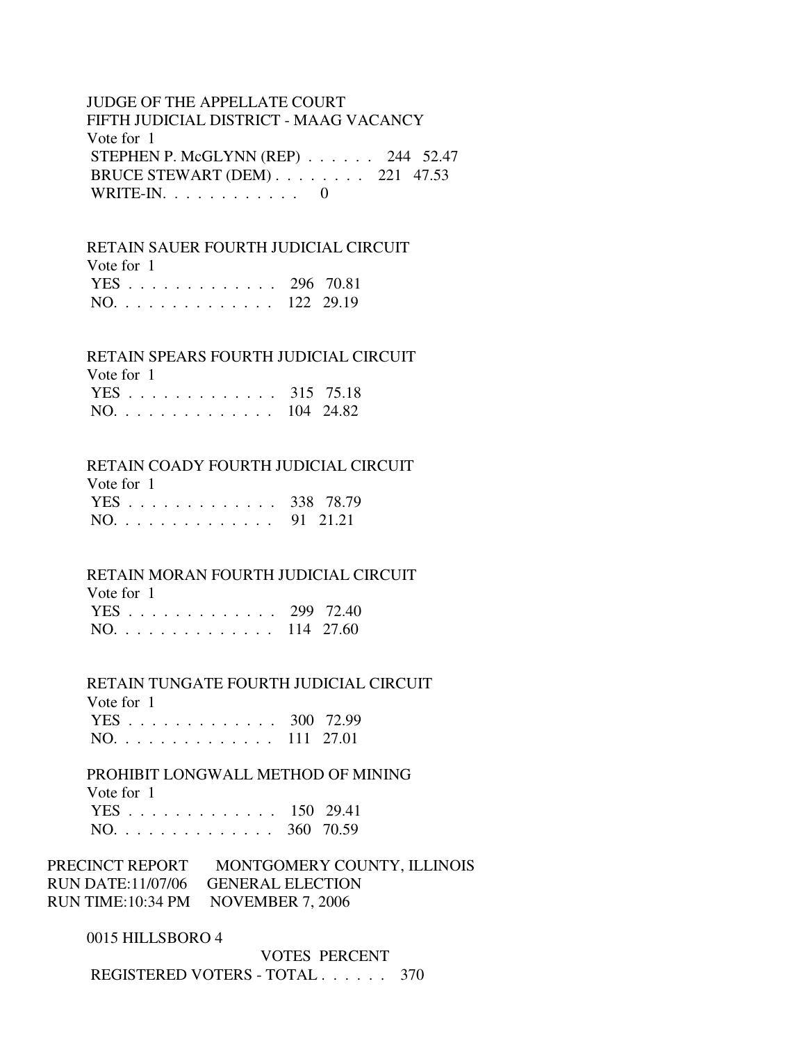# JUDGE OF THE APPELLATE COURT FIFTH JUDICIAL DISTRICT - MAAG VACANCY Vote for 1 STEPHEN P. McGLYNN (REP) . . . . . . 244 52.47 BRUCE STEWART (DEM) . . . . . . . . 221 47.53 WRITE-IN.  $\ldots$  . . . . . . . . . 0

# RETAIN SAUER FOURTH JUDICIAL CIRCUIT

Vote for 1

|  |  |  |  |  | YES 296 70.81 |
|--|--|--|--|--|---------------|
|  |  |  |  |  | NO. 122 29.19 |

#### RETAIN SPEARS FOURTH JUDICIAL CIRCUIT

| Vote for 1    |  |
|---------------|--|
| YES 315 75.18 |  |
| NO. 104 24.82 |  |

#### RETAIN COADY FOURTH JUDICIAL CIRCUIT

Vote for 1

| $\overline{1}$ |  |
|----------------|--|
| YES 338 78.79  |  |
| NO. 91 21.21   |  |

#### RETAIN MORAN FOURTH JUDICIAL CIRCUIT

| Vote for 1    |  |
|---------------|--|
| YES 299 72.40 |  |
| NO. 114 27.60 |  |

## RETAIN TUNGATE FOURTH JUDICIAL CIRCUIT

Vote for 1

|  |  |  |  |  |  |  | YES 300 72.99 |
|--|--|--|--|--|--|--|---------------|
|  |  |  |  |  |  |  | NO. 111 27.01 |

# PROHIBIT LONGWALL METHOD OF MINING

| Vote for 1    |  |
|---------------|--|
| YES 150 29.41 |  |
| NO. 360 70.59 |  |

| PRECINCT REPORT | MONTGOMERY COUNTY, ILLINOIS        |
|-----------------|------------------------------------|
|                 | RUN DATE:11/07/06 GENERAL ELECTION |
|                 | RUN TIME:10:34 PM NOVEMBER 7, 2006 |

# 0015 HILLSBORO 4

 VOTES PERCENT REGISTERED VOTERS - TOTAL . . . . . . 370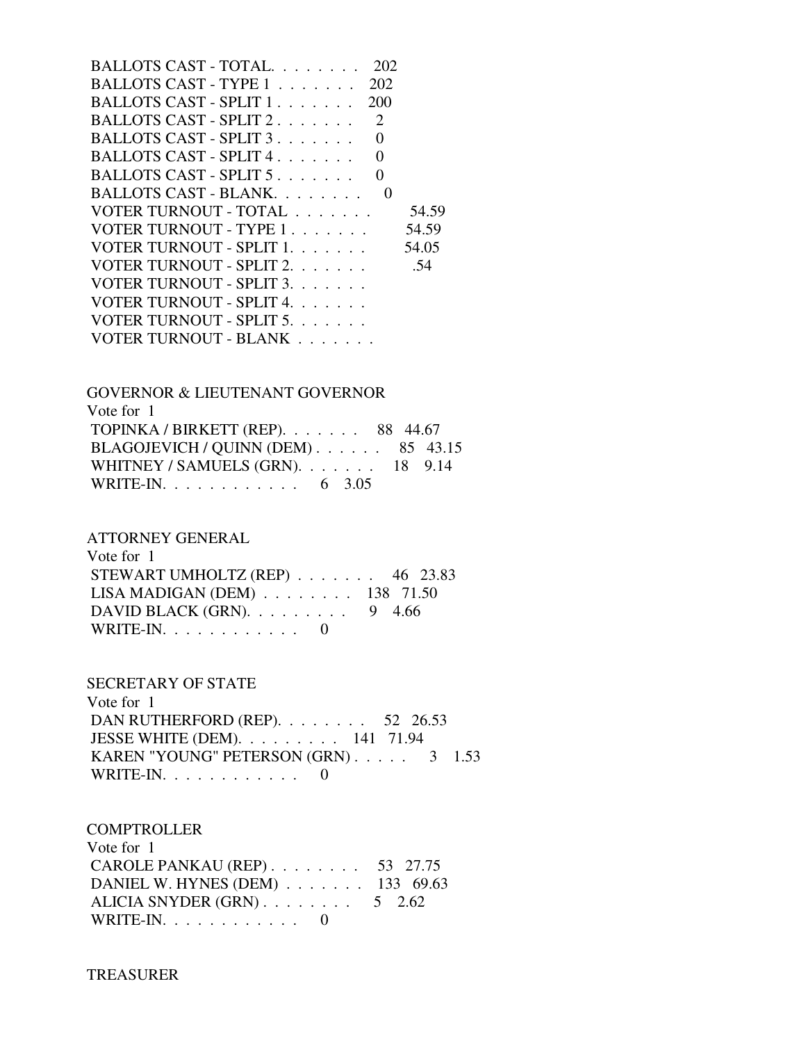| BALLOTS CAST - TOTAL.<br>202                  |       |
|-----------------------------------------------|-------|
| BALLOTS CAST - TYPE 1<br>202                  |       |
| BALLOTS CAST - SPLIT 1<br>200                 |       |
| BALLOTS CAST - SPLIT $2, \ldots, \ldots$<br>2 |       |
| BALLOTS CAST - SPLIT 3.<br>0                  |       |
| BALLOTS CAST - SPLIT 4.<br>0                  |       |
| BALLOTS CAST - SPLIT 5<br>0                   |       |
| BALLOTS CAST - BLANK.<br>$\mathbf{\Omega}$    |       |
| VOTER TURNOUT - TOTAL                         | 54.59 |
| VOTER TURNOUT - TYPE 1                        | 54.59 |
| VOTER TURNOUT - SPLIT 1.                      | 54.05 |
| VOTER TURNOUT - SPLIT 2.                      | .54   |
| VOTER TURNOUT - SPLIT 3.                      |       |
| VOTER TURNOUT - SPLIT 4.                      |       |
| VOTER TURNOUT - SPLIT 5.                      |       |
| VOTER TURNOUT - BLANK                         |       |

| <b>GOVERNOR &amp; LIEUTENANT GOVERNOR</b>  |  |
|--------------------------------------------|--|
| Vote for 1                                 |  |
| TOPINKA / BIRKETT (REP). $\ldots$ 88 44.67 |  |
| BLAGOJEVICH / QUINN (DEM) 85 43.15         |  |
| WHITNEY / SAMUELS (GRN). 18 9.14           |  |
| WRITE-IN. 6 3.05                           |  |

# ATTORNEY GENERAL

| Vote for 1                                          |  |
|-----------------------------------------------------|--|
| STEWART UMHOLTZ (REP) $\ldots$ 46 23.83             |  |
| LISA MADIGAN (DEM) $\ldots \ldots \ldots$ 138 71.50 |  |
| DAVID BLACK (GRN). $\ldots$ 9 4.66                  |  |
| WRITE-IN. $\ldots$ 0                                |  |

# SECRETARY OF STATE

 Vote for 1 DAN RUTHERFORD (REP). . . . . . . . 52 26.53 JESSE WHITE (DEM). . . . . . . . . 141 71.94 KAREN "YOUNG" PETERSON (GRN) . . . . . 3 1.53 WRITE-IN. . . . . . . . . . . . 0

#### **COMPTROLLER** Vote for 1

| $V$ Ole $101 \text{ T}$                             |  |
|-----------------------------------------------------|--|
| CAROLE PANKAU (REP) $\ldots \ldots \ldots$ 53 27.75 |  |
| DANIEL W. HYNES (DEM) 133 69.63                     |  |
| ALICIA SNYDER $(GRN)$ 5 2.62                        |  |
| WRITE-IN. $\ldots$ 0                                |  |

#### TREASURER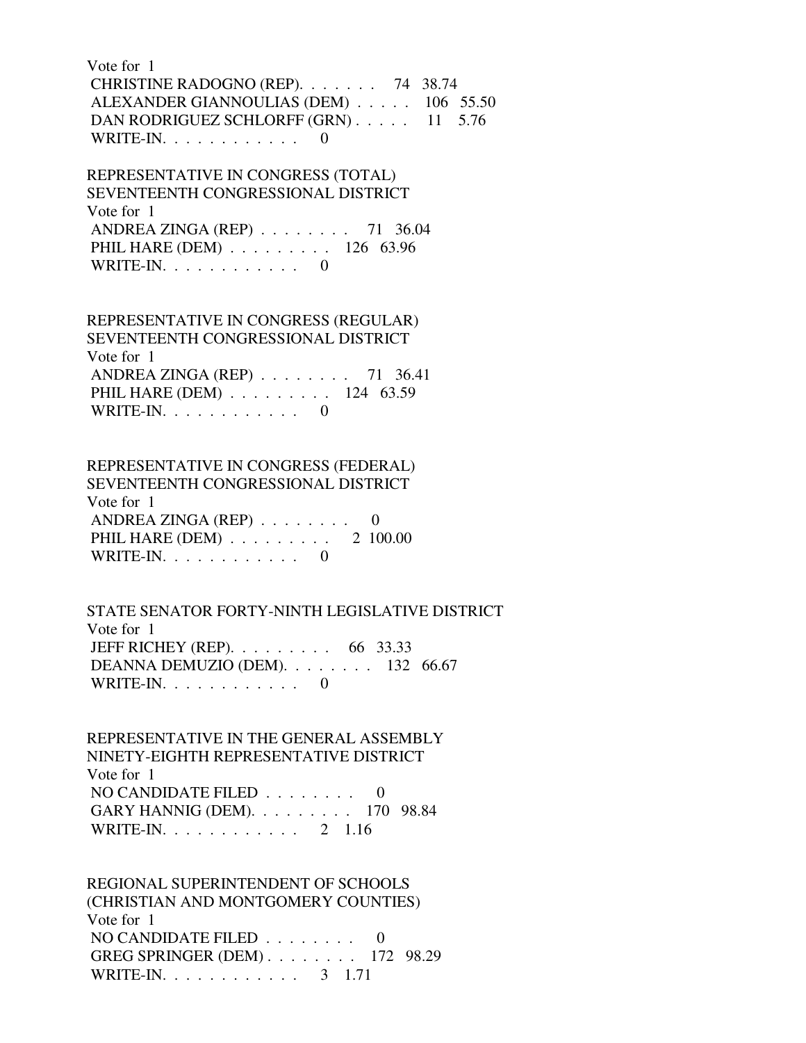Vote for 1 CHRISTINE RADOGNO (REP). . . . . . . 74 38.74 ALEXANDER GIANNOULIAS (DEM) . . . . . 106 55.50 DAN RODRIGUEZ SCHLORFF (GRN) . . . . . 11 5.76 WRITE-IN.  $\ldots$  . . . . . . . . . 0

 REPRESENTATIVE IN CONGRESS (TOTAL) SEVENTEENTH CONGRESSIONAL DISTRICT Vote for 1 ANDREA ZINGA (REP) . . . . . . . . 71 36.04 PHIL HARE (DEM) . . . . . . . . . 126 63.96 WRITE-IN.  $\ldots$  . . . . . . . . 0

 REPRESENTATIVE IN CONGRESS (REGULAR) SEVENTEENTH CONGRESSIONAL DISTRICT Vote for 1 ANDREA ZINGA (REP) . . . . . . . . 71 36.41 PHIL HARE (DEM) . . . . . . . . . 124 63.59 WRITE-IN.  $\ldots$  . . . . . . . . . 0

 REPRESENTATIVE IN CONGRESS (FEDERAL) SEVENTEENTH CONGRESSIONAL DISTRICT Vote for 1 ANDREA ZINGA (REP)  $\ldots \ldots \ldots$  0 PHIL HARE (DEM) . . . . . . . . . 2 100.00 WRITE-IN.  $\ldots$  . . . . . . . . . 0

 STATE SENATOR FORTY-NINTH LEGISLATIVE DISTRICT Vote for 1 JEFF RICHEY (REP). . . . . . . . . 66 33.33 DEANNA DEMUZIO (DEM). . . . . . . . 132 66.67 WRITE-IN.  $\ldots$  . . . . . . . . . 0

 REPRESENTATIVE IN THE GENERAL ASSEMBLY NINETY-EIGHTH REPRESENTATIVE DISTRICT Vote for 1 NO CANDIDATE FILED . . . . . . . . 0 GARY HANNIG (DEM). . . . . . . . . 170 98.84 WRITE-IN. . . . . . . . . . . . 2 1.16

 REGIONAL SUPERINTENDENT OF SCHOOLS (CHRISTIAN AND MONTGOMERY COUNTIES) Vote for 1 NO CANDIDATE FILED . . . . . . . . 0 GREG SPRINGER (DEM) . . . . . . . . 172 98.29 WRITE-IN. . . . . . . . . . . . . 3 1.71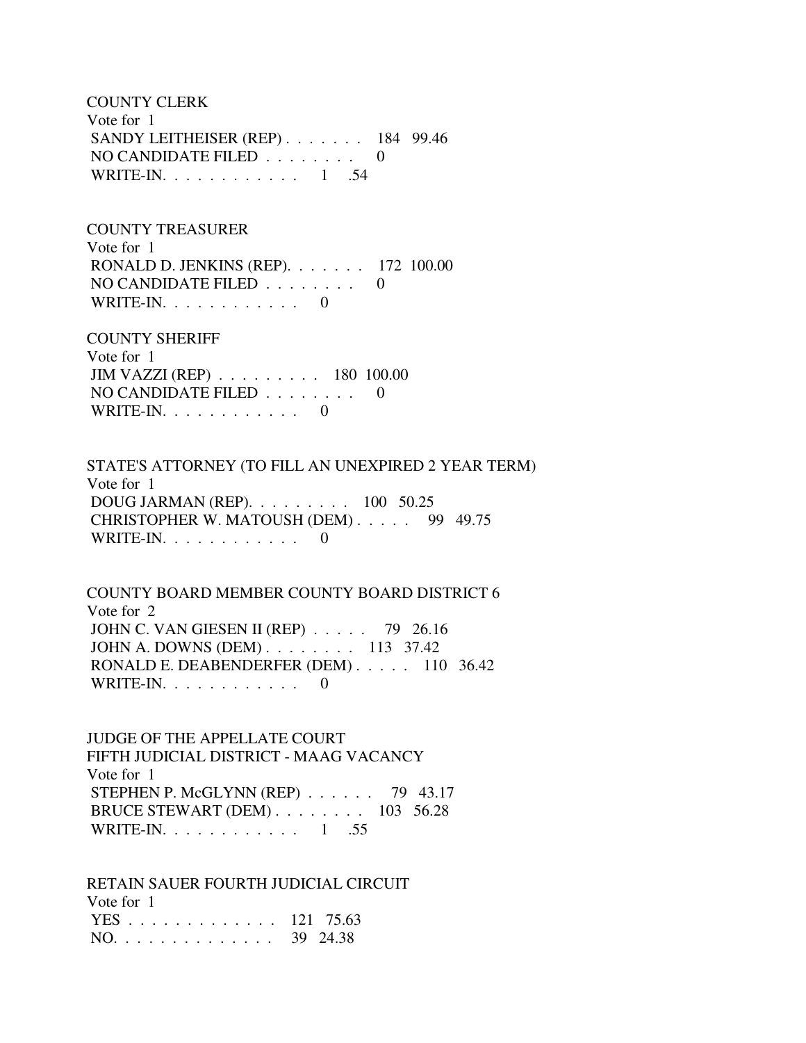COUNTY CLERK Vote for 1 SANDY LEITHEISER (REP) . . . . . . . 184 99.46 NO CANDIDATE FILED  $\ldots \ldots \ldots$ WRITE-IN. . . . . . . . . . . . 1 .54

 COUNTY TREASURER Vote for 1 RONALD D. JENKINS (REP). . . . . . . 172 100.00 NO CANDIDATE FILED  $\ldots \ldots \ldots$ WRITE-IN.  $\ldots$  . . . . . . . . . 0

 COUNTY SHERIFF Vote for 1 JIM VAZZI (REP) . . . . . . . . . 180 100.00 NO CANDIDATE FILED  $\ldots \ldots \ldots$ WRITE-IN.  $\ldots$  . . . . . . . . . 0

 STATE'S ATTORNEY (TO FILL AN UNEXPIRED 2 YEAR TERM) Vote for 1 DOUG JARMAN (REP). . . . . . . . . 100 50.25 CHRISTOPHER W. MATOUSH (DEM) . . . . . 99 49.75 WRITE-IN. . . . . . . . . . . . 0

 COUNTY BOARD MEMBER COUNTY BOARD DISTRICT 6 Vote for 2 JOHN C. VAN GIESEN II (REP) . . . . . 79 26.16 JOHN A. DOWNS (DEM) . . . . . . . . 113 37.42 RONALD E. DEABENDERFER (DEM) . . . . . 110 36.42 WRITE-IN.  $\ldots$  . . . . . . . . 0

 JUDGE OF THE APPELLATE COURT FIFTH JUDICIAL DISTRICT - MAAG VACANCY Vote for 1 STEPHEN P. McGLYNN (REP) . . . . . . 79 43.17 BRUCE STEWART (DEM) . . . . . . . . 103 56.28 WRITE-IN. . . . . . . . . . . . 1 .55

 RETAIN SAUER FOURTH JUDICIAL CIRCUIT Vote for 1 YES . . . . . . . . . . . . . 121 75.63 NO. . . . . . . . . . . . . . 39 24.38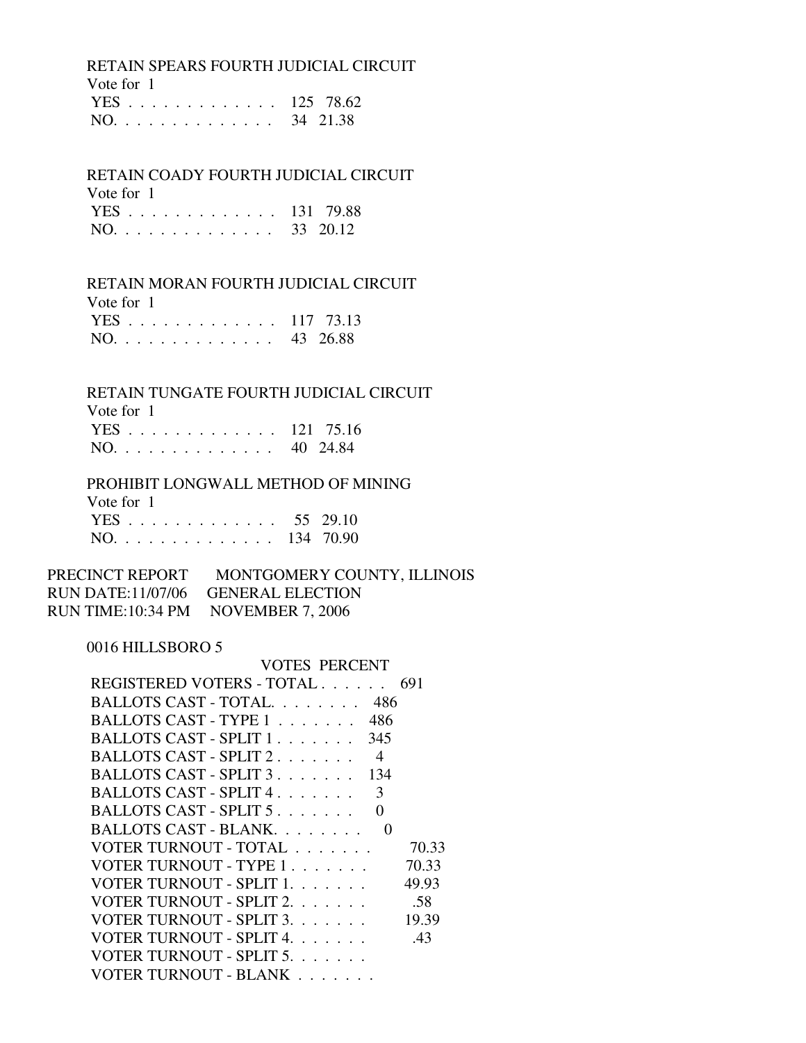RETAIN SPEARS FOURTH JUDICIAL CIRCUIT Vote for 1

| $\sqrt{2}$    |  |
|---------------|--|
| YES 125 78.62 |  |
| NO. 34 21.38  |  |

# RETAIN COADY FOURTH JUDICIAL CIRCUIT

| Vote for 1    |  |
|---------------|--|
| YES 131 79.88 |  |
| NO. 33 20.12  |  |

# RETAIN MORAN FOURTH JUDICIAL CIRCUIT

Vote for 1

|  |  |  |  |  |  |  |  | YES 117 73.13 |
|--|--|--|--|--|--|--|--|---------------|
|  |  |  |  |  |  |  |  | NO. 43 26.88  |

# RETAIN TUNGATE FOURTH JUDICIAL CIRCUIT

| Vote for 1    |  |
|---------------|--|
| YES 121 75.16 |  |
| NO. 40 24.84  |  |

#### PROHIBIT LONGWALL METHOD OF MINING

| Vote for 1    |  |
|---------------|--|
| YES 55 29.10  |  |
| NO. 134 70.90 |  |

### PRECINCT REPORT MONTGOMERY COUNTY, ILLINOIS RUN DATE:11/07/06 GENERAL ELECTION RUN TIME:10:34 PM NOVEMBER 7, 2006

### 0016 HILLSBORO 5

| VOTES PERCENT                                  |       |
|------------------------------------------------|-------|
| REGISTERED VOTERS - TOTAL                      | 691   |
| BALLOTS CAST - TOTAL.<br>486                   |       |
| BALLOTS CAST - TYPE $1, \ldots, \ldots$<br>486 |       |
| BALLOTS CAST - SPLIT 1<br>345                  |       |
| BALLOTS CAST - SPLIT 2<br>4                    |       |
| BALLOTS CAST - SPLIT 3<br>134                  |       |
| BALLOTS CAST - SPLIT 4<br>3                    |       |
| BALLOTS CAST - SPLIT $5, \ldots, \ldots$<br>0  |       |
| BALLOTS CAST - BLANK.<br>0                     |       |
| VOTER TURNOUT - TOTAL                          | 70.33 |
| VOTER TURNOUT - TYPE 1.                        | 70.33 |
| VOTER TURNOUT - SPLIT 1.                       | 49.93 |
| VOTER TURNOUT - SPLIT 2.                       | .58   |
| VOTER TURNOUT - SPLIT 3.                       | 19.39 |
| VOTER TURNOUT - SPLIT 4.                       | .43   |
| VOTER TURNOUT - SPLIT 5.                       |       |
| VOTER TURNOUT - BLANK                          |       |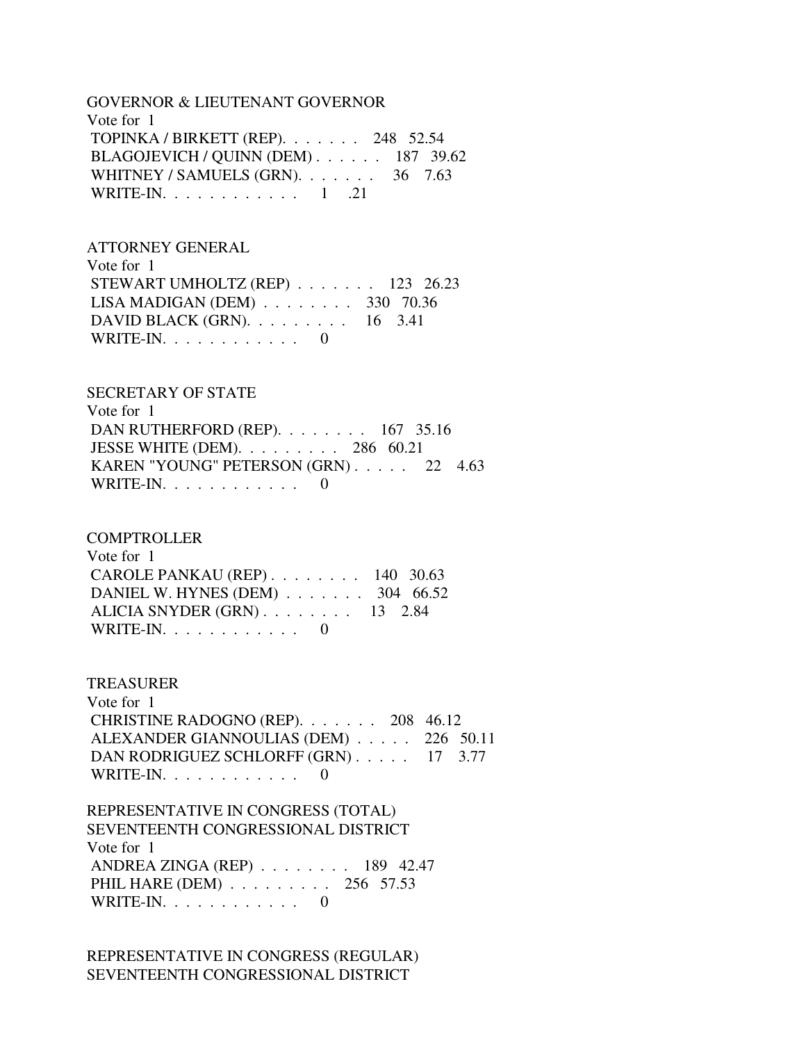# GOVERNOR & LIEUTENANT GOVERNOR Vote for 1 TOPINKA / BIRKETT (REP). . . . . . . 248 52.54 BLAGOJEVICH / QUINN (DEM) . . . . . . 187 39.62 WHITNEY / SAMUELS (GRN). . . . . . . . 36 7.63 WRITE-IN. . . . . . . . . . . . 1 .21

#### ATTORNEY GENERAL

| Vote for 1                                               |  |  |
|----------------------------------------------------------|--|--|
| STEWART UMHOLTZ (REP) $\ldots$ 123 26.23                 |  |  |
| LISA MADIGAN (DEM) $\ldots \ldots \ldots$ 330 70.36      |  |  |
| DAVID BLACK (GRN). $\ldots \ldots \ldots \ldots$ 16 3.41 |  |  |
| WRITE-IN. $\ldots$ 0                                     |  |  |

#### SECRETARY OF STATE

| Vote for 1                                          |  |
|-----------------------------------------------------|--|
| DAN RUTHERFORD (REP). $\ldots$ 167 35.16            |  |
| JESSE WHITE (DEM). $\ldots \ldots \ldots$ 286 60.21 |  |
| KAREN "YOUNG" PETERSON (GRN) 22 4.63                |  |
| WRITE-IN. $\ldots$ , $\ldots$ , $\ldots$ , 0        |  |

## **COMPTROLLER**

| Vote for 1                               |  |
|------------------------------------------|--|
| CAROLE PANKAU (REP) $\ldots$ 140 30.63   |  |
| DANIEL W. HYNES (DEM) $\ldots$ 304 66.52 |  |
| ALICIA SNYDER (GRN) 13 2.84              |  |
| WRITE-IN. $\ldots$ 0                     |  |

## TREASURER

| Vote for 1                                   |  |
|----------------------------------------------|--|
| CHRISTINE RADOGNO (REP). $\ldots$ 208 46.12  |  |
| ALEXANDER GIANNOULIAS (DEM) 226 50.11        |  |
| DAN RODRIGUEZ SCHLORFF (GRN) 17 3.77         |  |
| WRITE-IN. $\ldots$ , $\ldots$ , $\ldots$ , 0 |  |

# REPRESENTATIVE IN CONGRESS (TOTAL) SEVENTEENTH CONGRESSIONAL DISTRICT Vote for 1 ANDREA ZINGA (REP) . . . . . . . . 189 42.47 PHIL HARE (DEM) . . . . . . . . . 256 57.53 WRITE-IN.  $\ldots$  . . . . . . . . . 0

# REPRESENTATIVE IN CONGRESS (REGULAR) SEVENTEENTH CONGRESSIONAL DISTRICT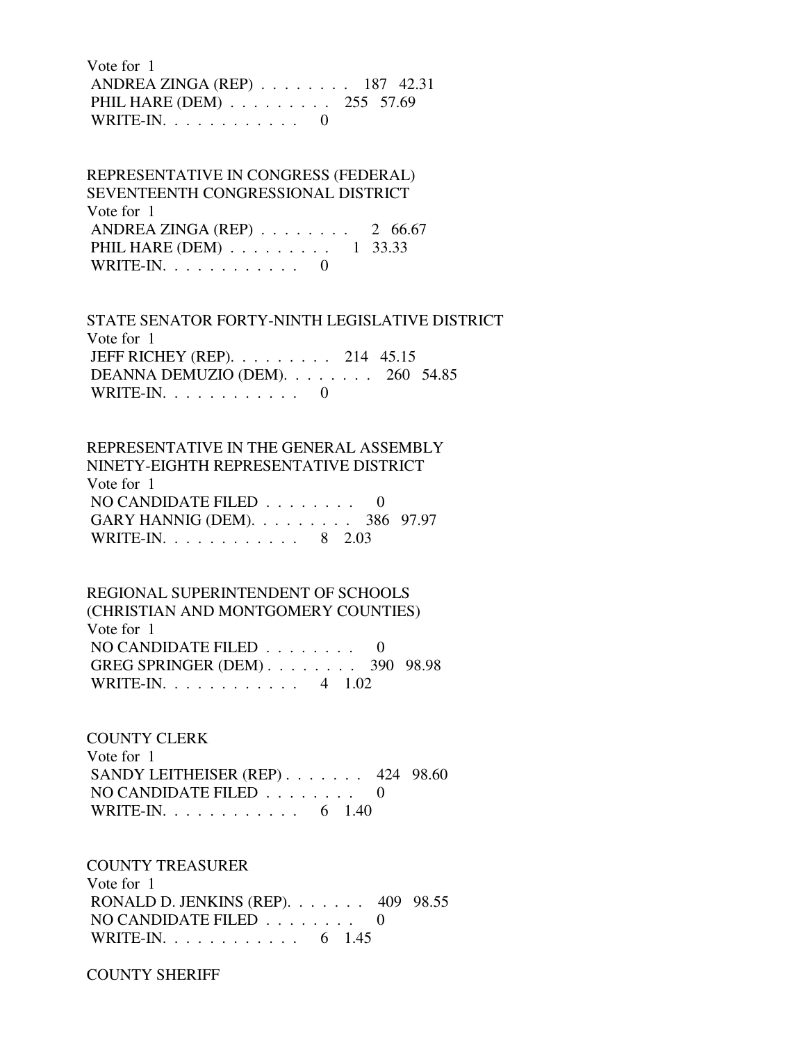Vote for 1 ANDREA ZINGA (REP) . . . . . . . . 187 42.31 PHIL HARE (DEM) . . . . . . . . . 255 57.69 WRITE-IN.  $\ldots$  . . . . . . . . . 0

 REPRESENTATIVE IN CONGRESS (FEDERAL) SEVENTEENTH CONGRESSIONAL DISTRICT Vote for 1 ANDREA ZINGA (REP) . . . . . . . . 2 66.67 PHIL HARE (DEM) . . . . . . . . . 1 33.33 WRITE-IN.  $\ldots$  . . . . . . . . 0

 STATE SENATOR FORTY-NINTH LEGISLATIVE DISTRICT Vote for 1 JEFF RICHEY (REP). . . . . . . . . 214 45.15 DEANNA DEMUZIO (DEM). . . . . . . . 260 54.85 WRITE-IN.  $\ldots$  . . . . . . . . 0

 REPRESENTATIVE IN THE GENERAL ASSEMBLY NINETY-EIGHTH REPRESENTATIVE DISTRICT Vote for 1 NO CANDIDATE FILED . . . . . . . . 0 GARY HANNIG (DEM). . . . . . . . . 386 97.97 WRITE-IN. . . . . . . . . . . . 8 2.03

 REGIONAL SUPERINTENDENT OF SCHOOLS (CHRISTIAN AND MONTGOMERY COUNTIES) Vote for 1 NO CANDIDATE FILED . . . . . . . . 0 GREG SPRINGER (DEM) . . . . . . . . 390 98.98 WRITE-IN. . . . . . . . . . . . 4 1.02

 COUNTY CLERK Vote for 1 SANDY LEITHEISER (REP) . . . . . . . 424 98.60 NO CANDIDATE FILED . . . . . . . . 0 WRITE-IN. . . . . . . . . . . . . 6 1.40

 COUNTY TREASURER Vote for 1 RONALD D. JENKINS (REP). . . . . . . 409 98.55 NO CANDIDATE FILED . . . . . . . . 0 WRITE-IN. . . . . . . . . . . . . 6 1.45

COUNTY SHERIFF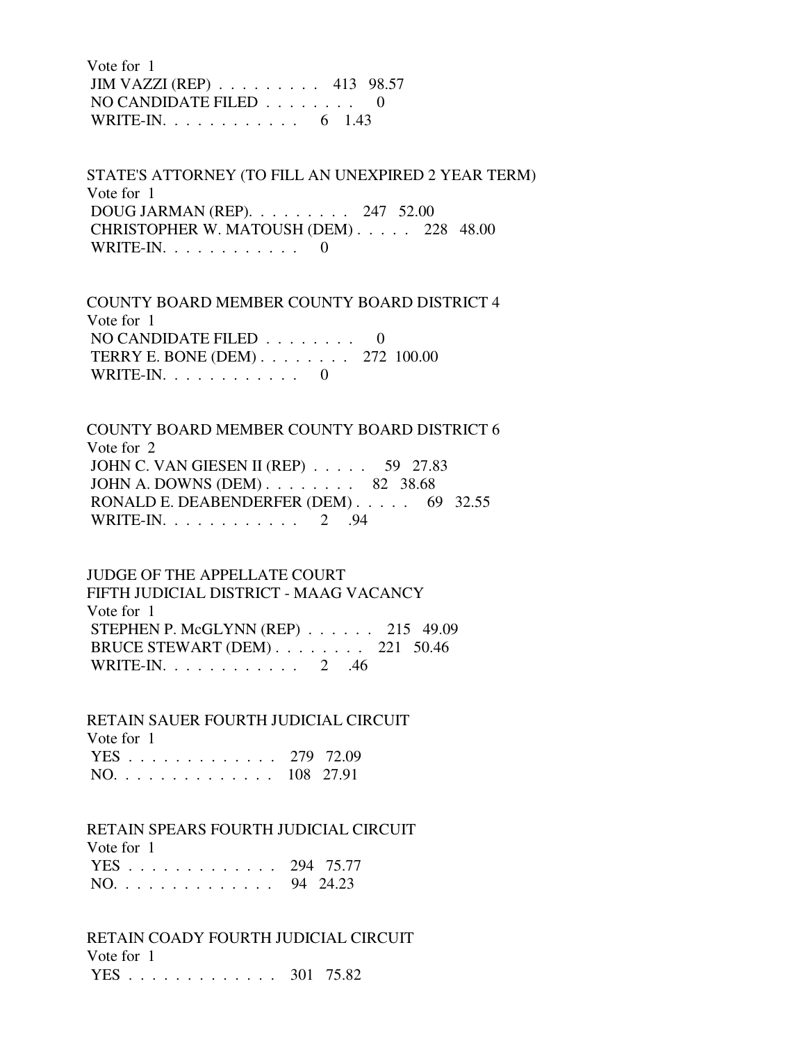Vote for 1 JIM VAZZI (REP) . . . . . . . . . 413 98.57 NO CANDIDATE FILED . . . . . . . . 0 WRITE-IN. . . . . . . . . . . . . 6 1.43

 STATE'S ATTORNEY (TO FILL AN UNEXPIRED 2 YEAR TERM) Vote for 1 DOUG JARMAN (REP). . . . . . . . . 247 52.00 CHRISTOPHER W. MATOUSH (DEM) . . . . . 228 48.00 WRITE-IN.  $\ldots$  . . . . . . . . 0

 COUNTY BOARD MEMBER COUNTY BOARD DISTRICT 4 Vote for 1 NO CANDIDATE FILED . . . . . . . . 0 TERRY E. BONE (DEM) . . . . . . . . 272 100.00 WRITE-IN.  $\ldots$  . . . . . . . . . 0

 COUNTY BOARD MEMBER COUNTY BOARD DISTRICT 6 Vote for 2 JOHN C. VAN GIESEN II (REP) . . . . . 59 27.83 JOHN A. DOWNS (DEM) . . . . . . . . 82 38.68 RONALD E. DEABENDERFER (DEM) . . . . . 69 32.55 WRITE-IN. . . . . . . . . . . . 2 .94

 JUDGE OF THE APPELLATE COURT FIFTH JUDICIAL DISTRICT - MAAG VACANCY Vote for 1 STEPHEN P. McGLYNN (REP) . . . . . . 215 49.09 BRUCE STEWART (DEM) . . . . . . . . 221 50.46 WRITE-IN. . . . . . . . . . . . 2 .46

 RETAIN SAUER FOURTH JUDICIAL CIRCUIT Vote for 1 YES . . . . . . . . . . . . . 279 72.09 NO. . . . . . . . . . . . . . 108 27.91

### RETAIN SPEARS FOURTH JUDICIAL CIRCUIT

 Vote for 1 YES . . . . . . . . . . . . . 294 75.77 NO. . . . . . . . . . . . . . 94 24.23

 RETAIN COADY FOURTH JUDICIAL CIRCUIT Vote for 1 YES . . . . . . . . . . . . . 301 75.82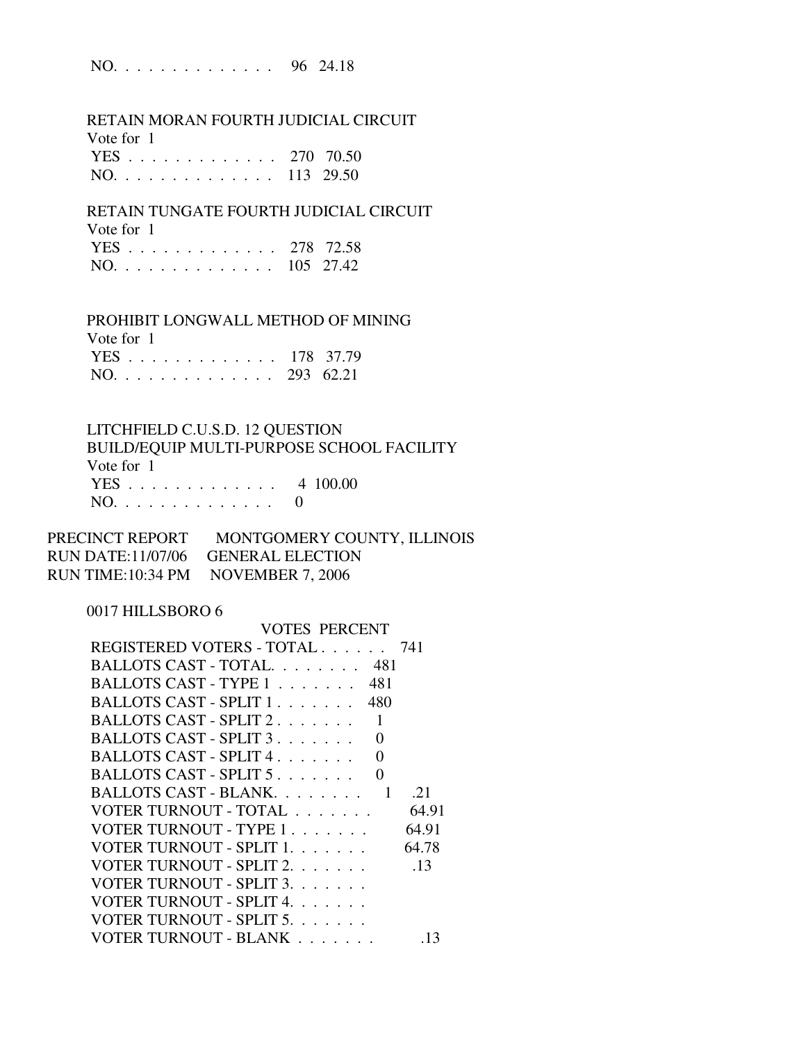# NO. . . . . . . . . . . . . . 96 24.18

#### RETAIN MORAN FOURTH JUDICIAL CIRCUIT

Vote for 1

|  |  |  |  |  |  |  | YES 270 70.50 |
|--|--|--|--|--|--|--|---------------|
|  |  |  |  |  |  |  | NO. 113 29.50 |

# RETAIN TUNGATE FOURTH JUDICIAL CIRCUIT

| Vote for 1 |  |
|------------|--|
| <b>VEC</b> |  |

|  |  |  |  |  |  |  | YES 278 72.58 |
|--|--|--|--|--|--|--|---------------|
|  |  |  |  |  |  |  | NO. 105 27.42 |

# PROHIBIT LONGWALL METHOD OF MINING

| Vote for 1    |  |
|---------------|--|
| YES 178 37.79 |  |
| NO. 293 62.21 |  |

# LITCHFIELD C.U.S.D. 12 QUESTION

 BUILD/EQUIP MULTI-PURPOSE SCHOOL FACILITY Vote for 1 YES . . . . . . . . . . . . . 4 100.00 NO. . . . . . . . . . . . . . 0

| PRECINCT REPORT | MONTGOMERY COUNTY, ILLINOIS        |
|-----------------|------------------------------------|
|                 | RUN DATE:11/07/06 GENERAL ELECTION |
|                 | RUN TIME:10:34 PM NOVEMBER 7, 2006 |

# 0017 HILLSBORO 6

| VOTES PERCENT                               |       |
|---------------------------------------------|-------|
| REGISTERED VOTERS - TOTAL 741               |       |
| BALLOTS CAST - TOTAL 481                    |       |
| BALLOTS CAST - TYPE 1<br>- 481              |       |
| BALLOTS CAST - SPLIT 1.<br>480              |       |
| BALLOTS CAST - SPLIT 2.                     |       |
| BALLOTS CAST - SPLIT 3.<br>0                |       |
| BALLOTS CAST - SPLIT 4.                     |       |
| BALLOTS CAST - SPLIT 5<br>$\mathbf{\Omega}$ |       |
| BALLOTS CAST - BLANK.                       | .21   |
| VOTER TURNOUT - TOTAL                       | 64.91 |
| VOTER TURNOUT - TYPE 1                      | 64.91 |
| VOTER TURNOUT - SPLIT 1. 64.78              |       |
| VOTER TURNOUT - SPLIT 2.                    | .13   |
| VOTER TURNOUT - SPLIT 3.                    |       |
| VOTER TURNOUT - SPLIT 4.                    |       |
| VOTER TURNOUT - SPLIT 5.                    |       |
| VOTER TURNOUT - BLANK                       | .13   |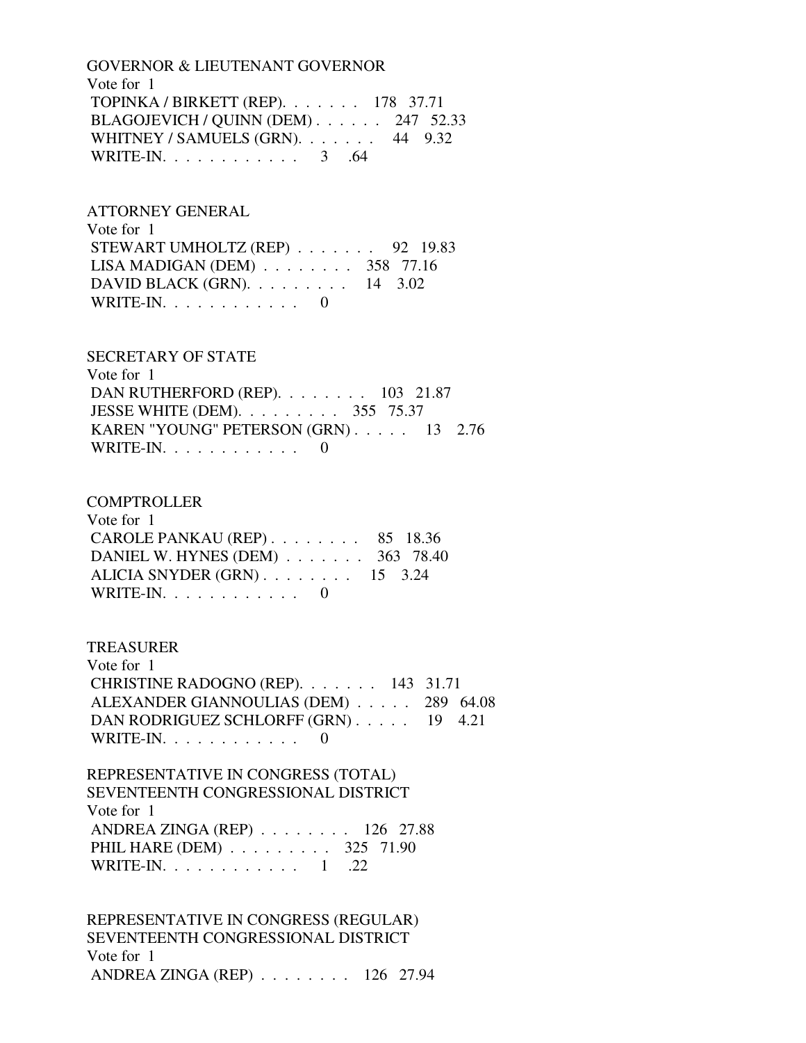GOVERNOR & LIEUTENANT GOVERNOR Vote for 1 TOPINKA / BIRKETT (REP). . . . . . . 178 37.71 BLAGOJEVICH / QUINN (DEM) . . . . . . 247 52.33 WHITNEY / SAMUELS (GRN). . . . . . . 44 9.32 WRITE-IN. . . . . . . . . . . . . 3 .64

ATTORNEY GENERAL

 Vote for 1 STEWART UMHOLTZ (REP) . . . . . . . 92 19.83 LISA MADIGAN (DEM) . . . . . . . . 358 77.16 DAVID BLACK (GRN). . . . . . . . . 14 3.02 WRITE-IN.  $\ldots$  . . . . . . . . 0

SECRETARY OF STATE

 Vote for 1 DAN RUTHERFORD (REP). . . . . . . . 103 21.87 JESSE WHITE (DEM). . . . . . . . . 355 75.37 KAREN "YOUNG" PETERSON (GRN) . . . . . 13 2.76 WRITE-IN.  $\ldots$  . . . . . . . . 0

**COMPTROLLER**  Vote for 1 CAROLE PANKAU (REP) . . . . . . . . 85 18.36 DANIEL W. HYNES (DEM) . . . . . . . 363 78.40 ALICIA SNYDER (GRN) . . . . . . . . 15 3.24 WRITE-IN. . . . . . . . . . . . 0

 TREASURER Vote for 1 CHRISTINE RADOGNO (REP). . . . . . . 143 31.71 ALEXANDER GIANNOULIAS (DEM) . . . . . 289 64.08 DAN RODRIGUEZ SCHLORFF (GRN) . . . . . 19 4.21 WRITE-IN. . . . . . . . . . . . 0

 REPRESENTATIVE IN CONGRESS (TOTAL) SEVENTEENTH CONGRESSIONAL DISTRICT Vote for 1 ANDREA ZINGA (REP) . . . . . . . . 126 27.88 PHIL HARE (DEM) . . . . . . . . . 325 71.90 WRITE-IN. . . . . . . . . . . . 1 .22

 REPRESENTATIVE IN CONGRESS (REGULAR) SEVENTEENTH CONGRESSIONAL DISTRICT Vote for 1 ANDREA ZINGA (REP) . . . . . . . . 126 27.94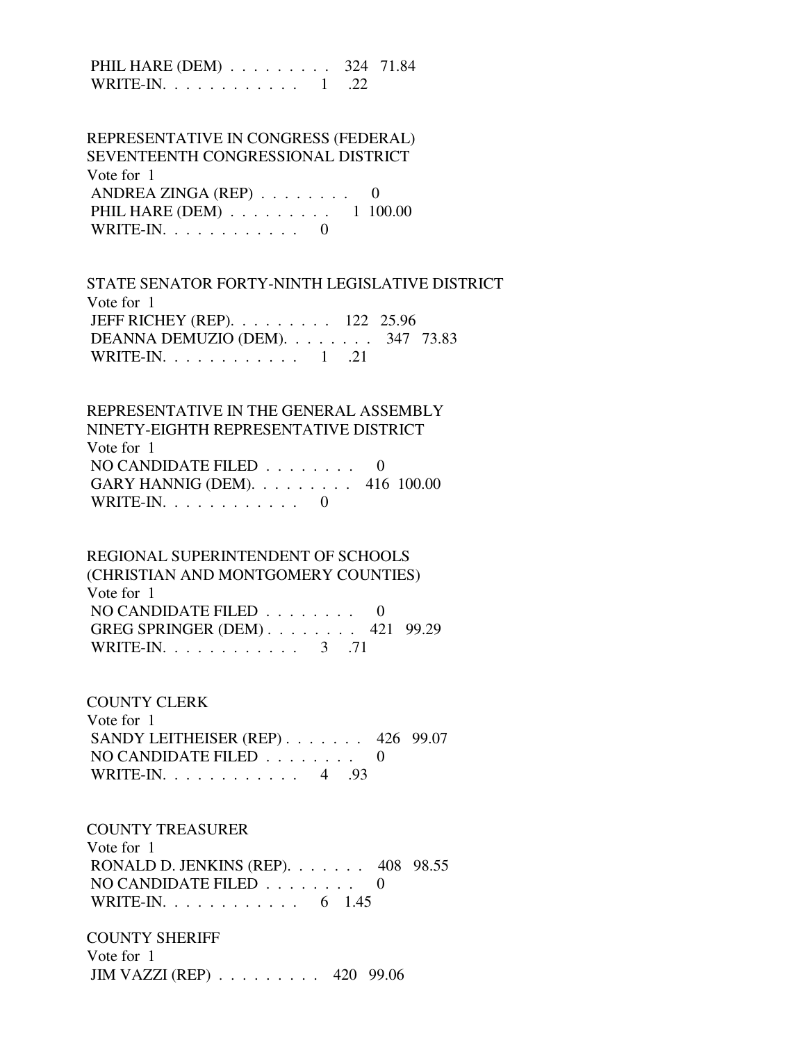PHIL HARE (DEM) . . . . . . . . . 324 71.84 WRITE-IN. . . . . . . . . . . . 1 .22

 REPRESENTATIVE IN CONGRESS (FEDERAL) SEVENTEENTH CONGRESSIONAL DISTRICT Vote for 1 ANDREA ZINGA (REP) . . . . . . . . 0 PHIL HARE (DEM) . . . . . . . . . 1 100.00 WRITE-IN. . . . . . . . . . . . 0

 STATE SENATOR FORTY-NINTH LEGISLATIVE DISTRICT Vote for 1 JEFF RICHEY (REP). . . . . . . . . 122 25.96 DEANNA DEMUZIO (DEM). . . . . . . . 347 73.83 WRITE-IN. . . . . . . . . . . . . 1 .21

 REPRESENTATIVE IN THE GENERAL ASSEMBLY NINETY-EIGHTH REPRESENTATIVE DISTRICT Vote for 1 NO CANDIDATE FILED . . . . . . . . 0 GARY HANNIG (DEM). . . . . . . . . 416 100.00 WRITE-IN.  $\ldots$  . . . . . . . . 0

 REGIONAL SUPERINTENDENT OF SCHOOLS (CHRISTIAN AND MONTGOMERY COUNTIES) Vote for 1 NO CANDIDATE FILED  $\ldots \ldots \ldots$  GREG SPRINGER (DEM) . . . . . . . . 421 99.29 WRITE-IN. . . . . . . . . . . . . 3 .71

COUNTY CLERK

 Vote for 1 SANDY LEITHEISER (REP) . . . . . . . 426 99.07 NO CANDIDATE FILED . . . . . . . . 0 WRITE-IN. . . . . . . . . . . . 4 .93

COUNTY TREASURER

 Vote for 1 RONALD D. JENKINS (REP). . . . . . . 408 98.55 NO CANDIDATE FILED . . . . . . . . 0 WRITE-IN. . . . . . . . . . . . . 6 1.45

 COUNTY SHERIFF Vote for 1 JIM VAZZI (REP) . . . . . . . . . 420 99.06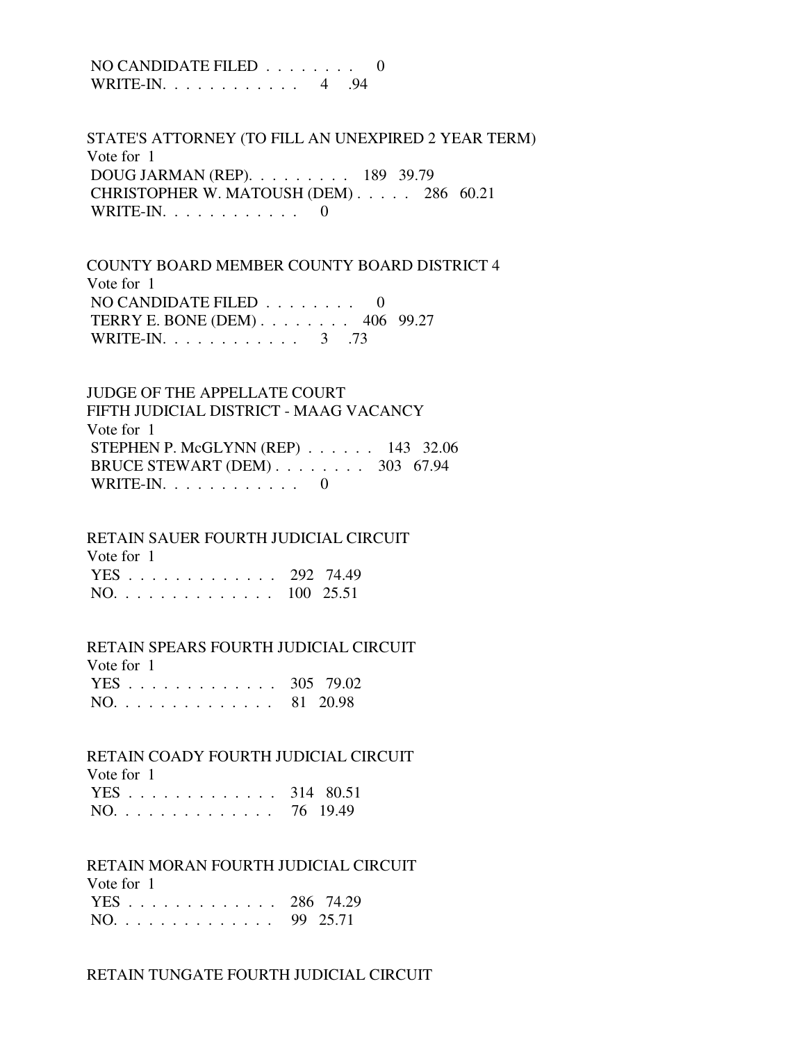#### NO CANDIDATE FILED . . . . . . . . 0 WRITE-IN. . . . . . . . . . . . 4 .94

# STATE'S ATTORNEY (TO FILL AN UNEXPIRED 2 YEAR TERM) Vote for 1 DOUG JARMAN (REP). . . . . . . . . 189 39.79 CHRISTOPHER W. MATOUSH (DEM) . . . . . 286 60.21 WRITE-IN.  $\ldots$  . . . . . . . . . 0

 COUNTY BOARD MEMBER COUNTY BOARD DISTRICT 4 Vote for 1 NO CANDIDATE FILED . . . . . . . . 0 TERRY E. BONE (DEM) . . . . . . . . 406 99.27 WRITE-IN. . . . . . . . . . . . . 3 .73

# JUDGE OF THE APPELLATE COURT FIFTH JUDICIAL DISTRICT - MAAG VACANCY Vote for 1 STEPHEN P. McGLYNN (REP) . . . . . . 143 32.06 BRUCE STEWART (DEM) . . . . . . . . 303 67.94 WRITE-IN.  $\ldots$  . . . . . . . . . 0

#### RETAIN SAUER FOURTH JUDICIAL CIRCUIT

| Vote for 1    |  |
|---------------|--|
| YES 292 74.49 |  |
| NO. 100 25.51 |  |

#### RETAIN SPEARS FOURTH JUDICIAL CIRCUIT

| Vote for 1    |  |
|---------------|--|
| YES 305 79.02 |  |
| NO. 81 20.98  |  |

#### RETAIN COADY FOURTH JUDICIAL CIRCUIT

| Vote for 1    |  |
|---------------|--|
| YES 314 80.51 |  |
| NO. 76 19.49  |  |

#### RETAIN MORAN FOURTH JUDICIAL CIRCUIT

| Vote for 1    |  |
|---------------|--|
| YES 286 74.29 |  |
| NO. 99 25.71  |  |

#### RETAIN TUNGATE FOURTH JUDICIAL CIRCUIT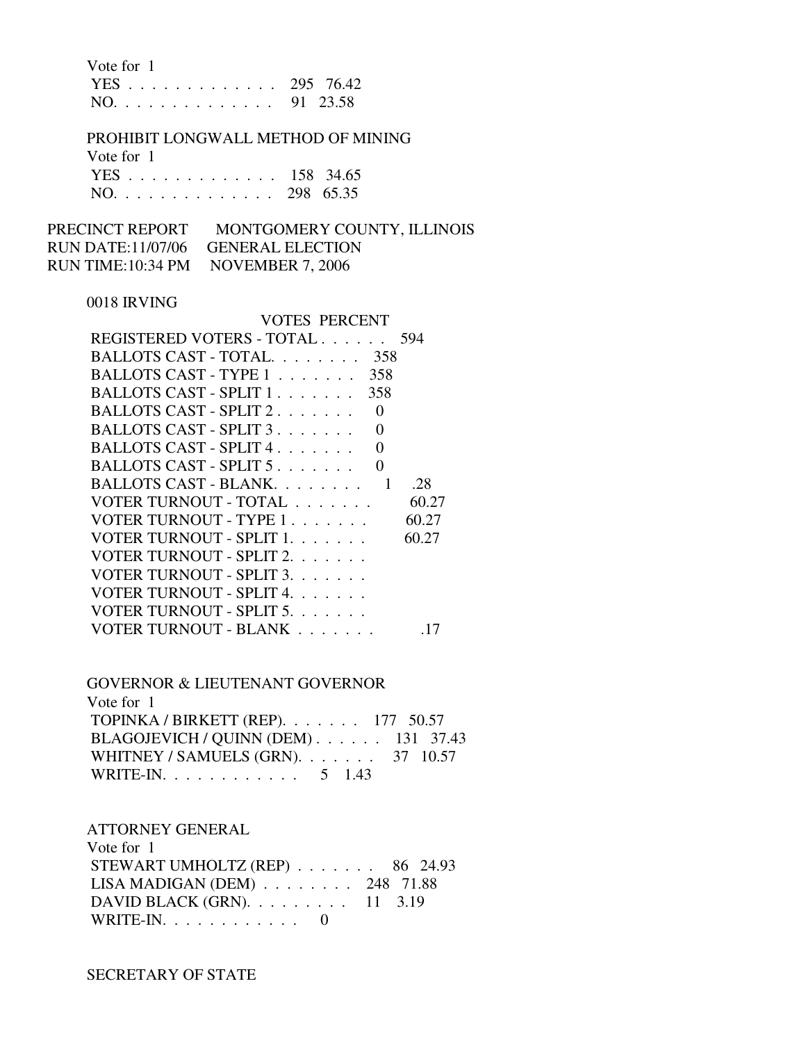| Vote for 1    |  |
|---------------|--|
| YES 295 76.42 |  |
| NO. 91 23.58  |  |

### PROHIBIT LONGWALL METHOD OF MINING

Vote for 1

|  |  |  |  |  |  |  | YES 158 34.65 |
|--|--|--|--|--|--|--|---------------|
|  |  |  |  |  |  |  | NO. 298 65.35 |

#### PRECINCT REPORT MONTGOMERY COUNTY, ILLINOIS RUN DATE:11/07/06 GENERAL ELECTION RUN TIME:10:34 PM NOVEMBER 7, 2006

#### 0018 IRVING

| <b>VOTES PERCENT</b>                                          |       |
|---------------------------------------------------------------|-------|
| REGISTERED VOTERS - TOTAL                                     | 594   |
| BALLOTS CAST - TOTAL.<br>-358                                 |       |
| BALLOTS CAST - TYPE 1<br>358                                  |       |
| BALLOTS CAST - SPLIT 1<br>358                                 |       |
| BALLOTS CAST - SPLIT 2<br>$\mathbf{\Omega}$                   |       |
| BALLOTS CAST - SPLIT $3, \ldots, \ldots$<br>$\mathbf{\Omega}$ |       |
| BALLOTS CAST - SPLIT $4, \ldots, \ldots$<br>$\mathbf{\Omega}$ |       |
| BALLOTS CAST - SPLIT $5, \ldots, \ldots$<br>0                 |       |
| BALLOTS CAST - BLANK.                                         | .28   |
| VOTER TURNOUT - TOTAL                                         | 60.27 |
| VOTER TURNOUT - TYPE 1                                        | 60.27 |
| VOTER TURNOUT - SPLIT 1.                                      | 60.27 |
| VOTER TURNOUT - SPLIT 2.                                      |       |
| VOTER TURNOUT - SPLIT 3.                                      |       |
| VOTER TURNOUT - SPLIT 4.                                      |       |
| VOTER TURNOUT - SPLIT 5.                                      |       |
| VOTER TURNOUT - BLANK                                         |       |

# GOVERNOR & LIEUTENANT GOVERNOR Vote for 1 TOPINKA / BIRKETT (REP). . . . . . . 177 50.57 BLAGOJEVICH / QUINN (DEM) . . . . . . 131 37.43 WHITNEY / SAMUELS (GRN). . . . . . . . 37 10.57 WRITE-IN. . . . . . . . . . . . . 5 1.43

 ATTORNEY GENERAL Vote for  $1$ 

| VUUCIVIII                                           |  |
|-----------------------------------------------------|--|
| STEWART UMHOLTZ (REP) $\ldots$ 86 24.93             |  |
| LISA MADIGAN (DEM) $\ldots \ldots \ldots$ 248 71.88 |  |
| DAVID BLACK (GRN). $\ldots$ 11 3.19                 |  |
| WRITE-IN. $\ldots$ 0                                |  |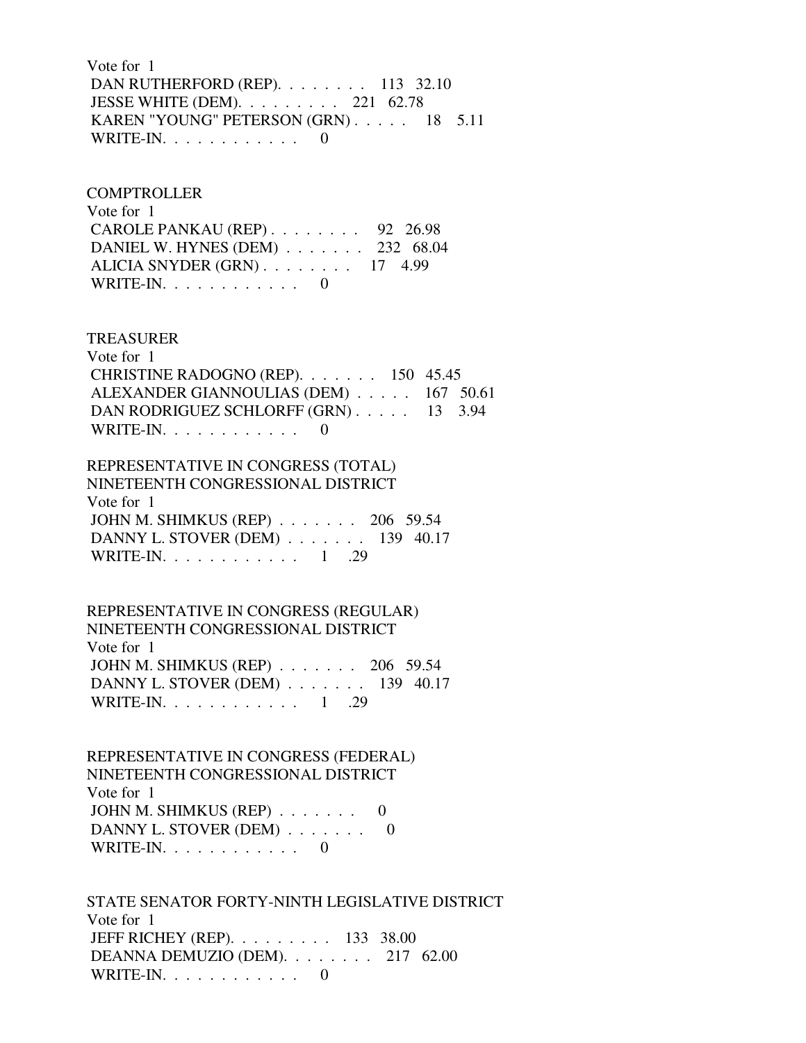Vote for 1 DAN RUTHERFORD (REP). . . . . . . . 113 32.10 JESSE WHITE (DEM). . . . . . . . . 221 62.78 KAREN "YOUNG" PETERSON (GRN) . . . . . 18 5.11 WRITE-IN.  $\ldots$  . . . . . . . . . 0

**COMPTROLLER**  Vote for 1 CAROLE PANKAU (REP) . . . . . . . . 92 26.98 DANIEL W. HYNES (DEM) . . . . . . . 232 68.04 ALICIA SNYDER (GRN) . . . . . . . . 17 4.99 WRITE-IN.  $\ldots$  . . . . . . . . 0

#### TREASURER

 Vote for 1 CHRISTINE RADOGNO (REP). . . . . . . 150 45.45 ALEXANDER GIANNOULIAS (DEM) . . . . . 167 50.61 DAN RODRIGUEZ SCHLORFF (GRN) . . . . . 13 3.94 WRITE-IN.  $\ldots$  . . . . . . . . . 0

 REPRESENTATIVE IN CONGRESS (TOTAL) NINETEENTH CONGRESSIONAL DISTRICT Vote for 1 JOHN M. SHIMKUS (REP) . . . . . . . 206 59.54 DANNY L. STOVER (DEM) . . . . . . . 139 40.17 WRITE-IN. . . . . . . . . . . . . 1 .29

 REPRESENTATIVE IN CONGRESS (REGULAR) NINETEENTH CONGRESSIONAL DISTRICT Vote for 1 JOHN M. SHIMKUS (REP) . . . . . . . 206 59.54 DANNY L. STOVER (DEM) . . . . . . . 139 40.17 WRITE-IN. . . . . . . . . . . . . 1 .29

 REPRESENTATIVE IN CONGRESS (FEDERAL) NINETEENTH CONGRESSIONAL DISTRICT Vote for 1 JOHN M. SHIMKUS (REP)  $\ldots \ldots \ldots$  0 DANNY L. STOVER (DEM) . . . . . . . 0 WRITE-IN. . . . . . . . . . . . 0

 STATE SENATOR FORTY-NINTH LEGISLATIVE DISTRICT Vote for 1 JEFF RICHEY (REP). . . . . . . . . 133 38.00 DEANNA DEMUZIO (DEM). . . . . . . . 217 62.00 WRITE-IN. . . . . . . . . . . . 0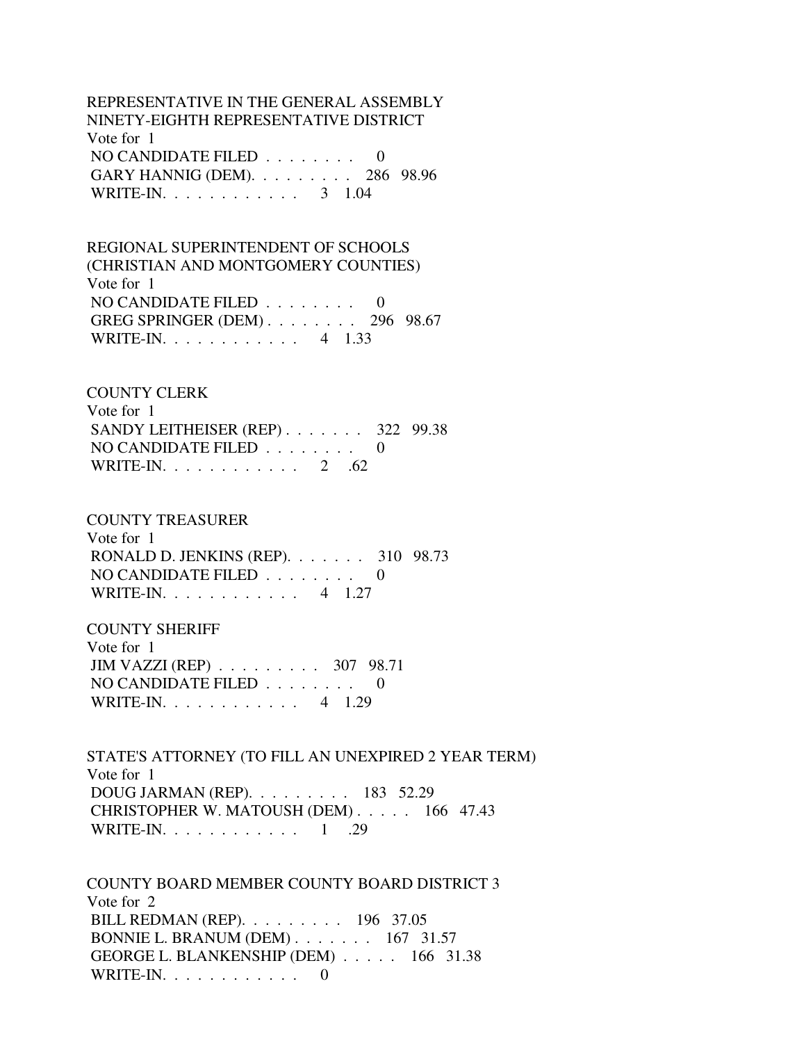REPRESENTATIVE IN THE GENERAL ASSEMBLY NINETY-EIGHTH REPRESENTATIVE DISTRICT Vote for 1 NO CANDIDATE FILED  $\ldots \ldots \ldots$  GARY HANNIG (DEM). . . . . . . . . 286 98.96 WRITE-IN. . . . . . . . . . . . . 3 1.04

 REGIONAL SUPERINTENDENT OF SCHOOLS (CHRISTIAN AND MONTGOMERY COUNTIES) Vote for 1 NO CANDIDATE FILED  $\ldots \ldots \ldots$  GREG SPRINGER (DEM) . . . . . . . . 296 98.67 WRITE-IN. . . . . . . . . . . . 4 1.33

#### COUNTY CLERK

 Vote for 1 SANDY LEITHEISER (REP) . . . . . . . 322 99.38 NO CANDIDATE FILED . . . . . . . . 0 WRITE-IN. . . . . . . . . . . . . 2 .62

#### COUNTY TREASURER

 Vote for 1 RONALD D. JENKINS (REP). . . . . . . 310 98.73 NO CANDIDATE FILED . . . . . . . . 0 WRITE-IN. . . . . . . . . . . . 4 1.27

#### COUNTY SHERIFF

 Vote for 1 JIM VAZZI (REP) . . . . . . . . . 307 98.71 NO CANDIDATE FILED . . . . . . . . 0 WRITE-IN. . . . . . . . . . . . . 4 1.29

 STATE'S ATTORNEY (TO FILL AN UNEXPIRED 2 YEAR TERM) Vote for 1 DOUG JARMAN (REP). . . . . . . . . 183 52.29 CHRISTOPHER W. MATOUSH (DEM) . . . . . 166 47.43 WRITE-IN. . . . . . . . . . . . . 1 .29

 COUNTY BOARD MEMBER COUNTY BOARD DISTRICT 3 Vote for 2 BILL REDMAN (REP). . . . . . . . . 196 37.05 BONNIE L. BRANUM (DEM) . . . . . . . 167 31.57 GEORGE L. BLANKENSHIP (DEM) . . . . . 166 31.38 WRITE-IN. . . . . . . . . . . . 0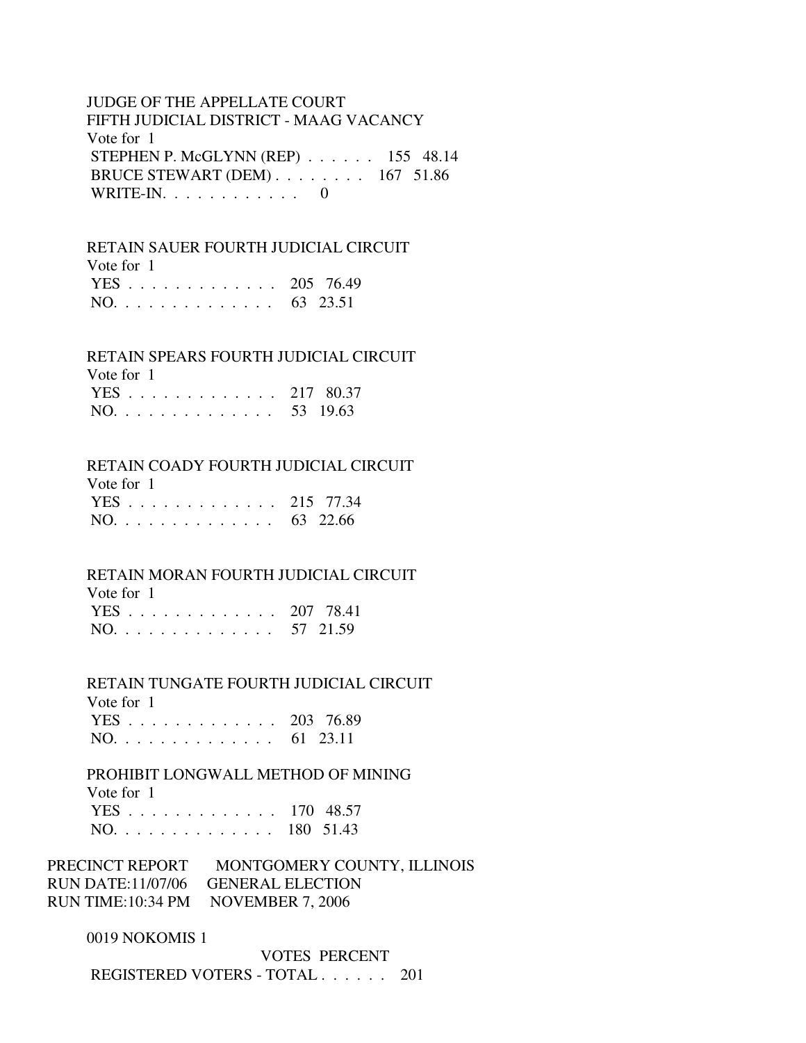# JUDGE OF THE APPELLATE COURT FIFTH JUDICIAL DISTRICT - MAAG VACANCY Vote for 1 STEPHEN P. McGLYNN (REP) . . . . . . 155 48.14 BRUCE STEWART (DEM) . . . . . . . . 167 51.86 WRITE-IN.  $\ldots$  . . . . . . . . . 0

#### RETAIN SAUER FOURTH JUDICIAL CIRCUIT

Vote for 1

|  |  |  |  |  |  |  | YES 205 76.49 |
|--|--|--|--|--|--|--|---------------|
|  |  |  |  |  |  |  | NO. 63 23.51  |

#### RETAIN SPEARS FOURTH JUDICIAL CIRCUIT

| Vote for 1    |  |
|---------------|--|
| YES 217 80.37 |  |
| NO. 53 19.63  |  |

# RETAIN COADY FOURTH JUDICIAL CIRCUIT

Vote for 1

| VULC IUI I |               |          |
|------------|---------------|----------|
|            | YES 215 77.34 |          |
|            |               | -- -- -- |

| $NO.$ |  |  |  |  |  |  |  |  |  |  |  |  |  |  | 63 22.66 |
|-------|--|--|--|--|--|--|--|--|--|--|--|--|--|--|----------|
|-------|--|--|--|--|--|--|--|--|--|--|--|--|--|--|----------|

#### RETAIN MORAN FOURTH JUDICIAL CIRCUIT

 Vote for 1 YES . . . . . . . . . . . . . 207 78.41 NO. . . . . . . . . . . . . . 57 21.59

## RETAIN TUNGATE FOURTH JUDICIAL CIRCUIT

Vote for 1

|  |  |  |  |  |  |  | YES 203 76.89 |
|--|--|--|--|--|--|--|---------------|
|  |  |  |  |  |  |  | NO. 61 23.11  |

# PROHIBIT LONGWALL METHOD OF MINING

 Vote for 1 YES . . . . . . . . . . . . . 170 48.57 NO. . . . . . . . . . . . . . 180 51.43

| PRECINCT REPORT | MONTGOMERY COUNTY, ILLINOIS        |
|-----------------|------------------------------------|
|                 | RUN DATE:11/07/06 GENERAL ELECTION |
|                 | RUN TIME:10:34 PM NOVEMBER 7, 2006 |

#### 0019 NOKOMIS 1

 VOTES PERCENT REGISTERED VOTERS - TOTAL . . . . . . 201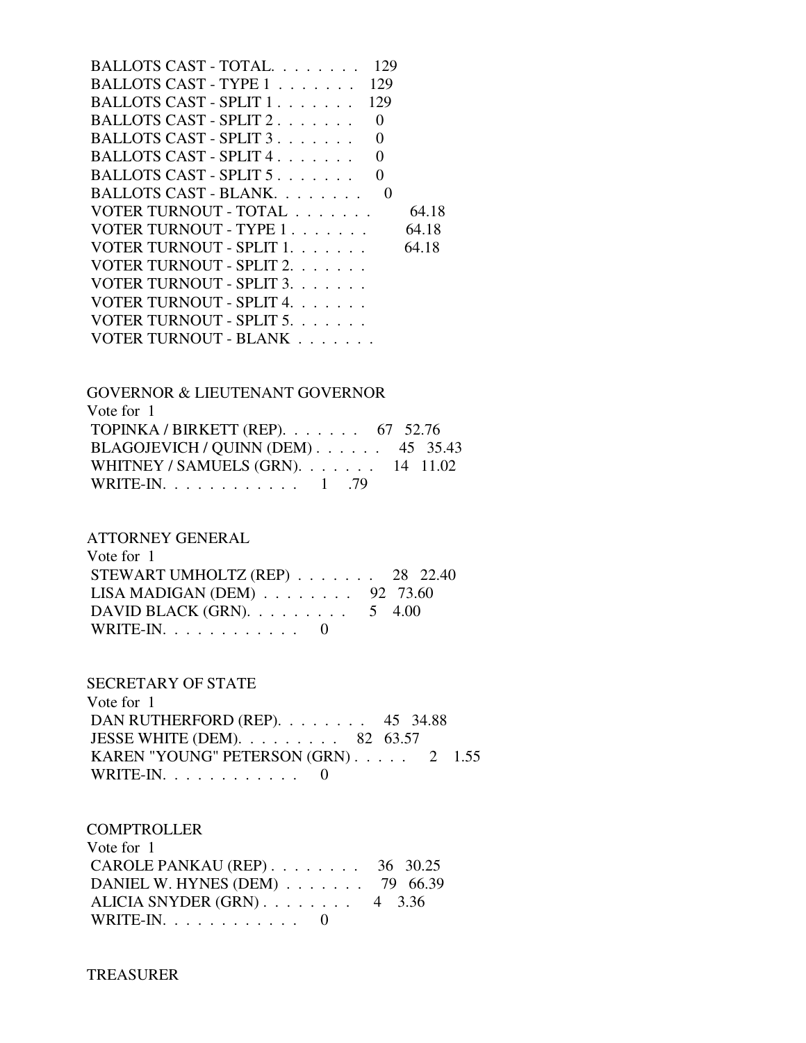| BALLOTS CAST - TOTAL<br>129                |       |
|--------------------------------------------|-------|
| 129<br>BALLOTS CAST - TYPE 1               |       |
| BALLOTS CAST - SPLIT 1<br>129              |       |
| BALLOTS CAST - SPLIT 2.<br>0               |       |
| BALLOTS CAST - SPLIT 3.<br>0               |       |
| BALLOTS CAST - SPLIT 4.<br>0               |       |
| BALLOTS CAST - SPLIT 5.<br>0               |       |
| BALLOTS CAST - BLANK.<br>$\mathbf{\Omega}$ |       |
| VOTER TURNOUT - TOTAL                      | 64.18 |
| VOTER TURNOUT - TYPE 1                     | 64.18 |
| VOTER TURNOUT - SPLIT 1.                   | 64.18 |
| VOTER TURNOUT - SPLIT 2.                   |       |
| VOTER TURNOUT - SPLIT 3.                   |       |
| VOTER TURNOUT - SPLIT 4.                   |       |
| VOTER TURNOUT - SPLIT 5.                   |       |
| VOTER TURNOUT - BLANK                      |       |

| <b>GOVERNOR &amp; LIEUTENANT GOVERNOR</b>  |  |
|--------------------------------------------|--|
| Vote for 1                                 |  |
| TOPINKA / BIRKETT (REP). $\ldots$ 67 52.76 |  |
| BLAGOJEVICH / QUINN (DEM) 45 35.43         |  |
| WHITNEY / SAMUELS (GRN). 14 11.02          |  |
| WRITE-IN. 1 .79                            |  |

# ATTORNEY GENERAL

| Vote for 1                                         |  |
|----------------------------------------------------|--|
| STEWART UMHOLTZ (REP) 28 22.40                     |  |
| LISA MADIGAN (DEM) $\ldots \ldots \ldots$ 92 73.60 |  |
| DAVID BLACK (GRN). $\ldots$ 5 4.00                 |  |
| WRITE-IN. $\ldots$ 0                               |  |

# SECRETARY OF STATE

 Vote for 1 DAN RUTHERFORD (REP). . . . . . . . 45 34.88 JESSE WHITE (DEM). . . . . . . . . 82 63.57 KAREN "YOUNG" PETERSON (GRN) . . . . . 2 1.55 WRITE-IN.  $\ldots \ldots \ldots \ldots 0$ 

#### **COMPTROLLER**

| Vote for 1                                              |  |
|---------------------------------------------------------|--|
| CAROLE PANKAU (REP) $\ldots$ $\ldots$ $\ldots$ 36 30.25 |  |
| DANIEL W. HYNES (DEM) $\ldots$ 79 66.39                 |  |
| ALICIA SNYDER $(GRN)$ 4 3.36                            |  |
| WRITE-IN. $\ldots$ 0                                    |  |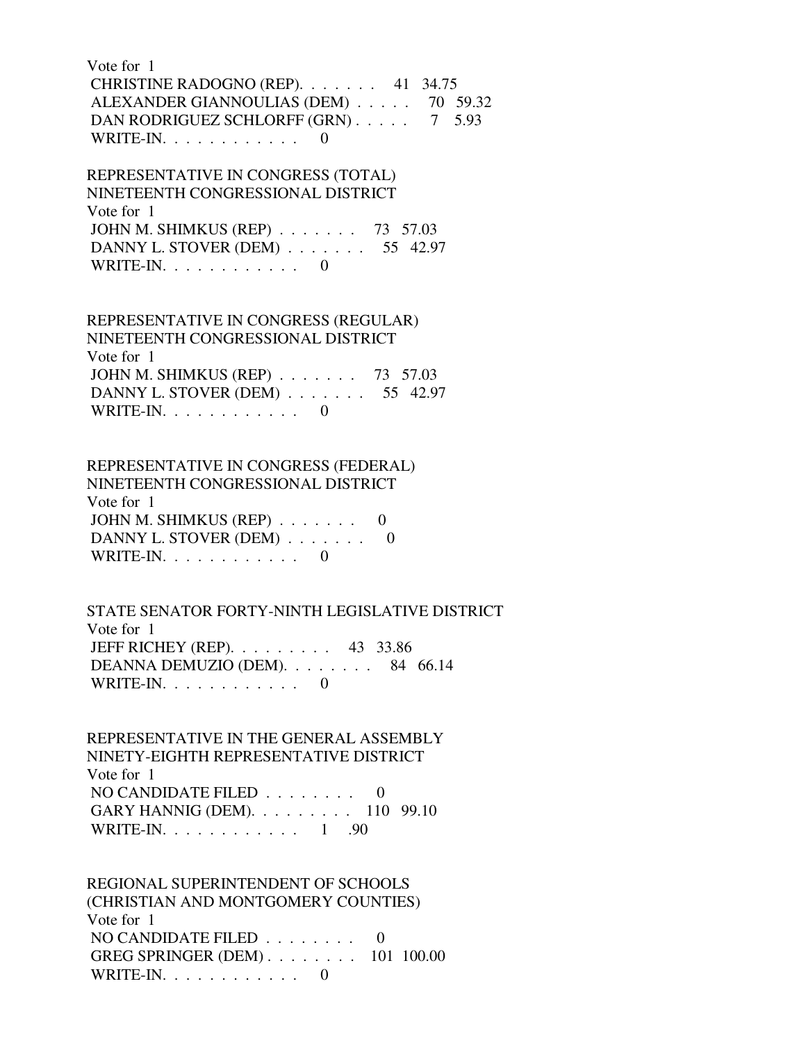Vote for 1 CHRISTINE RADOGNO (REP). . . . . . . 41 34.75 ALEXANDER GIANNOULIAS (DEM) . . . . . 70 59.32 DAN RODRIGUEZ SCHLORFF (GRN) . . . . . 7 5.93 WRITE-IN.  $\ldots$  . . . . . . . . . 0

 REPRESENTATIVE IN CONGRESS (TOTAL) NINETEENTH CONGRESSIONAL DISTRICT Vote for 1 JOHN M. SHIMKUS (REP) . . . . . . . 73 57.03 DANNY L. STOVER (DEM) . . . . . . . 55 42.97 WRITE-IN. . . . . . . . . . . . 0

 REPRESENTATIVE IN CONGRESS (REGULAR) NINETEENTH CONGRESSIONAL DISTRICT Vote for 1 JOHN M. SHIMKUS (REP) . . . . . . . 73 57.03 DANNY L. STOVER (DEM) . . . . . . . 55 42.97 WRITE-IN.  $\ldots$  . . . . . . . . . 0

 REPRESENTATIVE IN CONGRESS (FEDERAL) NINETEENTH CONGRESSIONAL DISTRICT Vote for 1 JOHN M. SHIMKUS (REP)  $\ldots \ldots$  0 DANNY L. STOVER (DEM) . . . . . . . 0 WRITE-IN. . . . . . . . . . . . 0

 STATE SENATOR FORTY-NINTH LEGISLATIVE DISTRICT Vote for 1 JEFF RICHEY (REP). . . . . . . . . 43 33.86 DEANNA DEMUZIO (DEM). . . . . . . . 84 66.14 WRITE-IN.  $\ldots$  . . . . . . . . . 0

 REPRESENTATIVE IN THE GENERAL ASSEMBLY NINETY-EIGHTH REPRESENTATIVE DISTRICT Vote for 1 NO CANDIDATE FILED . . . . . . . . 0 GARY HANNIG (DEM). . . . . . . . . 110 99.10 WRITE-IN. . . . . . . . . . . . . 1 .90

 REGIONAL SUPERINTENDENT OF SCHOOLS (CHRISTIAN AND MONTGOMERY COUNTIES) Vote for 1 NO CANDIDATE FILED  $\ldots \ldots \ldots$  GREG SPRINGER (DEM) . . . . . . . . 101 100.00 WRITE-IN. . . . . . . . . . . . 0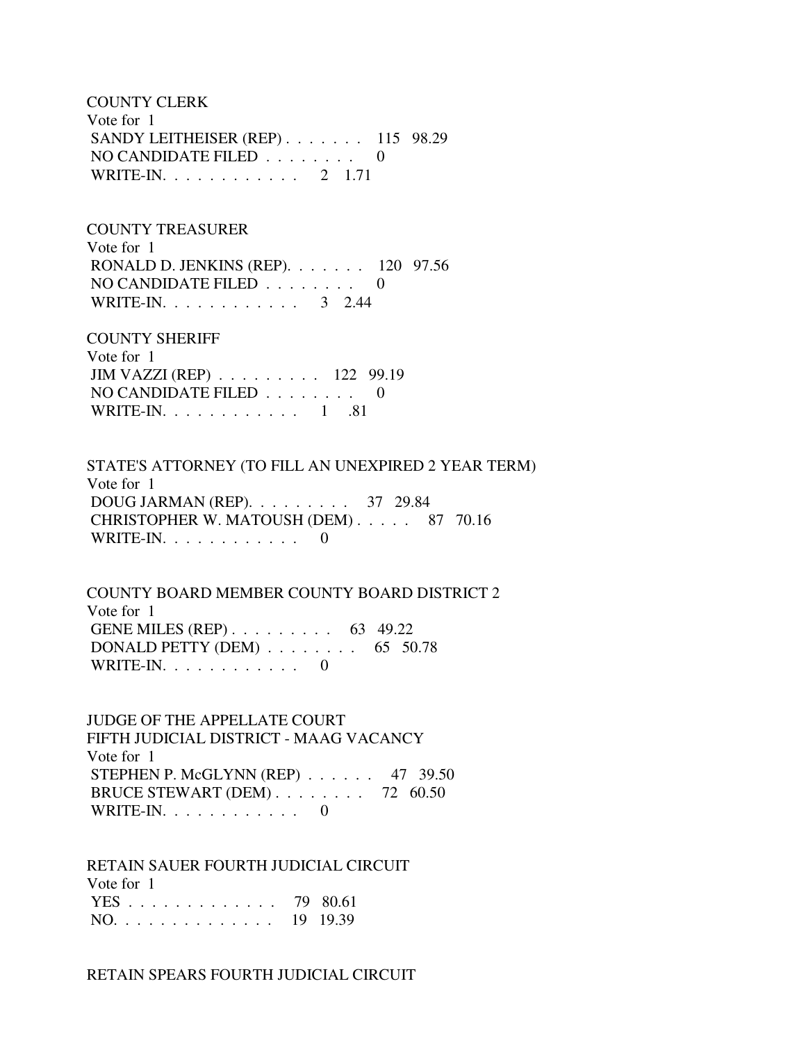COUNTY CLERK Vote for 1 SANDY LEITHEISER (REP) . . . . . . . 115 98.29 NO CANDIDATE FILED . . . . . . . . 0 WRITE-IN. . . . . . . . . . . . 2 1.71

 COUNTY TREASURER Vote for 1

 RONALD D. JENKINS (REP). . . . . . . 120 97.56 NO CANDIDATE FILED  $\ldots \ldots \ldots$ WRITE-IN. . . . . . . . . . . . 3 2.44

 COUNTY SHERIFF Vote for 1 JIM VAZZI (REP) . . . . . . . . . 122 99.19 NO CANDIDATE FILED  $\ldots \ldots \ldots$ WRITE-IN. . . . . . . . . . . . . 1 .81

 STATE'S ATTORNEY (TO FILL AN UNEXPIRED 2 YEAR TERM) Vote for 1 DOUG JARMAN (REP). . . . . . . . . 37 29.84 CHRISTOPHER W. MATOUSH (DEM) . . . . . 87 70.16 WRITE-IN. . . . . . . . . . . . 0

 COUNTY BOARD MEMBER COUNTY BOARD DISTRICT 2 Vote for 1 GENE MILES (REP) . . . . . . . . . . 63 49.22 DONALD PETTY (DEM) . . . . . . . . 65 50.78 WRITE-IN.  $\ldots$  . . . . . . . . . 0

 JUDGE OF THE APPELLATE COURT FIFTH JUDICIAL DISTRICT - MAAG VACANCY Vote for 1 STEPHEN P. McGLYNN (REP) . . . . . . 47 39.50 BRUCE STEWART (DEM) . . . . . . . . 72 60.50 WRITE-IN. . . . . . . . . . . . 0

 RETAIN SAUER FOURTH JUDICIAL CIRCUIT Vote for 1 YES . . . . . . . . . . . . . 79 80.61 NO. . . . . . . . . . . . . . 19 19.39

RETAIN SPEARS FOURTH JUDICIAL CIRCUIT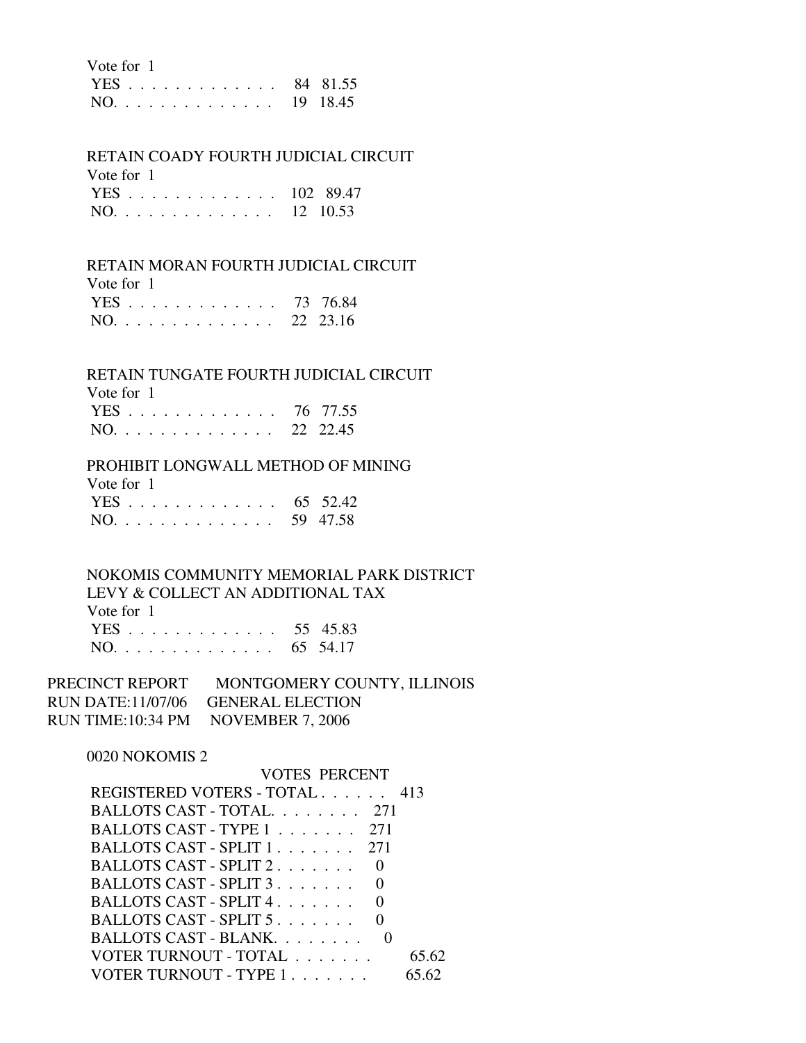| Vote for 1   |  |
|--------------|--|
| YES 84 81.55 |  |
| NO. 19 18.45 |  |

#### RETAIN COADY FOURTH JUDICIAL CIRCUIT

| Vote for 1    |  |
|---------------|--|
| YES 102 89.47 |  |
| NO. 12 10.53  |  |

### RETAIN MORAN FOURTH JUDICIAL CIRCUIT

| Vote for 1   |  |
|--------------|--|
| YES 73 76.84 |  |
| NO. 22 23.16 |  |

# RETAIN TUNGATE FOURTH JUDICIAL CIRCUIT

| Vote for 1   |  |
|--------------|--|
| YES 76 77.55 |  |
| NO. 22 22.45 |  |

# PROHIBIT LONGWALL METHOD OF MINING

Vote for 1

|  |  |  |  |  |  |  |  | YES 65 52.42 |
|--|--|--|--|--|--|--|--|--------------|
|  |  |  |  |  |  |  |  | NO. 59 47.58 |

# NOKOMIS COMMUNITY MEMORIAL PARK DISTRICT LEVY & COLLECT AN ADDITIONAL TAX Vote for 1

|  |  |  |  |  |  |  | YES 55 45.83 |
|--|--|--|--|--|--|--|--------------|
|  |  |  |  |  |  |  | NO. 65 54.17 |

| PRECINCT REPORT                    | MONTGOMERY COUNTY, ILLINOIS        |
|------------------------------------|------------------------------------|
|                                    | RUN DATE:11/07/06 GENERAL ELECTION |
| RUN TIME:10:34 PM NOVEMBER 7, 2006 |                                    |

#### 0020 NOKOMIS 2

| REGISTERED VOTERS - TOTAL 413 |
|-------------------------------|
|                               |
|                               |
|                               |
|                               |
|                               |
|                               |
|                               |
|                               |
| 65.62                         |
|                               |
|                               |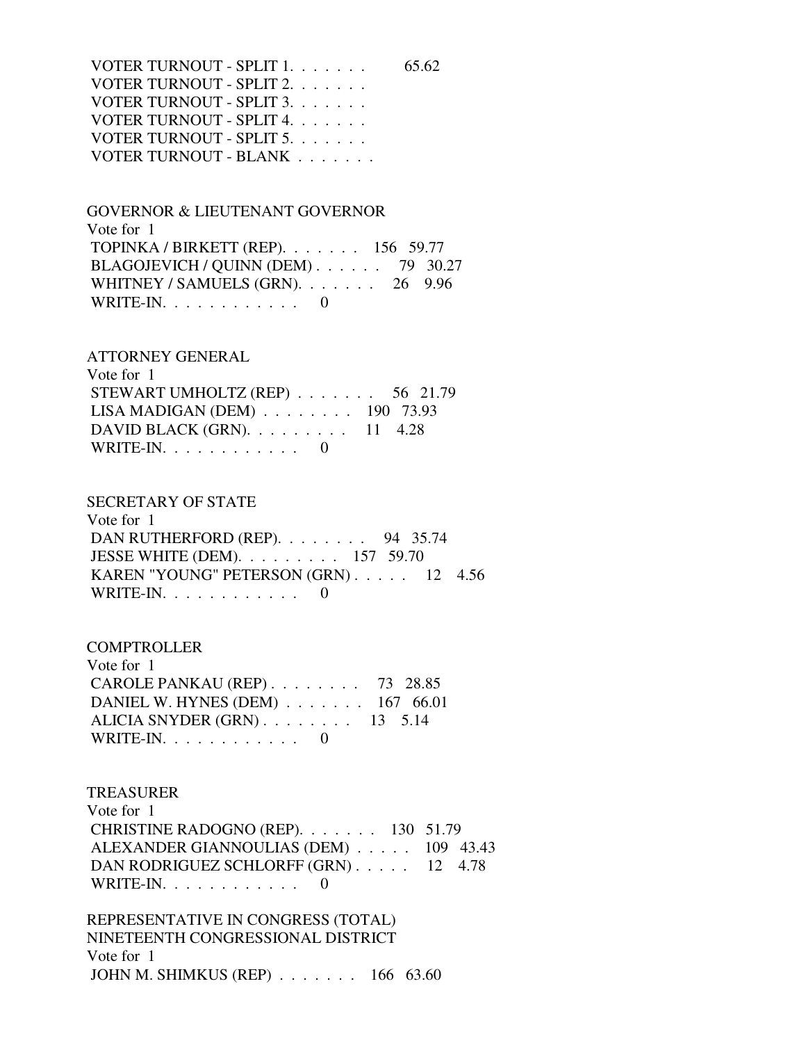VOTER TURNOUT - SPLIT 1. . . . . . . . 65.62 VOTER TURNOUT - SPLIT 2. . . . . . . VOTER TURNOUT - SPLIT 3. . . . . . . VOTER TURNOUT - SPLIT 4. . . . . . . VOTER TURNOUT - SPLIT 5. . . . . . . VOTER TURNOUT - BLANK . . . . . . .

 GOVERNOR & LIEUTENANT GOVERNOR Vote for 1 TOPINKA / BIRKETT (REP). . . . . . . 156 59.77 BLAGOJEVICH / QUINN (DEM) . . . . . . 79 30.27 WHITNEY / SAMUELS (GRN). . . . . . . 26 9.96 WRITE-IN.  $\ldots$  . . . . . . . . 0

#### ATTORNEY GENERAL

| Vote for 1                                            |  |  |
|-------------------------------------------------------|--|--|
| STEWART UMHOLTZ (REP) $\ldots \ldots \ldots$ 56 21.79 |  |  |
| LISA MADIGAN (DEM) $\ldots$ 190 73.93                 |  |  |
| DAVID BLACK (GRN). $\ldots \ldots \ldots 11$ 4.28     |  |  |
| WRITE-IN. $\ldots$ , 0                                |  |  |

#### SECRETARY OF STATE

 Vote for 1 DAN RUTHERFORD (REP). . . . . . . . 94 35.74 JESSE WHITE (DEM). . . . . . . . . 157 59.70 KAREN "YOUNG" PETERSON (GRN) . . . . . 12 4.56 WRITE-IN. . . . . . . . . . . . 0

#### **COMPTROLLER**

| Vote for $1$                                   |  |
|------------------------------------------------|--|
| CAROLE PANKAU (REP) $\ldots$ $\ldots$ 73 28.85 |  |
| DANIEL W. HYNES (DEM) 167 66.01                |  |
| ALICIA SNYDER $(GRN)$ 13 5.14                  |  |
| WRITE-IN. $\ldots$ 0                           |  |

## TREASURER

 Vote for 1 CHRISTINE RADOGNO (REP). . . . . . . 130 51.79 ALEXANDER GIANNOULIAS (DEM) . . . . . 109 43.43 DAN RODRIGUEZ SCHLORFF (GRN) . . . . . 12 4.78 WRITE-IN. . . . . . . . . . . . 0

 REPRESENTATIVE IN CONGRESS (TOTAL) NINETEENTH CONGRESSIONAL DISTRICT Vote for 1 JOHN M. SHIMKUS (REP) . . . . . . . 166 63.60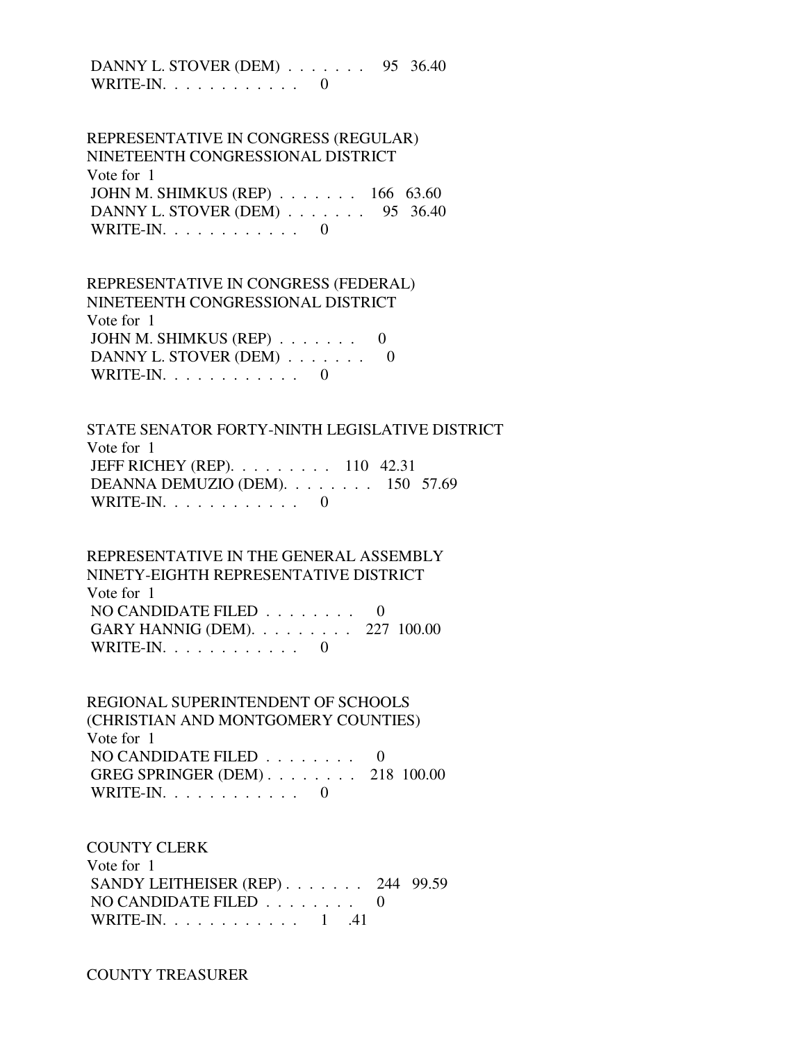## DANNY L. STOVER (DEM) . . . . . . . 95 36.40 WRITE-IN. . . . . . . . . . . . 0

## REPRESENTATIVE IN CONGRESS (REGULAR) NINETEENTH CONGRESSIONAL DISTRICT Vote for 1 JOHN M. SHIMKUS (REP) . . . . . . . 166 63.60 DANNY L. STOVER (DEM) . . . . . . . 95 36.40 WRITE-IN. . . . . . . . . . . . 0

 REPRESENTATIVE IN CONGRESS (FEDERAL) NINETEENTH CONGRESSIONAL DISTRICT Vote for 1 JOHN M. SHIMKUS (REP)  $\ldots \ldots$  0 DANNY L. STOVER (DEM) . . . . . . . 0 WRITE-IN.  $\ldots$  . . . . . . . . . 0

 STATE SENATOR FORTY-NINTH LEGISLATIVE DISTRICT Vote for 1 JEFF RICHEY (REP). . . . . . . . . 110 42.31 DEANNA DEMUZIO (DEM). . . . . . . . 150 57.69 WRITE-IN.  $\ldots$  . . . . . . . . . 0

 REPRESENTATIVE IN THE GENERAL ASSEMBLY NINETY-EIGHTH REPRESENTATIVE DISTRICT Vote for 1 NO CANDIDATE FILED  $\ldots \ldots \ldots$  GARY HANNIG (DEM). . . . . . . . . 227 100.00 WRITE-IN.  $\ldots$  . . . . . . . . . 0

 REGIONAL SUPERINTENDENT OF SCHOOLS (CHRISTIAN AND MONTGOMERY COUNTIES) Vote for 1 NO CANDIDATE FILED  $\ldots \ldots \ldots$  GREG SPRINGER (DEM) . . . . . . . . 218 100.00 WRITE-IN. . . . . . . . . . . . 0

 COUNTY CLERK Vote for 1 SANDY LEITHEISER (REP) . . . . . . . 244 99.59 NO CANDIDATE FILED . . . . . . . . 0 WRITE-IN. . . . . . . . . . . . 1 .41

COUNTY TREASURER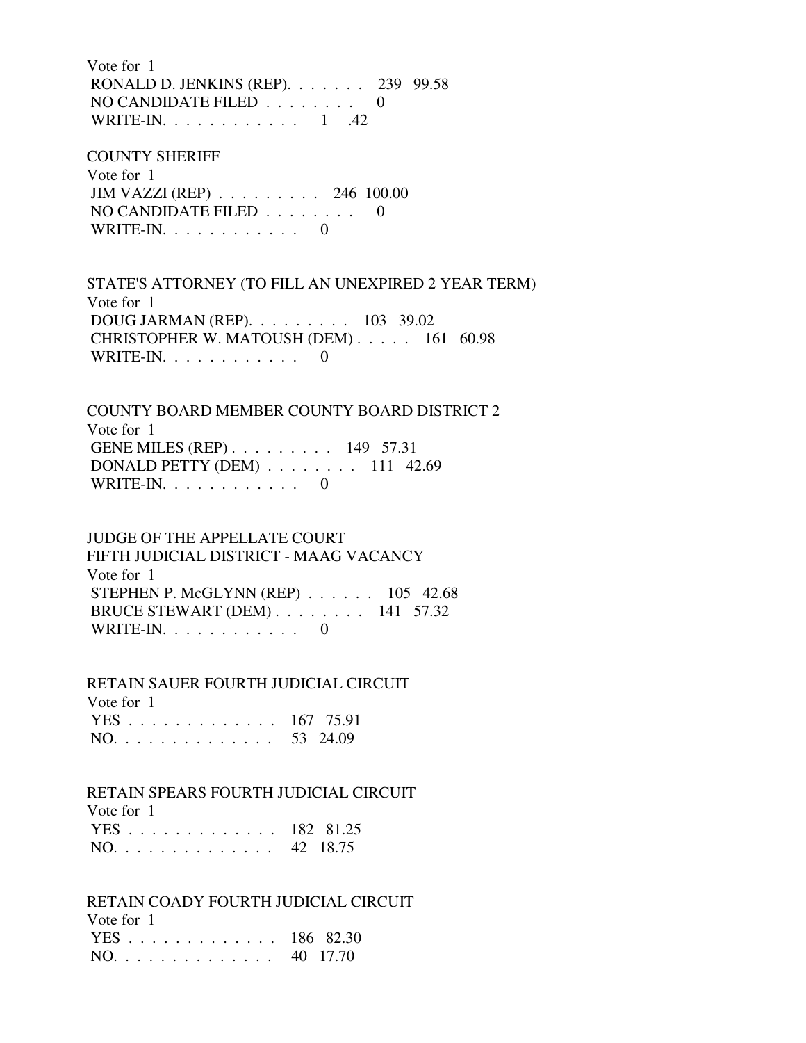Vote for 1 RONALD D. JENKINS (REP). . . . . . . 239 99.58 NO CANDIDATE FILED . . . . . . . . 0 WRITE-IN. . . . . . . . . . . . 1 .42

 COUNTY SHERIFF Vote for 1 JIM VAZZI (REP) . . . . . . . . . 246 100.00 NO CANDIDATE FILED . . . . . . . . 0 WRITE-IN.  $\ldots \ldots \ldots \ldots 0$ 

 STATE'S ATTORNEY (TO FILL AN UNEXPIRED 2 YEAR TERM) Vote for 1 DOUG JARMAN (REP). . . . . . . . . 103 39.02 CHRISTOPHER W. MATOUSH (DEM) . . . . . 161 60.98 WRITE-IN.  $\ldots$  . . . . . . . . . 0

 COUNTY BOARD MEMBER COUNTY BOARD DISTRICT 2 Vote for 1 GENE MILES (REP) . . . . . . . . . 149 57.31 DONALD PETTY (DEM) . . . . . . . . 111 42.69 WRITE-IN.  $\ldots$  . . . . . . . . . 0

 JUDGE OF THE APPELLATE COURT FIFTH JUDICIAL DISTRICT - MAAG VACANCY Vote for 1 STEPHEN P. McGLYNN (REP) . . . . . . 105 42.68 BRUCE STEWART (DEM) . . . . . . . . 141 57.32 WRITE-IN. . . . . . . . . . . . 0

 RETAIN SAUER FOURTH JUDICIAL CIRCUIT Vote for 1 YES . . . . . . . . . . . . . 167 75.91 NO. . . . . . . . . . . . . . 53 24.09

## RETAIN SPEARS FOURTH JUDICIAL CIRCUIT

 Vote for 1 YES . . . . . . . . . . . . . 182 81.25 NO. . . . . . . . . . . . . . 42 18.75

RETAIN COADY FOURTH JUDICIAL CIRCUIT

| Vote for 1    |  |
|---------------|--|
| YES 186 82.30 |  |
| NO. 40 17.70  |  |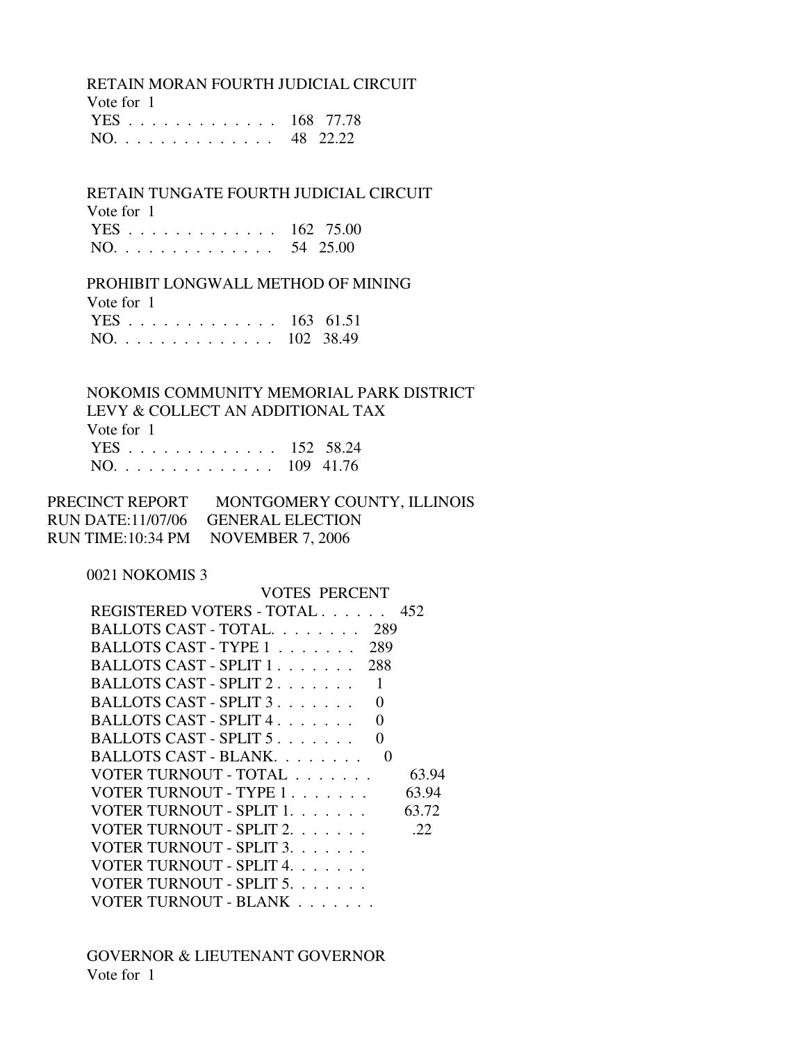RETAIN MORAN FOURTH JUDICIAL CIRCUIT

 Vote for 1 YES . . . . . . . . . . . . . 168 77.78 NO. . . . . . . . . . . . . . 48 22.22

 RETAIN TUNGATE FOURTH JUDICIAL CIRCUIT Vote for 1 YES . . . . . . . . . . . . . 162 75.00 NO. . . . . . . . . . . . . . 54 25.00

PROHIBIT LONGWALL METHOD OF MINING

Vote for 1

|  |  |  |  |  |  |  | YES 163 61.51 |
|--|--|--|--|--|--|--|---------------|
|  |  |  |  |  |  |  | NO. 102 38.49 |

## NOKOMIS COMMUNITY MEMORIAL PARK DISTRICT LEVY & COLLECT AN ADDITIONAL TAX Vote for 1 YES . . . . . . . . . . . . . 152 58.24

|  |  |  |  |  |  |  |  | NO. 109 41.76 |
|--|--|--|--|--|--|--|--|---------------|

| PRECINCT REPORT                    | MONTGOMERY COUNTY, ILLINOIS        |
|------------------------------------|------------------------------------|
|                                    | RUN DATE:11/07/06 GENERAL ELECTION |
| RUN TIME:10:34 PM NOVEMBER 7, 2006 |                                    |

0021 NOKOMIS 3

| VOTES PERCENT                                 |       |
|-----------------------------------------------|-------|
| REGISTERED VOTERS - TOTAL                     | 452   |
| BALLOTS CAST - TOTAL.<br>- 289                |       |
| BALLOTS CAST - TYPE 1<br>289                  |       |
| BALLOTS CAST - SPLIT 1<br>288                 |       |
| BALLOTS CAST - SPLIT 2.                       |       |
| BALLOTS CAST - SPLIT 3<br>0                   |       |
| BALLOTS CAST - SPLIT $4, \ldots, \ldots$<br>∩ |       |
| BALLOTS CAST - SPLIT 5.<br>$\mathbf{\Omega}$  |       |
| BALLOTS CAST - BLANK.<br>$\mathbf{0}$         |       |
| VOTER TURNOUT - TOTAL                         | 63.94 |
| VOTER TURNOUT - TYPE 1                        | 63.94 |
| VOTER TURNOUT - SPLIT 1.                      | 63.72 |
| VOTER TURNOUT - SPLIT 2.                      | .22   |
| VOTER TURNOUT - SPLIT 3.                      |       |
| VOTER TURNOUT - SPLIT 4.                      |       |
| VOTER TURNOUT - SPLIT 5.                      |       |
| VOTER TURNOUT - BLANK                         |       |

 GOVERNOR & LIEUTENANT GOVERNOR Vote for 1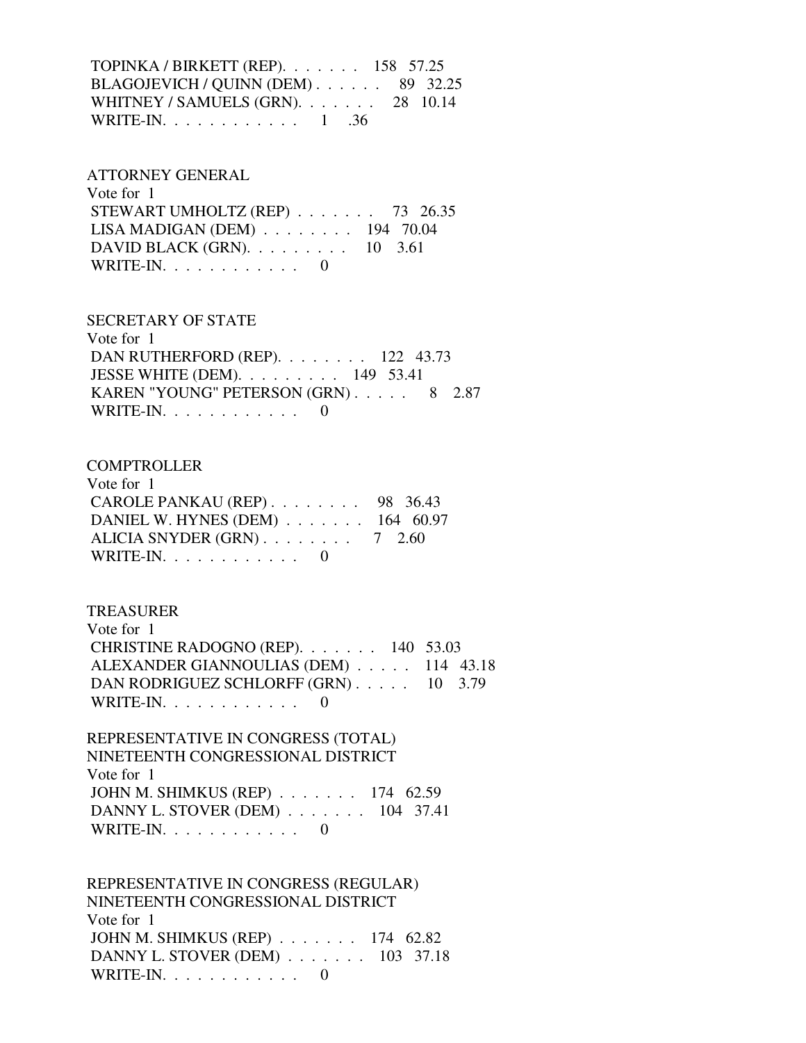TOPINKA / BIRKETT (REP). . . . . . . 158 57.25 BLAGOJEVICH / QUINN (DEM) . . . . . . 89 32.25 WHITNEY / SAMUELS (GRN). . . . . . . 28 10.14 WRITE-IN. . . . . . . . . . . . . 1 .36

#### ATTORNEY GENERAL

| Vote for 1                                               |  |  |
|----------------------------------------------------------|--|--|
| STEWART UMHOLTZ (REP) $\ldots$ 73 26.35                  |  |  |
| LISA MADIGAN (DEM) $\ldots \ldots \ldots$ 194 70.04      |  |  |
| DAVID BLACK (GRN). $\ldots \ldots \ldots \ldots 10$ 3.61 |  |  |
| WRITE-IN. $\ldots$ 0                                     |  |  |

#### SECRETARY OF STATE

 Vote for 1 DAN RUTHERFORD (REP). . . . . . . . 122 43.73 JESSE WHITE (DEM). . . . . . . . . 149 53.41 KAREN "YOUNG" PETERSON (GRN) . . . . . 8 2.87 WRITE-IN.  $\ldots$  . . . . . . . . . 0

#### **COMPTROLLER**

| Vote for 1                            |  |
|---------------------------------------|--|
| CAROLE PANKAU (REP) $\ldots$ 98 36.43 |  |
| DANIEL W. HYNES (DEM) 164 60.97       |  |
| ALICIA SNYDER $(GRN)$ 7 2.60          |  |
| WRITE-IN. $\ldots$ 0                  |  |
|                                       |  |

#### TREASURER

| Vote for 1                            |  |
|---------------------------------------|--|
| CHRISTINE RADOGNO (REP). 140 53.03    |  |
| ALEXANDER GIANNOULIAS (DEM) 114 43.18 |  |
| DAN RODRIGUEZ SCHLORFF (GRN) 10 3.79  |  |
| WRITE-IN. $\ldots$ , 0                |  |

 REPRESENTATIVE IN CONGRESS (TOTAL) NINETEENTH CONGRESSIONAL DISTRICT Vote for 1 JOHN M. SHIMKUS (REP) . . . . . . . 174 62.59 DANNY L. STOVER (DEM) . . . . . . . 104 37.41 WRITE-IN. . . . . . . . . . . . 0

 REPRESENTATIVE IN CONGRESS (REGULAR) NINETEENTH CONGRESSIONAL DISTRICT Vote for 1 JOHN M. SHIMKUS (REP) . . . . . . . 174 62.82 DANNY L. STOVER (DEM) . . . . . . . 103 37.18 WRITE-IN. . . . . . . . . . . . 0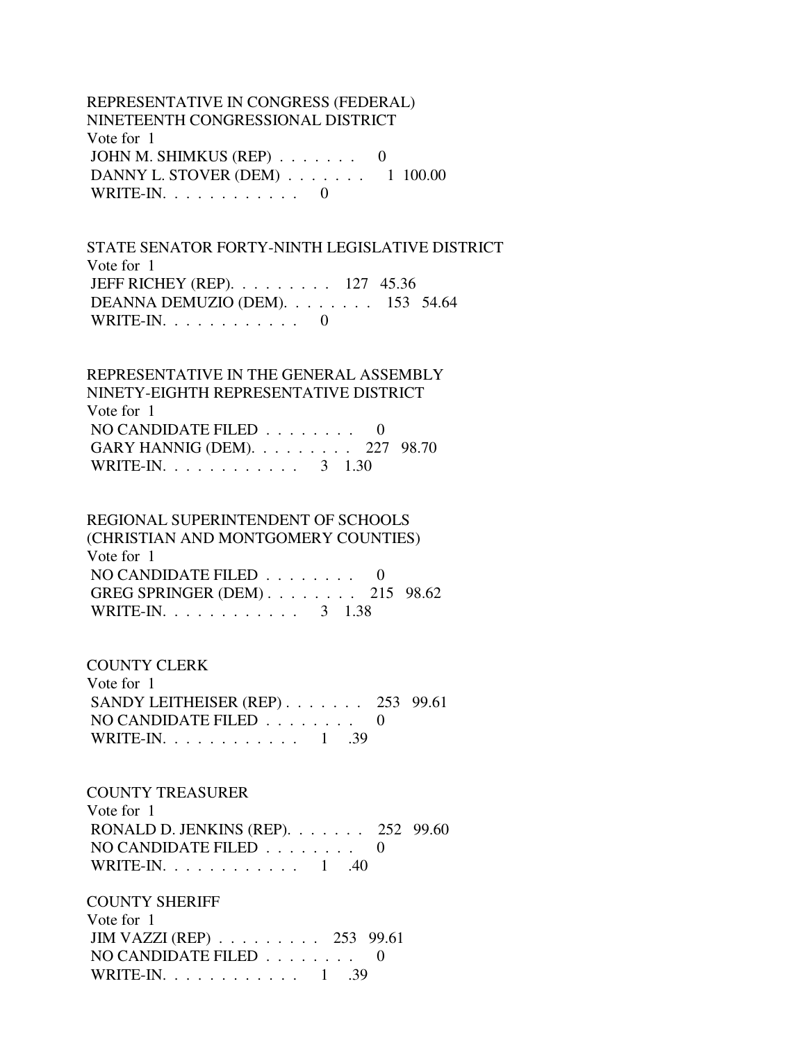REPRESENTATIVE IN CONGRESS (FEDERAL) NINETEENTH CONGRESSIONAL DISTRICT Vote for 1 JOHN M. SHIMKUS (REP) . . . . . . . 0 DANNY L. STOVER (DEM) . . . . . . . 1 100.00 WRITE-IN.  $\ldots$  . . . . . . . . . 0

 STATE SENATOR FORTY-NINTH LEGISLATIVE DISTRICT Vote for 1 JEFF RICHEY (REP). . . . . . . . . 127 45.36 DEANNA DEMUZIO (DEM). . . . . . . . 153 54.64 WRITE-IN. . . . . . . . . . . . 0

## REPRESENTATIVE IN THE GENERAL ASSEMBLY NINETY-EIGHTH REPRESENTATIVE DISTRICT Vote for 1 NO CANDIDATE FILED  $\ldots \ldots \ldots$  GARY HANNIG (DEM). . . . . . . . . 227 98.70 WRITE-IN. . . . . . . . . . . . . 3 1.30

#### REGIONAL SUPERINTENDENT OF SCHOOLS

 (CHRISTIAN AND MONTGOMERY COUNTIES) Vote for 1 NO CANDIDATE FILED . . . . . . . . 0 GREG SPRINGER (DEM) . . . . . . . . 215 98.62 WRITE-IN. . . . . . . . . . . . 3 1.38

#### COUNTY CLERK

 Vote for 1 SANDY LEITHEISER (REP) . . . . . . . 253 99.61 NO CANDIDATE FILED  $\ldots$ , . . . . . 0 WRITE-IN. . . . . . . . . . . . 1 .39

#### COUNTY TREASURER

 Vote for 1 RONALD D. JENKINS (REP). . . . . . . 252 99.60 NO CANDIDATE FILED . . . . . . . . 0 WRITE-IN. . . . . . . . . . . . 1 .40

#### COUNTY SHERIFF

 Vote for 1 JIM VAZZI (REP) . . . . . . . . . 253 99.61 NO CANDIDATE FILED . . . . . . . . 0 WRITE-IN. . . . . . . . . . . . . 1 .39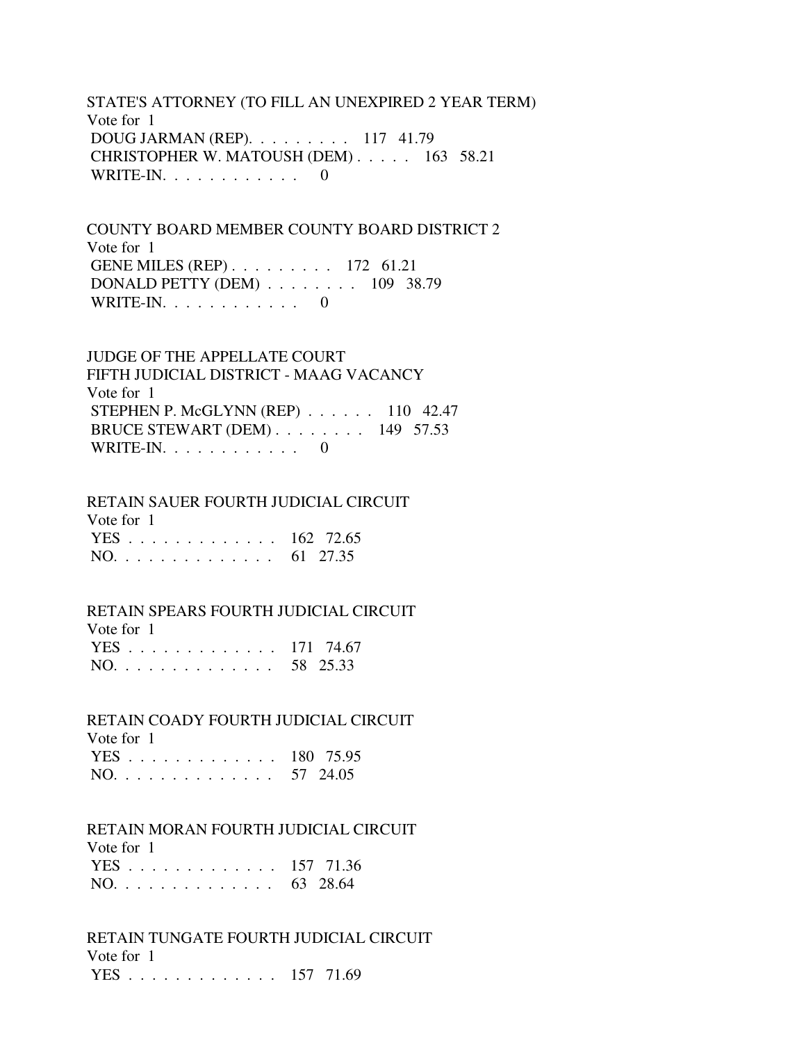STATE'S ATTORNEY (TO FILL AN UNEXPIRED 2 YEAR TERM) Vote for 1 DOUG JARMAN (REP). . . . . . . . . 117 41.79 CHRISTOPHER W. MATOUSH (DEM) . . . . . 163 58.21 WRITE-IN. . . . . . . . . . . . 0

 COUNTY BOARD MEMBER COUNTY BOARD DISTRICT 2 Vote for 1 GENE MILES (REP) . . . . . . . . . 172 61.21 DONALD PETTY (DEM) . . . . . . . . 109 38.79 WRITE-IN.  $\ldots$  . . . . . . . . 0

 JUDGE OF THE APPELLATE COURT FIFTH JUDICIAL DISTRICT - MAAG VACANCY Vote for 1 STEPHEN P. McGLYNN (REP) . . . . . . 110 42.47 BRUCE STEWART (DEM) . . . . . . . . 149 57.53 WRITE-IN.  $\ldots$  . . . . . . . . 0

#### RETAIN SAUER FOURTH JUDICIAL CIRCUIT Vote for 1

|  | YES 162 72.65 |  |
|--|---------------|--|
|  | NO. 61 27.35  |  |

## RETAIN SPEARS FOURTH JUDICIAL CIRCUIT

| Vote for 1    |  |
|---------------|--|
| YES 171 74.67 |  |
| NO. 58 25.33  |  |

## RETAIN COADY FOURTH JUDICIAL CIRCUIT

| Vote for 1    |  |
|---------------|--|
| YES 180 75.95 |  |
| NO. 57 24.05  |  |

## RETAIN MORAN FOURTH JUDICIAL CIRCUIT

 Vote for 1 YES . . . . . . . . . . . . . 157 71.36 NO. . . . . . . . . . . . . . 63 28.64

## RETAIN TUNGATE FOURTH JUDICIAL CIRCUIT Vote for 1

YES . . . . . . . . . . . . . 157 71.69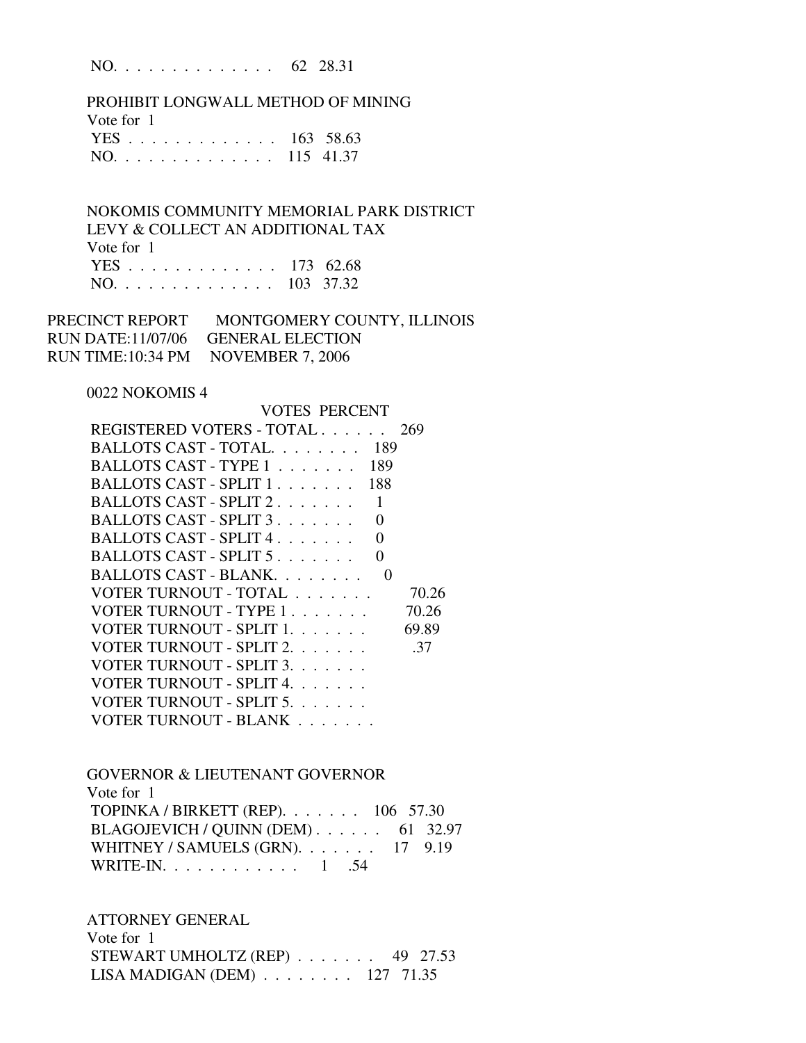NO. . . . . . . . . . . . . . 62 28.31

 PROHIBIT LONGWALL METHOD OF MINING Vote for 1 YES . . . . . . . . . . . . . 163 58.63 NO. . . . . . . . . . . . . . 115 41.37

 NOKOMIS COMMUNITY MEMORIAL PARK DISTRICT LEVY & COLLECT AN ADDITIONAL TAX Vote for 1 YES . . . . . . . . . . . . . 173 62.68 NO. . . . . . . . . . . . . . 103 37.32

PRECINCT REPORT MONTGOMERY COUNTY, ILLINOIS RUN DATE:11/07/06 GENERAL ELECTION RUN TIME:10:34 PM NOVEMBER 7, 2006

0022 NOKOMIS 4

| <b>VOTES PERCENT</b>                                          |       |
|---------------------------------------------------------------|-------|
| REGISTERED VOTERS - TOTAL                                     | 269   |
| BALLOTS CAST - TOTAL<br>189                                   |       |
| BALLOTS CAST - TYPE 1<br>189                                  |       |
| BALLOTS CAST - SPLIT 1<br>188                                 |       |
| BALLOTS CAST - SPLIT 2                                        |       |
| BALLOTS CAST - SPLIT $3, \ldots, \ldots$<br>$\mathbf{\Omega}$ |       |
| BALLOTS CAST - SPLIT $4, \ldots, \ldots$<br>0                 |       |
| BALLOTS CAST - SPLIT $5, \ldots, \ldots$<br>0                 |       |
| BALLOTS CAST - BLANK<br>$\mathbf{\Omega}$                     |       |
| VOTER TURNOUT - TOTAL                                         | 70.26 |
| VOTER TURNOUT - TYPE 1                                        | 70.26 |
| VOTER TURNOUT - SPLIT 1                                       | 69.89 |
| VOTER TURNOUT - SPLIT 2.                                      | .37   |
| VOTER TURNOUT - SPLIT 3.                                      |       |
| VOTER TURNOUT - SPLIT 4.                                      |       |
| VOTER TURNOUT - SPLIT 5.                                      |       |
| VOTER TURNOUT - BLANK                                         |       |

 GOVERNOR & LIEUTENANT GOVERNOR Vote for 1 TOPINKA / BIRKETT (REP). . . . . . . 106 57.30 BLAGOJEVICH / QUINN (DEM) . . . . . . 61 32.97 WHITNEY / SAMUELS (GRN). . . . . . . 17 9.19 WRITE-IN. . . . . . . . . . . . . 1 .54

 ATTORNEY GENERAL Vote for 1 STEWART UMHOLTZ (REP) . . . . . . . 49 27.53 LISA MADIGAN (DEM) . . . . . . . . 127 71.35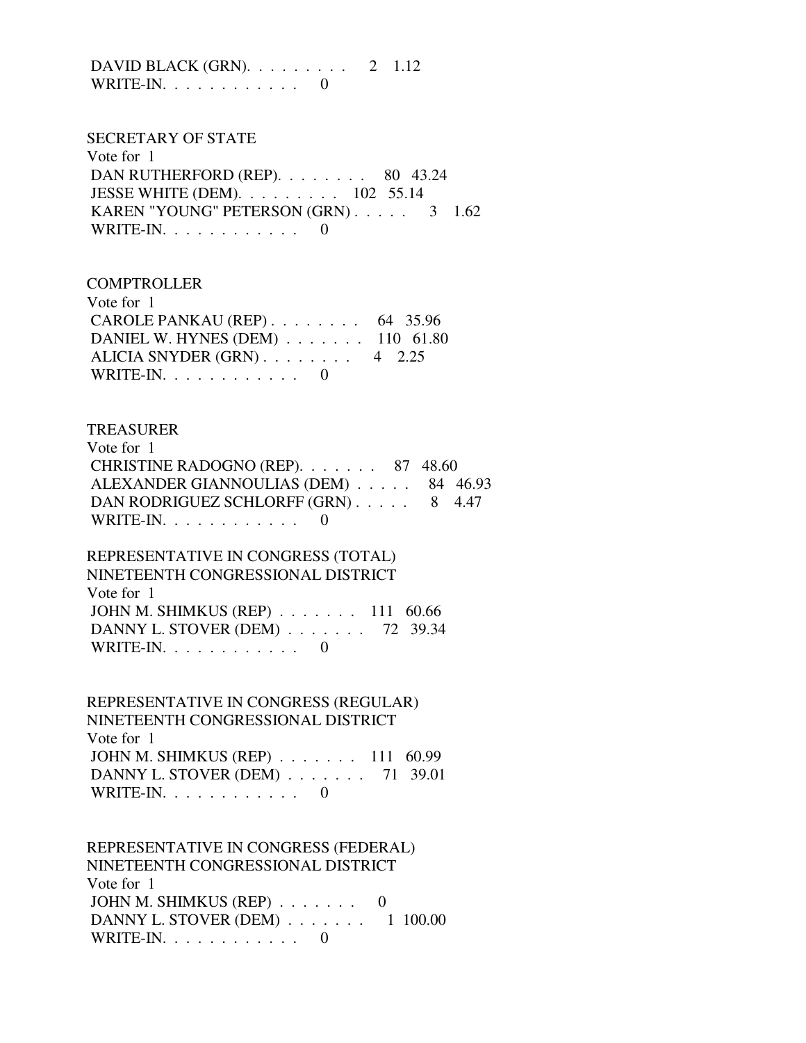DAVID BLACK (GRN). . . . . . . . . 2 1.12 WRITE-IN.  $\ldots$  . . . . . . . . . 0

#### SECRETARY OF STATE

 Vote for 1 DAN RUTHERFORD (REP). . . . . . . . 80 43.24 JESSE WHITE (DEM). . . . . . . . . 102 55.14 KAREN "YOUNG" PETERSON (GRN) . . . . . 3 1.62 WRITE-IN. . . . . . . . . . . . 0

## **COMPTROLLER**

| Vote for 1                               |  |
|------------------------------------------|--|
| CAROLE PANKAU (REP) $\ldots$ 64 35.96    |  |
| DANIEL W. HYNES (DEM) $\ldots$ 110 61.80 |  |
| ALICIA SNYDER $(GRN)$ 4 2.25             |  |
| WRITE-IN. $\ldots$ 0                     |  |

#### TREASURER

| Vote for 1                           |  |
|--------------------------------------|--|
| CHRISTINE RADOGNO (REP). 87 48.60    |  |
| ALEXANDER GIANNOULIAS (DEM) 84 46.93 |  |
| DAN RODRIGUEZ SCHLORFF (GRN) 8 4.47  |  |
| WRITE-IN. $\ldots$ , 0               |  |

## REPRESENTATIVE IN CONGRESS (TOTAL) NINETEENTH CONGRESSIONAL DISTRICT Vote for 1 JOHN M. SHIMKUS (REP) . . . . . . . 111 60.66 DANNY L. STOVER (DEM) . . . . . . . 72 39.34 WRITE-IN. . . . . . . . . . . . 0

 REPRESENTATIVE IN CONGRESS (REGULAR) NINETEENTH CONGRESSIONAL DISTRICT Vote for 1 JOHN M. SHIMKUS (REP) . . . . . . . 111 60.99 DANNY L. STOVER (DEM) . . . . . . . 71 39.01 WRITE-IN. . . . . . . . . . . . 0

## REPRESENTATIVE IN CONGRESS (FEDERAL) NINETEENTH CONGRESSIONAL DISTRICT Vote for 1 JOHN M. SHIMKUS (REP)  $\ldots$ ..... 0 DANNY L. STOVER (DEM) . . . . . . . 1 100.00 WRITE-IN. . . . . . . . . . . . 0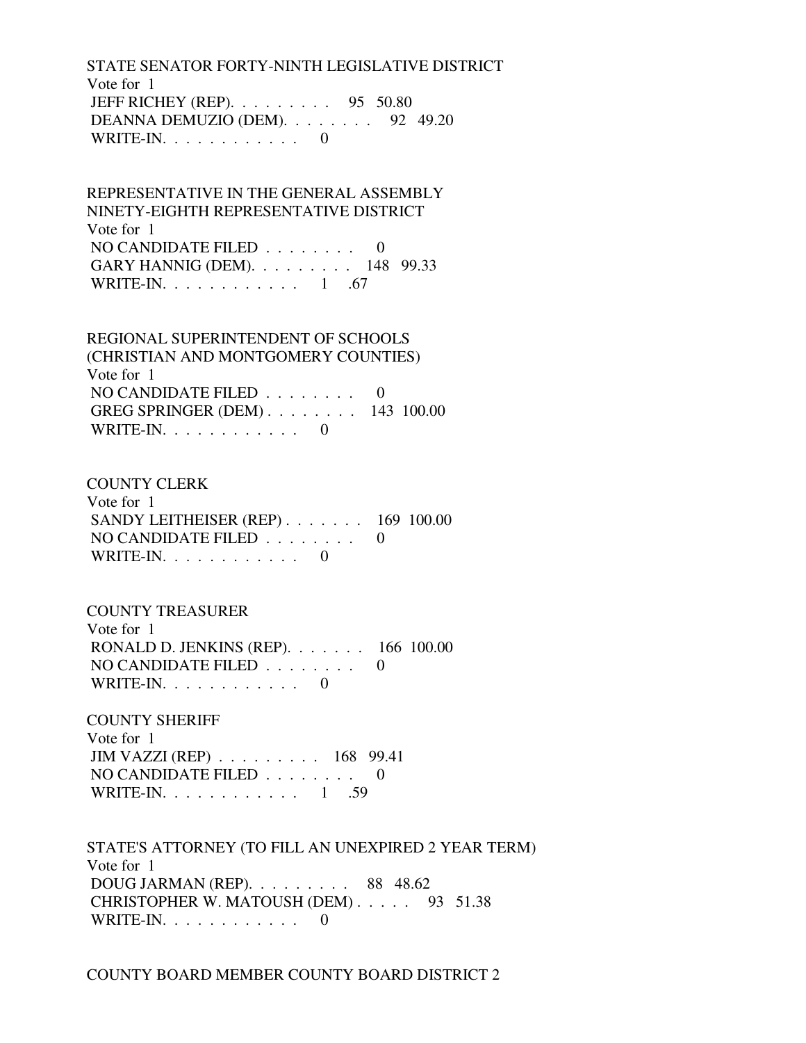STATE SENATOR FORTY-NINTH LEGISLATIVE DISTRICT Vote for 1 JEFF RICHEY (REP). . . . . . . . . 95 50.80 DEANNA DEMUZIO (DEM). . . . . . . . 92 49.20 WRITE-IN. . . . . . . . . . . . 0

 REPRESENTATIVE IN THE GENERAL ASSEMBLY NINETY-EIGHTH REPRESENTATIVE DISTRICT Vote for 1 NO CANDIDATE FILED  $\ldots \ldots \ldots$  GARY HANNIG (DEM). . . . . . . . . 148 99.33 WRITE-IN. . . . . . . . . . . . 1 .67

 REGIONAL SUPERINTENDENT OF SCHOOLS (CHRISTIAN AND MONTGOMERY COUNTIES) Vote for 1 NO CANDIDATE FILED  $\ldots \ldots \ldots$  GREG SPRINGER (DEM) . . . . . . . . 143 100.00 WRITE-IN.  $\ldots$  . . . . . . . . . 0

#### COUNTY CLERK

 Vote for 1 SANDY LEITHEISER (REP) . . . . . . . 169 100.00 NO CANDIDATE FILED  $\ldots$  . . . . . . 0 WRITE-IN. . . . . . . . . . . . 0

COUNTY TREASURER

 Vote for 1 RONALD D. JENKINS (REP). . . . . . . 166 100.00 NO CANDIDATE FILED . . . . . . . . 0 WRITE-IN. . . . . . . . . . . . 0

 COUNTY SHERIFF Vote for 1 JIM VAZZI (REP) . . . . . . . . . 168 99.41 NO CANDIDATE FILED . . . . . . . . 0 WRITE-IN. . . . . . . . . . . . 1 .59

 STATE'S ATTORNEY (TO FILL AN UNEXPIRED 2 YEAR TERM) Vote for 1 DOUG JARMAN (REP). . . . . . . . . 88 48.62 CHRISTOPHER W. MATOUSH (DEM) . . . . . 93 51.38 WRITE-IN. . . . . . . . . . . . 0

COUNTY BOARD MEMBER COUNTY BOARD DISTRICT 2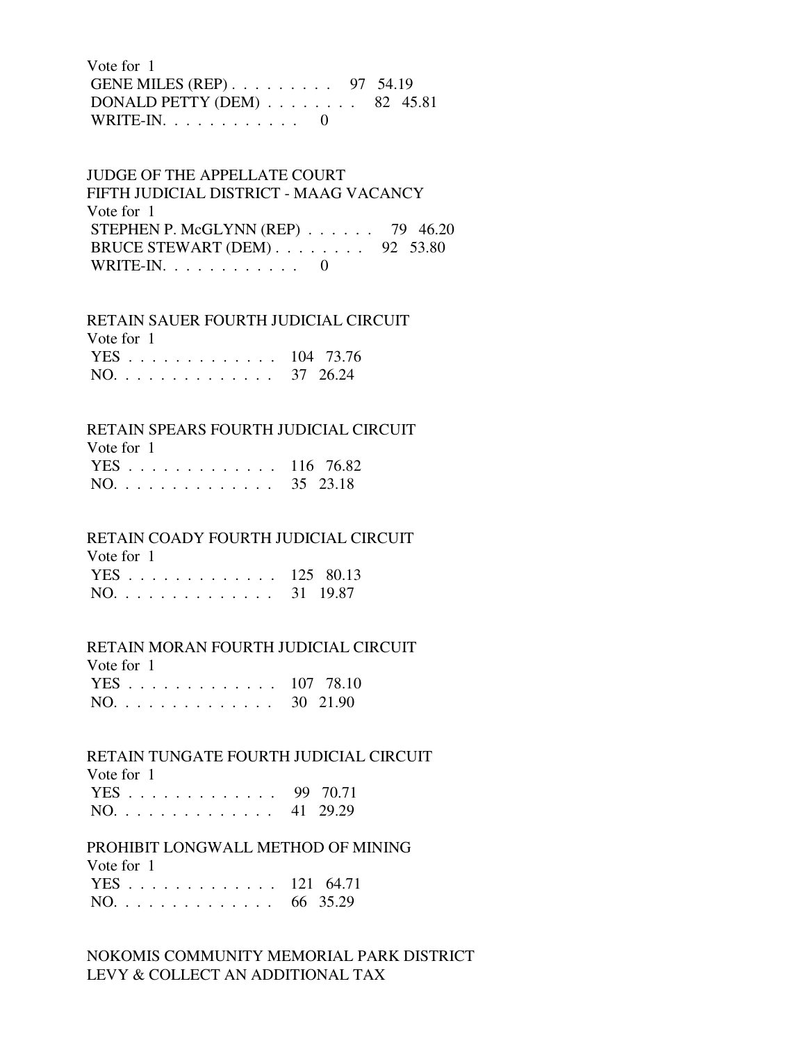Vote for 1 GENE MILES (REP) . . . . . . . . . 97 54.19 DONALD PETTY (DEM) . . . . . . . . 82 45.81 WRITE-IN.  $\ldots \ldots \ldots \ldots 0$ 

## JUDGE OF THE APPELLATE COURT FIFTH JUDICIAL DISTRICT - MAAG VACANCY Vote for 1 STEPHEN P. McGLYNN (REP) . . . . . . 79 46.20 BRUCE STEWART (DEM) . . . . . . . . 92 53.80 WRITE-IN. . . . . . . . . . . . 0

#### RETAIN SAUER FOURTH JUDICIAL CIRCUIT

| Vote for 1    |  |
|---------------|--|
| YES 104 73.76 |  |
| NO. 37 26.24  |  |

## RETAIN SPEARS FOURTH JUDICIAL CIRCUIT

| Vote for 1    |  |
|---------------|--|
| YES 116 76.82 |  |
| NO. 35 23.18  |  |

## RETAIN COADY FOURTH JUDICIAL CIRCUIT

| Vote for 1    |  |
|---------------|--|
| YES 125 80.13 |  |
| NO. 31 19.87  |  |

## RETAIN MORAN FOURTH JUDICIAL CIRCUIT

| Vote for 1    |  |
|---------------|--|
| YES 107 78.10 |  |
| NO. 30 21.90  |  |

#### RETAIN TUNGATE FOURTH JUDICIAL CIRCUIT

| Vote for 1   |  |
|--------------|--|
| YES 99 70.71 |  |
| NO. 41 29.29 |  |

## PROHIBIT LONGWALL METHOD OF MINING

| Vote for 1    |  |
|---------------|--|
| YES 121 64.71 |  |
| NO. 66 35.29  |  |

## NOKOMIS COMMUNITY MEMORIAL PARK DISTRICT LEVY & COLLECT AN ADDITIONAL TAX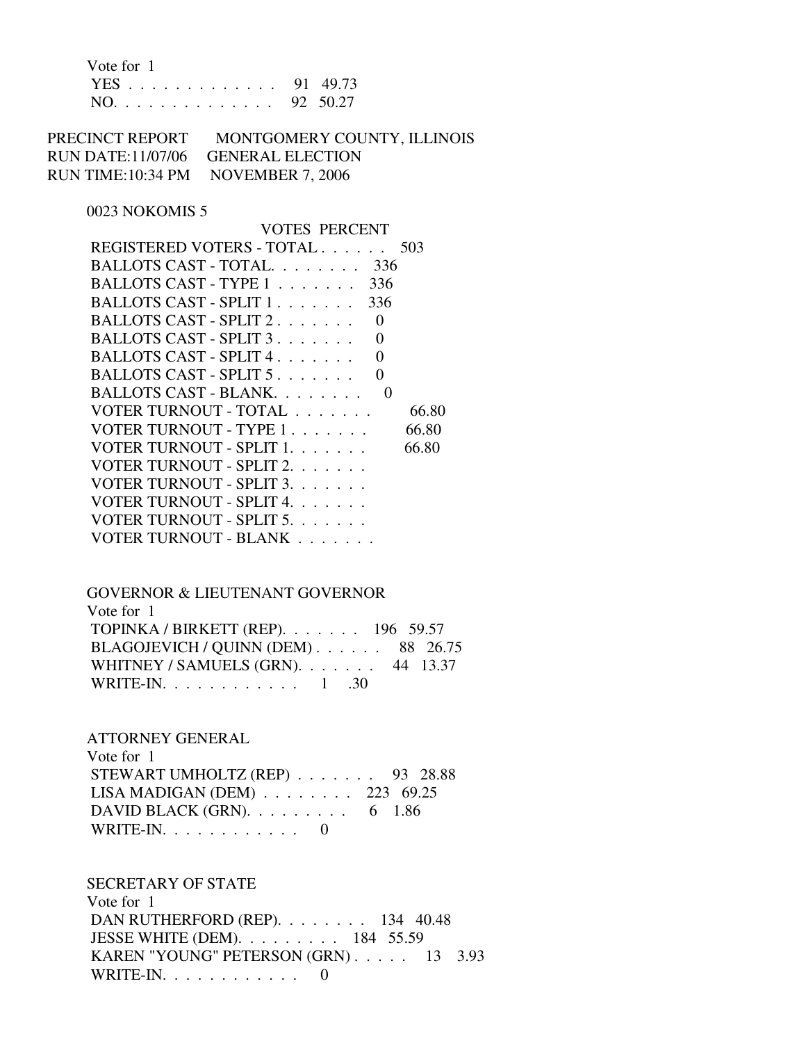| Vote for 1   |  |
|--------------|--|
| YES 91 49.73 |  |
| NO. 92 50.27 |  |

PRECINCT REPORT MONTGOMERY COUNTY, ILLINOIS RUN DATE:11/07/06 GENERAL ELECTION RUN TIME:10:34 PM NOVEMBER 7, 2006

## 0023 NOKOMIS 5

| VOTES PERCENT                                |       |
|----------------------------------------------|-------|
| REGISTERED VOTERS - TOTAL                    | 503   |
| BALLOTS CAST - TOTAL<br>- 336                |       |
| $BALLOTS CAST - TYPE 1$<br>336               |       |
| BALLOTS CAST - SPLIT 1<br>336                |       |
| BALLOTS CAST - SPLIT 2<br>$\mathbf{\Omega}$  |       |
| BALLOTS CAST - SPLIT 3.<br>$\mathbf{\Omega}$ |       |
| BALLOTS CAST - SPLIT 4<br>0                  |       |
| BALLOTS CAST - SPLIT 5<br>0                  |       |
| BALLOTS CAST - BLANK<br>$\mathbf{\Omega}$    |       |
| VOTER TURNOUT - TOTAL                        | 66.80 |
| VOTER TURNOUT - TYPE 1                       | 66.80 |
| VOTER TURNOUT - SPLIT 1.                     | 66.80 |
| VOTER TURNOUT - SPLIT 2.                     |       |
| VOTER TURNOUT - SPLIT 3.                     |       |
| VOTER TURNOUT - SPLIT 4.                     |       |
| VOTER TURNOUT - SPLIT 5.                     |       |
| VOTER TURNOUT - BLANK                        |       |

## GOVERNOR & LIEUTENANT GOVERNOR Vote for 1 TOPINKA / BIRKETT (REP). . . . . . . 196 59.57 BLAGOJEVICH / QUINN (DEM) . . . . . . 88 26.75 WHITNEY / SAMUELS (GRN). . . . . . . 44 13.37 WRITE-IN. . . . . . . . . . . . . 1 .30

## ATTORNEY GENERAL

| Vote for 1                            |  |
|---------------------------------------|--|
| STEWART UMHOLTZ (REP) 93 28.88        |  |
| LISA MADIGAN (DEM) $\ldots$ 223 69.25 |  |
| DAVID BLACK (GRN). $\ldots$ 6 1.86    |  |
| WRITE-IN. $\ldots$ 0                  |  |

## SECRETARY OF STATE

| Vote for 1                                          |  |
|-----------------------------------------------------|--|
| DAN RUTHERFORD (REP). $\ldots$ 134 40.48            |  |
| JESSE WHITE (DEM). $\ldots \ldots \ldots 184$ 55.59 |  |
| KAREN "YOUNG" PETERSON (GRN) 13 3.93                |  |
| WRITE-IN. $\ldots$ , 0                              |  |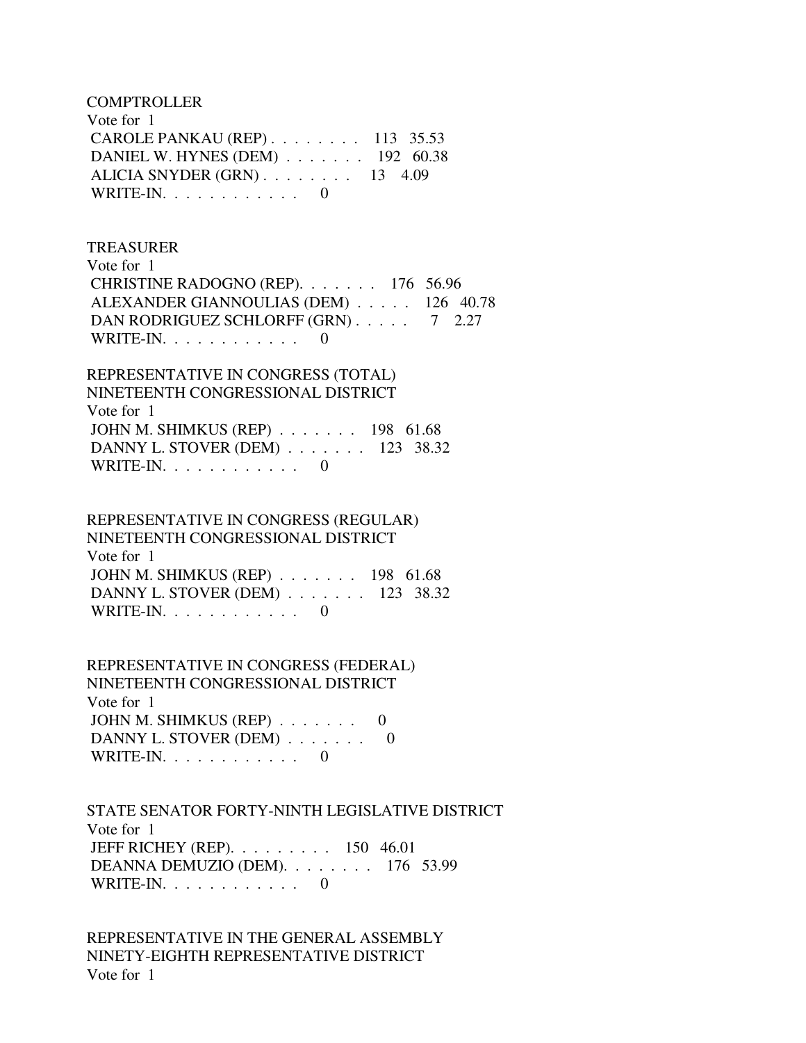**COMPTROLLER**  Vote for 1 CAROLE PANKAU (REP) . . . . . . . . 113 35.53 DANIEL W. HYNES (DEM) . . . . . . . 192 60.38 ALICIA SNYDER (GRN) . . . . . . . . 13 4.09 WRITE-IN. . . . . . . . . . . . 0

TREASURER

 Vote for 1 CHRISTINE RADOGNO (REP). . . . . . . 176 56.96 ALEXANDER GIANNOULIAS (DEM) . . . . . 126 40.78 DAN RODRIGUEZ SCHLORFF (GRN) . . . . . 7 2.27 WRITE-IN.  $\ldots$  . . . . . . . . . 0

 REPRESENTATIVE IN CONGRESS (TOTAL) NINETEENTH CONGRESSIONAL DISTRICT Vote for 1 JOHN M. SHIMKUS (REP) . . . . . . . 198 61.68 DANNY L. STOVER (DEM) . . . . . . . 123 38.32 WRITE-IN.  $\ldots$  . . . . . . . . 0

 REPRESENTATIVE IN CONGRESS (REGULAR) NINETEENTH CONGRESSIONAL DISTRICT Vote for 1 JOHN M. SHIMKUS (REP) . . . . . . . 198 61.68 DANNY L. STOVER (DEM) . . . . . . . 123 38.32 WRITE-IN. . . . . . . . . . . . 0

 REPRESENTATIVE IN CONGRESS (FEDERAL) NINETEENTH CONGRESSIONAL DISTRICT Vote for 1 JOHN M. SHIMKUS (REP) . . . . . . . 0 DANNY L. STOVER (DEM) . . . . . . . 0 WRITE-IN.  $\ldots$  . . . . . . . . 0

 STATE SENATOR FORTY-NINTH LEGISLATIVE DISTRICT Vote for 1 JEFF RICHEY (REP). . . . . . . . . 150 46.01 DEANNA DEMUZIO (DEM). . . . . . . . 176 53.99 WRITE-IN.  $\ldots$  . . . . . . . . . 0

 REPRESENTATIVE IN THE GENERAL ASSEMBLY NINETY-EIGHTH REPRESENTATIVE DISTRICT Vote for 1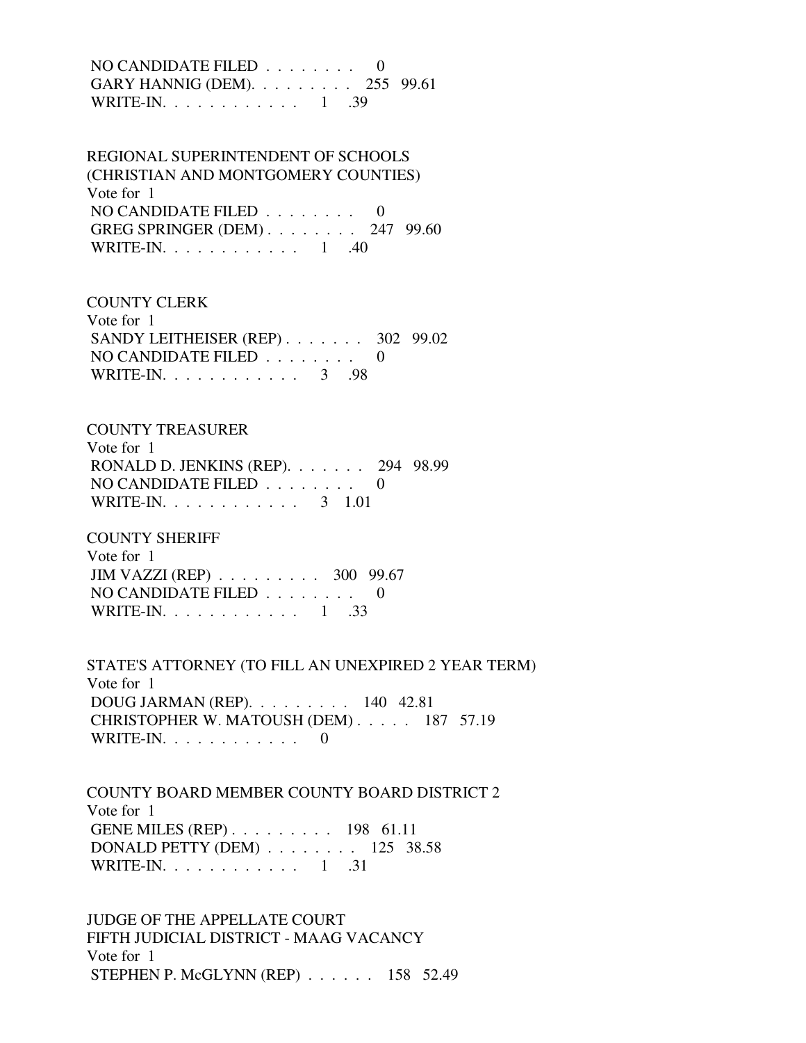## NO CANDIDATE FILED . . . . . . . . 0 GARY HANNIG (DEM). . . . . . . . . 255 99.61 WRITE-IN. . . . . . . . . . . . . 1 .39

 REGIONAL SUPERINTENDENT OF SCHOOLS (CHRISTIAN AND MONTGOMERY COUNTIES) Vote for 1 NO CANDIDATE FILED . . . . . . . . 0 GREG SPRINGER (DEM) . . . . . . . . 247 99.60 WRITE-IN. . . . . . . . . . . . 1 .40

 COUNTY CLERK Vote for 1 SANDY LEITHEISER (REP) . . . . . . . 302 99.02 NO CANDIDATE FILED . . . . . . . . 0 WRITE-IN. . . . . . . . . . . . . 3 .98

## COUNTY TREASURER

| Vote for 1                                  |  |
|---------------------------------------------|--|
| RONALD D. JENKINS (REP). $\ldots$ 294 98.99 |  |
| NO CANDIDATE FILED $\ldots \ldots \ldots$   |  |
| WRITE-IN. 3 1.01                            |  |

 COUNTY SHERIFF  $V$ oto for  $1$ 

| VOIE TOT 1                                       |  |  |
|--------------------------------------------------|--|--|
| JIM VAZZI (REP) $\ldots \ldots \ldots$ 300 99.67 |  |  |
| NO CANDIDATE FILED $\ldots \ldots \ldots$        |  |  |
| WRITE-IN. $\ldots$ 1 33                          |  |  |

 STATE'S ATTORNEY (TO FILL AN UNEXPIRED 2 YEAR TERM) Vote for 1 DOUG JARMAN (REP). . . . . . . . . 140 42.81 CHRISTOPHER W. MATOUSH (DEM) . . . . . 187 57.19 WRITE-IN.  $\ldots$  . . . . . . . . . 0

 COUNTY BOARD MEMBER COUNTY BOARD DISTRICT 2 Vote for 1 GENE MILES (REP) . . . . . . . . . 198 61.11 DONALD PETTY (DEM) . . . . . . . . 125 38.58 WRITE-IN.  $\ldots \ldots \ldots \ldots 1$  .31

 JUDGE OF THE APPELLATE COURT FIFTH JUDICIAL DISTRICT - MAAG VACANCY Vote for 1 STEPHEN P. McGLYNN (REP) . . . . . . 158 52.49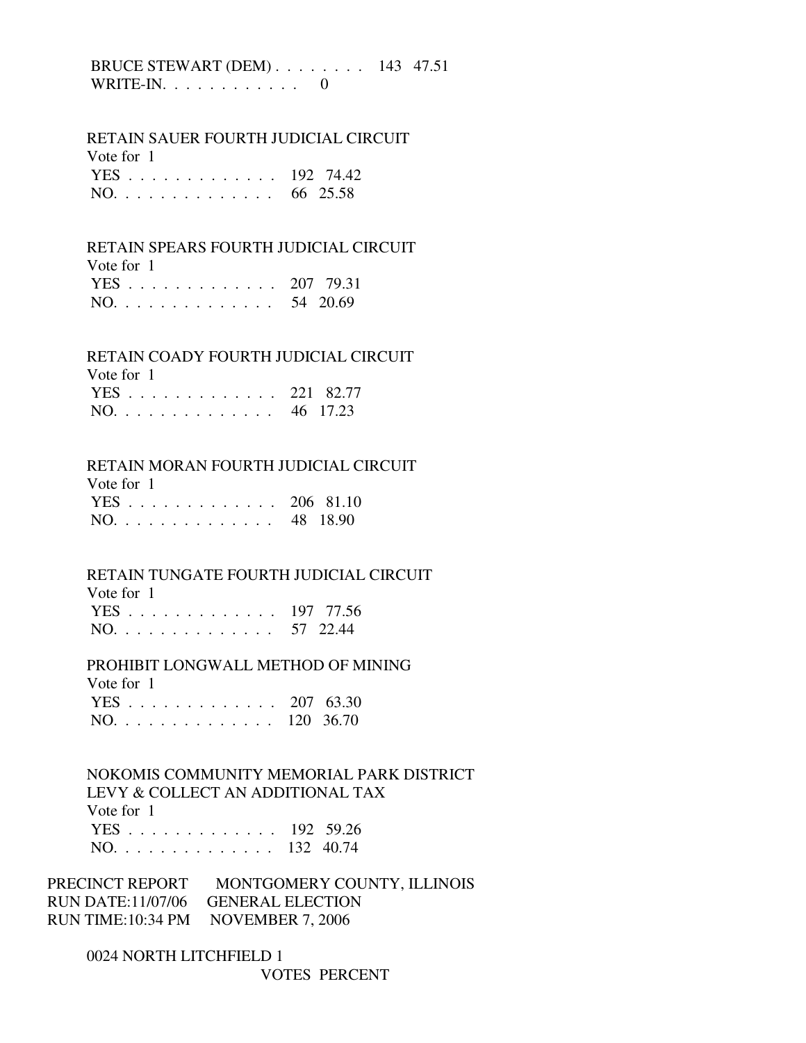## BRUCE STEWART (DEM) . . . . . . . . 143 47.51 WRITE-IN.  $\ldots$  . . . . . . . . . 0

## RETAIN SAUER FOURTH JUDICIAL CIRCUIT

Vote for 1

| YES 192 74.42 |  |
|---------------|--|
| NO. 66 25.58  |  |

## RETAIN SPEARS FOURTH JUDICIAL CIRCUIT

Vote for 1

|  |  |  |  |  |  |  | YES 207 79.31 |
|--|--|--|--|--|--|--|---------------|
|  |  |  |  |  |  |  | NO. 54 20.69  |

## RETAIN COADY FOURTH JUDICIAL CIRCUIT

| Vote for 1    |  |
|---------------|--|
| YES 221 82.77 |  |
| NO. 46 17.23  |  |

#### RETAIN MORAN FOURTH JUDICIAL CIRCUIT

Vote for 1

| $\overline{1}$ |          |
|----------------|----------|
| YES 206 81.10  |          |
| NO.            | 48 18.90 |

## RETAIN TUNGATE FOURTH JUDICIAL CIRCUIT

 Vote for 1 YES . . . . . . . . . . . . . 197 77.56 NO. . . . . . . . . . . . . . 57 22.44

## PROHIBIT LONGWALL METHOD OF MINING

| Vote for 1    |  |
|---------------|--|
| YES 207 63.30 |  |
| NO. 120 36.70 |  |

## NOKOMIS COMMUNITY MEMORIAL PARK DISTRICT LEVY & COLLECT AN ADDITIONAL TAX Vote for 1 YES . . . . . . . . . . . . . 192 59.26 NO. . . . . . . . . . . . . . 132 40.74

PRECINCT REPORT MONTGOMERY COUNTY, ILLINOIS RUN DATE:11/07/06 GENERAL ELECTION RUN TIME:10:34 PM NOVEMBER 7, 2006

 0024 NORTH LITCHFIELD 1 VOTES PERCENT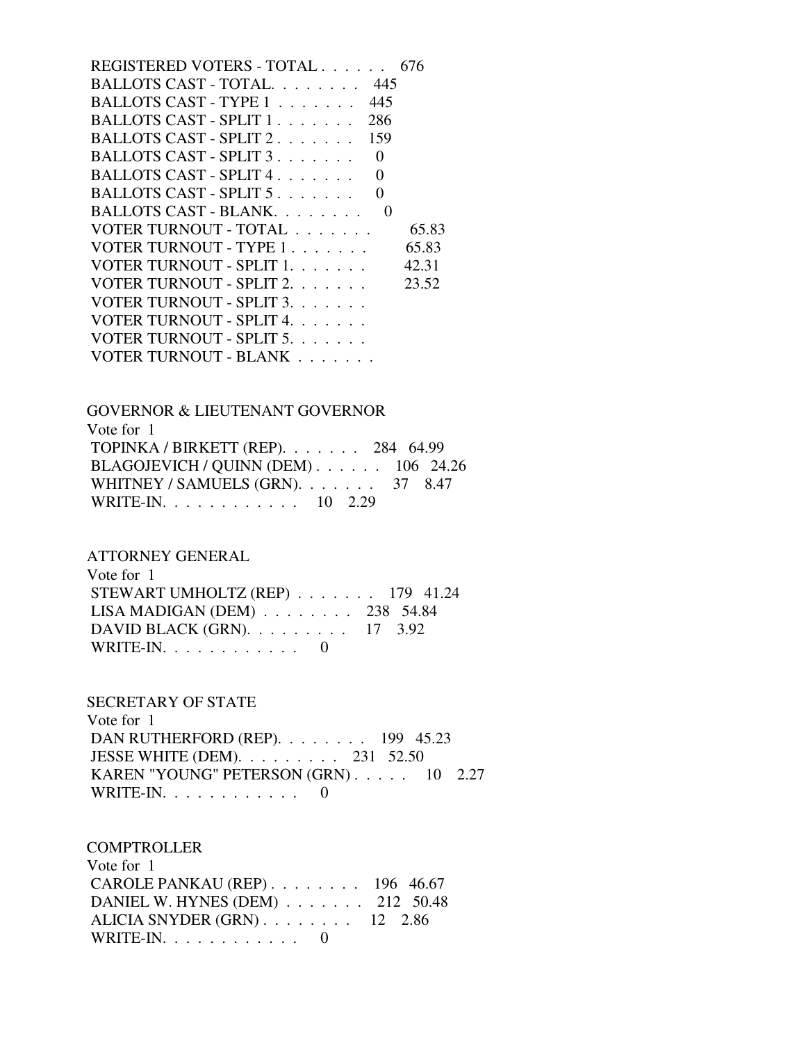| REGISTERED VOTERS - TOTAL 676 |          |
|-------------------------------|----------|
| BALLOTS CAST - TOTAL 445      |          |
| BALLOTS CAST - TYPE 1         | 445      |
| BALLOTS CAST - SPLIT 1        | 286      |
| BALLOTS CAST - SPLIT 2        | 159      |
| BALLOTS CAST - SPLIT 3.       | 0        |
| BALLOTS CAST - SPLIT 4.       | 0        |
| BALLOTS CAST - SPLIT 5        | 0        |
| BALLOTS CAST - BLANK.         | $\theta$ |
| VOTER TURNOUT - TOTAL         | 65.83    |
| VOTER TURNOUT - TYPE 1.       | 65.83    |
| VOTER TURNOUT - SPLIT 1.      | 42.31    |
| VOTER TURNOUT - SPLIT 2.      | 23.52    |
| VOTER TURNOUT - SPLIT 3.      |          |
| VOTER TURNOUT - SPLIT 4.      |          |
| VOTER TURNOUT - SPLIT 5.      |          |
| VOTER TURNOUT - BLANK         |          |

 GOVERNOR & LIEUTENANT GOVERNOR Vote for 1 TOPINKA / BIRKETT (REP). . . . . . . 284 64.99 BLAGOJEVICH / QUINN (DEM) . . . . . . 106 24.26 WHITNEY / SAMUELS (GRN). . . . . . . 37 8.47 WRITE-IN. . . . . . . . . . . . . 10 2.29

#### ATTORNEY GENERAL

 Vote for 1 STEWART UMHOLTZ (REP) . . . . . . . 179 41.24 LISA MADIGAN (DEM) . . . . . . . . 238 54.84 DAVID BLACK (GRN). . . . . . . . . 17 3.92 WRITE-IN.  $\ldots$  . . . . . . . . . 0

## SECRETARY OF STATE

 Vote for 1 DAN RUTHERFORD (REP). . . . . . . . 199 45.23 JESSE WHITE (DEM). . . . . . . . . 231 52.50 KAREN "YOUNG" PETERSON (GRN) . . . . . 10 2.27 WRITE-IN. . . . . . . . . . . . 0

#### **COMPTROLLER**

| Vote for $1$                           |  |
|----------------------------------------|--|
| CAROLE PANKAU (REP) $\ldots$ 196 46.67 |  |
| DANIEL W. HYNES (DEM) 212 50.48        |  |
| ALICIA SNYDER $(GRN)$ 12 2.86          |  |
| WRITE-IN. $\ldots$ 0                   |  |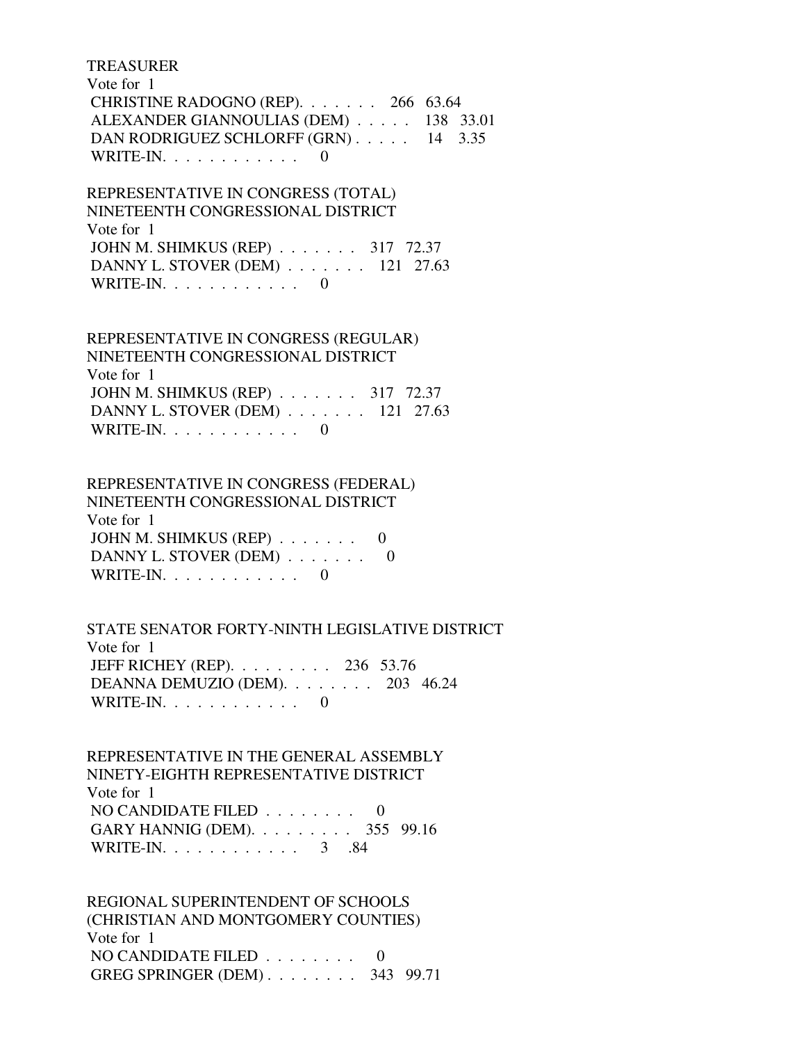#### TREASURER

 Vote for 1 CHRISTINE RADOGNO (REP). . . . . . . 266 63.64 ALEXANDER GIANNOULIAS (DEM) . . . . . 138 33.01 DAN RODRIGUEZ SCHLORFF (GRN) . . . . . 14 3.35 WRITE-IN.  $\ldots$  . . . . . . . . 0

 REPRESENTATIVE IN CONGRESS (TOTAL) NINETEENTH CONGRESSIONAL DISTRICT Vote for 1 JOHN M. SHIMKUS (REP) . . . . . . . 317 72.37 DANNY L. STOVER (DEM) . . . . . . . 121 27.63 WRITE-IN.  $\ldots$  . . . . . . . . 0

 REPRESENTATIVE IN CONGRESS (REGULAR) NINETEENTH CONGRESSIONAL DISTRICT Vote for 1 JOHN M. SHIMKUS (REP) . . . . . . . 317 72.37 DANNY L. STOVER (DEM) . . . . . . . 121 27.63 WRITE-IN.  $\ldots$  . . . . . . . . 0

 REPRESENTATIVE IN CONGRESS (FEDERAL) NINETEENTH CONGRESSIONAL DISTRICT Vote for 1 JOHN M. SHIMKUS (REP)  $\ldots$ , . . . . 0 DANNY L. STOVER (DEM) . . . . . . . 0 WRITE-IN.  $\ldots$  . . . . . . . . 0

 STATE SENATOR FORTY-NINTH LEGISLATIVE DISTRICT Vote for 1 JEFF RICHEY (REP). . . . . . . . . 236 53.76 DEANNA DEMUZIO (DEM). . . . . . . . 203 46.24 WRITE-IN. . . . . . . . . . . . 0

 REPRESENTATIVE IN THE GENERAL ASSEMBLY NINETY-EIGHTH REPRESENTATIVE DISTRICT Vote for 1 NO CANDIDATE FILED  $\ldots$ , . . . . . 0 GARY HANNIG (DEM). . . . . . . . . 355 99.16 WRITE-IN. . . . . . . . . . . . . 3 .84

 REGIONAL SUPERINTENDENT OF SCHOOLS (CHRISTIAN AND MONTGOMERY COUNTIES) Vote for 1 NO CANDIDATE FILED . . . . . . . . 0 GREG SPRINGER (DEM) . . . . . . . . 343 99.71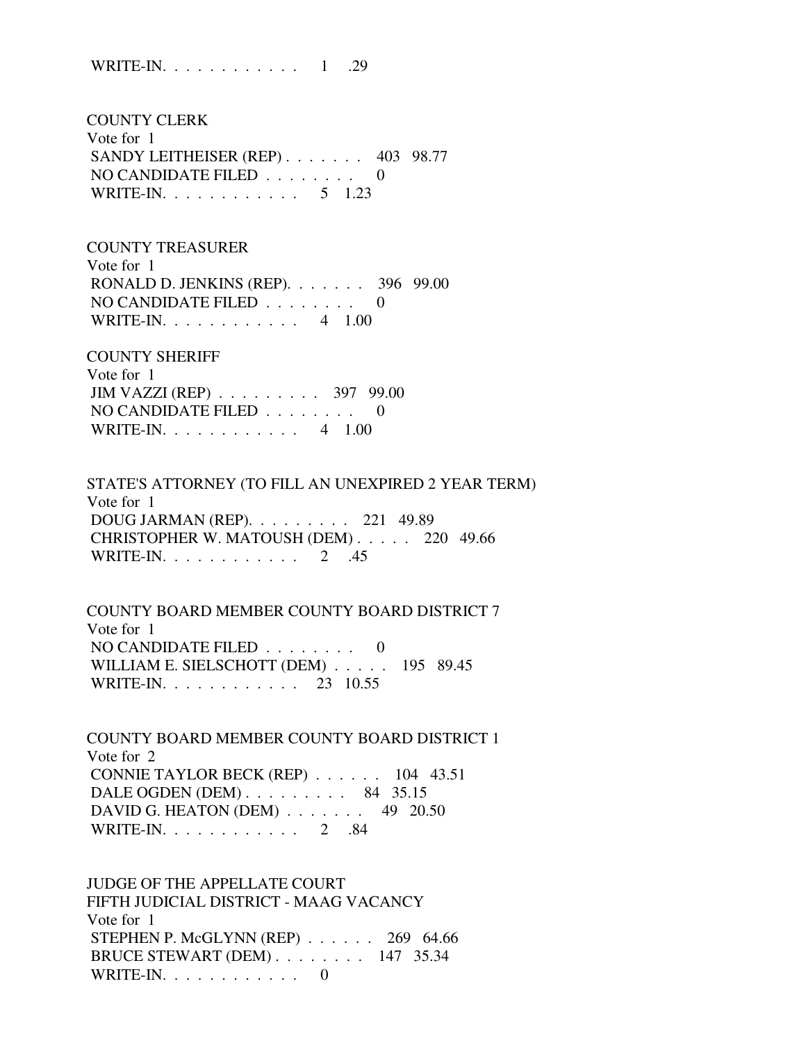WRITE-IN. . . . . . . . . . . . 1 .29

 COUNTY CLERK Vote for 1 SANDY LEITHEISER (REP) . . . . . . 403 98.77 NO CANDIDATE FILED . . . . . . . . 0 WRITE-IN. . . . . . . . . . . . . 5 1.23

 COUNTY TREASURER Vote for 1 RONALD D. JENKINS (REP). . . . . . . 396 99.00 NO CANDIDATE FILED  $\ldots \ldots \ldots$ WRITE-IN. . . . . . . . . . . . 4 1.00

 COUNTY SHERIFF Vote for 1 JIM VAZZI (REP) . . . . . . . . . 397 99.00 NO CANDIDATE FILED . . . . . . . . 0 WRITE-IN. . . . . . . . . . . . 4 1.00

 STATE'S ATTORNEY (TO FILL AN UNEXPIRED 2 YEAR TERM) Vote for 1 DOUG JARMAN (REP). . . . . . . . . 221 49.89 CHRISTOPHER W. MATOUSH (DEM) . . . . . 220 49.66 WRITE-IN. . . . . . . . . . . . 2 .45

 COUNTY BOARD MEMBER COUNTY BOARD DISTRICT 7 Vote for 1 NO CANDIDATE FILED . . . . . . . . 0 WILLIAM E. SIELSCHOTT (DEM) . . . . . 195 89.45 WRITE-IN. . . . . . . . . . . . 23 10.55

 COUNTY BOARD MEMBER COUNTY BOARD DISTRICT 1 Vote for 2 CONNIE TAYLOR BECK (REP) . . . . . . 104 43.51 DALE OGDEN (DEM) . . . . . . . . . 84 35.15 DAVID G. HEATON (DEM) . . . . . . . 49 20.50 WRITE-IN. . . . . . . . . . . . 2 .84

 JUDGE OF THE APPELLATE COURT FIFTH JUDICIAL DISTRICT - MAAG VACANCY Vote for 1 STEPHEN P. McGLYNN (REP) . . . . . . 269 64.66 BRUCE STEWART (DEM) . . . . . . . . 147 35.34 WRITE-IN. . . . . . . . . . . . 0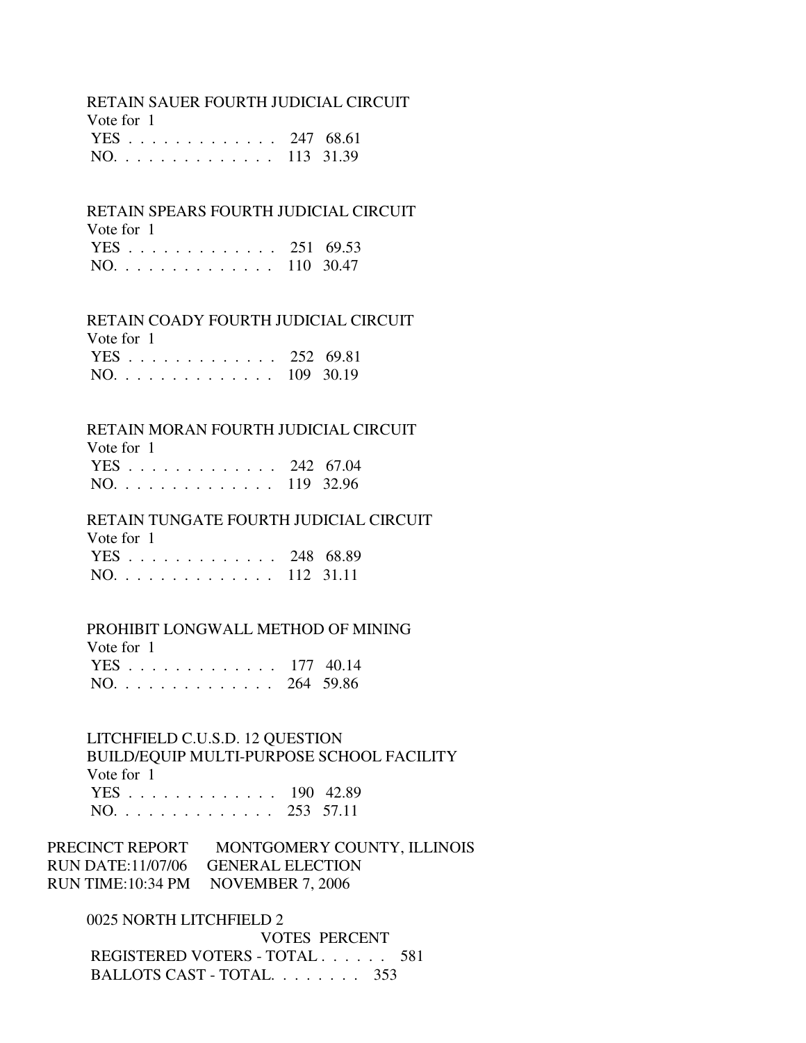#### RETAIN SAUER FOURTH JUDICIAL CIRCUIT  $V$ oto for  $1$

| VOLE TOLI     |  |
|---------------|--|
| YES 247 68.61 |  |
| NO. 113 31.39 |  |

## RETAIN SPEARS FOURTH JUDICIAL CIRCUIT

| Vote for 1    |  |
|---------------|--|
| YES 251 69.53 |  |
| NO. 110 30.47 |  |

## RETAIN COADY FOURTH JUDICIAL CIRCUIT

| Vote for 1      |  |
|-----------------|--|
| YES 252 69.81   |  |
| $NO.$ 109 30.19 |  |

## RETAIN MORAN FOURTH JUDICIAL CIRCUIT

| Vote for $1$  |                             |
|---------------|-----------------------------|
| YES 242 67.04 |                             |
|               | $\sim$ $\sim$ $\sim$ $\sim$ |

| $NO.$ |  |  |  |  |  |  |  |  |  |  |  |  |  |  | 119 32.96 |
|-------|--|--|--|--|--|--|--|--|--|--|--|--|--|--|-----------|
|-------|--|--|--|--|--|--|--|--|--|--|--|--|--|--|-----------|

## RETAIN TUNGATE FOURTH JUDICIAL CIRCUIT

| Vote for 1      |  |
|-----------------|--|
| YES 248 68.89   |  |
| $NO.$ 112 31.11 |  |

#### PROHIBIT LONGWALL METHOD OF MINING

| Vote for 1    |  |
|---------------|--|
| YES 177 40.14 |  |
| NO. 264 59.86 |  |

 LITCHFIELD C.U.S.D. 12 QUESTION BUILD/EQUIP MULTI-PURPOSE SCHOOL FACILITY Vote for 1 YES . . . . . . . . . . . . . 190 42.89 NO. . . . . . . . . . . . . . 253 57.11

PRECINCT REPORT MONTGOMERY COUNTY, ILLINOIS RUN DATE:11/07/06 GENERAL ELECTION RUN TIME:10:34 PM NOVEMBER 7, 2006

 0025 NORTH LITCHFIELD 2 VOTES PERCENT REGISTERED VOTERS - TOTAL . . . . . . 581 BALLOTS CAST - TOTAL. . . . . . . . 353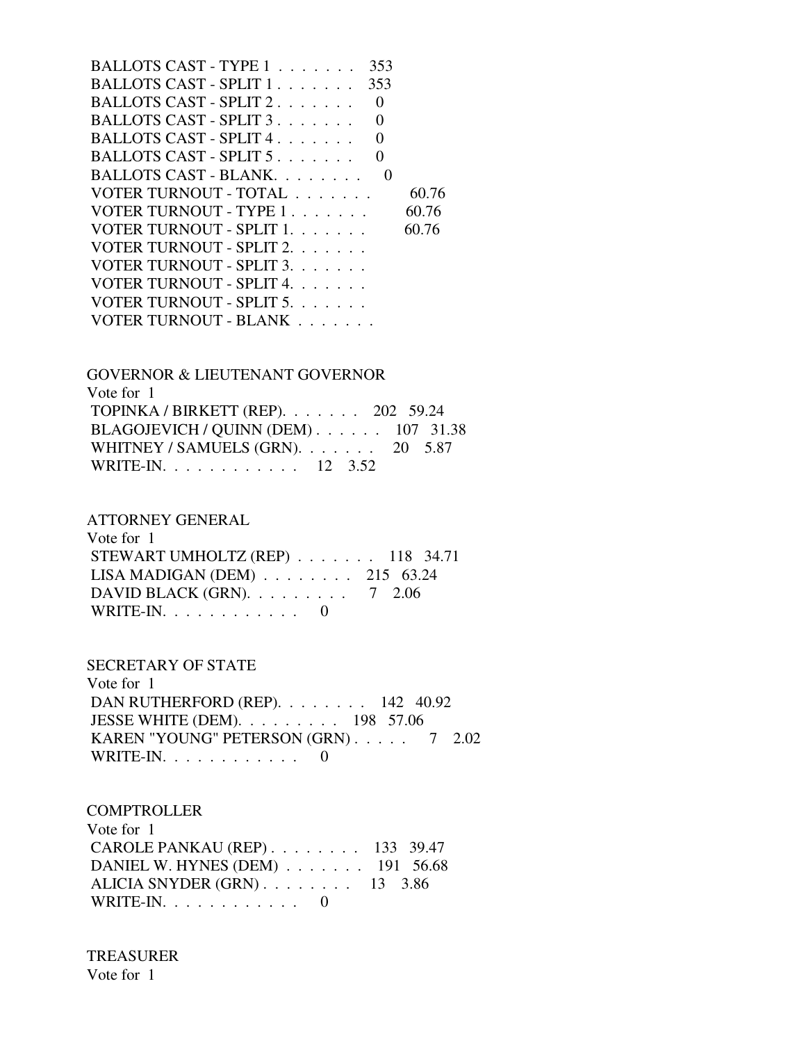| BALLOTS CAST - TYPE 1<br>353                    |       |
|-------------------------------------------------|-------|
| BALLOTS CAST - SPLIT $1, \ldots, \ldots$<br>353 |       |
| BALLOTS CAST - SPLIT 2.<br>$\theta$             |       |
| BALLOTS CAST - SPLIT 3.                         |       |
| BALLOTS CAST - SPLIT 4.<br>0                    |       |
| BALLOTS CAST - SPLIT 5                          |       |
| BALLOTS CAST - BLANK.                           |       |
| VOTER TURNOUT - TOTAL                           | 60.76 |
| VOTER TURNOUT - TYPE 1                          | 60.76 |
| VOTER TURNOUT - SPLIT 1.                        | 60.76 |
| VOTER TURNOUT - SPLIT 2.                        |       |
| VOTER TURNOUT - SPLIT 3.                        |       |
| VOTER TURNOUT - SPLIT 4.                        |       |
| VOTER TURNOUT - SPLIT 5.                        |       |
| VOTER TURNOUT - BLANK                           |       |

 GOVERNOR & LIEUTENANT GOVERNOR Vote for 1 TOPINKA / BIRKETT (REP). . . . . . . 202 59.24 BLAGOJEVICH / QUINN (DEM) . . . . . . 107 31.38 WHITNEY / SAMUELS (GRN). . . . . . . 20 5.87 WRITE-IN. . . . . . . . . . . . 12 3.52

#### ATTORNEY GENERAL  $V_{\text{obs}}$  for  $1$

| Vote for 1                                       |  |  |
|--------------------------------------------------|--|--|
| STEWART UMHOLTZ (REP) 118 34.71                  |  |  |
| LISA MADIGAN (DEM) $\ldots$ 215 63.24            |  |  |
| DAVID BLACK (GRN). $\ldots \ldots \ldots$ 7 2.06 |  |  |
| WRITE-IN. $\ldots$ 0                             |  |  |

#### SECRETARY OF STATE

 Vote for 1 DAN RUTHERFORD (REP). . . . . . . . 142 40.92 JESSE WHITE (DEM). . . . . . . . . 198 57.06 KAREN "YOUNG" PETERSON (GRN) . . . . . 7 2.02 WRITE-IN. . . . . . . . . . . . 0

## **COMPTROLLER**

| Vote for 1                               |  |
|------------------------------------------|--|
| CAROLE PANKAU (REP) $\ldots$ 133 39.47   |  |
| DANIEL W. HYNES (DEM) $\ldots$ 191 56.68 |  |
| ALICIA SNYDER $(GRN)$ 13 3.86            |  |
| WRITE-IN. $\ldots$ 0                     |  |

# TREASURER

Vote for 1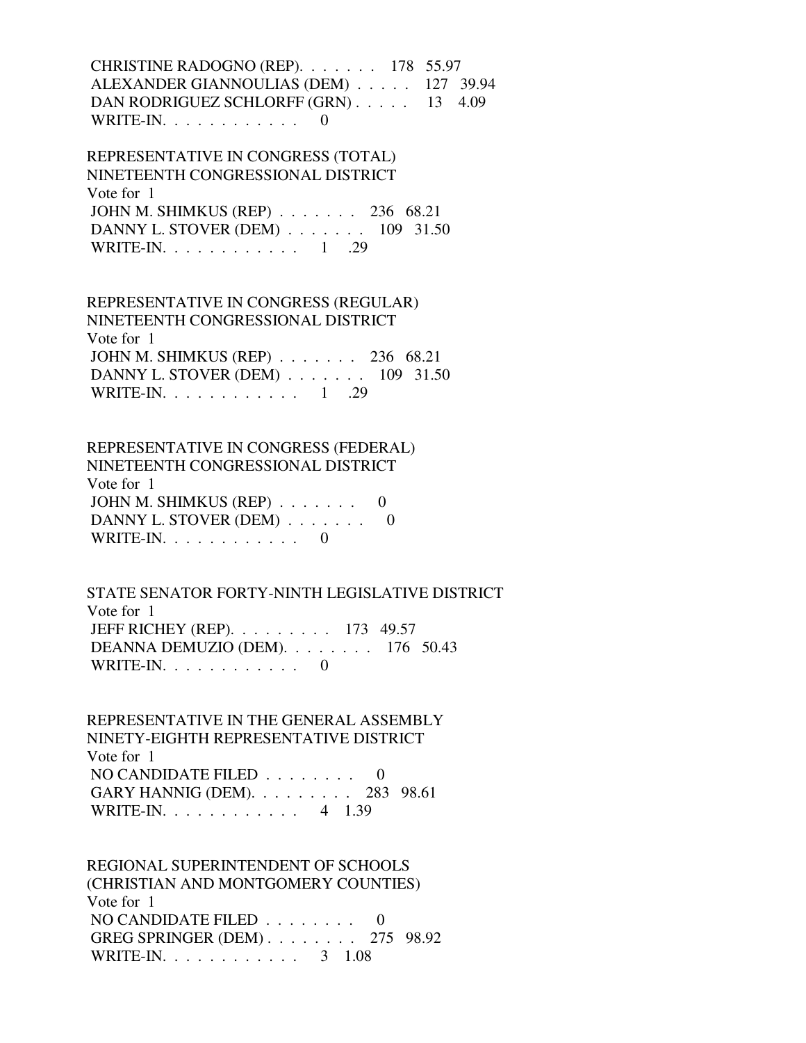CHRISTINE RADOGNO (REP). . . . . . . 178 55.97 ALEXANDER GIANNOULIAS (DEM) . . . . . 127 39.94 DAN RODRIGUEZ SCHLORFF (GRN) . . . . . 13 4.09 WRITE-IN.  $\ldots$  . . . . . . . . . 0

 REPRESENTATIVE IN CONGRESS (TOTAL) NINETEENTH CONGRESSIONAL DISTRICT Vote for 1 JOHN M. SHIMKUS (REP) . . . . . . . 236 68.21 DANNY L. STOVER (DEM) . . . . . . . 109 31.50 WRITE-IN. . . . . . . . . . . . 1 .29

 REPRESENTATIVE IN CONGRESS (REGULAR) NINETEENTH CONGRESSIONAL DISTRICT Vote for 1 JOHN M. SHIMKUS (REP) . . . . . . . 236 68.21 DANNY L. STOVER (DEM) . . . . . . . 109 31.50 WRITE-IN. . . . . . . . . . . . 1 .29

 REPRESENTATIVE IN CONGRESS (FEDERAL) NINETEENTH CONGRESSIONAL DISTRICT Vote for 1 JOHN M. SHIMKUS (REP) . . . . . . . 0 DANNY L. STOVER (DEM) . . . . . . . 0 WRITE-IN. . . . . . . . . . . . 0

 STATE SENATOR FORTY-NINTH LEGISLATIVE DISTRICT Vote for 1 JEFF RICHEY (REP). . . . . . . . . 173 49.57 DEANNA DEMUZIO (DEM). . . . . . . . 176 50.43 WRITE-IN.  $\ldots$  . . . . . . . . . 0

 REPRESENTATIVE IN THE GENERAL ASSEMBLY NINETY-EIGHTH REPRESENTATIVE DISTRICT Vote for 1 NO CANDIDATE FILED . . . . . . . . 0 GARY HANNIG (DEM). . . . . . . . . 283 98.61 WRITE-IN. . . . . . . . . . . . 4 1.39

 REGIONAL SUPERINTENDENT OF SCHOOLS (CHRISTIAN AND MONTGOMERY COUNTIES) Vote for 1 NO CANDIDATE FILED . . . . . . . . 0 GREG SPRINGER (DEM) . . . . . . . . 275 98.92 WRITE-IN. . . . . . . . . . . . . 3 1.08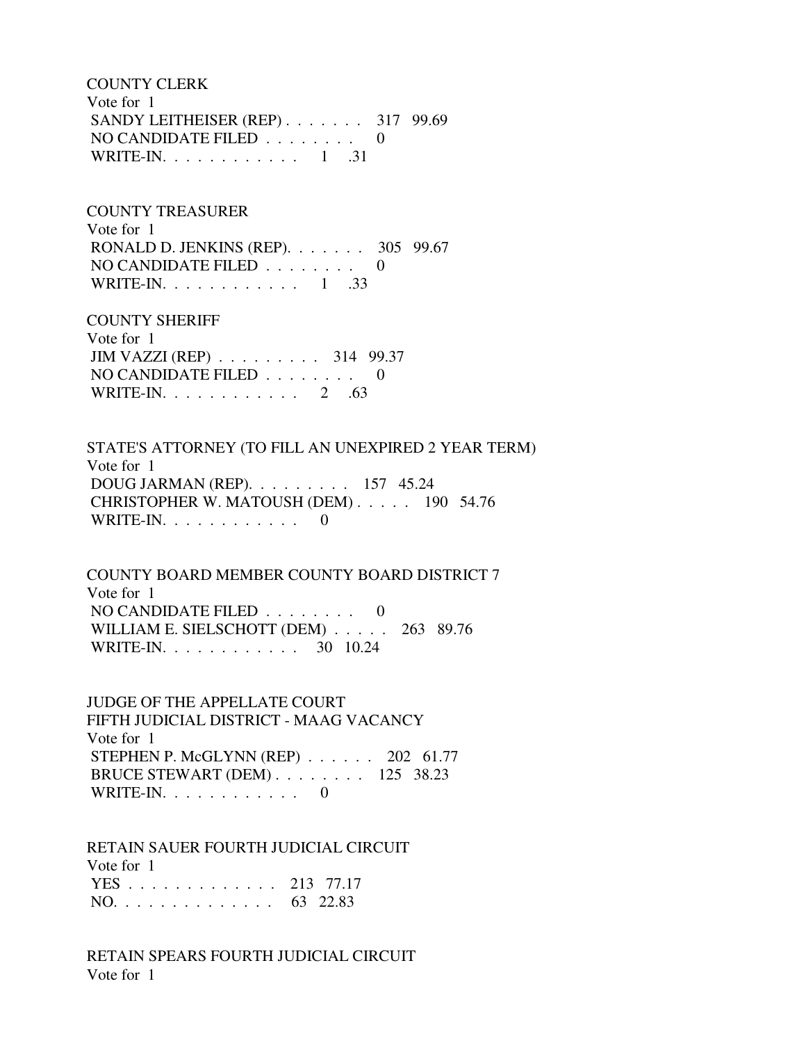COUNTY CLERK Vote for 1 SANDY LEITHEISER (REP) . . . . . . . 317 99.69 NO CANDIDATE FILED . . . . . . . . 0 WRITE-IN. . . . . . . . . . . . . 1 .31

COUNTY TREASURER

 Vote for 1 RONALD D. JENKINS (REP). . . . . . . 305 99.67 NO CANDIDATE FILED . . . . . . . . 0 WRITE-IN. . . . . . . . . . . . 1 .33

 COUNTY SHERIFF Vote for 1 JIM VAZZI (REP) . . . . . . . . . 314 99.37 NO CANDIDATE FILED . . . . . . . . 0 WRITE-IN. . . . . . . . . . . . 2 .63

 STATE'S ATTORNEY (TO FILL AN UNEXPIRED 2 YEAR TERM) Vote for 1 DOUG JARMAN (REP). . . . . . . . . 157 45.24 CHRISTOPHER W. MATOUSH (DEM) . . . . . 190 54.76 WRITE-IN.  $\ldots$  . . . . . . . . . 0

 COUNTY BOARD MEMBER COUNTY BOARD DISTRICT 7 Vote for 1 NO CANDIDATE FILED  $\ldots \ldots \ldots$  WILLIAM E. SIELSCHOTT (DEM) . . . . . 263 89.76 WRITE-IN. . . . . . . . . . . . 30 10.24

 JUDGE OF THE APPELLATE COURT FIFTH JUDICIAL DISTRICT - MAAG VACANCY Vote for 1 STEPHEN P. McGLYNN (REP) . . . . . . 202 61.77 BRUCE STEWART (DEM) . . . . . . . . 125 38.23 WRITE-IN. . . . . . . . . . . . 0

 RETAIN SAUER FOURTH JUDICIAL CIRCUIT Vote for 1 YES . . . . . . . . . . . . . 213 77.17 NO. . . . . . . . . . . . . . 63 22.83

 RETAIN SPEARS FOURTH JUDICIAL CIRCUIT Vote for 1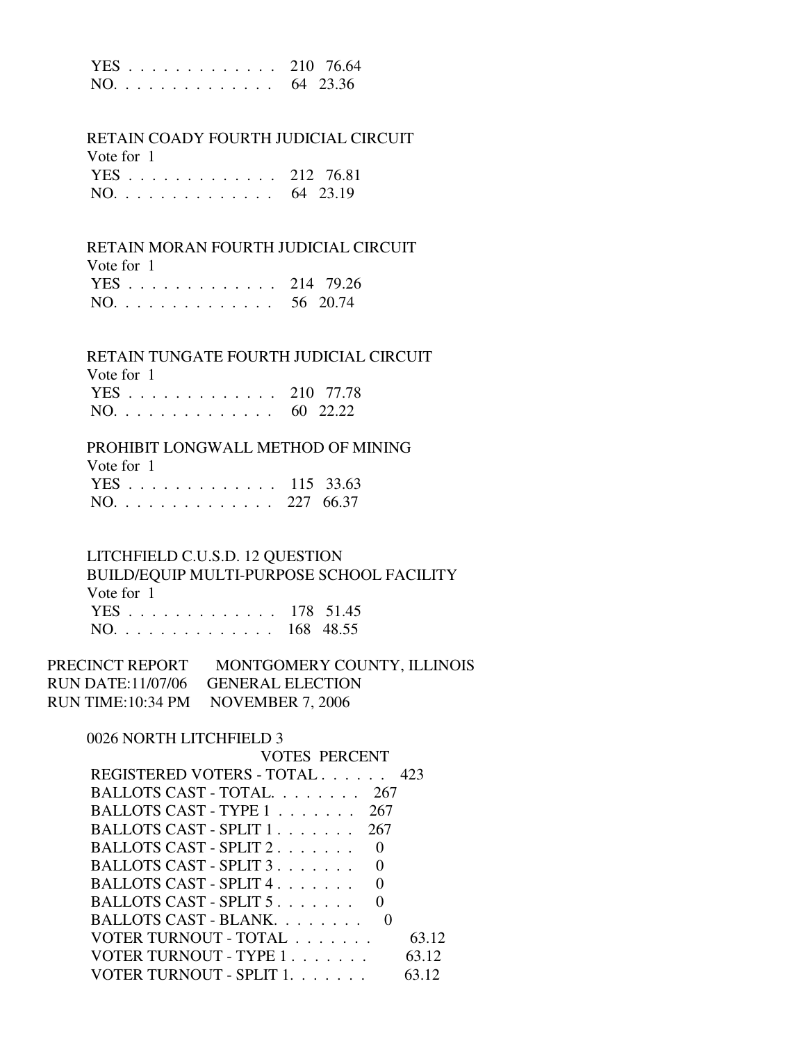|  |  |  |  |  |  |  | YES 210 76.64 |
|--|--|--|--|--|--|--|---------------|
|  |  |  |  |  |  |  | NO. 64 23.36  |

# RETAIN COADY FOURTH JUDICIAL CIRCUIT

Vote for 1

| YES 212 76.81 |  |
|---------------|--|
| NO. 64 23.19  |  |

## RETAIN MORAN FOURTH JUDICIAL CIRCUIT

Vote for 1

|     |  |  |  |  |  |  |  | YES 214 79.26 |
|-----|--|--|--|--|--|--|--|---------------|
| NO. |  |  |  |  |  |  |  | 56 20.74      |

## RETAIN TUNGATE FOURTH JUDICIAL CIRCUIT

| Vote for 1    |  |
|---------------|--|
| YES 210 77.78 |  |
| NO. 60 22.22  |  |

## PROHIBIT LONGWALL METHOD OF MINING

| Vote for 1    |  |
|---------------|--|
| YES 115 33.63 |  |
| NO. 227 66.37 |  |

## LITCHFIELD C.U.S.D. 12 QUESTION BUILD/EQUIP MULTI-PURPOSE SCHOOL FACILITY Vote for 1 YES . . . . . . . . . . . . . 178 51.45 NO. . . . . . . . . . . . . . 168 48.55

| PRECINCT REPORT | MONTGOMERY COUNTY, ILLINOIS        |
|-----------------|------------------------------------|
|                 | RUN DATE:11/07/06 GENERAL ELECTION |
|                 | RUN TIME:10:34 PM NOVEMBER 7, 2006 |

## 0026 NORTH LITCHFIELD 3

| <b>VOTES PERCENT</b>                     |
|------------------------------------------|
| REGISTERED VOTERS - TOTAL 423            |
| BALLOTS CAST - TOTAL.<br>267             |
| BALLOTS CAST - TYPE 1<br>267             |
| BALLOTS CAST - SPLIT 1<br>267            |
| BALLOTS CAST - SPLIT 2.                  |
| BALLOTS CAST - SPLIT 3.                  |
| BALLOTS CAST - SPLIT 4.                  |
| BALLOTS CAST - SPLIT $5, \ldots, \ldots$ |
| BALLOTS CAST - BLANK                     |
| VOTER TURNOUT - TOTAL<br>63.12           |
| VOTER TURNOUT - TYPE 1<br>63.12          |
| VOTER TURNOUT - SPLIT 1.                 |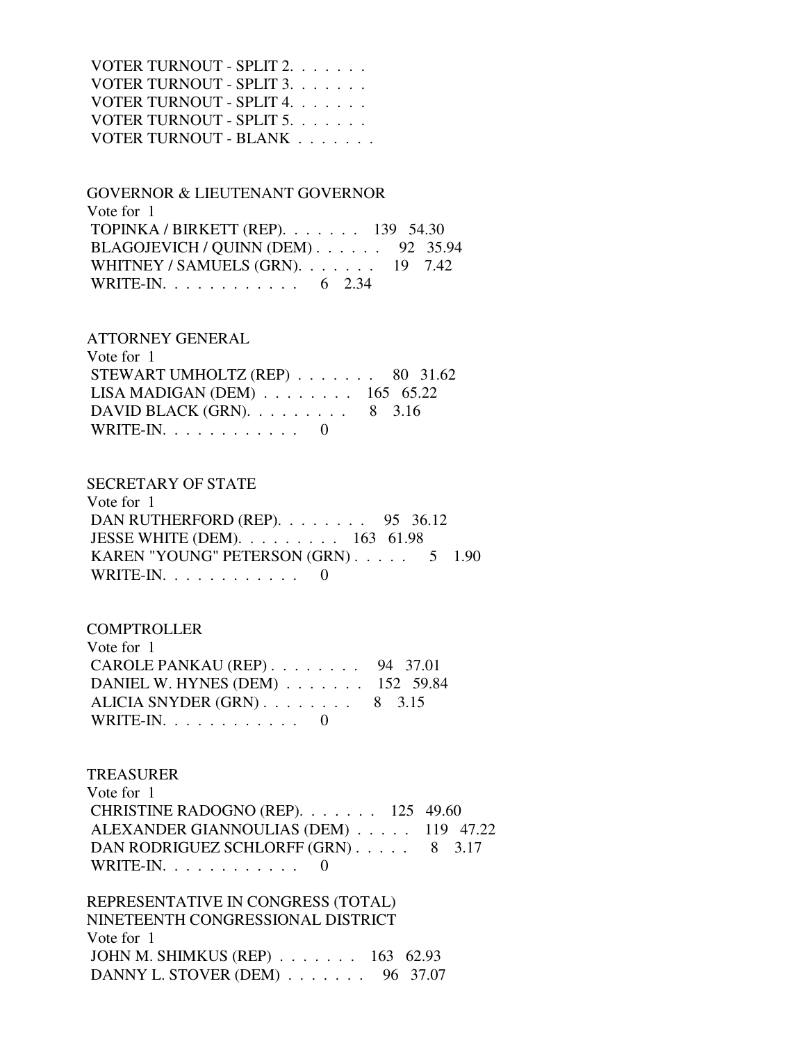| VOTER TURNOUT - SPLIT 2. |  |
|--------------------------|--|
| VOTER TURNOUT - SPLIT 3. |  |
| VOTER TURNOUT - SPLIT 4. |  |
| VOTER TURNOUT - SPLIT 5. |  |
| VOTER TURNOUT - BLANK    |  |

 GOVERNOR & LIEUTENANT GOVERNOR Vote for 1 TOPINKA / BIRKETT (REP). . . . . . . 139 54.30 BLAGOJEVICH / QUINN (DEM) . . . . . . 92 35.94 WHITNEY / SAMUELS (GRN). . . . . . . 19 7.42 WRITE-IN. . . . . . . . . . . . 6 2.34

#### ATTORNEY GENERAL

| Vote for 1                                            |  |
|-------------------------------------------------------|--|
| STEWART UMHOLTZ (REP) $\ldots \ldots \ldots$ 80 31.62 |  |
| LISA MADIGAN (DEM) $\ldots$ 165 65.22                 |  |
| DAVID BLACK (GRN). $\ldots$ 8 3.16                    |  |
| WRITE-IN. $\ldots$ 0                                  |  |

#### SECRETARY OF STATE

| Vote for 1                              |  |  |
|-----------------------------------------|--|--|
| DAN RUTHERFORD (REP). $\ldots$ 95 36.12 |  |  |
| JESSE WHITE (DEM). $\ldots$ 163 61.98   |  |  |
| KAREN "YOUNG" PETERSON $(GRN)$ 5 1.90   |  |  |
| WRITE-IN.                               |  |  |

#### **COMPTROLLER**

| Vote for 1                            |  |
|---------------------------------------|--|
| CAROLE PANKAU (REP) $\ldots$ 94 37.01 |  |
| DANIEL W. HYNES (DEM) 152 59.84       |  |
| ALICIA SNYDER $(GRN)$ 8 3.15          |  |
| WRITE-IN. $\ldots$ 0                  |  |

## TREASURER

| Vote for 1                                  |  |
|---------------------------------------------|--|
| CHRISTINE RADOGNO (REP). $\ldots$ 125 49.60 |  |
| ALEXANDER GIANNOULIAS (DEM) 119 47.22       |  |
| DAN RODRIGUEZ SCHLORFF (GRN) 8 3.17         |  |
| WRITE-IN.                                   |  |

 REPRESENTATIVE IN CONGRESS (TOTAL) NINETEENTH CONGRESSIONAL DISTRICT Vote for 1 JOHN M. SHIMKUS (REP) . . . . . . . 163 62.93 DANNY L. STOVER (DEM) . . . . . . . 96 37.07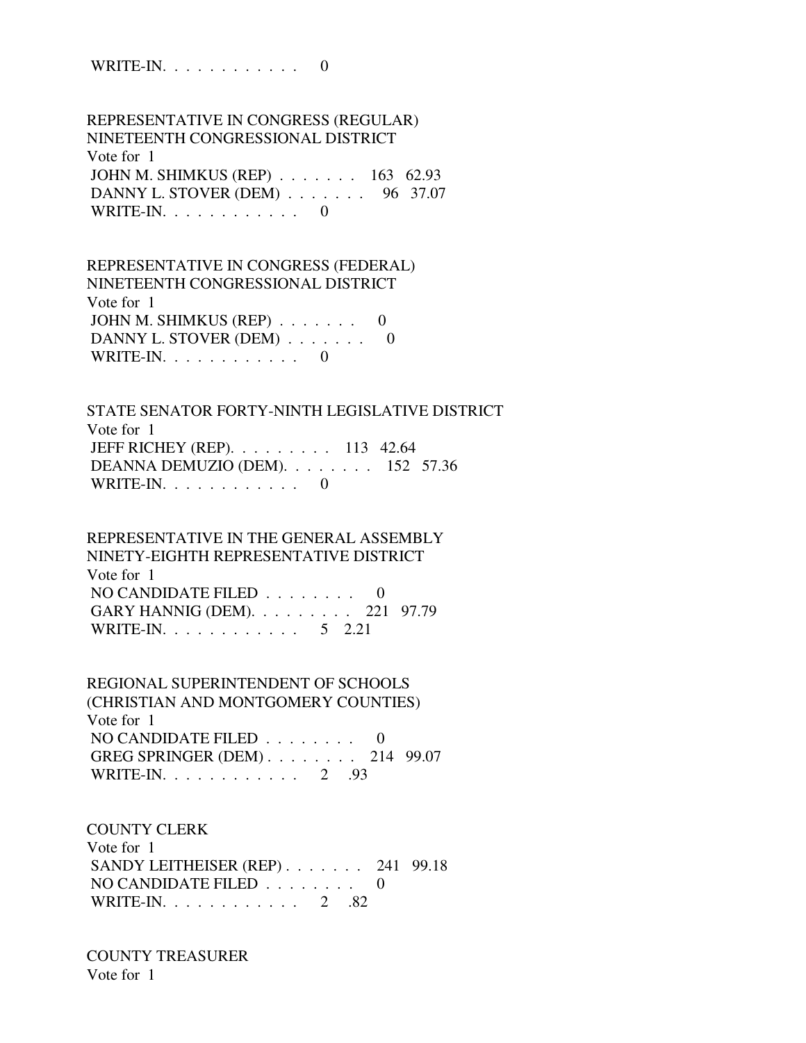WRITE-IN.  $\ldots$  . . . . . . . . 0

 REPRESENTATIVE IN CONGRESS (REGULAR) NINETEENTH CONGRESSIONAL DISTRICT Vote for 1 JOHN M. SHIMKUS (REP) . . . . . . . 163 62.93 DANNY L. STOVER (DEM) . . . . . . . 96 37.07 WRITE-IN. . . . . . . . . . . . 0

 REPRESENTATIVE IN CONGRESS (FEDERAL) NINETEENTH CONGRESSIONAL DISTRICT Vote for 1 JOHN M. SHIMKUS (REP)  $\ldots \ldots \ldots$  0 DANNY L. STOVER (DEM) . . . . . . . 0 WRITE-IN. . . . . . . . . . . . 0

 STATE SENATOR FORTY-NINTH LEGISLATIVE DISTRICT Vote for 1 JEFF RICHEY (REP). . . . . . . . . 113 42.64 DEANNA DEMUZIO (DEM). . . . . . . . 152 57.36 WRITE-IN.  $\ldots$  . . . . . . . . . 0

 REPRESENTATIVE IN THE GENERAL ASSEMBLY NINETY-EIGHTH REPRESENTATIVE DISTRICT Vote for 1 NO CANDIDATE FILED . . . . . . . . 0 GARY HANNIG (DEM). . . . . . . . . 221 97.79 WRITE-IN. . . . . . . . . . . . . 5 2.21

 REGIONAL SUPERINTENDENT OF SCHOOLS (CHRISTIAN AND MONTGOMERY COUNTIES) Vote for 1 NO CANDIDATE FILED . . . . . . . . 0 GREG SPRINGER (DEM) . . . . . . . . 214 99.07 WRITE-IN. . . . . . . . . . . . 2 .93

 COUNTY CLERK Vote for 1 SANDY LEITHEISER (REP) . . . . . . . 241 99.18

NO CANDIDATE FILED . . . . . . . . 0 WRITE-IN. . . . . . . . . . . . 2 .82

 COUNTY TREASURER Vote for 1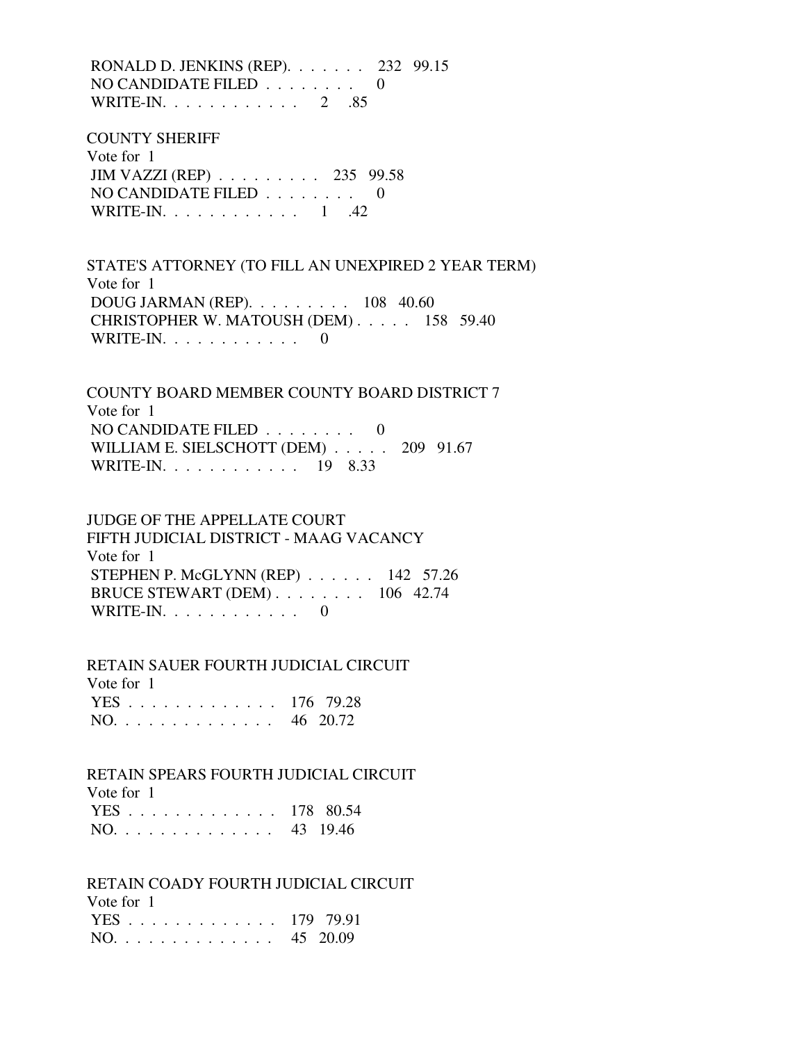RONALD D. JENKINS (REP). . . . . . . 232 99.15 NO CANDIDATE FILED . . . . . . . . 0 WRITE-IN. . . . . . . . . . . . 2 .85

 COUNTY SHERIFF Vote for 1 JIM VAZZI (REP) . . . . . . . . . 235 99.58 NO CANDIDATE FILED . . . . . . . . 0 WRITE-IN. . . . . . . . . . . . 1 .42

 STATE'S ATTORNEY (TO FILL AN UNEXPIRED 2 YEAR TERM) Vote for 1 DOUG JARMAN (REP). . . . . . . . . 108 40.60 CHRISTOPHER W. MATOUSH (DEM) . . . . . 158 59.40 WRITE-IN.  $\ldots$  . . . . . . . . . 0

 COUNTY BOARD MEMBER COUNTY BOARD DISTRICT 7 Vote for 1 NO CANDIDATE FILED  $\ldots$ , ... 0 WILLIAM E. SIELSCHOTT (DEM) . . . . . 209 91.67 WRITE-IN. . . . . . . . . . . . 19 8.33

 JUDGE OF THE APPELLATE COURT FIFTH JUDICIAL DISTRICT - MAAG VACANCY Vote for 1 STEPHEN P. McGLYNN (REP) . . . . . . 142 57.26 BRUCE STEWART (DEM) . . . . . . . . 106 42.74 WRITE-IN.  $\ldots$  . . . . . . . . 0

RETAIN SAUER FOURTH JUDICIAL CIRCUIT

| Vote for 1    |  |
|---------------|--|
| YES 176 79.28 |  |
| NO. 46 20.72  |  |

RETAIN SPEARS FOURTH JUDICIAL CIRCUIT

| Vote for 1    |  |
|---------------|--|
| YES 178 80.54 |  |
| NO. 43 19.46  |  |

RETAIN COADY FOURTH JUDICIAL CIRCUIT

 Vote for 1 YES . . . . . . . . . . . . . 179 79.91 NO. . . . . . . . . . . . . . 45 20.09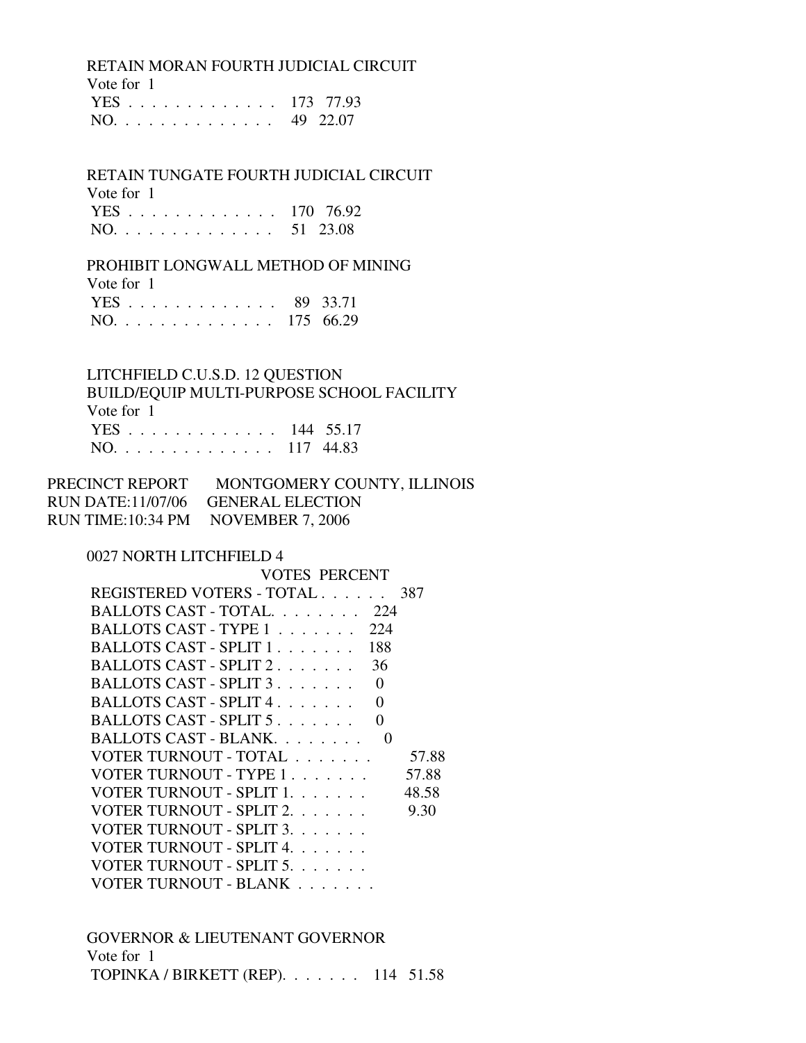RETAIN MORAN FOURTH JUDICIAL CIRCUIT Vote for 1 YES . . . . . . . . . . . . . 173 77.93

NO. . . . . . . . . . . . . . 49 22.07

 RETAIN TUNGATE FOURTH JUDICIAL CIRCUIT Vote for 1 YES . . . . . . . . . . . . . 170 76.92 NO. . . . . . . . . . . . . . 51 23.08

# PROHIBIT LONGWALL METHOD OF MINING

| Vote for 1    |  |
|---------------|--|
| YES 89 33.71  |  |
| NO. 175 66.29 |  |

 LITCHFIELD C.U.S.D. 12 QUESTION BUILD/EQUIP MULTI-PURPOSE SCHOOL FACILITY Vote for 1 YES . . . . . . . . . . . . . 144 55.17 NO. . . . . . . . . . . . . . 117 44.83

PRECINCT REPORT MONTGOMERY COUNTY, ILLINOIS RUN DATE:11/07/06 GENERAL ELECTION RUN TIME:10:34 PM NOVEMBER 7, 2006

#### 0027 NORTH LITCHFIELD 4

| VOTES PERCENT                                 |                   |
|-----------------------------------------------|-------------------|
| REGISTERED VOTERS - TOTAL                     | 387               |
| BALLOTS CAST - TOTAL 224                      |                   |
| BALLOTS CAST - TYPE 1<br>224                  |                   |
| BALLOTS CAST - SPLIT 1<br>188                 |                   |
| BALLOTS CAST - SPLIT 2.<br>36                 |                   |
| BALLOTS CAST - SPLIT 3<br>0                   |                   |
| BALLOTS CAST - SPLIT 4<br>0                   |                   |
| BALLOTS CAST - SPLIT $5, \ldots, \ldots$<br>0 |                   |
| BALLOTS CAST - BLANK                          | $\mathbf{\Omega}$ |
| VOTER TURNOUT - TOTAL                         | 57.88             |
| VOTER TURNOUT - TYPE 1.                       | 57.88             |
| VOTER TURNOUT - SPLIT 1.                      | 48.58             |
| VOTER TURNOUT - SPLIT 2.                      | 9.30              |
| VOTER TURNOUT - SPLIT 3.                      |                   |
| VOTER TURNOUT - SPLIT 4.                      |                   |
| VOTER TURNOUT - SPLIT 5.                      |                   |
| VOTER TURNOUT - BLANK<br>.                    |                   |

 GOVERNOR & LIEUTENANT GOVERNOR Vote for 1 TOPINKA / BIRKETT (REP). . . . . . . 114 51.58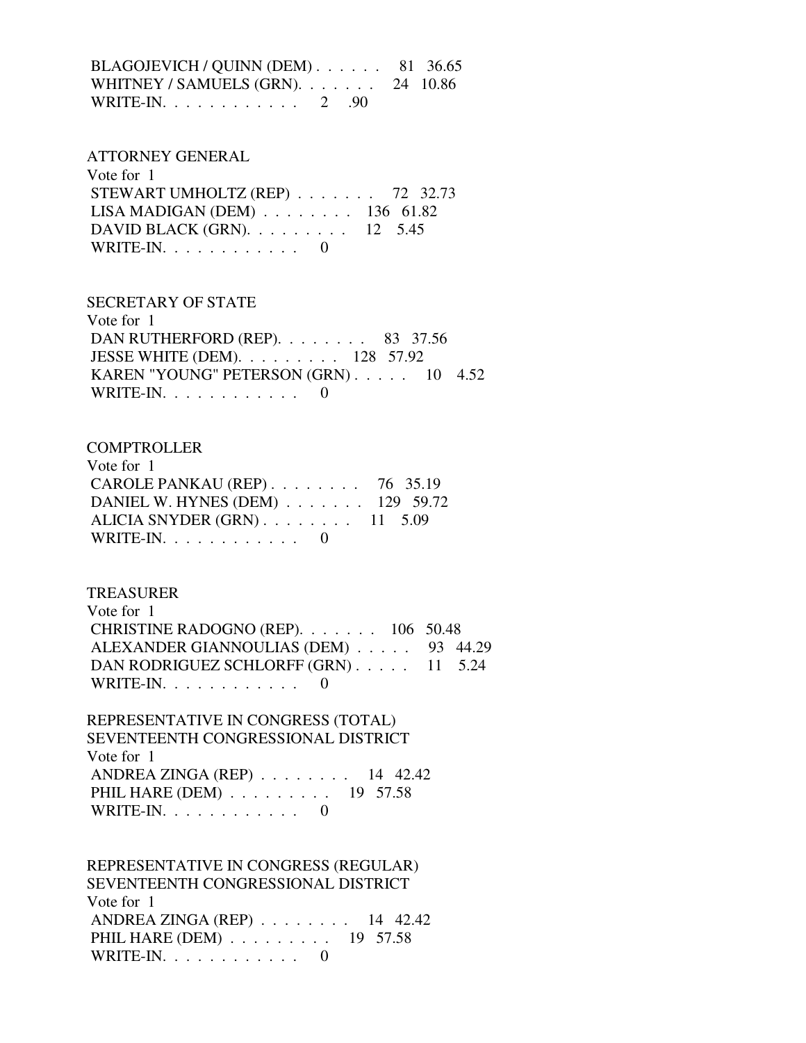BLAGOJEVICH / QUINN (DEM) . . . . . . 81 36.65 WHITNEY / SAMUELS (GRN). . . . . . . 24 10.86 WRITE-IN. . . . . . . . . . . . 2 .90

## ATTORNEY GENERAL

 Vote for 1 STEWART UMHOLTZ (REP) . . . . . . . 72 32.73 LISA MADIGAN (DEM) . . . . . . . . 136 61.82 DAVID BLACK (GRN). . . . . . . . . 12 5.45 WRITE-IN. . . . . . . . . . . . 0

## SECRETARY OF STATE

 Vote for 1 DAN RUTHERFORD (REP). . . . . . . . 83 37.56 JESSE WHITE (DEM). . . . . . . . . 128 57.92 KAREN "YOUNG" PETERSON (GRN) . . . . . 10 4.52 WRITE-IN. . . . . . . . . . . . 0

#### **COMPTROLLER**

| Vote for 1                                     |  |
|------------------------------------------------|--|
| CAROLE PANKAU (REP) $\ldots$ $\ldots$ 76 35.19 |  |
| DANIEL W. HYNES (DEM) $\ldots$ 129 59.72       |  |
| ALICIA SNYDER $(GRN)$ 11 5.09                  |  |
| WRITE-IN. $\ldots$ 0                           |  |

#### TREASURER

| Vote for 1                           |  |  |
|--------------------------------------|--|--|
| CHRISTINE RADOGNO (REP). 106 50.48   |  |  |
| ALEXANDER GIANNOULIAS (DEM) 93 44.29 |  |  |
| DAN RODRIGUEZ SCHLORFF (GRN) 11 5.24 |  |  |
| WRITE-IN. $\ldots$ , 0               |  |  |

 REPRESENTATIVE IN CONGRESS (TOTAL) SEVENTEENTH CONGRESSIONAL DISTRICT Vote for 1 ANDREA ZINGA (REP) . . . . . . . . 14 42.42 PHIL HARE (DEM) . . . . . . . . . 19 57.58 WRITE-IN. . . . . . . . . . . . 0

 REPRESENTATIVE IN CONGRESS (REGULAR) SEVENTEENTH CONGRESSIONAL DISTRICT Vote for 1 ANDREA ZINGA (REP) . . . . . . . . 14 42.42 PHIL HARE (DEM) . . . . . . . . . 19 57.58 WRITE-IN. . . . . . . . . . . . 0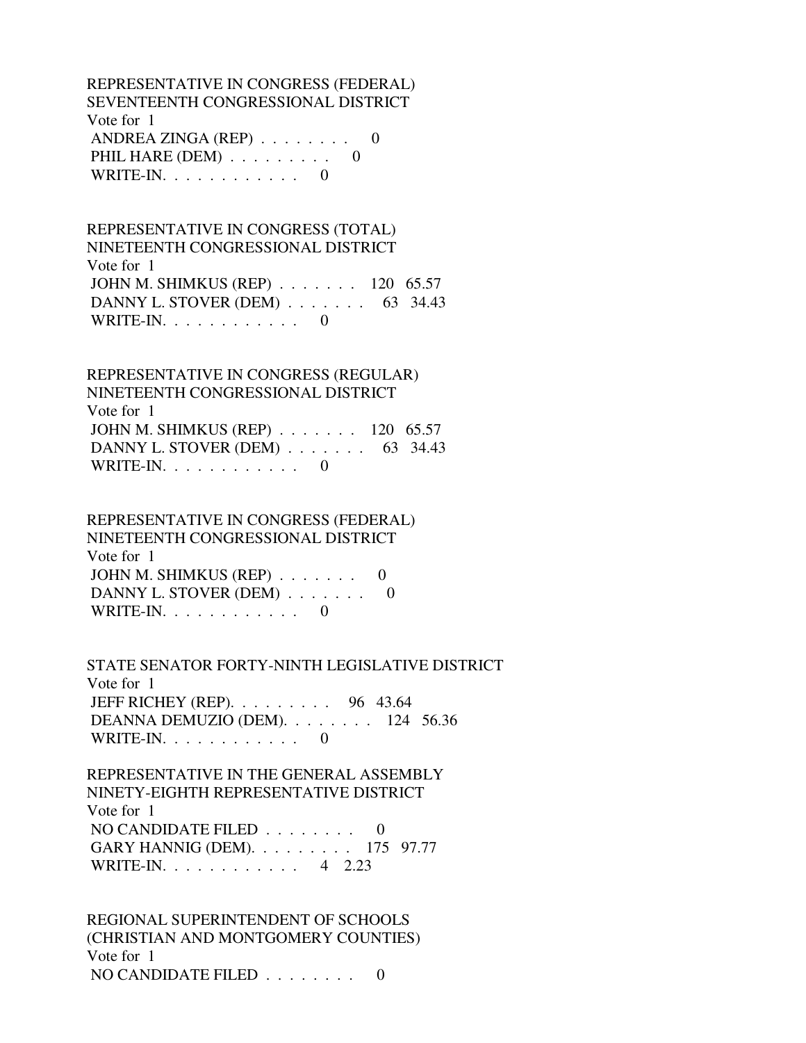REPRESENTATIVE IN CONGRESS (FEDERAL) SEVENTEENTH CONGRESSIONAL DISTRICT Vote for 1 ANDREA ZINGA (REP) . . . . . . . . 0 PHIL HARE  $(DEM)$  . . . . . . . . . 0 WRITE-IN. . . . . . . . . . . . 0

 REPRESENTATIVE IN CONGRESS (TOTAL) NINETEENTH CONGRESSIONAL DISTRICT Vote for 1 JOHN M. SHIMKUS (REP) . . . . . . . 120 65.57 DANNY L. STOVER (DEM) . . . . . . . 63 34.43 WRITE-IN. . . . . . . . . . . . 0

 REPRESENTATIVE IN CONGRESS (REGULAR) NINETEENTH CONGRESSIONAL DISTRICT Vote for 1 JOHN M. SHIMKUS (REP) . . . . . . . 120 65.57 DANNY L. STOVER (DEM) . . . . . . . 63 34.43 WRITE-IN.  $\ldots$  . . . . . . . . 0

## REPRESENTATIVE IN CONGRESS (FEDERAL) NINETEENTH CONGRESSIONAL DISTRICT Vote for 1 JOHN M. SHIMKUS (REP)  $\ldots \ldots$  0 DANNY L. STOVER (DEM) . . . . . . . 0 WRITE-IN.  $\ldots$  . . . . . . . . 0

 STATE SENATOR FORTY-NINTH LEGISLATIVE DISTRICT Vote for 1 JEFF RICHEY (REP). . . . . . . . . 96 43.64 DEANNA DEMUZIO (DEM). . . . . . . . 124 56.36 WRITE-IN.  $\ldots$  . . . . . . . . . 0

 REPRESENTATIVE IN THE GENERAL ASSEMBLY NINETY-EIGHTH REPRESENTATIVE DISTRICT Vote for 1 NO CANDIDATE FILED  $\ldots \ldots \ldots$  GARY HANNIG (DEM). . . . . . . . . 175 97.77 WRITE-IN. . . . . . . . . . . . . 4 2.23

 REGIONAL SUPERINTENDENT OF SCHOOLS (CHRISTIAN AND MONTGOMERY COUNTIES) Vote for 1 NO CANDIDATE FILED . . . . . . . . 0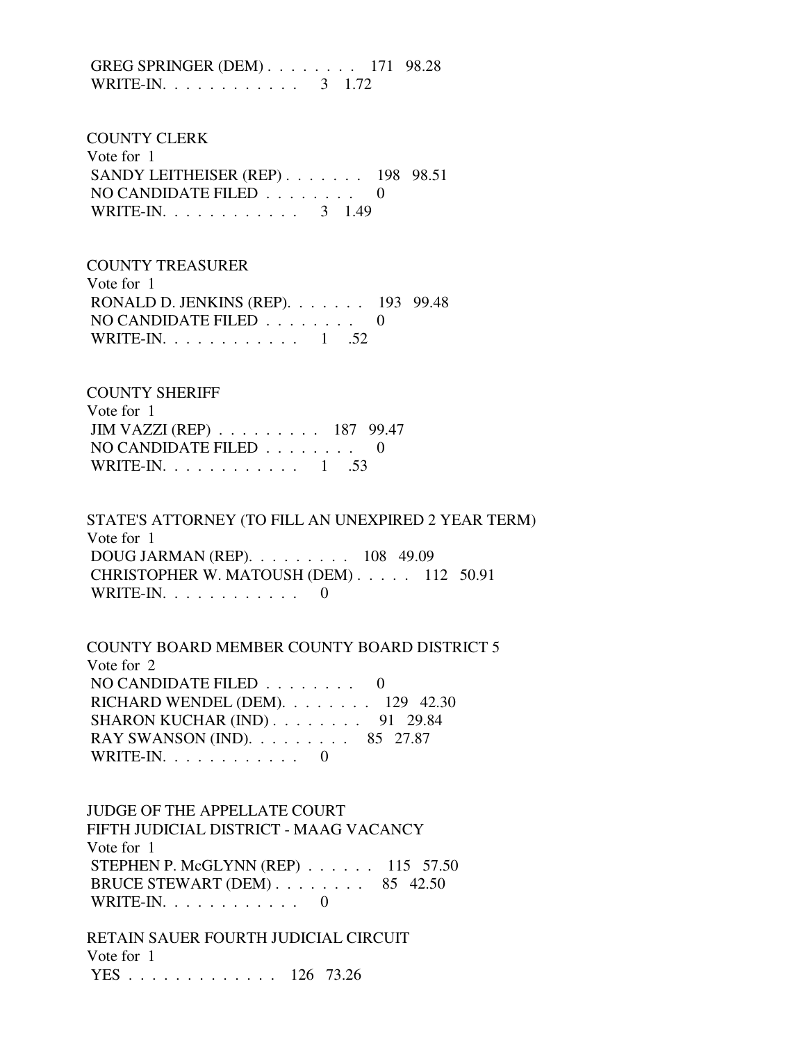GREG SPRINGER (DEM) . . . . . . . . 171 98.28 WRITE-IN. . . . . . . . . . . . 3 1.72

 COUNTY CLERK Vote for 1 SANDY LEITHEISER (REP) . . . . . . . 198 98.51 NO CANDIDATE FILED . . . . . . . . 0 WRITE-IN. . . . . . . . . . . . . 3 1.49

 COUNTY TREASURER Vote for 1 RONALD D. JENKINS (REP). . . . . . . 193 99.48 NO CANDIDATE FILED . . . . . . . . 0 WRITE-IN. . . . . . . . . . . . . 1 .52

 COUNTY SHERIFF Vote for 1 JIM VAZZI (REP) . . . . . . . . . 187 99.47 NO CANDIDATE FILED . . . . . . . . 0 WRITE-IN. . . . . . . . . . . . . 1 .53

 STATE'S ATTORNEY (TO FILL AN UNEXPIRED 2 YEAR TERM) Vote for 1 DOUG JARMAN (REP). . . . . . . . . 108 49.09 CHRISTOPHER W. MATOUSH (DEM) . . . . . 112 50.91 WRITE-IN. . . . . . . . . . . . 0

 COUNTY BOARD MEMBER COUNTY BOARD DISTRICT 5 Vote for 2 NO CANDIDATE FILED  $\ldots \ldots \ldots$  RICHARD WENDEL (DEM). . . . . . . . 129 42.30 SHARON KUCHAR (IND) . . . . . . . . 91 29.84 RAY SWANSON (IND). . . . . . . . . 85 27.87 WRITE-IN.  $\ldots$  . . . . . . . . 0

 JUDGE OF THE APPELLATE COURT FIFTH JUDICIAL DISTRICT - MAAG VACANCY Vote for 1 STEPHEN P. McGLYNN (REP) . . . . . . 115 57.50 BRUCE STEWART (DEM) . . . . . . . . 85 42.50 WRITE-IN.  $\ldots$  . . . . . . . . . 0

 RETAIN SAUER FOURTH JUDICIAL CIRCUIT Vote for 1 YES . . . . . . . . . . . . . 126 73.26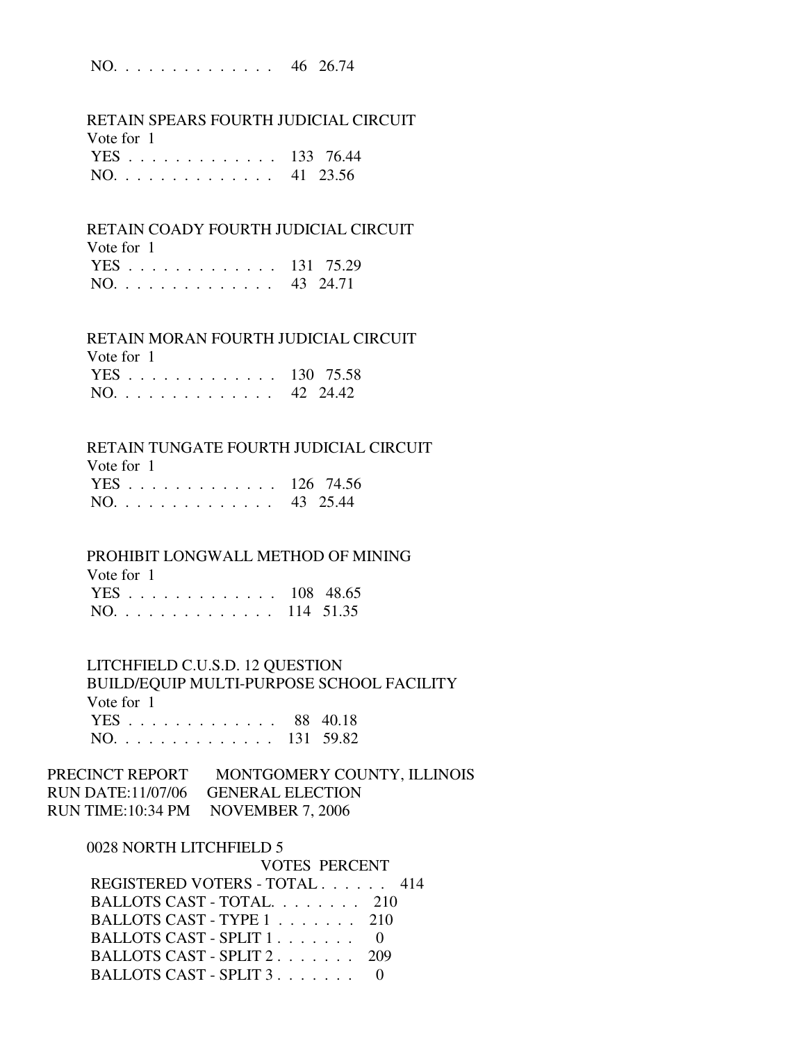# NO. . . . . . . . . . . . . . 46 26.74

## RETAIN SPEARS FOURTH JUDICIAL CIRCUIT

Vote for 1

|  |  |  |  |  |  | YES 133 76.44 |
|--|--|--|--|--|--|---------------|
|  |  |  |  |  |  | NO. 41 23.56  |

#### RETAIN COADY FOURTH JUDICIAL CIRCUIT

| Vote for 1    |  |
|---------------|--|
| YES 131 75.29 |  |
| NO. 43 24.71  |  |

#### RETAIN MORAN FOURTH JUDICIAL CIRCUIT

| Vote for 1    |  |
|---------------|--|
| YES 130 75.58 |  |
| NO. 42 24.42  |  |

## RETAIN TUNGATE FOURTH JUDICIAL CIRCUIT

| Vote for 1    |  |
|---------------|--|
| YES 126 74.56 |  |
| NO. 43 25.44  |  |

## PROHIBIT LONGWALL METHOD OF MINING

| Vote for 1    |  |
|---------------|--|
| YES 108 48.65 |  |
| NO. 114 51.35 |  |

#### LITCHFIELD C.U.S.D. 12 QUESTION

#### BUILD/EQUIP MULTI-PURPOSE SCHOOL FACILITY Vote for 1<br>V<sub>ES</sub>  $88.4018$

|  |  |  |  |  |  |  |  | $1E5$ 88 40.18 |
|--|--|--|--|--|--|--|--|----------------|
|  |  |  |  |  |  |  |  | NO. 131 59.82  |

## PRECINCT REPORT MONTGOMERY COUNTY, ILLINOIS RUN DATE:11/07/06 GENERAL ELECTION RUN TIME:10:34 PM NOVEMBER 7, 2006

## 0028 NORTH LITCHFIELD 5

| <b>VOTES PERCENT</b>                         |  |
|----------------------------------------------|--|
| REGISTERED VOTERS - TOTAL 414                |  |
| BALLOTS CAST - TOTAL. 210                    |  |
| BALLOTS CAST - TYPE $1, \ldots, \ldots, 210$ |  |
| BALLOTS CAST - SPLIT 1                       |  |
| BALLOTS CAST - SPLIT 2. 209                  |  |
| BALLOTS CAST - SPLIT 3.                      |  |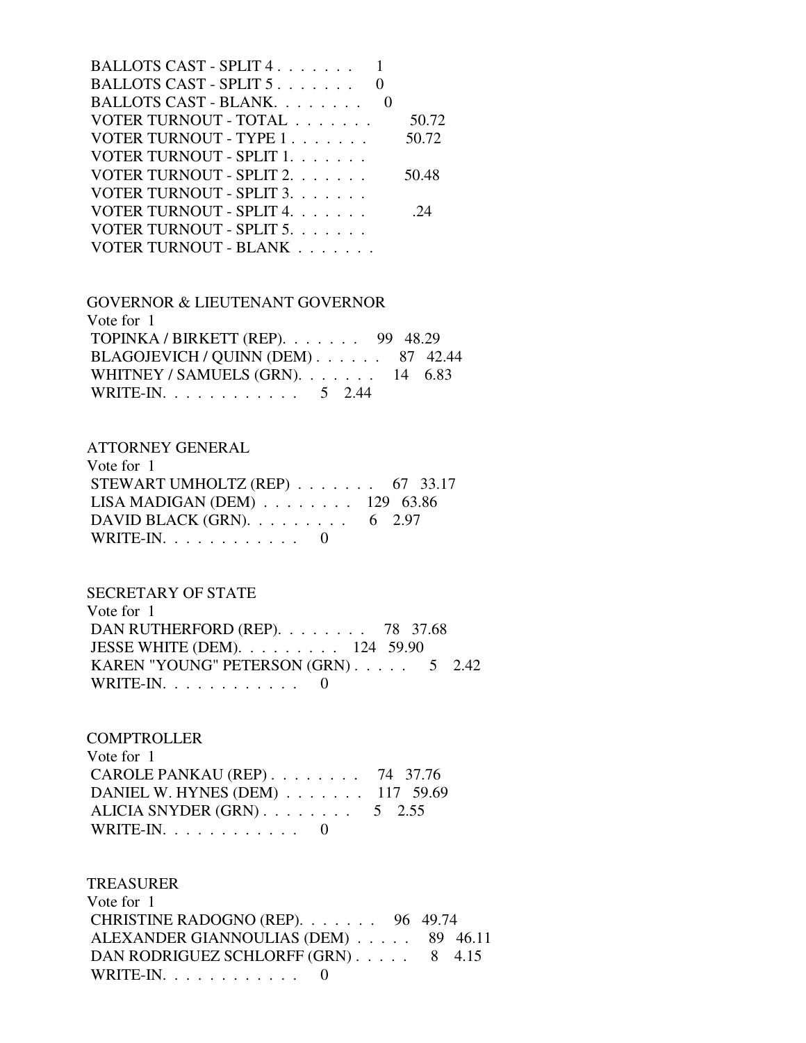| BALLOTS CAST - SPLIT 4.  |       |
|--------------------------|-------|
| BALLOTS CAST - SPLIT 5   |       |
| BALLOTS CAST - BLANK.    |       |
| VOTER TURNOUT - TOTAL    | 50.72 |
| VOTER TURNOUT - TYPE 1   | 50.72 |
| VOTER TURNOUT - SPLIT 1. |       |
| VOTER TURNOUT - SPLIT 2. | 50.48 |
| VOTER TURNOUT - SPLIT 3. |       |
| VOTER TURNOUT - SPLIT 4. | -24   |
| VOTER TURNOUT - SPLIT 5. |       |
| VOTER TURNOUT - BLANK    |       |

 GOVERNOR & LIEUTENANT GOVERNOR Vote for 1 TOPINKA / BIRKETT (REP). . . . . . . 99 48.29 BLAGOJEVICH / QUINN (DEM) . . . . . . 87 42.44 WHITNEY / SAMUELS (GRN). . . . . . . . 14 6.83 WRITE-IN. . . . . . . . . . . . 5 2.44

#### ATTORNEY GENERAL

| Vote for 1                                          |  |  |
|-----------------------------------------------------|--|--|
| STEWART UMHOLTZ (REP) $\ldots$ 67 33.17             |  |  |
| LISA MADIGAN (DEM) $\ldots \ldots \ldots$ 129 63.86 |  |  |
| DAVID BLACK (GRN). $\ldots \ldots \ldots$ 6 2.97    |  |  |
| WRITE-IN. $\ldots$ 0                                |  |  |

## SECRETARY OF STATE

| Vote for 1                                          |  |  |
|-----------------------------------------------------|--|--|
| DAN RUTHERFORD (REP). $\ldots$ 78 37.68             |  |  |
| JESSE WHITE (DEM). $\ldots \ldots \ldots 124$ 59.90 |  |  |
| KAREN "YOUNG" PETERSON $(GRN)$ 5 2.42               |  |  |
| WRITE-IN. $\ldots$ 0                                |  |  |

## **COMPTROLLER**

| Vote for 1                            |  |
|---------------------------------------|--|
| CAROLE PANKAU (REP) $\ldots$ 74 37.76 |  |
| DANIEL W. HYNES (DEM) 117 59.69       |  |
| ALICIA SNYDER $(GRN)$ 5 2.55          |  |
| WRITE-IN. $\ldots$ 0                  |  |

## TREASURER

| Vote for $1$                                 |  |
|----------------------------------------------|--|
| CHRISTINE RADOGNO (REP). $\ldots$ 96 49.74   |  |
| ALEXANDER GIANNOULIAS (DEM) 89 46.11         |  |
| DAN RODRIGUEZ SCHLORFF (GRN) 8 4.15          |  |
| WRITE-IN. $\ldots$ , $\ldots$ , $\ldots$ , 0 |  |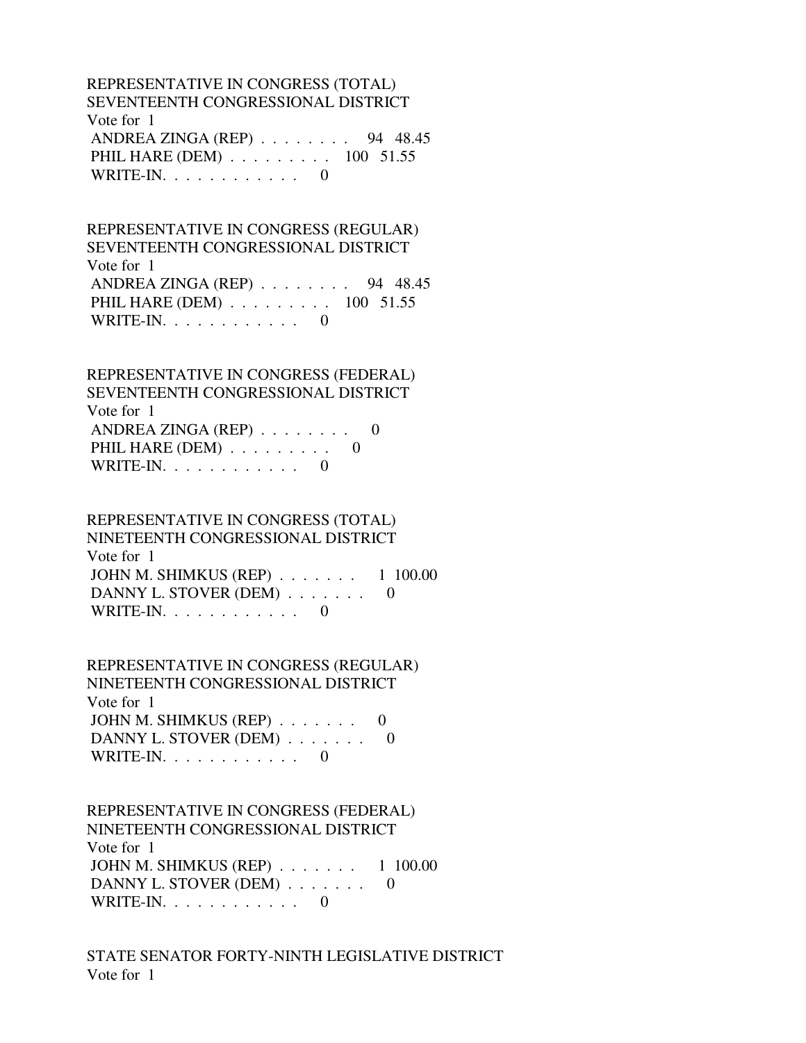REPRESENTATIVE IN CONGRESS (TOTAL) SEVENTEENTH CONGRESSIONAL DISTRICT Vote for 1 ANDREA ZINGA (REP) . . . . . . . . 94 48.45 PHIL HARE (DEM) . . . . . . . . . 100 51.55 WRITE-IN. . . . . . . . . . . . 0

 REPRESENTATIVE IN CONGRESS (REGULAR) SEVENTEENTH CONGRESSIONAL DISTRICT Vote for 1 ANDREA ZINGA (REP) . . . . . . . . 94 48.45 PHIL HARE (DEM) . . . . . . . . . 100 51.55 WRITE-IN. . . . . . . . . . . . 0

 REPRESENTATIVE IN CONGRESS (FEDERAL) SEVENTEENTH CONGRESSIONAL DISTRICT Vote for 1 ANDREA ZINGA (REP) . . . . . . . . 0 PHIL HARE  $(DEM)$  . . . . . . . . . 0 WRITE-IN.  $\ldots$  . . . . . . . . . 0

#### REPRESENTATIVE IN CONGRESS (TOTAL) NINETEENTH CONGRESSIONAL DISTRICT

 Vote for 1 JOHN M. SHIMKUS (REP) . . . . . . . 1 100.00 DANNY L. STOVER (DEM) . . . . . . . 0 WRITE-IN.  $\ldots$  . . . . . . . . 0

 REPRESENTATIVE IN CONGRESS (REGULAR) NINETEENTH CONGRESSIONAL DISTRICT Vote for 1 JOHN M. SHIMKUS (REP)  $\ldots \ldots \ldots$ DANNY L. STOVER (DEM) . . . . . . . 0 WRITE-IN.  $\ldots$  . . . . . . . . 0

 REPRESENTATIVE IN CONGRESS (FEDERAL) NINETEENTH CONGRESSIONAL DISTRICT Vote for 1 JOHN M. SHIMKUS (REP) . . . . . . . 1 100.00 DANNY L. STOVER (DEM) . . . . . . . 0 WRITE-IN.  $\ldots$  . . . . . . . . . 0

 STATE SENATOR FORTY-NINTH LEGISLATIVE DISTRICT Vote for 1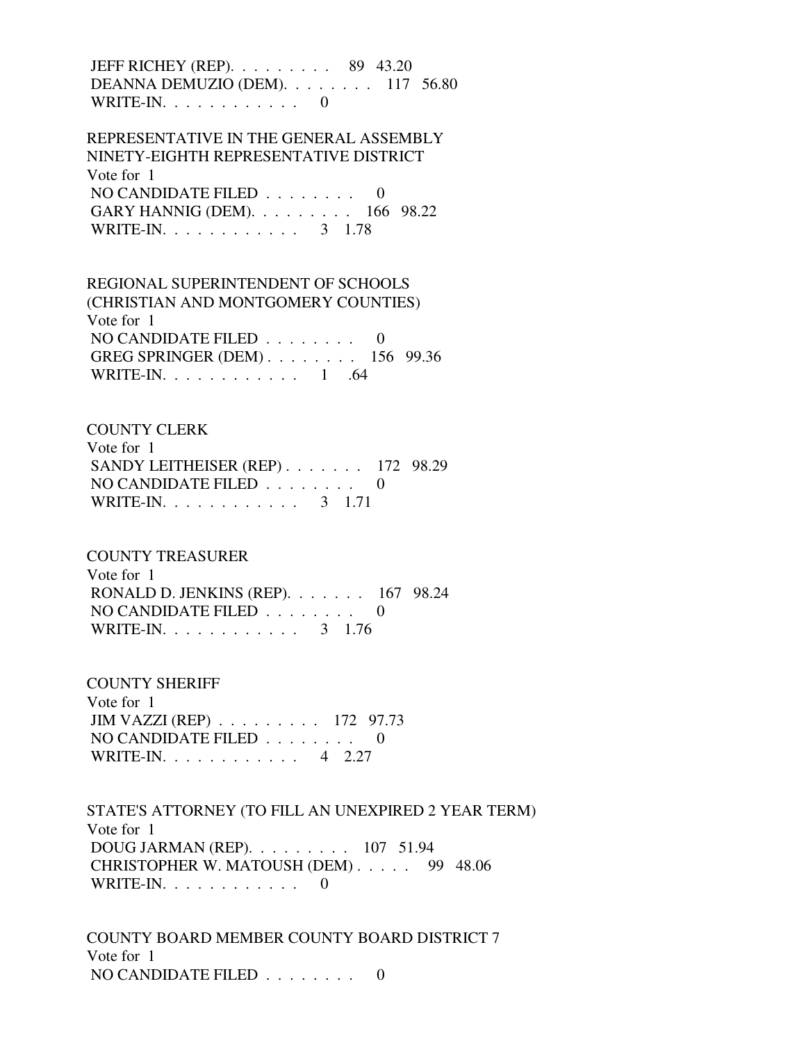JEFF RICHEY (REP). . . . . . . . . 89 43.20 DEANNA DEMUZIO (DEM). . . . . . . . 117 56.80 WRITE-IN.  $\ldots$  . . . . . . . . . 0

 REPRESENTATIVE IN THE GENERAL ASSEMBLY NINETY-EIGHTH REPRESENTATIVE DISTRICT Vote for 1 NO CANDIDATE FILED . . . . . . . . 0 GARY HANNIG (DEM). . . . . . . . . 166 98.22 WRITE-IN. . . . . . . . . . . . . 3 1.78

 REGIONAL SUPERINTENDENT OF SCHOOLS (CHRISTIAN AND MONTGOMERY COUNTIES) Vote for 1 NO CANDIDATE FILED . . . . . . . . 0 GREG SPRINGER (DEM) . . . . . . . . 156 99.36 WRITE-IN. . . . . . . . . . . . 1 .64

 COUNTY CLERK Vote for 1 SANDY LEITHEISER (REP) . . . . . . . 172 98.29 NO CANDIDATE FILED . . . . . . . . 0 WRITE-IN. . . . . . . . . . . . . 3 1.71

 COUNTY TREASURER Vote for 1 RONALD D. JENKINS (REP). . . . . . . 167 98.24

 NO CANDIDATE FILED . . . . . . . . 0 WRITE-IN. . . . . . . . . . . . . 3 1.76

 COUNTY SHERIFF Vote for 1 JIM VAZZI (REP) . . . . . . . . . 172 97.73 NO CANDIDATE FILED . . . . . . . . 0 WRITE-IN. . . . . . . . . . . . 4 2.27

 STATE'S ATTORNEY (TO FILL AN UNEXPIRED 2 YEAR TERM) Vote for 1 DOUG JARMAN (REP). . . . . . . . . 107 51.94 CHRISTOPHER W. MATOUSH (DEM) . . . . . 99 48.06 WRITE-IN.  $\ldots$  . . . . . . . . . 0

 COUNTY BOARD MEMBER COUNTY BOARD DISTRICT 7 Vote for 1 NO CANDIDATE FILED . . . . . . . . 0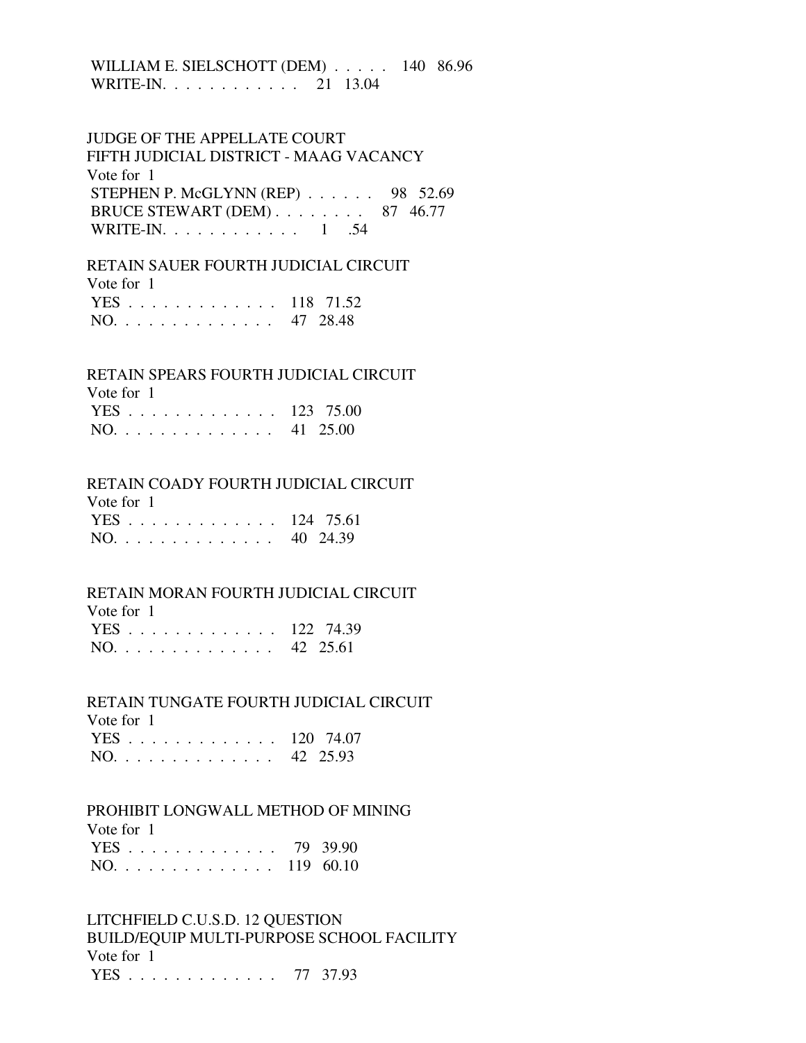WILLIAM E. SIELSCHOTT (DEM) . . . . . 140 86.96 WRITE-IN. . . . . . . . . . . . 21 13.04

 JUDGE OF THE APPELLATE COURT FIFTH JUDICIAL DISTRICT - MAAG VACANCY Vote for 1 STEPHEN P. McGLYNN (REP) . . . . . . 98 52.69 BRUCE STEWART (DEM) . . . . . . . . 87 46.77 WRITE-IN. . . . . . . . . . . . 1 .54

 RETAIN SAUER FOURTH JUDICIAL CIRCUIT Vote for 1 YES . . . . . . . . . . . . . 118 71.52 NO. . . . . . . . . . . . . . 47 28.48

#### RETAIN SPEARS FOURTH JUDICIAL CIRCUIT Vote for 1

| VUUC IUI I    |  |
|---------------|--|
| YES 123 75.00 |  |
| NO. 41 25.00  |  |

#### RETAIN COADY FOURTH JUDICIAL CIRCUIT

| Vote for 1    |  |
|---------------|--|
| YES 124 75.61 |  |
| NO. 40 24.39  |  |

#### RETAIN MORAN FOURTH JUDICIAL CIRCUIT

| Vote for 1    |  |
|---------------|--|
| YES 122 74.39 |  |
| NO. 42 25.61  |  |

 RETAIN TUNGATE FOURTH JUDICIAL CIRCUIT  $V$ ote for  $1$ 

| VOLE TOLI     |  |
|---------------|--|
| YES 120 74.07 |  |
| NO. 42 25.93  |  |

## PROHIBIT LONGWALL METHOD OF MINING

 Vote for 1 YES . . . . . . . . . . . . . 79 39.90 NO. . . . . . . . . . . . . . 119 60.10

 LITCHFIELD C.U.S.D. 12 QUESTION BUILD/EQUIP MULTI-PURPOSE SCHOOL FACILITY Vote for 1 YES . . . . . . . . . . . . . 77 37.93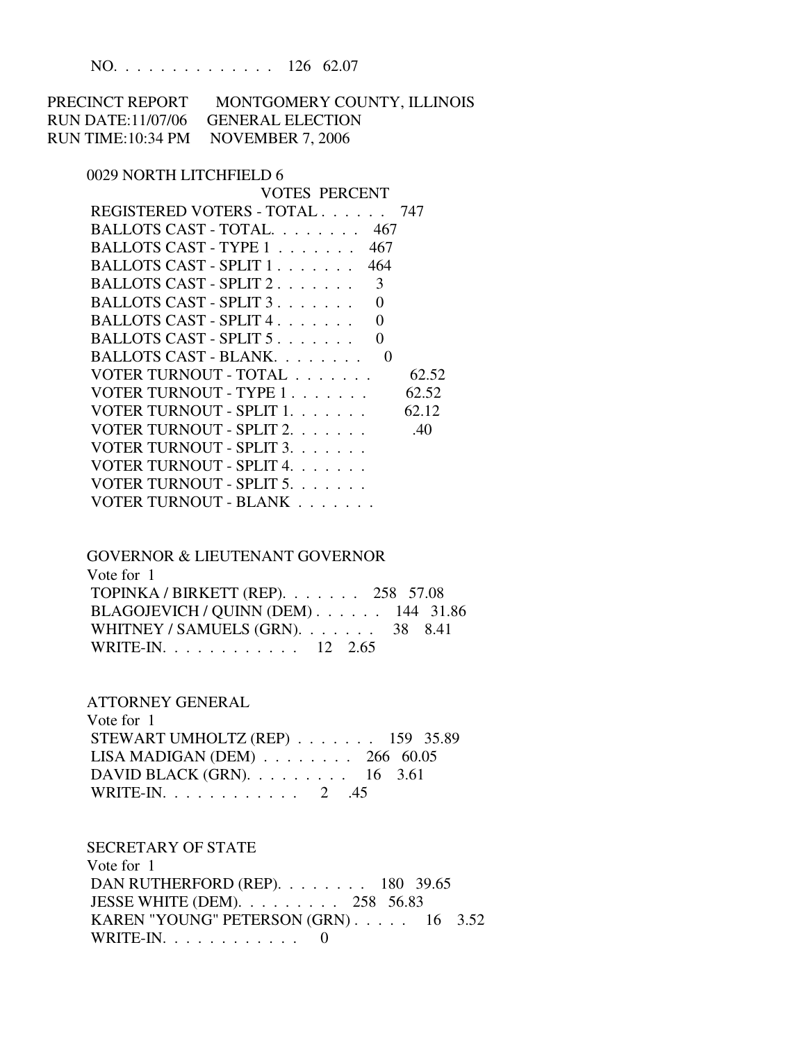NO. . . . . . . . . . . . . . 126 62.07

PRECINCT REPORT MONTGOMERY COUNTY, ILLINOIS RUN DATE:11/07/06 GENERAL ELECTION RUN TIME:10:34 PM NOVEMBER 7, 2006

## 0029 NORTH LITCHFIELD 6

| REGISTERED VOTERS - TOTAL<br>747  |
|-----------------------------------|
|                                   |
|                                   |
|                                   |
|                                   |
|                                   |
|                                   |
|                                   |
|                                   |
| 62.52                             |
| 62.52                             |
| VOTER TURNOUT - SPLIT 1.<br>62.12 |
| .40                               |
|                                   |
|                                   |
|                                   |
|                                   |
|                                   |

## GOVERNOR & LIEUTENANT GOVERNOR Vote for 1 TOPINKA / BIRKETT (REP). . . . . . . 258 57.08 BLAGOJEVICH / QUINN (DEM) . . . . . . 144 31.86 WHITNEY / SAMUELS (GRN). . . . . . . 38 8.41 WRITE-IN. . . . . . . . . . . . 12 2.65

ATTORNEY GENERAL

 Vote for 1 STEWART UMHOLTZ (REP) . . . . . . . 159 35.89 LISA MADIGAN (DEM) . . . . . . . . 266 60.05 DAVID BLACK (GRN). . . . . . . . . 16 3.61 WRITE-IN. . . . . . . . . . . . 2 .45

## SECRETARY OF STATE

 Vote for 1 DAN RUTHERFORD (REP). . . . . . . . 180 39.65 JESSE WHITE (DEM). . . . . . . . . 258 56.83 KAREN "YOUNG" PETERSON (GRN) . . . . . 16 3.52 WRITE-IN.  $\ldots$  . . . . . . . . . 0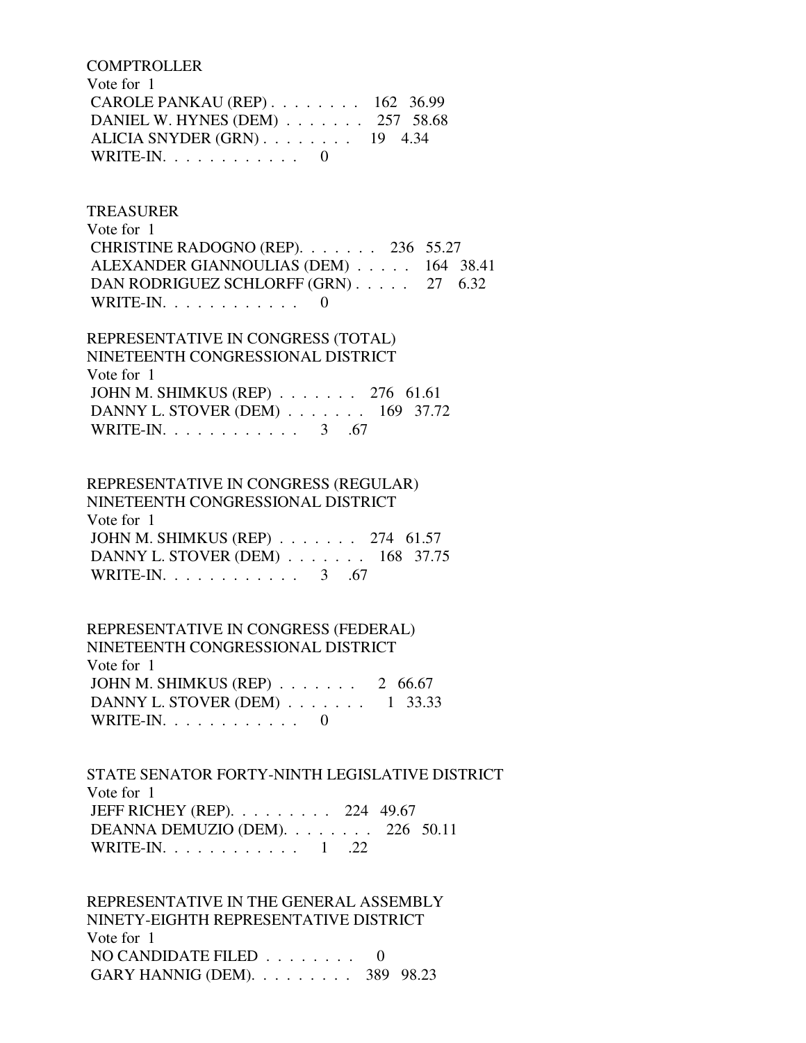**COMPTROLLER**  Vote for 1 CAROLE PANKAU (REP) . . . . . . . . 162 36.99 DANIEL W. HYNES (DEM) . . . . . . . 257 58.68 ALICIA SNYDER (GRN) . . . . . . . . 19 4.34 WRITE-IN.  $\ldots$  . . . . . . . . 0

 TREASURER Vote for 1 CHRISTINE RADOGNO (REP). . . . . . . 236 55.27 ALEXANDER GIANNOULIAS (DEM) . . . . . 164 38.41 DAN RODRIGUEZ SCHLORFF (GRN) . . . . . 27 6.32 WRITE-IN.  $\ldots$  . . . . . . . . 0

 REPRESENTATIVE IN CONGRESS (TOTAL) NINETEENTH CONGRESSIONAL DISTRICT Vote for 1 JOHN M. SHIMKUS (REP) . . . . . . . 276 61.61 DANNY L. STOVER (DEM) . . . . . . . 169 37.72 WRITE-IN. . . . . . . . . . . . . 3 .67

 REPRESENTATIVE IN CONGRESS (REGULAR) NINETEENTH CONGRESSIONAL DISTRICT Vote for 1 JOHN M. SHIMKUS (REP) . . . . . . . 274 61.57 DANNY L. STOVER (DEM) . . . . . . . 168 37.75 WRITE-IN. . . . . . . . . . . . . 3 .67

 REPRESENTATIVE IN CONGRESS (FEDERAL) NINETEENTH CONGRESSIONAL DISTRICT Vote for 1 JOHN M. SHIMKUS (REP) . . . . . . . 2 66.67 DANNY L. STOVER (DEM) . . . . . . . 1 33.33 WRITE-IN. . . . . . . . . . . . . . . 0

 STATE SENATOR FORTY-NINTH LEGISLATIVE DISTRICT Vote for 1 JEFF RICHEY (REP). . . . . . . . . 224 49.67 DEANNA DEMUZIO (DEM). . . . . . . . 226 50.11 WRITE-IN. . . . . . . . . . . . 1 .22

 REPRESENTATIVE IN THE GENERAL ASSEMBLY NINETY-EIGHTH REPRESENTATIVE DISTRICT Vote for 1 NO CANDIDATE FILED  $\ldots \ldots \ldots$  0 GARY HANNIG (DEM). . . . . . . . . 389 98.23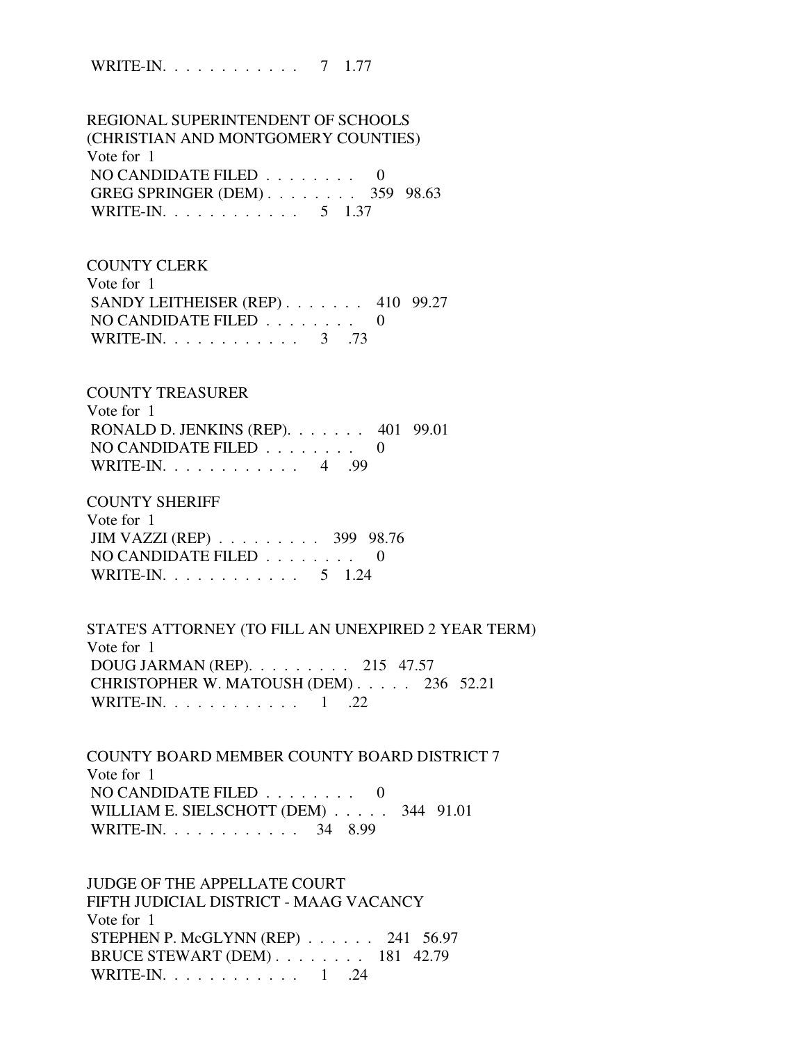WRITE-IN. . . . . . . . . . . . 7 1.77

 REGIONAL SUPERINTENDENT OF SCHOOLS (CHRISTIAN AND MONTGOMERY COUNTIES) Vote for 1 NO CANDIDATE FILED . . . . . . . . 0 GREG SPRINGER (DEM) . . . . . . . . 359 98.63 WRITE-IN. . . . . . . . . . . . 5 1.37

 COUNTY CLERK Vote for 1 SANDY LEITHEISER (REP) . . . . . . . 410 99.27 NO CANDIDATE FILED . . . . . . . . 0 WRITE-IN. . . . . . . . . . . . . 3 .73

# COUNTY TREASURER

 Vote for 1 RONALD D. JENKINS (REP). . . . . . . 401 99.01 NO CANDIDATE FILED  $\ldots \ldots \ldots$ WRITE-IN. . . . . . . . . . . . 4 .99

#### COUNTY SHERIFF

 Vote for 1 JIM VAZZI (REP) . . . . . . . . . 399 98.76 NO CANDIDATE FILED . . . . . . . . 0 WRITE-IN. . . . . . . . . . . . . 5 1.24

 STATE'S ATTORNEY (TO FILL AN UNEXPIRED 2 YEAR TERM) Vote for 1 DOUG JARMAN (REP). . . . . . . . . 215 47.57 CHRISTOPHER W. MATOUSH (DEM) . . . . . 236 52.21 WRITE-IN. . . . . . . . . . . . 1 .22

 COUNTY BOARD MEMBER COUNTY BOARD DISTRICT 7 Vote for 1 NO CANDIDATE FILED . . . . . . . . 0 WILLIAM E. SIELSCHOTT (DEM) . . . . . 344 91.01 WRITE-IN. . . . . . . . . . . . 34 8.99

 JUDGE OF THE APPELLATE COURT FIFTH JUDICIAL DISTRICT - MAAG VACANCY Vote for 1 STEPHEN P. McGLYNN (REP) . . . . . . 241 56.97 BRUCE STEWART (DEM) . . . . . . . . 181 42.79 WRITE-IN. . . . . . . . . . . . 1 .24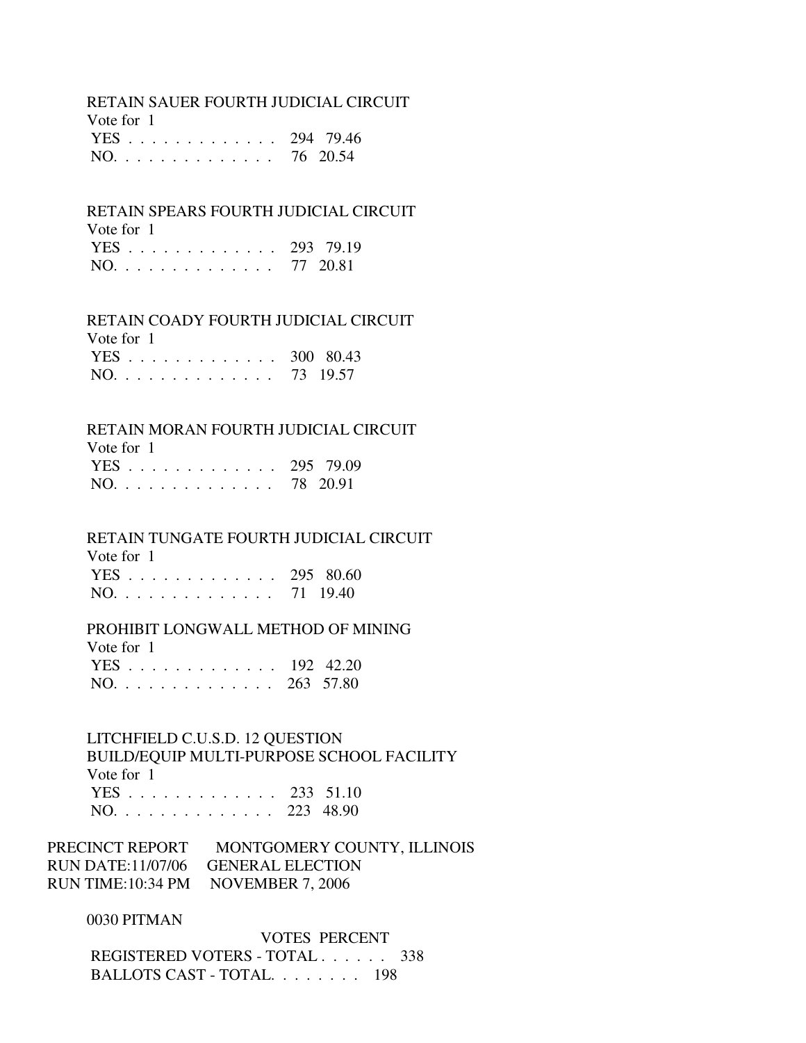#### RETAIN SAUER FOURTH JUDICIAL CIRCUIT Vote for 1

| VULC IUI I    |  |
|---------------|--|
| YES 294 79.46 |  |
| NO. 76 20.54  |  |

### RETAIN SPEARS FOURTH JUDICIAL CIRCUIT

| Vote for 1    |  |
|---------------|--|
| YES 293 79.19 |  |
| NO. 77 20.81  |  |

# RETAIN COADY FOURTH JUDICIAL CIRCUIT

| Vote for 1    |  |
|---------------|--|
| YES 300 80.43 |  |
| NO. 73 19.57  |  |

## RETAIN MORAN FOURTH JUDICIAL CIRCUIT

|     |  |  |  |  |  |  | YES 295 79.09 |
|-----|--|--|--|--|--|--|---------------|
| NO. |  |  |  |  |  |  | 78 20.91      |

#### RETAIN TUNGATE FOURTH JUDICIAL CIRCUIT

| Vote for 1    |  |
|---------------|--|
| YES 295 80.60 |  |
| NO. 71 19.40  |  |

#### PROHIBIT LONGWALL METHOD OF MINING

| Vote for 1    |  |
|---------------|--|
| YES 192 42.20 |  |
| NO. 263 57.80 |  |

 LITCHFIELD C.U.S.D. 12 QUESTION BUILD/EQUIP MULTI-PURPOSE SCHOOL FACILITY Vote for 1 YES . . . . . . . . . . . . . 233 51.10 NO. . . . . . . . . . . . . . 223 48.90

| PRECINCT REPORT | MONTGOMERY COUNTY, ILLINOIS        |
|-----------------|------------------------------------|
|                 | RUN DATE:11/07/06 GENERAL ELECTION |
|                 | RUN TIME:10:34 PM NOVEMBER 7, 2006 |

#### 0030 PITMAN

 VOTES PERCENT REGISTERED VOTERS - TOTAL . . . . . . 338 BALLOTS CAST - TOTAL. . . . . . . . 198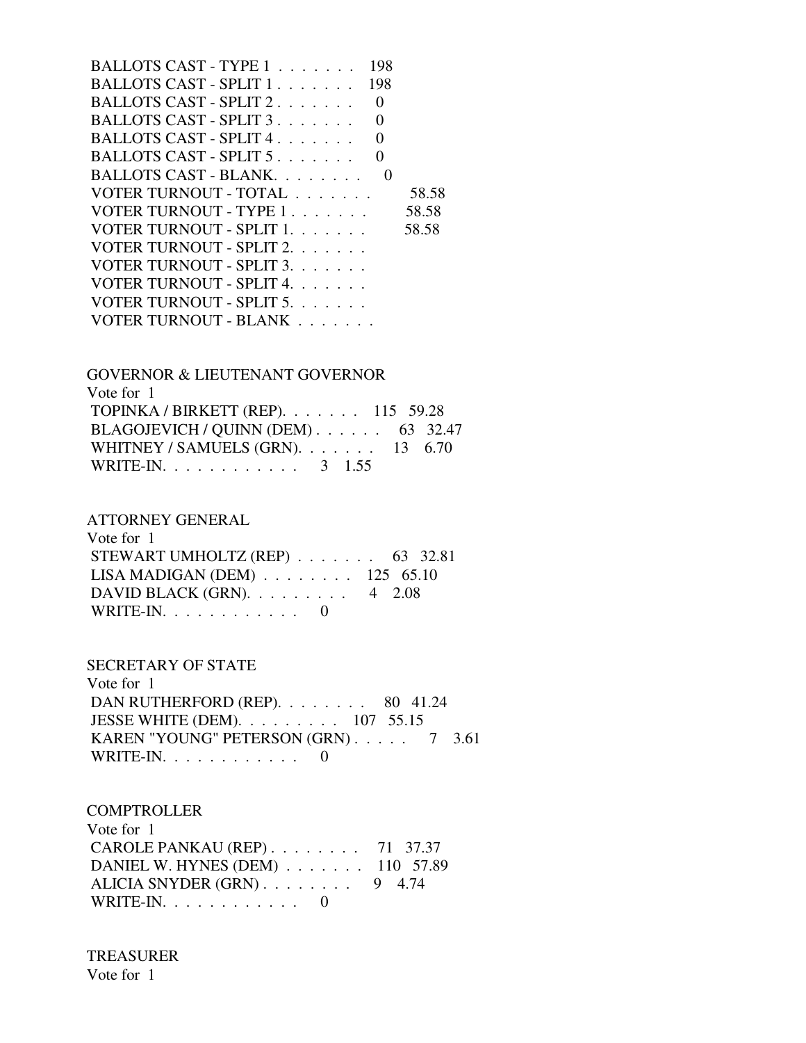| BALLOTS CAST - TYPE $1, \ldots, \ldots$<br>198  |       |
|-------------------------------------------------|-------|
| BALLOTS CAST - SPLIT $1, \ldots, \ldots$<br>198 |       |
| BALLOTS CAST - SPLIT 2.<br>$\theta$             |       |
| BALLOTS CAST - SPLIT $3 \ldots \ldots$          |       |
| BALLOTS CAST - SPLIT 4<br>0                     |       |
| BALLOTS CAST - SPLIT $5, \ldots, \ldots$        |       |
| BALLOTS CAST - BLANK.                           |       |
| VOTER TURNOUT - TOTAL                           | 58.58 |
| VOTER TURNOUT - TYPE 1                          | 58.58 |
| VOTER TURNOUT - SPLIT 1.                        | 58.58 |
| VOTER TURNOUT - SPLIT 2.                        |       |
| VOTER TURNOUT - SPLIT 3.                        |       |
| VOTER TURNOUT - SPLIT 4.                        |       |
| VOTER TURNOUT - SPLIT 5.                        |       |
| VOTER TURNOUT - BLANK                           |       |

| <b>GOVERNOR &amp; LIEUTENANT GOVERNOR</b>   |  |
|---------------------------------------------|--|
| Vote for 1                                  |  |
| TOPINKA / BIRKETT (REP). $\ldots$ 115 59.28 |  |
| BLAGOJEVICH / QUINN (DEM) 63 32.47          |  |
| WHITNEY / SAMUELS (GRN). 13 6.70            |  |
| WRITE-IN. 3 1.55                            |  |

#### ATTORNEY GENERAL  $V_{\alpha}$  for  $1$

| vote for T                                       |  |
|--------------------------------------------------|--|
| STEWART UMHOLTZ (REP) $\ldots$ 63 32.81          |  |
| LISA MADIGAN (DEM) $\ldots$ 125 65.10            |  |
| DAVID BLACK (GRN). $\ldots \ldots \ldots$ 4 2.08 |  |
| WRITE-IN. $\ldots$ 0                             |  |

#### SECRETARY OF STATE

 Vote for 1 DAN RUTHERFORD (REP). . . . . . . . 80 41.24 JESSE WHITE (DEM). . . . . . . . . 107 55.15 KAREN "YOUNG" PETERSON (GRN) . . . . . 7 3.61 WRITE-IN. . . . . . . . . . . . 0

# **COMPTROLLER**

| Vote for $1$                          |  |
|---------------------------------------|--|
| CAROLE PANKAU (REP) $\ldots$ 71 37.37 |  |
| DANIEL W. HYNES (DEM) 110 57.89       |  |
| ALICIA SNYDER $(GRN)$ 9 4.74          |  |
| WRITE-IN. $\ldots$ 0                  |  |

# TREASURER

Vote for 1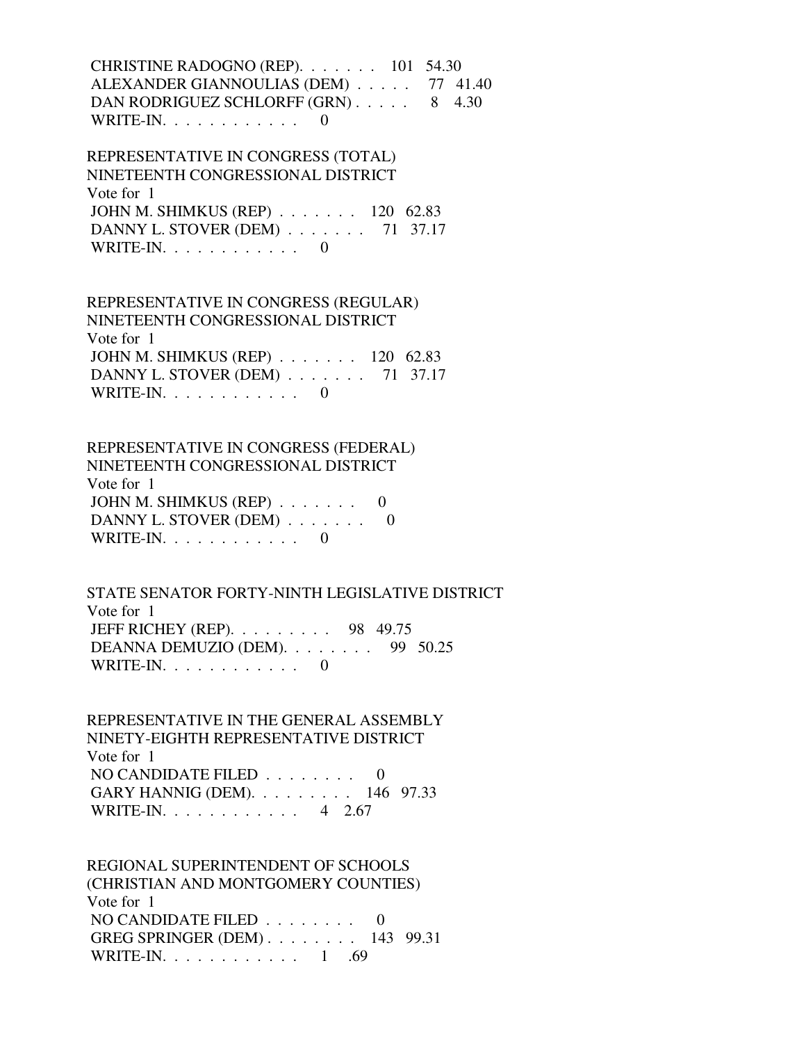CHRISTINE RADOGNO (REP). . . . . . . 101 54.30 ALEXANDER GIANNOULIAS (DEM) . . . . . 77 41.40 DAN RODRIGUEZ SCHLORFF (GRN) . . . . . 8 4.30 WRITE-IN.  $\ldots$  . . . . . . . . . 0

 REPRESENTATIVE IN CONGRESS (TOTAL) NINETEENTH CONGRESSIONAL DISTRICT Vote for 1 JOHN M. SHIMKUS (REP) . . . . . . . 120 62.83 DANNY L. STOVER (DEM) . . . . . . . 71 37.17 WRITE-IN.  $\ldots$  . . . . . . . . 0

 REPRESENTATIVE IN CONGRESS (REGULAR) NINETEENTH CONGRESSIONAL DISTRICT Vote for 1 JOHN M. SHIMKUS (REP) . . . . . . . 120 62.83 DANNY L. STOVER (DEM) . . . . . . . 71 37.17 WRITE-IN.  $\ldots$  . . . . . . . . 0

 REPRESENTATIVE IN CONGRESS (FEDERAL) NINETEENTH CONGRESSIONAL DISTRICT Vote for 1 JOHN M. SHIMKUS (REP) . . . . . . . 0 DANNY L. STOVER (DEM) . . . . . . . 0 WRITE-IN. . . . . . . . . . . . 0

 STATE SENATOR FORTY-NINTH LEGISLATIVE DISTRICT Vote for 1 JEFF RICHEY (REP). . . . . . . . . 98 49.75 DEANNA DEMUZIO (DEM). . . . . . . . 99 50.25 WRITE-IN.  $\ldots$  . . . . . . . . . 0

 REPRESENTATIVE IN THE GENERAL ASSEMBLY NINETY-EIGHTH REPRESENTATIVE DISTRICT Vote for 1 NO CANDIDATE FILED . . . . . . . . 0 GARY HANNIG (DEM). . . . . . . . . 146 97.33 WRITE-IN. . . . . . . . . . . . 4 2.67

 REGIONAL SUPERINTENDENT OF SCHOOLS (CHRISTIAN AND MONTGOMERY COUNTIES) Vote for 1 NO CANDIDATE FILED . . . . . . . . 0 GREG SPRINGER (DEM) . . . . . . . . 143 99.31 WRITE-IN. . . . . . . . . . . . 1 .69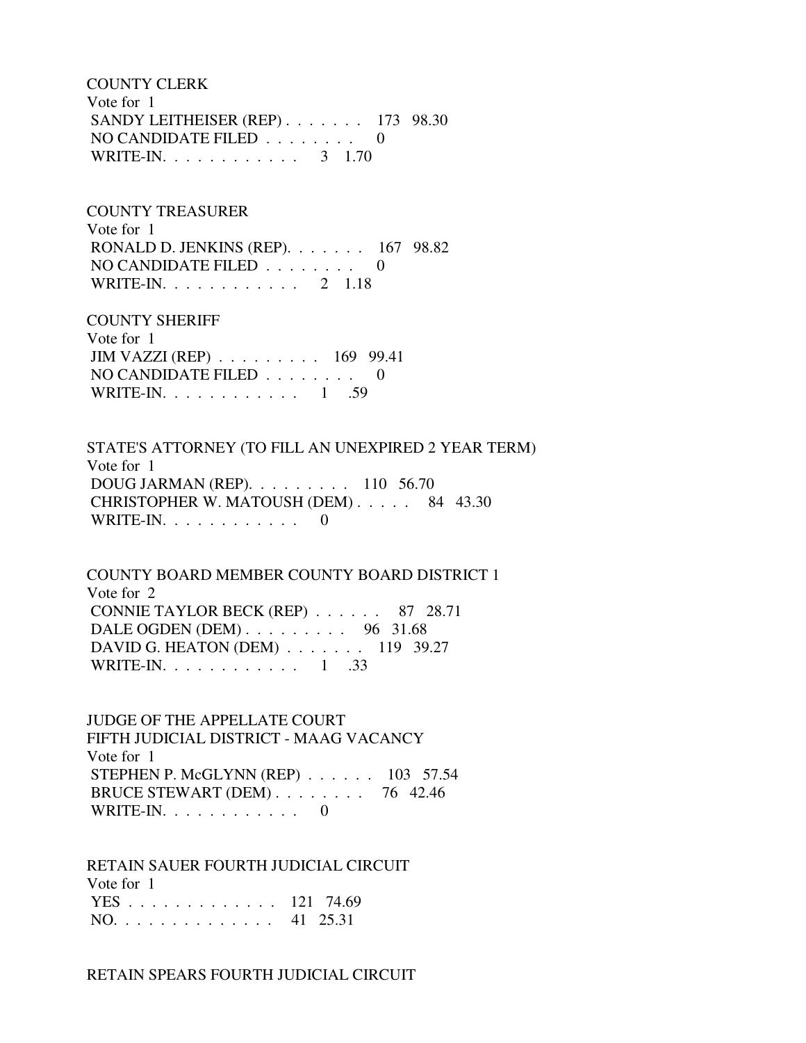COUNTY CLERK Vote for 1 SANDY LEITHEISER (REP) . . . . . . . 173 98.30 NO CANDIDATE FILED . . . . . . . . 0 WRITE-IN. . . . . . . . . . . . . 3 1.70

COUNTY TREASURER

 Vote for 1 RONALD D. JENKINS (REP). . . . . . . 167 98.82 NO CANDIDATE FILED . . . . . . . . 0 WRITE-IN. . . . . . . . . . . . 2 1.18

 COUNTY SHERIFF Vote for 1 JIM VAZZI (REP) . . . . . . . . . 169 99.41 NO CANDIDATE FILED . . . . . . . . 0 WRITE-IN. . . . . . . . . . . . 1 .59

 STATE'S ATTORNEY (TO FILL AN UNEXPIRED 2 YEAR TERM) Vote for 1 DOUG JARMAN (REP). . . . . . . . . 110 56.70 CHRISTOPHER W. MATOUSH (DEM) . . . . . 84 43.30 WRITE-IN.  $\ldots$  . . . . . . . . . 0

 COUNTY BOARD MEMBER COUNTY BOARD DISTRICT 1 Vote for 2 CONNIE TAYLOR BECK (REP) . . . . . . 87 28.71 DALE OGDEN (DEM) . . . . . . . . . 96 31.68 DAVID G. HEATON (DEM) . . . . . . . 119 39.27 WRITE-IN. . . . . . . . . . . . 1 .33

 JUDGE OF THE APPELLATE COURT FIFTH JUDICIAL DISTRICT - MAAG VACANCY Vote for 1 STEPHEN P. McGLYNN (REP) . . . . . . 103 57.54 BRUCE STEWART (DEM) . . . . . . . . 76 42.46 WRITE-IN. . . . . . . . . . . . 0

 RETAIN SAUER FOURTH JUDICIAL CIRCUIT Vote for 1 YES . . . . . . . . . . . . . 121 74.69 NO. . . . . . . . . . . . . . 41 25.31

RETAIN SPEARS FOURTH JUDICIAL CIRCUIT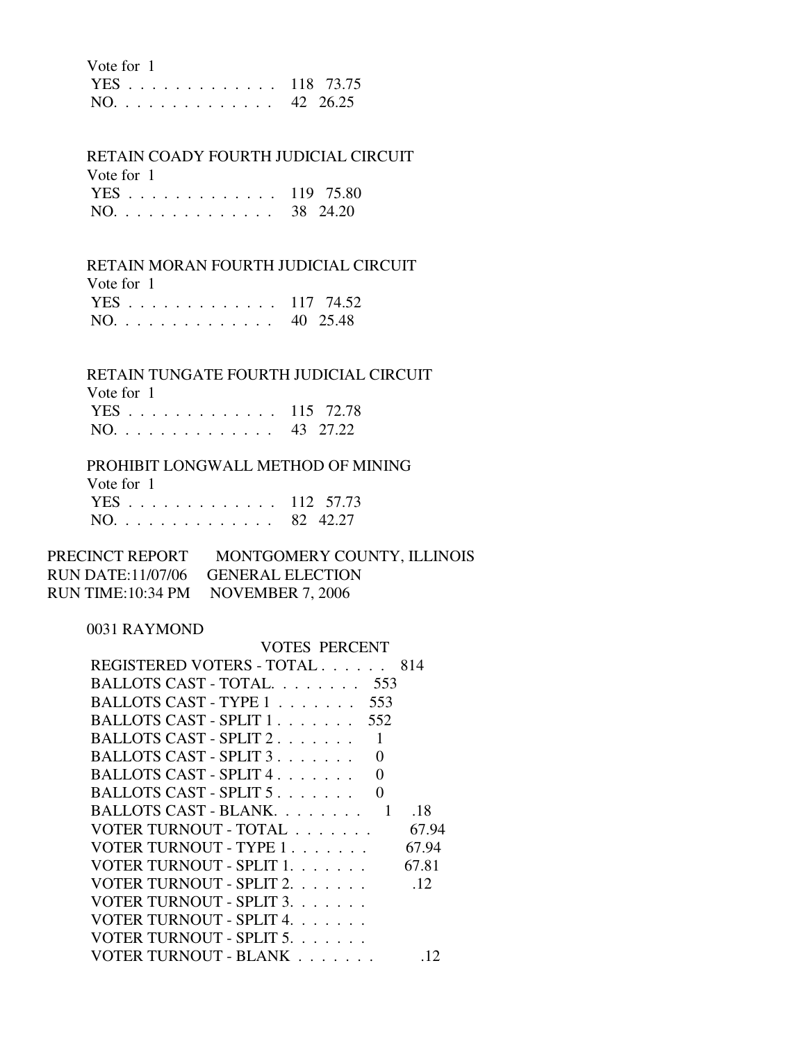Vote for 1

|                                   |  |  |  |  |  |  |  | YES 118 73.75 |
|-----------------------------------|--|--|--|--|--|--|--|---------------|
| $NO. \ldots \ldots \ldots \ldots$ |  |  |  |  |  |  |  | 42 26.25      |

# RETAIN COADY FOURTH JUDICIAL CIRCUIT

| Vote for 1 |               |  |
|------------|---------------|--|
|            | YES 119 75.80 |  |
|            | NO. 38 24.20  |  |

# RETAIN MORAN FOURTH JUDICIAL CIRCUIT

| Vote for 1    |  |
|---------------|--|
| YES 117 74.52 |  |
| NO. 40 25.48  |  |

# RETAIN TUNGATE FOURTH JUDICIAL CIRCUIT

| Vote for 1    |  |
|---------------|--|
| YES 115 72.78 |  |
| NO. 43 27.22  |  |

# PROHIBIT LONGWALL METHOD OF MINING

Vote for 1

|     |  |  |  | YES 112 57.73 |
|-----|--|--|--|---------------|
| NO. |  |  |  | 82 42.27      |

| PRECINCT REPORT                    | MONTGOMERY COUNTY, ILLINOIS        |
|------------------------------------|------------------------------------|
|                                    | RUN DATE:11/07/06 GENERAL ELECTION |
| RUN TIME:10:34 PM NOVEMBER 7, 2006 |                                    |

# 0031 RAYMOND

| VOTES PERCENT                               |       |
|---------------------------------------------|-------|
| REGISTERED VOTERS - TOTAL                   | 814   |
| BALLOTS CAST - TOTAL 553                    |       |
| BALLOTS CAST - TYPE 1<br>553                |       |
| BALLOTS CAST - SPLIT 1<br>552               |       |
| BALLOTS CAST - SPLIT 2                      |       |
| BALLOTS CAST - SPLIT 3<br>0                 |       |
| BALLOTS CAST - SPLIT 4<br>∩                 |       |
| BALLOTS CAST - SPLIT 5<br>$\mathbf{\Omega}$ |       |
| BALLOTS CAST - BLANK.<br>1                  | .18   |
| VOTER TURNOUT - TOTAL                       | 67.94 |
| VOTER TURNOUT - TYPE 1                      | 67.94 |
| VOTER TURNOUT - SPLIT 1.                    | 67.81 |
| VOTER TURNOUT - SPLIT 2.                    | .12   |
| VOTER TURNOUT - SPLIT 3.                    |       |
| VOTER TURNOUT - SPLIT 4.                    |       |
| VOTER TURNOUT - SPLIT 5.                    |       |
| VOTER TURNOUT - BLANK                       |       |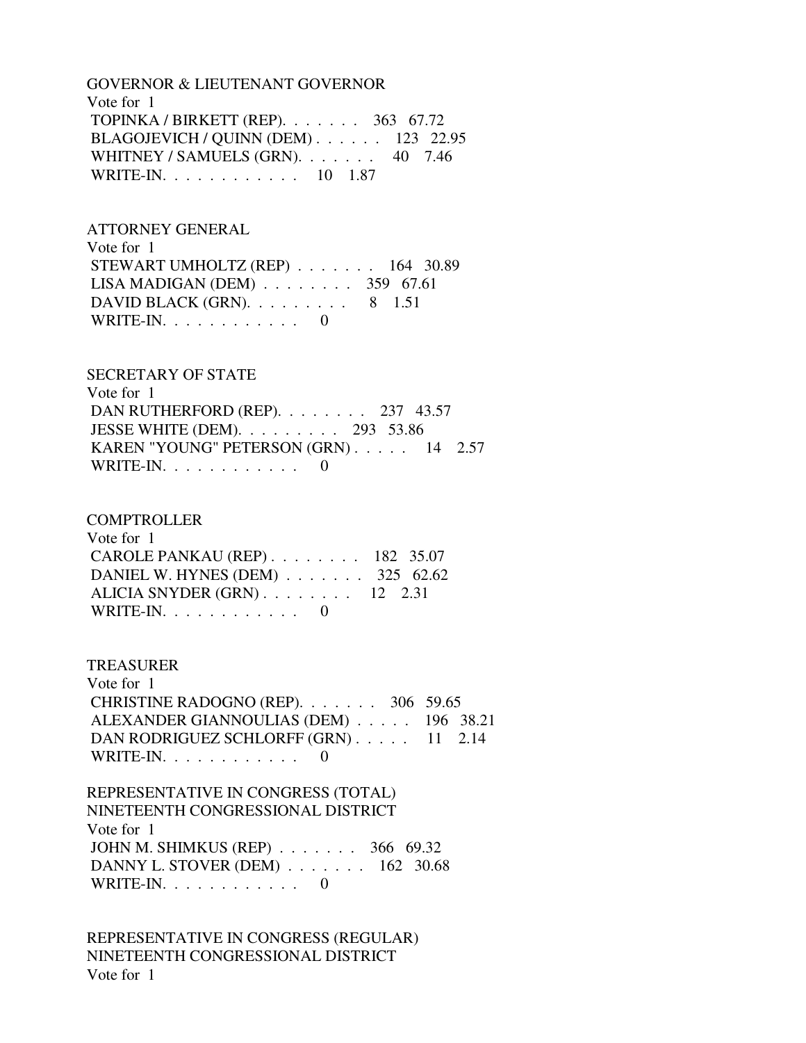GOVERNOR & LIEUTENANT GOVERNOR Vote for 1 TOPINKA / BIRKETT (REP). . . . . . . 363 67.72 BLAGOJEVICH / QUINN (DEM) . . . . . . 123 22.95 WHITNEY / SAMUELS (GRN). . . . . . . 40 7.46 WRITE-IN. . . . . . . . . . . . 10 1.87

 ATTORNEY GENERAL Vote for 1 STEWART UMHOLTZ (REP) . . . . . . . 164 30.89 LISA MADIGAN (DEM) . . . . . . . . 359 67.61 DAVID BLACK (GRN).  $\ldots$  . . . . . . 8 1.51 WRITE-IN.  $\ldots$  . . . . . . . . . 0

 SECRETARY OF STATE Vote for 1

DAN RUTHERFORD (REP). . . . . . . . 237 43.57 JESSE WHITE (DEM). . . . . . . . . 293 53.86 KAREN "YOUNG" PETERSON (GRN) . . . . . 14 2.57 WRITE-IN.  $\ldots$  . . . . . . . . . 0

**COMPTROLLER** 

| Vote for 1                               |  |
|------------------------------------------|--|
| CAROLE PANKAU (REP) $\ldots$ 182 35.07   |  |
| DANIEL W. HYNES (DEM) $\ldots$ 325 62.62 |  |
| ALICIA SNYDER $(GRN)$ 12 2.31            |  |
| WRITE-IN. $\ldots$ 0                     |  |

TREASURER

 Vote for 1 CHRISTINE RADOGNO (REP). . . . . . . 306 59.65 ALEXANDER GIANNOULIAS (DEM) . . . . . 196 38.21 DAN RODRIGUEZ SCHLORFF (GRN) . . . . . 11 2.14 WRITE-IN. . . . . . . . . . . . 0

 REPRESENTATIVE IN CONGRESS (TOTAL) NINETEENTH CONGRESSIONAL DISTRICT Vote for 1 JOHN M. SHIMKUS (REP) . . . . . . . 366 69.32 DANNY L. STOVER (DEM) . . . . . . . 162 30.68 WRITE-IN. . . . . . . . . . . . 0

 REPRESENTATIVE IN CONGRESS (REGULAR) NINETEENTH CONGRESSIONAL DISTRICT Vote for 1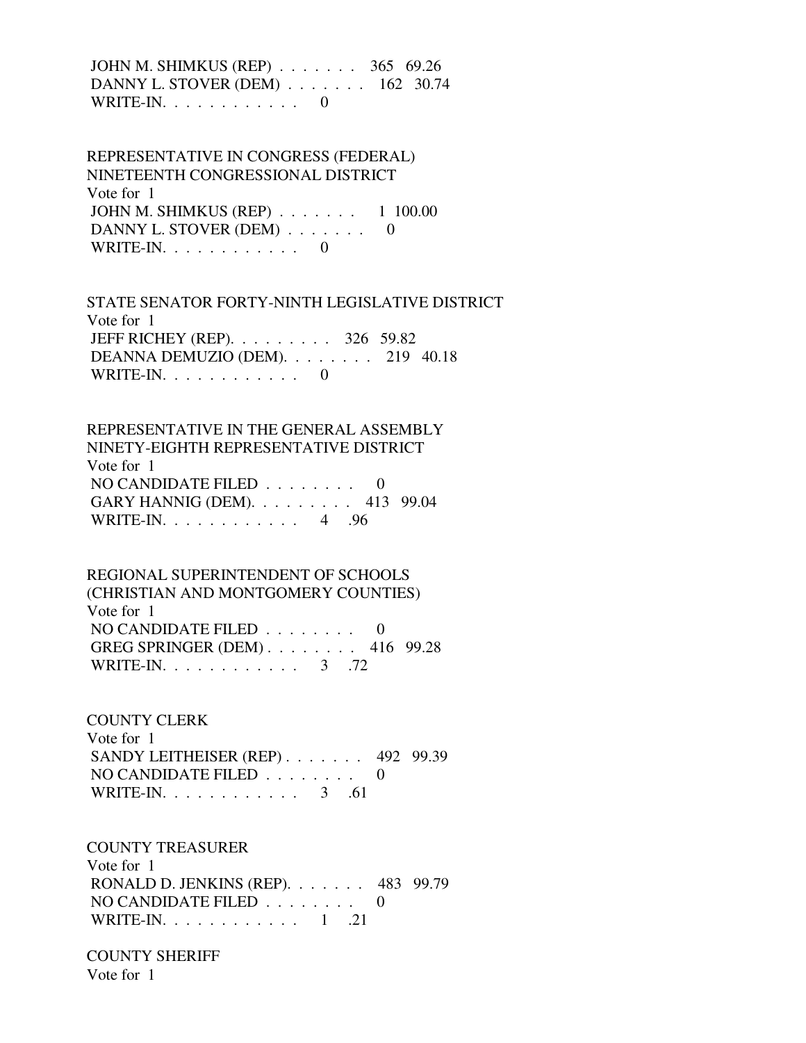# JOHN M. SHIMKUS (REP) . . . . . . . 365 69.26 DANNY L. STOVER (DEM) . . . . . . . 162 30.74 WRITE-IN. . . . . . . . . . . . 0

# REPRESENTATIVE IN CONGRESS (FEDERAL) NINETEENTH CONGRESSIONAL DISTRICT Vote for 1 JOHN M. SHIMKUS (REP) . . . . . . . 1 100.00 DANNY L. STOVER (DEM) . . . . . . . 0 WRITE-IN. . . . . . . . . . . . 0

 STATE SENATOR FORTY-NINTH LEGISLATIVE DISTRICT Vote for 1 JEFF RICHEY (REP). . . . . . . . . 326 59.82 DEANNA DEMUZIO (DEM). . . . . . . . 219 40.18 WRITE-IN.  $\ldots$  . . . . . . . . . 0

# REPRESENTATIVE IN THE GENERAL ASSEMBLY NINETY-EIGHTH REPRESENTATIVE DISTRICT Vote for 1 NO CANDIDATE FILED . . . . . . . . 0

| GARY HANNIG (DEM). $\ldots \ldots \ldots$ 413 99.04 |  |
|-----------------------------------------------------|--|
| WRITE-IN. $\ldots$<br>4 96                          |  |

# REGIONAL SUPERINTENDENT OF SCHOOLS (CHRISTIAN AND MONTGOMERY COUNTIES) Vote for 1 NO CANDIDATE FILED . . . . . . . . 0 GREG SPRINGER (DEM) . . . . . . . . 416 99.28 WRITE-IN. . . . . . . . . . . . . 3 .72

### COUNTY CLERK

 Vote for 1 SANDY LEITHEISER (REP) . . . . . . . 492 99.39 NO CANDIDATE FILED . . . . . . . . 0 WRITE-IN. . . . . . . . . . . . 3 .61

## COUNTY TREASURER

 Vote for 1 RONALD D. JENKINS (REP). . . . . . . 483 99.79 NO CANDIDATE FILED . . . . . . . . 0 WRITE-IN. . . . . . . . . . . . 1 .21

### COUNTY SHERIFF Vote for 1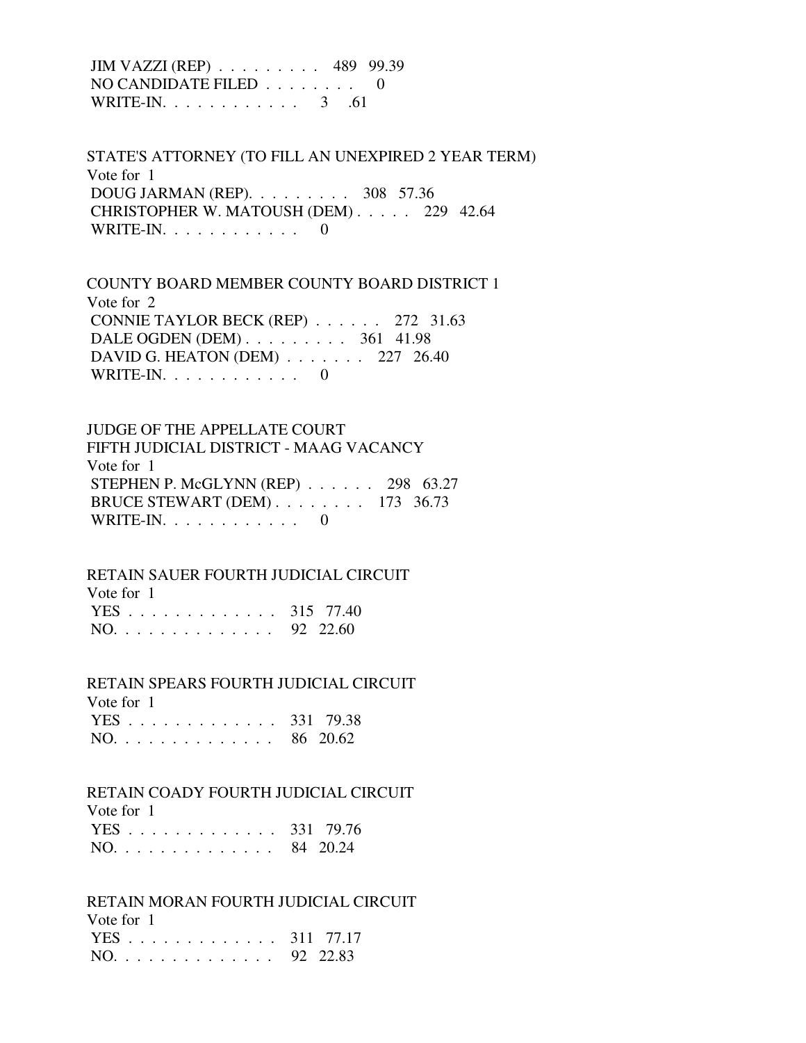JIM VAZZI (REP) . . . . . . . . . 489 99.39 NO CANDIDATE FILED . . . . . . . . 0 WRITE-IN. . . . . . . . . . . . . 3 .61

 STATE'S ATTORNEY (TO FILL AN UNEXPIRED 2 YEAR TERM) Vote for 1 DOUG JARMAN (REP). . . . . . . . . 308 57.36 CHRISTOPHER W. MATOUSH (DEM) . . . . . 229 42.64 WRITE-IN. . . . . . . . . . . . 0

 COUNTY BOARD MEMBER COUNTY BOARD DISTRICT 1 Vote for 2 CONNIE TAYLOR BECK (REP) . . . . . . 272 31.63 DALE OGDEN (DEM) . . . . . . . . . . 361 41.98 DAVID G. HEATON (DEM) . . . . . . . 227 26.40 WRITE-IN. . . . . . . . . . . . 0

# JUDGE OF THE APPELLATE COURT FIFTH JUDICIAL DISTRICT - MAAG VACANCY Vote for 1 STEPHEN P. McGLYNN (REP) . . . . . . 298 63.27 BRUCE STEWART (DEM) . . . . . . . . 173 36.73 WRITE-IN. . . . . . . . . . . . 0

RETAIN SAUER FOURTH JUDICIAL CIRCUIT

| Vote for 1    |  |
|---------------|--|
| YES 315 77.40 |  |
| NO. 92 22.60  |  |

#### RETAIN SPEARS FOURTH JUDICIAL CIRCUIT

 Vote for 1 YES . . . . . . . . . . . . . 331 79.38

|  | $NO.$ |  |  |  |  |  |  |  |  |  |  |  |  |  |  | 86 20.62 |
|--|-------|--|--|--|--|--|--|--|--|--|--|--|--|--|--|----------|
|--|-------|--|--|--|--|--|--|--|--|--|--|--|--|--|--|----------|

### RETAIN COADY FOURTH JUDICIAL CIRCUIT

 Vote for 1 YES . . . . . . . . . . . . . 331 79.76 NO. . . . . . . . . . . . . . 84 20.24

### RETAIN MORAN FOURTH JUDICIAL CIRCUIT

| Vote for 1    |  |
|---------------|--|
| YES 311 77.17 |  |
| NO. 92 22.83  |  |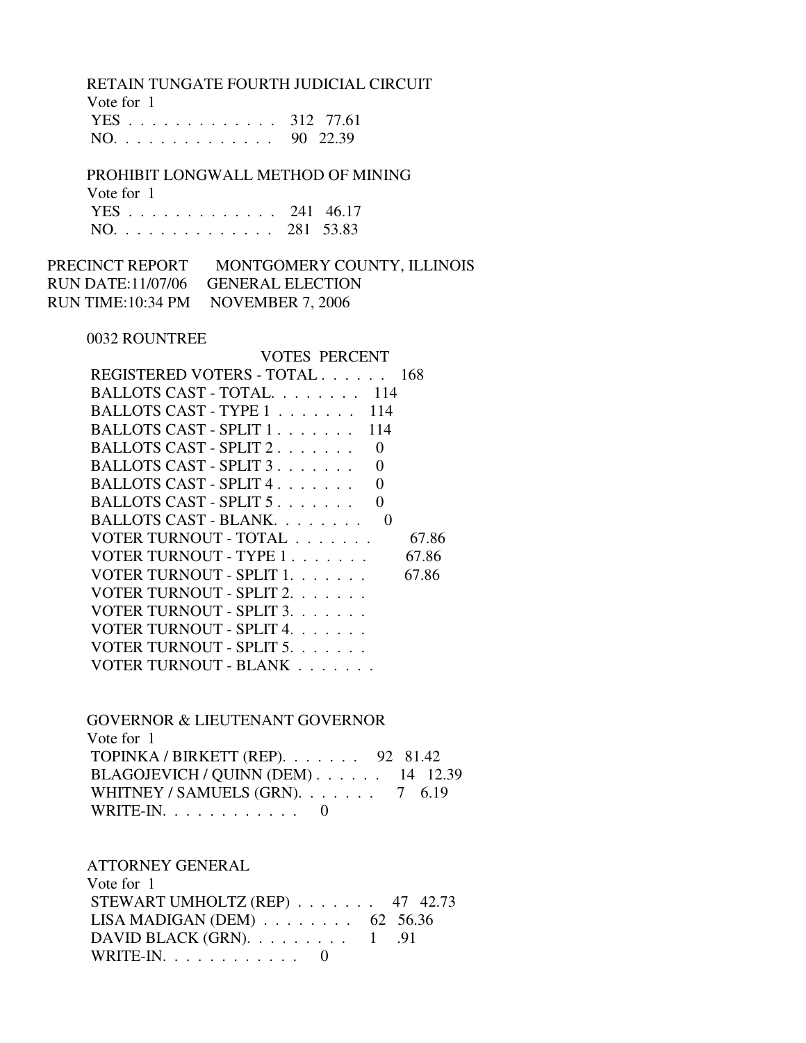RETAIN TUNGATE FOURTH JUDICIAL CIRCUIT

| Vote for 1    |  |
|---------------|--|
| YES 312 77.61 |  |
| NO. 90 22.39  |  |

 PROHIBIT LONGWALL METHOD OF MINING Vote for 1 YES . . . . . . . . . . . . . 241 46.17 NO. . . . . . . . . . . . . . 281 53.83

PRECINCT REPORT MONTGOMERY COUNTY, ILLINOIS RUN DATE:11/07/06 GENERAL ELECTION RUN TIME:10:34 PM NOVEMBER 7, 2006

#### 0032 ROUNTREE

 VOTES PERCENT REGISTERED VOTERS - TOTAL . . . . . . 168 BALLOTS CAST - TOTAL. . . . . . . . 114 BALLOTS CAST - TYPE 1 . . . . . . . 114 BALLOTS CAST - SPLIT 1. . . . . . . 114 BALLOTS CAST - SPLIT 2. . . . . . . 0 BALLOTS CAST - SPLIT 3 . . . . . . . 0 BALLOTS CAST - SPLIT 4 . . . . . . . 0 BALLOTS CAST - SPLIT 5 . . . . . . . 0 BALLOTS CAST - BLANK. . . . . . . . 0 VOTER TURNOUT - TOTAL . . . . . . . . 67.86 VOTER TURNOUT - TYPE 1. . . . . . . 67.86 VOTER TURNOUT - SPLIT 1. . . . . . . 67.86 VOTER TURNOUT - SPLIT 2. . . . . . . VOTER TURNOUT - SPLIT 3. . . . . . . VOTER TURNOUT - SPLIT 4. . . . . . . VOTER TURNOUT - SPLIT 5. . . . . . . VOTER TURNOUT - BLANK . . . . . . .

 GOVERNOR & LIEUTENANT GOVERNOR Vote for 1 TOPINKA / BIRKETT (REP). . . . . . . 92 81.42 BLAGOJEVICH / QUINN (DEM) . . . . . . 14 12.39 WHITNEY / SAMUELS (GRN). . . . . . . 7 6.19 WRITE-IN. . . . . . . . . . . . 0

 ATTORNEY GENERAL Vote for 1 STEWART UMHOLTZ (REP) . . . . . . . 47 42.73 LISA MADIGAN (DEM) . . . . . . . . 62 56.36 DAVID BLACK (GRN).  $\ldots \ldots \ldots 1$  .91 WRITE-IN.  $\ldots$  . . . . . . . . . 0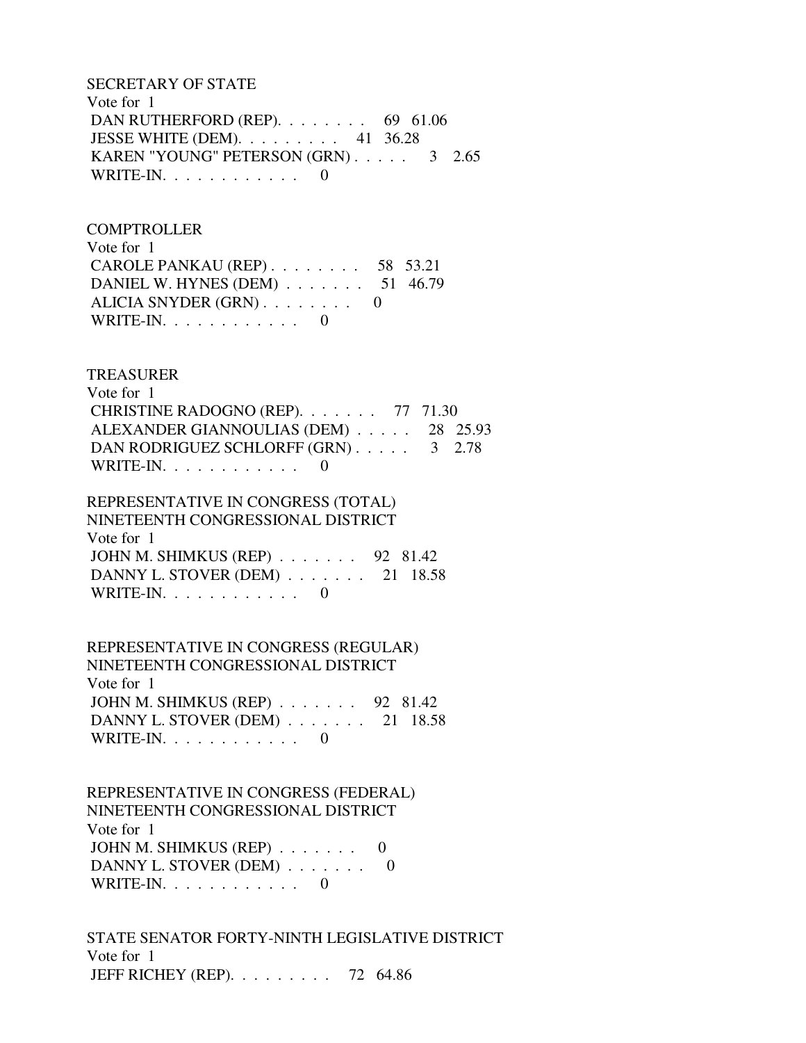SECRETARY OF STATE Vote for 1 DAN RUTHERFORD (REP). . . . . . . . 69 61.06 JESSE WHITE (DEM). . . . . . . . . 41 36.28 KAREN "YOUNG" PETERSON (GRN) . . . . . 3 2.65 WRITE-IN.  $\ldots$  . . . . . . . . . 0

**COMPTROLLER**  Vote for 1 CAROLE PANKAU (REP) . . . . . . . . 58 53.21 DANIEL W. HYNES (DEM) . . . . . . . 51 46.79 ALICIA SNYDER (GRN) . . . . . . . . 0 WRITE-IN. . . . . . . . . . . . 0

 TREASURER Vote for 1 CHRISTINE RADOGNO (REP). . . . . . . 77 71.30 ALEXANDER GIANNOULIAS (DEM) . . . . . 28 25.93 DAN RODRIGUEZ SCHLORFF (GRN) . . . . . 3 2.78 WRITE-IN.  $\ldots$  . . . . . . . . . 0

 REPRESENTATIVE IN CONGRESS (TOTAL) NINETEENTH CONGRESSIONAL DISTRICT Vote for 1 JOHN M. SHIMKUS (REP) . . . . . . . 92 81.42 DANNY L. STOVER (DEM) . . . . . . . 21 18.58 WRITE-IN. . . . . . . . . . . . 0

 REPRESENTATIVE IN CONGRESS (REGULAR) NINETEENTH CONGRESSIONAL DISTRICT Vote for 1 JOHN M. SHIMKUS (REP) . . . . . . . 92 81.42 DANNY L. STOVER (DEM) . . . . . . . 21 18.58 WRITE-IN. . . . . . . . . . . . 0

 REPRESENTATIVE IN CONGRESS (FEDERAL) NINETEENTH CONGRESSIONAL DISTRICT Vote for 1 JOHN M. SHIMKUS (REP) . . . . . . . 0 DANNY L. STOVER (DEM) . . . . . . . 0 WRITE-IN. . . . . . . . . . . . 0

 STATE SENATOR FORTY-NINTH LEGISLATIVE DISTRICT Vote for 1 JEFF RICHEY (REP). . . . . . . . . 72 64.86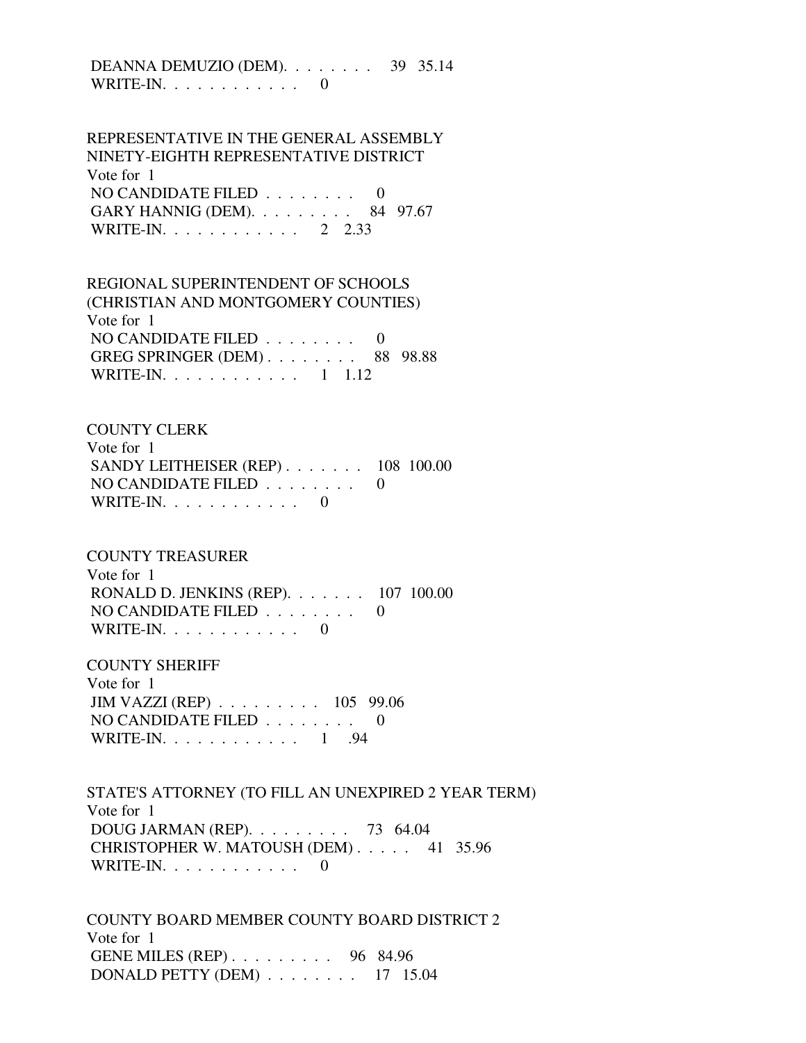### DEANNA DEMUZIO (DEM). . . . . . . . 39 35.14 WRITE-IN. . . . . . . . . . . . 0

 REPRESENTATIVE IN THE GENERAL ASSEMBLY NINETY-EIGHTH REPRESENTATIVE DISTRICT Vote for 1 NO CANDIDATE FILED . . . . . . . . 0 GARY HANNIG (DEM). . . . . . . . . 84 97.67 WRITE-IN. . . . . . . . . . . . . 2 2.33

 REGIONAL SUPERINTENDENT OF SCHOOLS (CHRISTIAN AND MONTGOMERY COUNTIES) Vote for 1 NO CANDIDATE FILED . . . . . . . . 0 GREG SPRINGER (DEM) . . . . . . . . 88 98.88 WRITE-IN. . . . . . . . . . . . 1 1.12

 COUNTY CLERK Vote for 1 SANDY LEITHEISER (REP) . . . . . . . 108 100.00 NO CANDIDATE FILED . . . . . . . . 0 WRITE-IN.  $\ldots$  . . . . . . . . 0

 COUNTY TREASURER Vote for 1 RONALD D. JENKINS (REP). . . . . . . 107 100.00 NO CANDIDATE FILED  $\ldots \ldots \ldots$ WRITE-IN. . . . . . . . . . . . 0

 COUNTY SHERIFF Vote for 1 JIM VAZZI (REP) . . . . . . . . . 105 99.06 NO CANDIDATE FILED . . . . . . . . 0 WRITE-IN. . . . . . . . . . . . 1 .94

 STATE'S ATTORNEY (TO FILL AN UNEXPIRED 2 YEAR TERM) Vote for 1 DOUG JARMAN (REP). . . . . . . . . 73 64.04 CHRISTOPHER W. MATOUSH (DEM) . . . . . 41 35.96 WRITE-IN.  $\ldots$  . . . . . . . . 0

 COUNTY BOARD MEMBER COUNTY BOARD DISTRICT 2 Vote for 1 GENE MILES (REP) . . . . . . . . . 96 84.96 DONALD PETTY (DEM) . . . . . . . . 17 15.04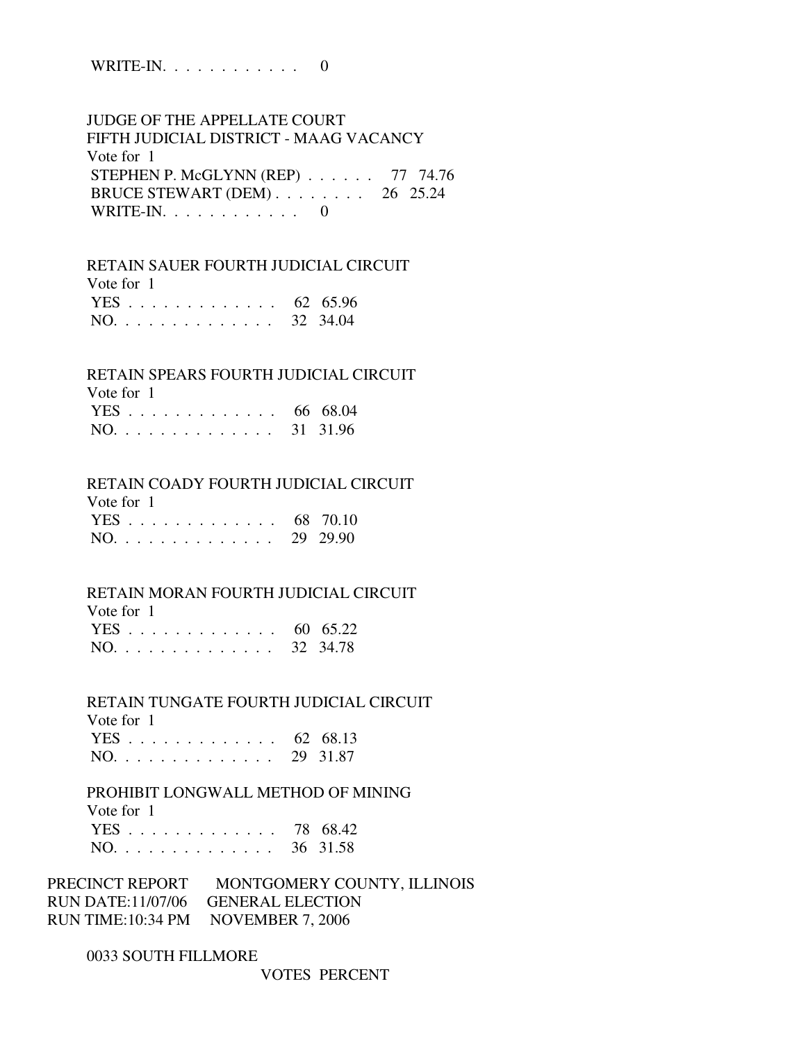WRITE-IN. . . . . . . . . . . . 0

 JUDGE OF THE APPELLATE COURT FIFTH JUDICIAL DISTRICT - MAAG VACANCY Vote for 1 STEPHEN P. McGLYNN (REP) . . . . . . 77 74.76 BRUCE STEWART (DEM) . . . . . . . . 26 25.24 WRITE-IN.  $\ldots$  . . . . . . . . . 0

 RETAIN SAUER FOURTH JUDICIAL CIRCUIT Vote for 1 YES . . . . . . . . . . . . . 62 65.96

| $NO.$ |  |  |  |  |  |  |  | 32 34.04 |
|-------|--|--|--|--|--|--|--|----------|
|       |  |  |  |  |  |  |  |          |

RETAIN SPEARS FOURTH JUDICIAL CIRCUIT

66 68.04

| Vote for 1 |   |  |  |  |  |  |  |
|------------|---|--|--|--|--|--|--|
| <b>YES</b> | . |  |  |  |  |  |  |

### RETAIN COADY FOURTH JUDICIAL CIRCUIT

| Vote for 1   |  |
|--------------|--|
| YES 68 70.10 |  |
| NO. 29 29.90 |  |

### RETAIN MORAN FOURTH JUDICIAL CIRCUIT

Vote for 1

| YES 60 65.22 |  |
|--------------|--|
| NO. 32 34.78 |  |

RETAIN TUNGATE FOURTH JUDICIAL CIRCUIT

| Vote for 1   |  |
|--------------|--|
| YES 62 68.13 |  |
| NO. 29 31.87 |  |

 PROHIBIT LONGWALL METHOD OF MINING Vote for 1 YES . . . . . . . . . . . . . 78 68.42 NO. . . . . . . . . . . . . . 36 31.58

PRECINCT REPORT MONTGOMERY COUNTY, ILLINOIS RUN DATE:11/07/06 GENERAL ELECTION RUN TIME:10:34 PM NOVEMBER 7, 2006

0033 SOUTH FILLMORE

VOTES PERCENT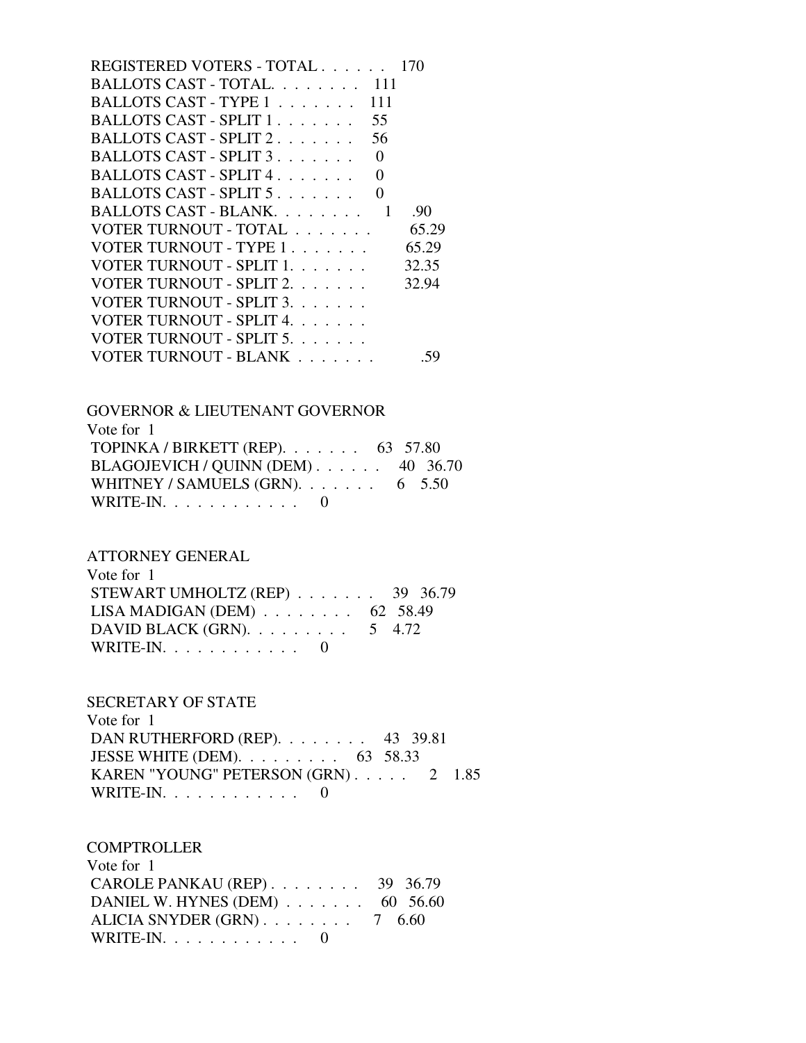| REGISTERED VOTERS - TOTAL    | 170      |
|------------------------------|----------|
| BALLOTS CAST - TOTAL. 111    |          |
| BALLOTS CAST - TYPE 1<br>111 |          |
| BALLOTS CAST - SPLIT 1<br>55 |          |
| BALLOTS CAST - SPLIT 2<br>56 |          |
| BALLOTS CAST - SPLIT 3.<br>0 |          |
| BALLOTS CAST - SPLIT 4.<br>0 |          |
| BALLOTS CAST - SPLIT 5<br>0  |          |
| BALLOTS CAST - BLANK.        | .90<br>1 |
| VOTER TURNOUT - TOTAL        | 65.29    |
| VOTER TURNOUT - TYPE 1.      | 65.29    |
| VOTER TURNOUT - SPLIT 1.     | 32.35    |
| VOTER TURNOUT - SPLIT 2.     | 32.94    |
| VOTER TURNOUT - SPLIT 3.     |          |
| VOTER TURNOUT - SPLIT 4.     |          |
| VOTER TURNOUT - SPLIT 5.     |          |
| VOTER TURNOUT - BLANK        | 59       |

| <b>GOVERNOR &amp; LIEUTENANT GOVERNOR</b>  |  |
|--------------------------------------------|--|
| Vote for 1                                 |  |
| TOPINKA / BIRKETT (REP). $\ldots$ 63 57.80 |  |
| BLAGOJEVICH / QUINN (DEM) 40 36.70         |  |
| WHITNEY / SAMUELS (GRN). $\ldots$ 6 5.50   |  |
| WRITE-IN. $\ldots$ 0                       |  |

#### ATTORNEY GENERAL

| Vote for 1                                         |  |
|----------------------------------------------------|--|
| STEWART UMHOLTZ (REP) $\ldots \ldots$ 39 36.79     |  |
| LISA MADIGAN (DEM) $\ldots \ldots \ldots$ 62 58.49 |  |
| DAVID BLACK (GRN). $\ldots \ldots \ldots 5$ 4.72   |  |
| WRITE-IN. $\ldots$ 0                               |  |

# SECRETARY OF STATE

 Vote for 1 DAN RUTHERFORD (REP). . . . . . . . 43 39.81 JESSE WHITE (DEM). . . . . . . . . 63 58.33 KAREN "YOUNG" PETERSON (GRN) . . . . . 2 1.85 WRITE-IN.  $\ldots$  . . . . . . . . . 0

#### **COMPTROLLER**

| Vote for 1                                            |  |
|-------------------------------------------------------|--|
| CAROLE PANKAU (REP) $\ldots$ 39 36.79                 |  |
| DANIEL W. HYNES (DEM) $\ldots \ldots \ldots$ 60 56.60 |  |
| ALICIA SNYDER $(GRN)$ 7 6.60                          |  |
| WRITE-IN. $\ldots$ 0                                  |  |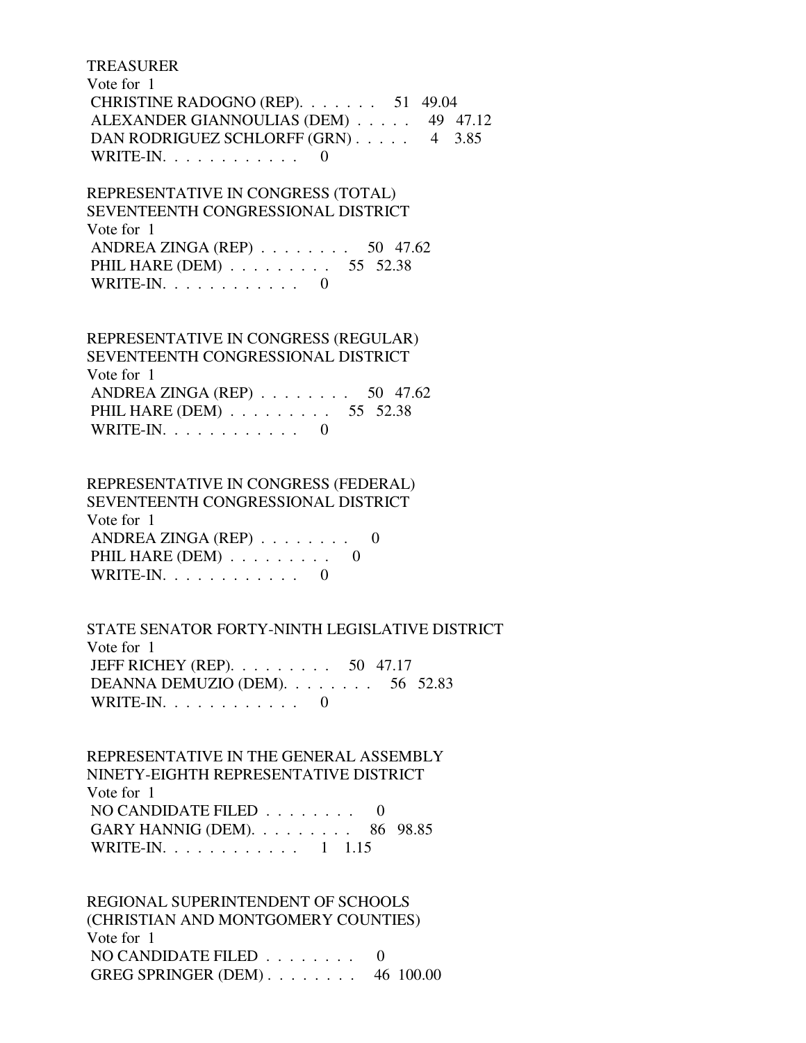#### TREASURER

 Vote for 1 CHRISTINE RADOGNO (REP). . . . . . . 51 49.04 ALEXANDER GIANNOULIAS (DEM) . . . . . 49 47.12 DAN RODRIGUEZ SCHLORFF (GRN) . . . . . 4 3.85 WRITE-IN.  $\ldots$  . . . . . . . . . 0

 REPRESENTATIVE IN CONGRESS (TOTAL) SEVENTEENTH CONGRESSIONAL DISTRICT Vote for 1 ANDREA ZINGA (REP) . . . . . . . . 50 47.62 PHIL HARE (DEM) . . . . . . . . . 55 52.38 WRITE-IN.  $\ldots$  . . . . . . . . . 0

 REPRESENTATIVE IN CONGRESS (REGULAR) SEVENTEENTH CONGRESSIONAL DISTRICT Vote for 1 ANDREA ZINGA (REP) . . . . . . . . 50 47.62 PHIL HARE (DEM) . . . . . . . . . . 55 52.38 WRITE-IN.  $\ldots$  . . . . . . . . 0

 REPRESENTATIVE IN CONGRESS (FEDERAL) SEVENTEENTH CONGRESSIONAL DISTRICT Vote for 1 ANDREA ZINGA (REP) . . . . . . . . 0 PHIL HARE (DEM)  $\ldots \ldots \ldots$  0 WRITE-IN.  $\ldots$  . . . . . . . . 0

 STATE SENATOR FORTY-NINTH LEGISLATIVE DISTRICT Vote for 1 JEFF RICHEY (REP). . . . . . . . . 50 47.17 DEANNA DEMUZIO (DEM). . . . . . . . 56 52.83 WRITE-IN. . . . . . . . . . . . 0

 REPRESENTATIVE IN THE GENERAL ASSEMBLY NINETY-EIGHTH REPRESENTATIVE DISTRICT Vote for 1 NO CANDIDATE FILED  $\ldots$ , . . . . . 0 GARY HANNIG (DEM). . . . . . . . . 86 98.85 WRITE-IN. . . . . . . . . . . . 1 1.15

 REGIONAL SUPERINTENDENT OF SCHOOLS (CHRISTIAN AND MONTGOMERY COUNTIES) Vote for 1 NO CANDIDATE FILED  $\ldots \ldots \ldots$  0 GREG SPRINGER (DEM) . . . . . . . . 46 100.00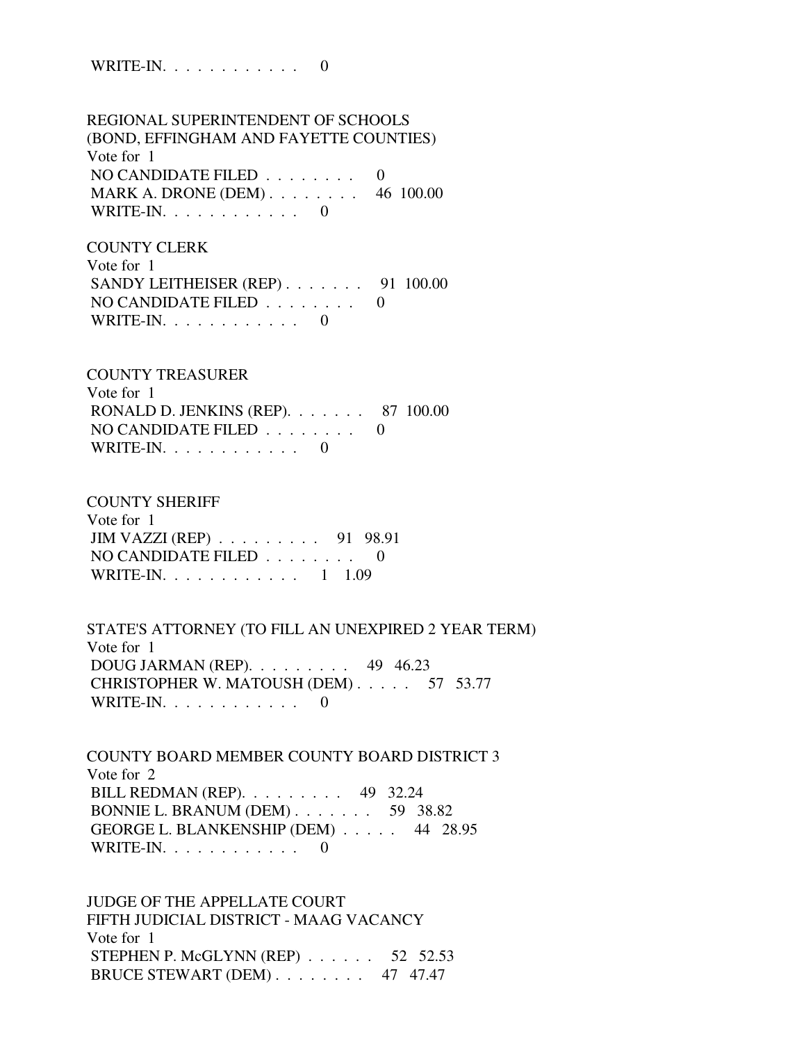WRITE-IN.  $\ldots$  . . . . . . . . . 0

 REGIONAL SUPERINTENDENT OF SCHOOLS (BOND, EFFINGHAM AND FAYETTE COUNTIES) Vote for 1 NO CANDIDATE FILED  $\ldots \ldots \ldots$  0 MARK A. DRONE (DEM) . . . . . . . . 46 100.00 WRITE-IN. . . . . . . . . . . . 0

 COUNTY CLERK Vote for 1 SANDY LEITHEISER (REP)  $\ldots$ , . . . . 91 100.00 NO CANDIDATE FILED  $\ldots \ldots \ldots$ WRITE-IN. . . . . . . . . . . . 0

 COUNTY TREASURER Vote for 1 RONALD D. JENKINS (REP). . . . . . . 87 100.00 NO CANDIDATE FILED . . . . . . . . 0 WRITE-IN.  $\ldots$  . . . . . . . . 0

 COUNTY SHERIFF Vote for 1 JIM VAZZI (REP) . . . . . . . . . 91 98.91 NO CANDIDATE FILED . . . . . . . . 0 WRITE-IN. . . . . . . . . . . . 1 1.09

 STATE'S ATTORNEY (TO FILL AN UNEXPIRED 2 YEAR TERM) Vote for 1 DOUG JARMAN (REP). . . . . . . . . 49 46.23 CHRISTOPHER W. MATOUSH (DEM) . . . . . 57 53.77 WRITE-IN. . . . . . . . . . . . 0

 COUNTY BOARD MEMBER COUNTY BOARD DISTRICT 3 Vote for 2 BILL REDMAN (REP). . . . . . . . . 49 32.24 BONNIE L. BRANUM (DEM) . . . . . . . 59 38.82 GEORGE L. BLANKENSHIP (DEM) . . . . . 44 28.95 WRITE-IN.  $\ldots$  . . . . . . . . . 0

 JUDGE OF THE APPELLATE COURT FIFTH JUDICIAL DISTRICT - MAAG VACANCY Vote for 1 STEPHEN P. McGLYNN (REP) . . . . . . 52 52.53 BRUCE STEWART (DEM) . . . . . . . . 47 47.47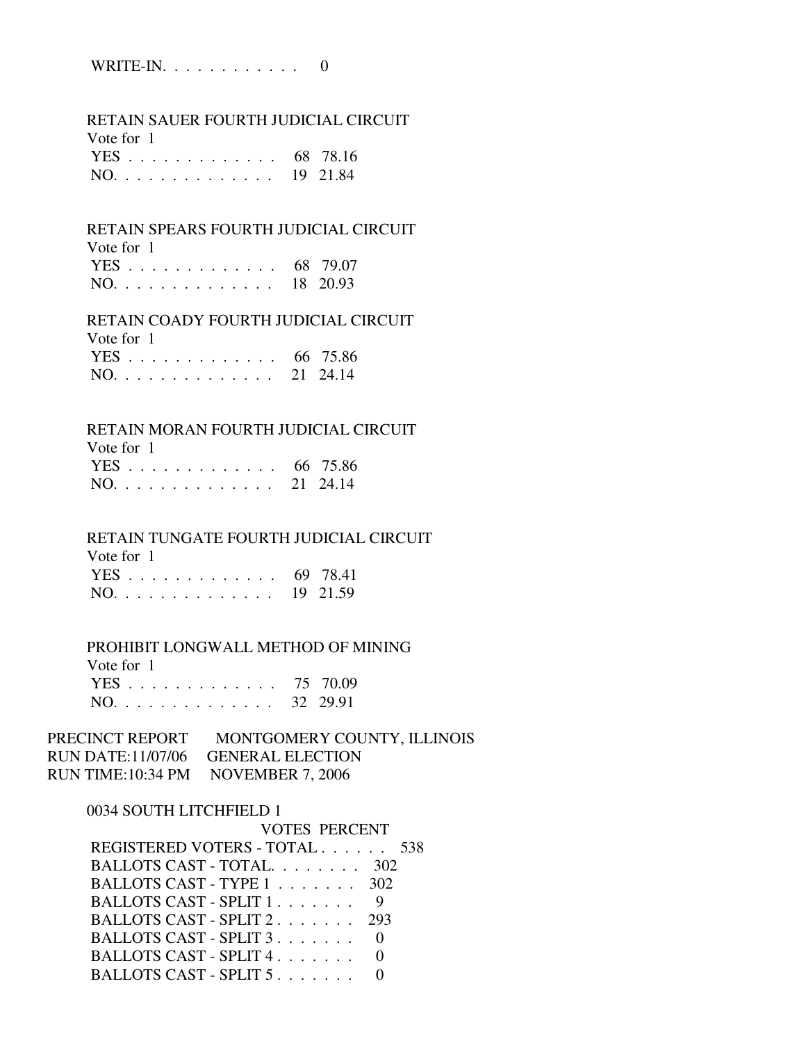# WRITE-IN. . . . . . . . . . . . 0

#### RETAIN SAUER FOURTH JUDICIAL CIRCUIT

Vote for 1

| YES 68 78.16 |  |
|--------------|--|
| NO. 19 21.84 |  |

#### RETAIN SPEARS FOURTH JUDICIAL CIRCUIT

| Vote for 1   |  |
|--------------|--|
| YES 68 79.07 |  |
| NO. 18 20.93 |  |

#### RETAIN COADY FOURTH JUDICIAL CIRCUIT

| Vote for 1   |  |
|--------------|--|
| YES 66 75.86 |  |
| NO. 21 24.14 |  |

## RETAIN MORAN FOURTH JUDICIAL CIRCUIT

Vote for 1

|  | YES 66 75.86 |
|--|--------------|
|  | NO. 21 24.14 |

# RETAIN TUNGATE FOURTH JUDICIAL CIRCUIT

| Vote for 1   |  |
|--------------|--|
| YES 69 78.41 |  |
| NO. 19 21.59 |  |

## PROHIBIT LONGWALL METHOD OF MINING

| Vote for 1   |  |
|--------------|--|
| YES 75 70.09 |  |
| NO. 32 29.91 |  |

## PRECINCT REPORT MONTGOMERY COUNTY, ILLINOIS RUN DATE:11/07/06 GENERAL ELECTION RUN TIME:10:34 PM NOVEMBER 7, 2006

#### 0034 SOUTH LITCHFIELD 1

| <b>VOTES PERCENT</b>                              |     |
|---------------------------------------------------|-----|
| REGISTERED VOTERS - TOTAL 538                     |     |
| BALLOTS CAST - TOTAL.                             | 302 |
| BALLOTS CAST - TYPE $1, \ldots, \ldots, 302$      |     |
| BALLOTS CAST - SPLIT 1.                           |     |
| BALLOTS CAST - SPLIT $2 \ldots \ldots \ldots$ 293 |     |
| BALLOTS CAST - SPLIT 3.                           |     |
| BALLOTS CAST - SPLIT 4.                           |     |
| BALLOTS CAST - SPLIT 5.                           |     |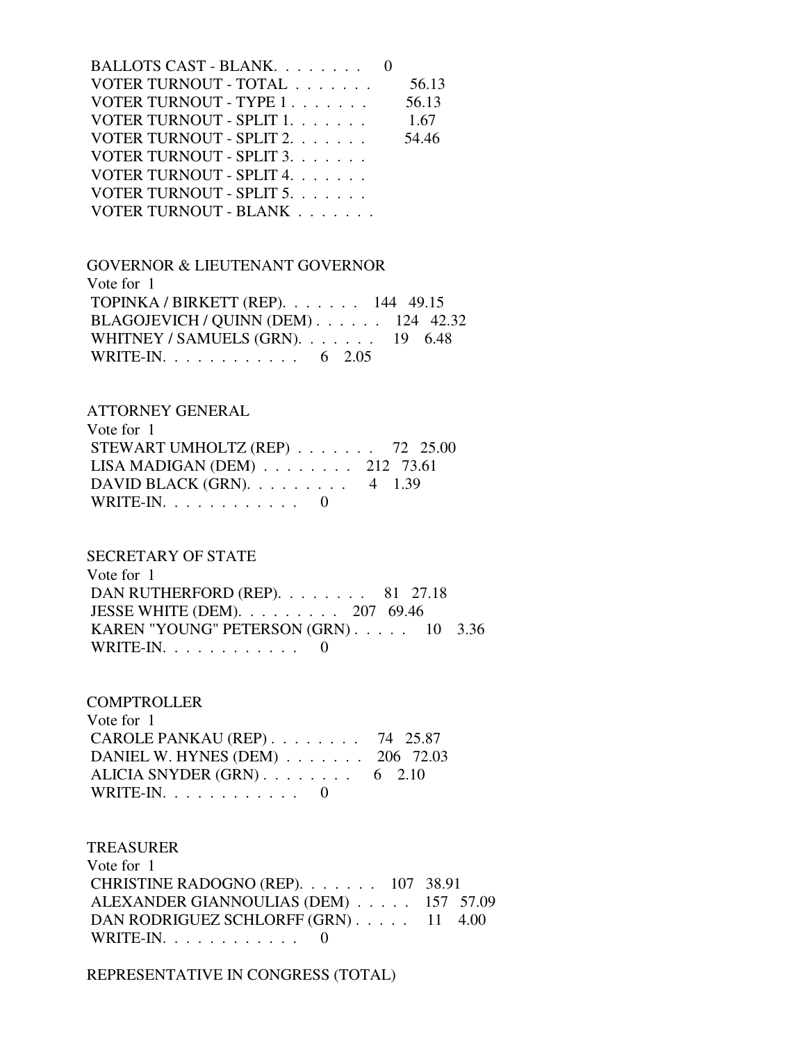| BALLOTS CAST - BLANK.    |       |
|--------------------------|-------|
| VOTER TURNOUT - TOTAL    | 56.13 |
| VOTER TURNOUT - TYPE 1   | 56.13 |
| VOTER TURNOUT - SPLIT 1. | 1.67  |
| VOTER TURNOUT - SPLIT 2. | 54.46 |
| VOTER TURNOUT - SPLIT 3. |       |
| VOTER TURNOUT - SPLIT 4. |       |
| VOTER TURNOUT - SPLIT 5. |       |
| VOTER TURNOUT - BLANK    |       |

 GOVERNOR & LIEUTENANT GOVERNOR Vote for 1 TOPINKA / BIRKETT (REP). . . . . . . 144 49.15 BLAGOJEVICH / QUINN (DEM) . . . . . . 124 42.32 WHITNEY / SAMUELS (GRN). . . . . . . 19 6.48 WRITE-IN. . . . . . . . . . . . . 6 2.05

#### ATTORNEY GENERAL

| Vote for 1                                       |  |
|--------------------------------------------------|--|
| STEWART UMHOLTZ (REP) $\ldots$ 72 25.00          |  |
| LISA MADIGAN (DEM) $\ldots$ 212 73.61            |  |
| DAVID BLACK (GRN). $\ldots \ldots \ldots$ 4 1.39 |  |
| WRITE-IN. $\ldots$ 0                             |  |

#### SECRETARY OF STATE

 Vote for 1 DAN RUTHERFORD (REP). . . . . . . . 81 27.18 JESSE WHITE (DEM). . . . . . . . . 207 69.46 KAREN "YOUNG" PETERSON (GRN) . . . . . 10 3.36 WRITE-IN. . . . . . . . . . . . 0

#### COMPTROLLER

| Vote for 1                               |  |
|------------------------------------------|--|
| CAROLE PANKAU (REP) $\ldots$ 74 25.87    |  |
| DANIEL W. HYNES (DEM) $\ldots$ 206 72.03 |  |
| ALICIA SNYDER $(GRN)$ 6 2.10             |  |
| WRITE-IN. $\ldots$ , 0                   |  |

#### TREASURER

 Vote for 1 CHRISTINE RADOGNO (REP). . . . . . . 107 38.91 ALEXANDER GIANNOULIAS (DEM) . . . . . 157 57.09 DAN RODRIGUEZ SCHLORFF (GRN) . . . . . 11 4.00 WRITE-IN. . . . . . . . . . . . 0

REPRESENTATIVE IN CONGRESS (TOTAL)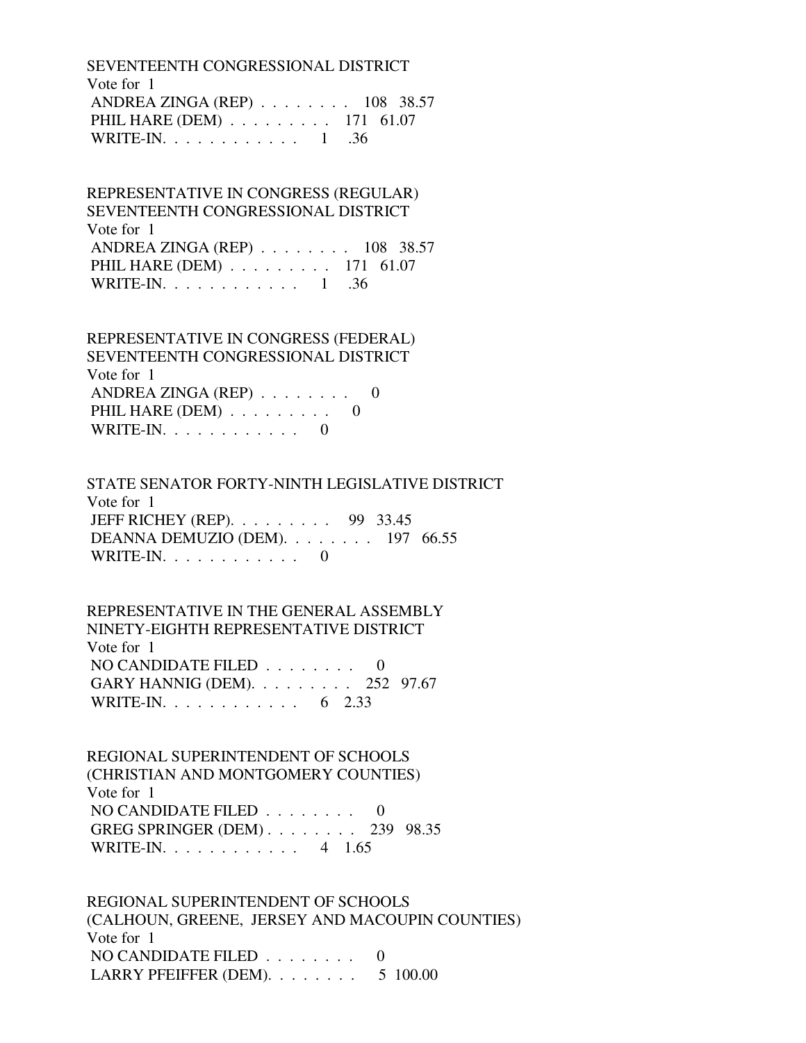SEVENTEENTH CONGRESSIONAL DISTRICT Vote for 1 ANDREA ZINGA (REP) . . . . . . . . 108 38.57 PHIL HARE (DEM) . . . . . . . . . 171 61.07 WRITE-IN. . . . . . . . . . . . 1 .36

 REPRESENTATIVE IN CONGRESS (REGULAR) SEVENTEENTH CONGRESSIONAL DISTRICT Vote for 1 ANDREA ZINGA (REP) . . . . . . . . 108 38.57 PHIL HARE (DEM) . . . . . . . . . 171 61.07 WRITE-IN. . . . . . . . . . . . 1 .36

 REPRESENTATIVE IN CONGRESS (FEDERAL) SEVENTEENTH CONGRESSIONAL DISTRICT Vote for 1 ANDREA ZINGA (REP) . . . . . . . . 0 PHIL HARE  $(DEM)$  . . . . . . . . . 0 WRITE-IN.  $\ldots$  . . . . . . . . 0

 STATE SENATOR FORTY-NINTH LEGISLATIVE DISTRICT Vote for 1 JEFF RICHEY (REP). . . . . . . . . 99 33.45 DEANNA DEMUZIO (DEM). . . . . . . . 197 66.55 WRITE-IN. . . . . . . . . . . . 0

 REPRESENTATIVE IN THE GENERAL ASSEMBLY NINETY-EIGHTH REPRESENTATIVE DISTRICT Vote for 1 NO CANDIDATE FILED . . . . . . . . 0 GARY HANNIG (DEM). . . . . . . . . 252 97.67 WRITE-IN. . . . . . . . . . . . . 6 2.33

 REGIONAL SUPERINTENDENT OF SCHOOLS (CHRISTIAN AND MONTGOMERY COUNTIES) Vote for 1 NO CANDIDATE FILED  $\ldots$ , . . . . . 0 GREG SPRINGER (DEM) . . . . . . . . 239 98.35 WRITE-IN. . . . . . . . . . . . 4 1.65

 REGIONAL SUPERINTENDENT OF SCHOOLS (CALHOUN, GREENE, JERSEY AND MACOUPIN COUNTIES) Vote for 1 NO CANDIDATE FILED . . . . . . . . 0 LARRY PFEIFFER (DEM). . . . . . . . 5 100.00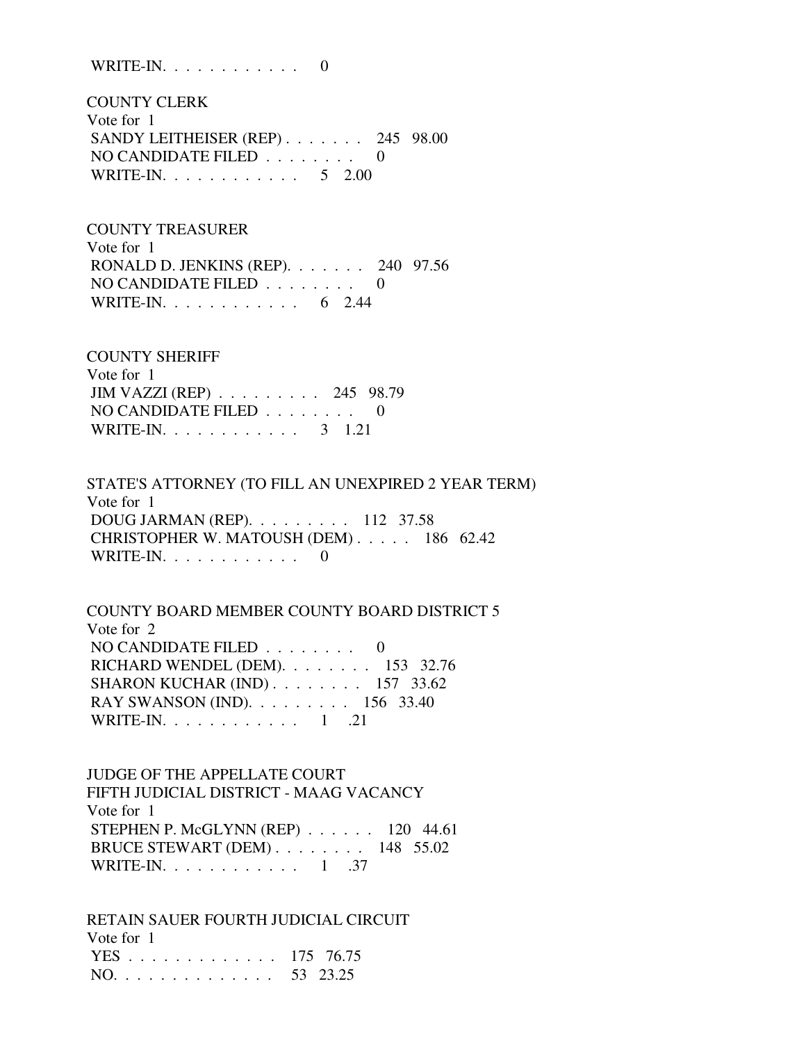WRITE-IN. . . . . . . . . . . . 0

 COUNTY CLERK Vote for 1 SANDY LEITHEISER (REP) . . . . . . . 245 98.00 NO CANDIDATE FILED . . . . . . . . 0 WRITE-IN. . . . . . . . . . . . 5 2.00

 COUNTY TREASURER Vote for 1 RONALD D. JENKINS (REP). . . . . . . 240 97.56 NO CANDIDATE FILED  $\ldots \ldots \ldots$ WRITE-IN. . . . . . . . . . . . 6 2.44

 COUNTY SHERIFF Vote for 1 JIM VAZZI (REP) . . . . . . . . . 245 98.79 NO CANDIDATE FILED  $\ldots \ldots \ldots$  0 WRITE-IN. . . . . . . . . . . . . 3 1.21

 STATE'S ATTORNEY (TO FILL AN UNEXPIRED 2 YEAR TERM) Vote for 1 DOUG JARMAN (REP). . . . . . . . . 112 37.58 CHRISTOPHER W. MATOUSH (DEM) . . . . . 186 62.42 WRITE-IN. . . . . . . . . . . . 0

 COUNTY BOARD MEMBER COUNTY BOARD DISTRICT 5 Vote for 2 NO CANDIDATE FILED  $\ldots \ldots \ldots$  RICHARD WENDEL (DEM). . . . . . . . 153 32.76 SHARON KUCHAR (IND) . . . . . . . . 157 33.62 RAY SWANSON (IND). . . . . . . . . 156 33.40 WRITE-IN. . . . . . . . . . . . . 1 .21

 JUDGE OF THE APPELLATE COURT FIFTH JUDICIAL DISTRICT - MAAG VACANCY Vote for 1 STEPHEN P. McGLYNN (REP) . . . . . . 120 44.61 BRUCE STEWART (DEM) . . . . . . . . 148 55.02 WRITE-IN. . . . . . . . . . . . 1 .37

 RETAIN SAUER FOURTH JUDICIAL CIRCUIT Vote for 1 YES . . . . . . . . . . . . . 175 76.75 NO. . . . . . . . . . . . . . 53 23.25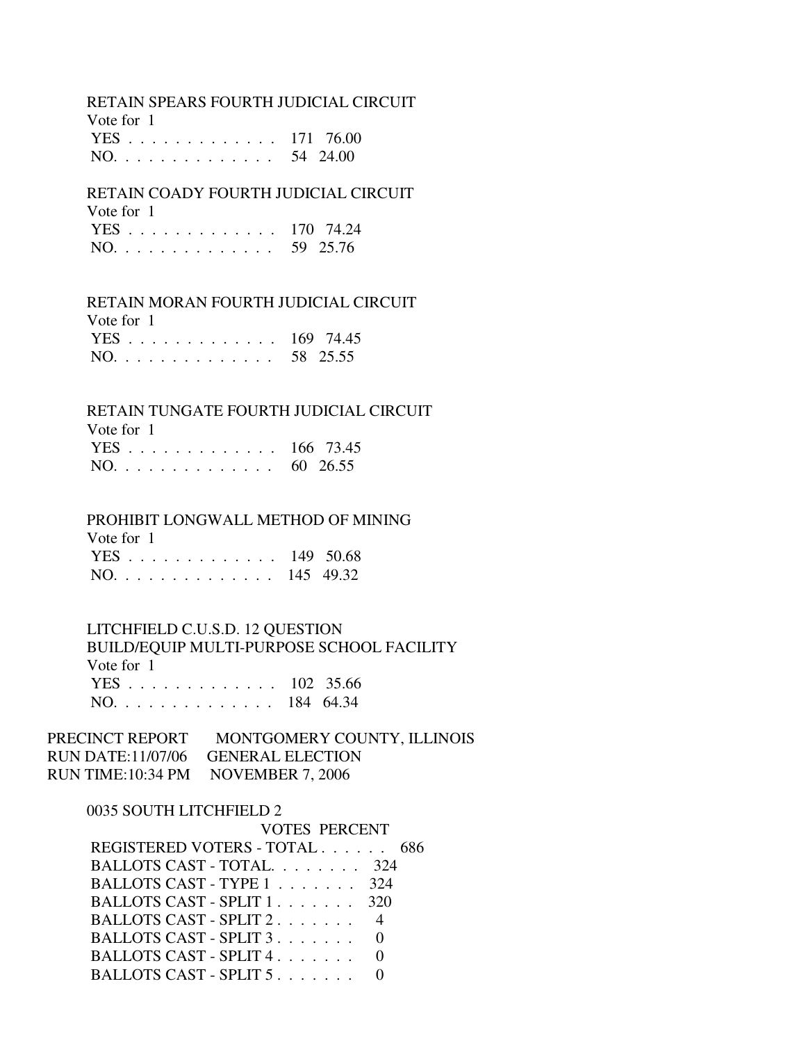#### RETAIN SPEARS FOURTH JUDICIAL CIRCUIT

| Vote for 1    |  |
|---------------|--|
| YES 171 76.00 |  |
| NO. 54 24.00  |  |

#### RETAIN COADY FOURTH JUDICIAL CIRCUIT  $V_{\text{eff}}$   $\mathcal{L}_{\text{eff}}$  1

| VOIE TOT T    |  |
|---------------|--|
| YES 170 74.24 |  |
| NO. 59 25.76  |  |

### RETAIN MORAN FOURTH JUDICIAL CIRCUIT

 Vote for 1 YES . . . . . . . . . . . . . 169 74.45 NO. . . . . . . . . . . . . . 58 25.55

#### RETAIN TUNGATE FOURTH JUDICIAL CIRCUIT

| Vote for 1    |  |
|---------------|--|
| YES 166 73.45 |  |
| NO. 60 26.55  |  |

### PROHIBIT LONGWALL METHOD OF MINING

| Vote for 1     |  |
|----------------|--|
| YES 149 50.68  |  |
| NO $145$ 49.32 |  |

# LITCHFIELD C.U.S.D. 12 QUESTION

# BUILD/EQUIP MULTI-PURPOSE SCHOOL FACILITY Vote for 1 YES . . . . . . . . . . . . . 102 35.66

|  |  |  |  |  |  |  |  | NO. 184 64.34 |
|--|--|--|--|--|--|--|--|---------------|

# PRECINCT REPORT MONTGOMERY COUNTY, ILLINOIS RUN DATE:11/07/06 GENERAL ELECTION RUN TIME:10:34 PM NOVEMBER 7, 2006

# 0035 SOUTH LITCHFIELD 2

| <b>VOTES PERCENT</b>                              |     |
|---------------------------------------------------|-----|
| REGISTERED VOTERS - TOTAL 686                     |     |
| BALLOTS CAST - TOTAL.                             | 324 |
| BALLOTS CAST - TYPE 1                             | 324 |
| BALLOTS CAST - SPLIT $1 \ldots \ldots \ldots$ 320 |     |
| BALLOTS CAST - SPLIT 2.                           |     |
| BALLOTS CAST - SPLIT 3                            |     |
| BALLOTS CAST - SPLIT 4.                           |     |
| BALLOTS CAST - SPLIT 5.                           |     |
|                                                   |     |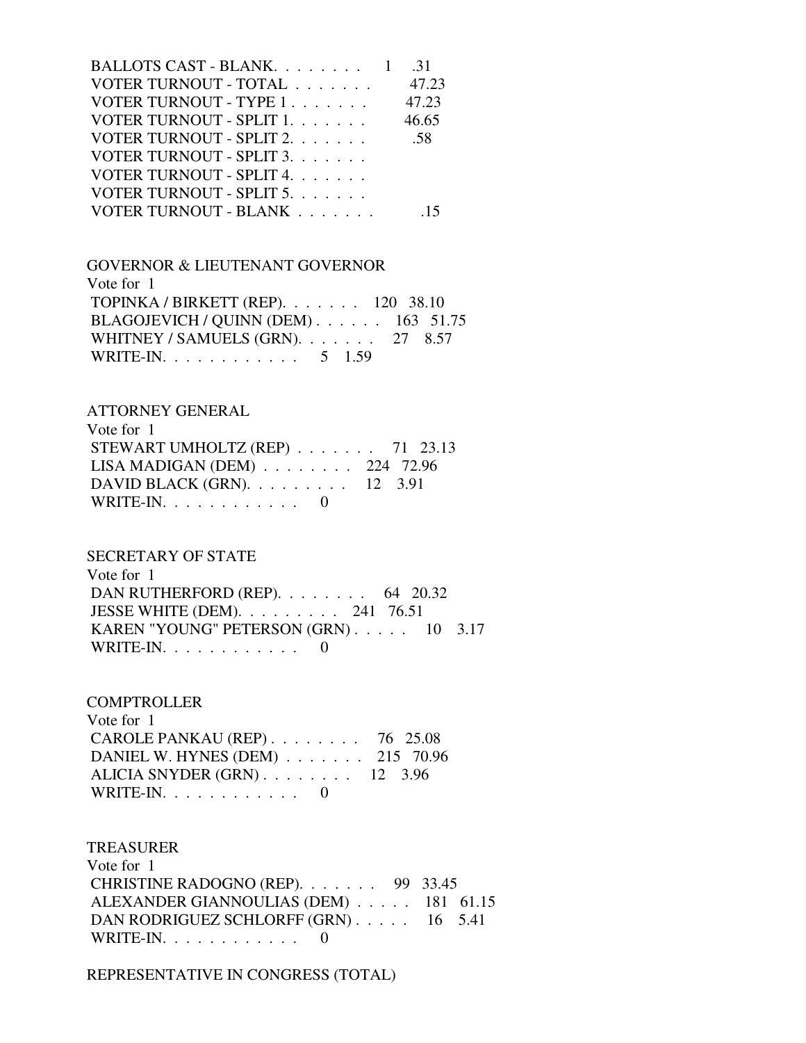| BALLOTS CAST - BLANK $1$ | $-31$ |
|--------------------------|-------|
| VOTER TURNOUT - TOTAL    | 47.23 |
| VOTER TURNOUT - TYPE 1   | 47.23 |
| VOTER TURNOUT - SPLIT 1. | 46.65 |
| VOTER TURNOUT - SPLIT 2. | .58   |
| VOTER TURNOUT - SPLIT 3. |       |
| VOTER TURNOUT - SPLIT 4. |       |
| VOTER TURNOUT - SPLIT 5. |       |
| VOTER TURNOUT - BLANK    |       |
|                          |       |

 GOVERNOR & LIEUTENANT GOVERNOR Vote for 1 TOPINKA / BIRKETT (REP). . . . . . . 120 38.10 BLAGOJEVICH / QUINN (DEM) . . . . . . 163 51.75 WHITNEY / SAMUELS (GRN). . . . . . . 27 8.57 WRITE-IN. . . . . . . . . . . . 5 1.59

#### ATTORNEY GENERAL

| Vote for 1                                               |  |
|----------------------------------------------------------|--|
| STEWART UMHOLTZ (REP) $\ldots$ 71 23.13                  |  |
| LISA MADIGAN (DEM) $\ldots \ldots \ldots$ 224 72.96      |  |
| DAVID BLACK (GRN). $\ldots \ldots \ldots \ldots$ 12 3.91 |  |
| WRITE-IN. $\ldots$ 0                                     |  |

#### SECRETARY OF STATE

 Vote for 1 DAN RUTHERFORD (REP). . . . . . . . . 64 20.32 JESSE WHITE (DEM). . . . . . . . . 241 76.51 KAREN "YOUNG" PETERSON (GRN) . . . . . 10 3.17 WRITE-IN. . . . . . . . . . . . 0

#### **COMPTROLLER**

 Vote for 1 CAROLE PANKAU (REP) . . . . . . . . 76 25.08 DANIEL W. HYNES (DEM) . . . . . . . 215 70.96 ALICIA SNYDER (GRN) . . . . . . . . 12 3.96 WRITE-IN. . . . . . . . . . . . 0

#### TREASURER

 Vote for 1 CHRISTINE RADOGNO (REP). . . . . . . 99 33.45 ALEXANDER GIANNOULIAS (DEM) . . . . . 181 61.15 DAN RODRIGUEZ SCHLORFF (GRN) . . . . . 16 5.41 WRITE-IN. . . . . . . . . . . . 0

REPRESENTATIVE IN CONGRESS (TOTAL)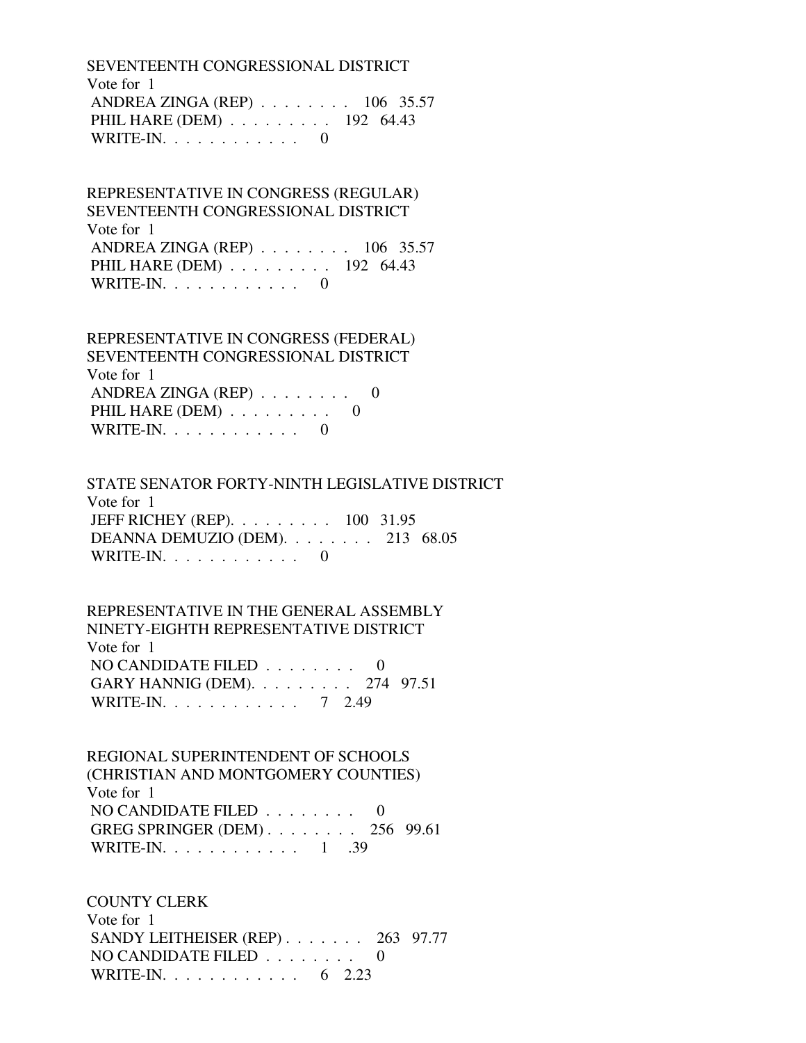SEVENTEENTH CONGRESSIONAL DISTRICT Vote for 1 ANDREA ZINGA (REP) . . . . . . . . 106 35.57 PHIL HARE (DEM) . . . . . . . . . 192 64.43 WRITE-IN.  $\ldots$  . . . . . . . . . 0

 REPRESENTATIVE IN CONGRESS (REGULAR) SEVENTEENTH CONGRESSIONAL DISTRICT Vote for 1 ANDREA ZINGA (REP) . . . . . . . . 106 35.57 PHIL HARE (DEM) . . . . . . . . . 192 64.43 WRITE-IN.  $\ldots$  . . . . . . . . 0

## REPRESENTATIVE IN CONGRESS (FEDERAL) SEVENTEENTH CONGRESSIONAL DISTRICT Vote for 1 ANDREA ZINGA (REP) . . . . . . . . 0 PHIL HARE  $(DEM)$  . . . . . . . . . 0 WRITE-IN. . . . . . . . . . . . 0

 STATE SENATOR FORTY-NINTH LEGISLATIVE DISTRICT Vote for 1 JEFF RICHEY (REP). . . . . . . . . 100 31.95 DEANNA DEMUZIO (DEM). . . . . . . . 213 68.05 WRITE-IN. . . . . . . . . . . . 0

 REPRESENTATIVE IN THE GENERAL ASSEMBLY NINETY-EIGHTH REPRESENTATIVE DISTRICT Vote for 1 NO CANDIDATE FILED . . . . . . . . 0 GARY HANNIG (DEM). . . . . . . . . 274 97.51 WRITE-IN. . . . . . . . . . . . . 7 2.49

 REGIONAL SUPERINTENDENT OF SCHOOLS (CHRISTIAN AND MONTGOMERY COUNTIES) Vote for 1 NO CANDIDATE FILED  $\ldots$ , . . . . . 0 GREG SPRINGER (DEM) . . . . . . . . 256 99.61 WRITE-IN. . . . . . . . . . . . 1 .39

 COUNTY CLERK Vote for 1 SANDY LEITHEISER (REP) . . . . . . 263 97.77 NO CANDIDATE FILED . . . . . . . . 0 WRITE-IN. . . . . . . . . . . . . 6 2.23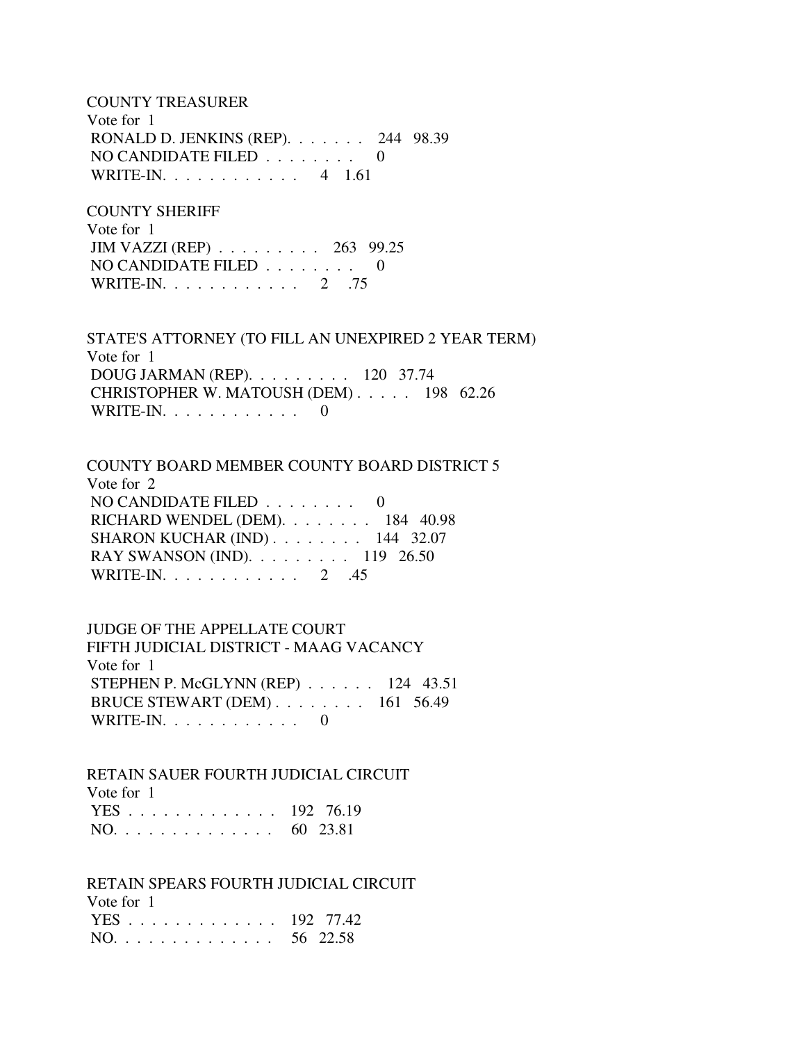COUNTY TREASURER Vote for 1 RONALD D. JENKINS (REP). . . . . . . 244 98.39 NO CANDIDATE FILED . . . . . . . . 0 WRITE-IN. . . . . . . . . . . . 4 1.61

#### COUNTY SHERIFF

 Vote for 1 JIM VAZZI (REP) . . . . . . . . . 263 99.25 NO CANDIDATE FILED . . . . . . . . 0 WRITE-IN. . . . . . . . . . . . 2 .75

 STATE'S ATTORNEY (TO FILL AN UNEXPIRED 2 YEAR TERM) Vote for 1 DOUG JARMAN (REP). . . . . . . . . 120 37.74 CHRISTOPHER W. MATOUSH (DEM) . . . . . 198 62.26 WRITE-IN.  $\ldots$  . . . . . . . . . 0

#### COUNTY BOARD MEMBER COUNTY BOARD DISTRICT 5

 Vote for 2 NO CANDIDATE FILED . . . . . . . . 0 RICHARD WENDEL (DEM). . . . . . . . 184 40.98 SHARON KUCHAR (IND) . . . . . . . . 144 32.07 RAY SWANSON (IND). . . . . . . . . 119 26.50 WRITE-IN. . . . . . . . . . . . 2 .45

#### JUDGE OF THE APPELLATE COURT

 FIFTH JUDICIAL DISTRICT - MAAG VACANCY Vote for 1 STEPHEN P. McGLYNN (REP) . . . . . . 124 43.51 BRUCE STEWART (DEM) . . . . . . . . 161 56.49 WRITE-IN. . . . . . . . . . . . 0

#### RETAIN SAUER FOURTH JUDICIAL CIRCUIT Vote for 1

| $\sqrt{2}$    |  |
|---------------|--|
| YES 192 76.19 |  |
| NO. 60 23.81  |  |

#### RETAIN SPEARS FOURTH JUDICIAL CIRCUIT

| Vote for 1    |  |
|---------------|--|
| YES 192 77.42 |  |
| NO. 56 22.58  |  |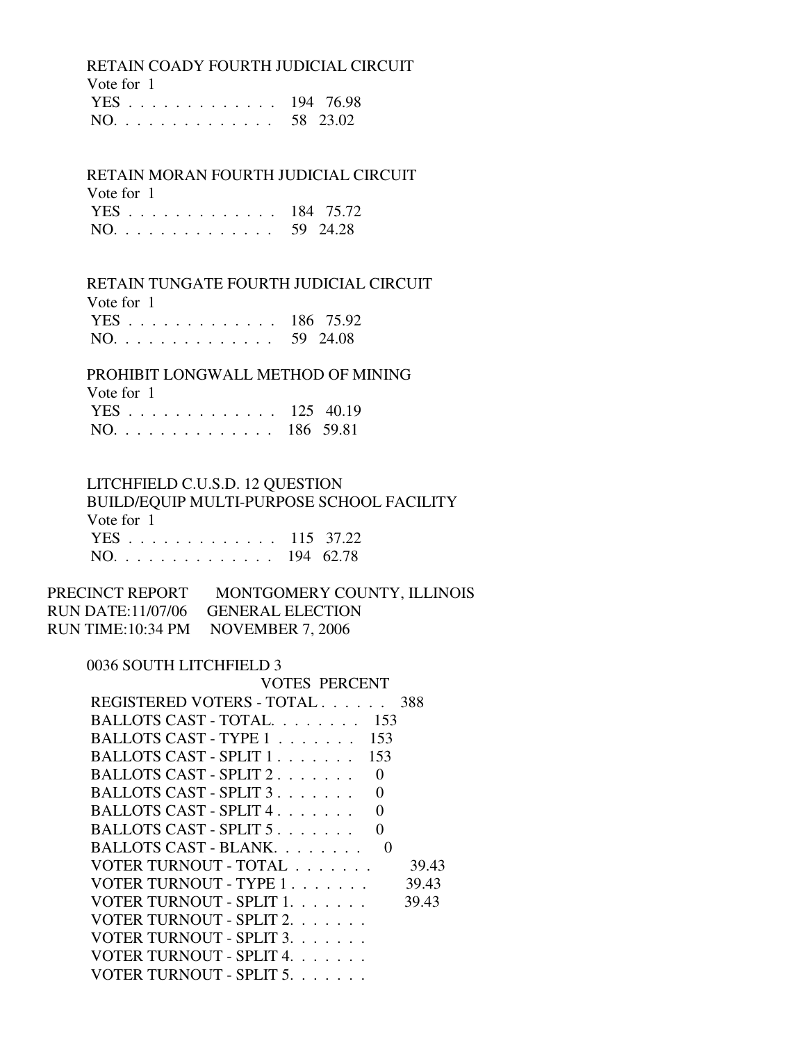RETAIN COADY FOURTH JUDICIAL CIRCUIT

Vote for 1

|     |  |  |  |  |  |  |  | YES 194 76.98 |
|-----|--|--|--|--|--|--|--|---------------|
| NO. |  |  |  |  |  |  |  | 58 23.02      |

### RETAIN MORAN FOURTH JUDICIAL CIRCUIT

| Vote for 1    |  |
|---------------|--|
| YES 184 75.72 |  |
| NO. 59 24.28  |  |

# RETAIN TUNGATE FOURTH JUDICIAL CIRCUIT

Vote for 1

| YES 186 75.92                     |          |
|-----------------------------------|----------|
| $NO. \ldots \ldots \ldots \ldots$ | 59 24.08 |

# PROHIBIT LONGWALL METHOD OF MINING

| Vote for 1    |  |
|---------------|--|
| YES 125 40.19 |  |
| NO. 186 59.81 |  |

# LITCHFIELD C.U.S.D. 12 QUESTION BUILD/EQUIP MULTI-PURPOSE SCHOOL FACILITY

| Vote for 1    |  |
|---------------|--|
| YES 115 37.22 |  |
| NO. 194 62.78 |  |

### PRECINCT REPORT MONTGOMERY COUNTY, ILLINOIS RUN DATE:11/07/06 GENERAL ELECTION RUN TIME:10:34 PM NOVEMBER 7, 2006

# 0036 SOUTH LITCHFIELD 3

| VOTES PERCENT                              |       |
|--------------------------------------------|-------|
| REGISTERED VOTERS - TOTAL                  | 388   |
| BALLOTS CAST - TOTAL.<br>-153              |       |
| BALLOTS CAST - TYPE 1<br>153               |       |
| BALLOTS CAST - SPLIT 1<br>153              |       |
| BALLOTS CAST - SPLIT 2<br>0                |       |
| BALLOTS CAST - SPLIT 3.<br>0               |       |
| BALLOTS CAST - SPLIT 4<br>∩                |       |
| BALLOTS CAST - SPLIT 5                     |       |
| BALLOTS CAST - BLANK.<br>$\mathbf{\Omega}$ |       |
| VOTER TURNOUT - TOTAL                      | 39.43 |
| VOTER TURNOUT - TYPE 1                     | 39.43 |
| VOTER TURNOUT - SPLIT 1.                   | 39.43 |
| VOTER TURNOUT - SPLIT 2.                   |       |
| VOTER TURNOUT - SPLIT 3.                   |       |
| VOTER TURNOUT - SPLIT 4.                   |       |
| VOTER TURNOUT - SPLIT 5.                   |       |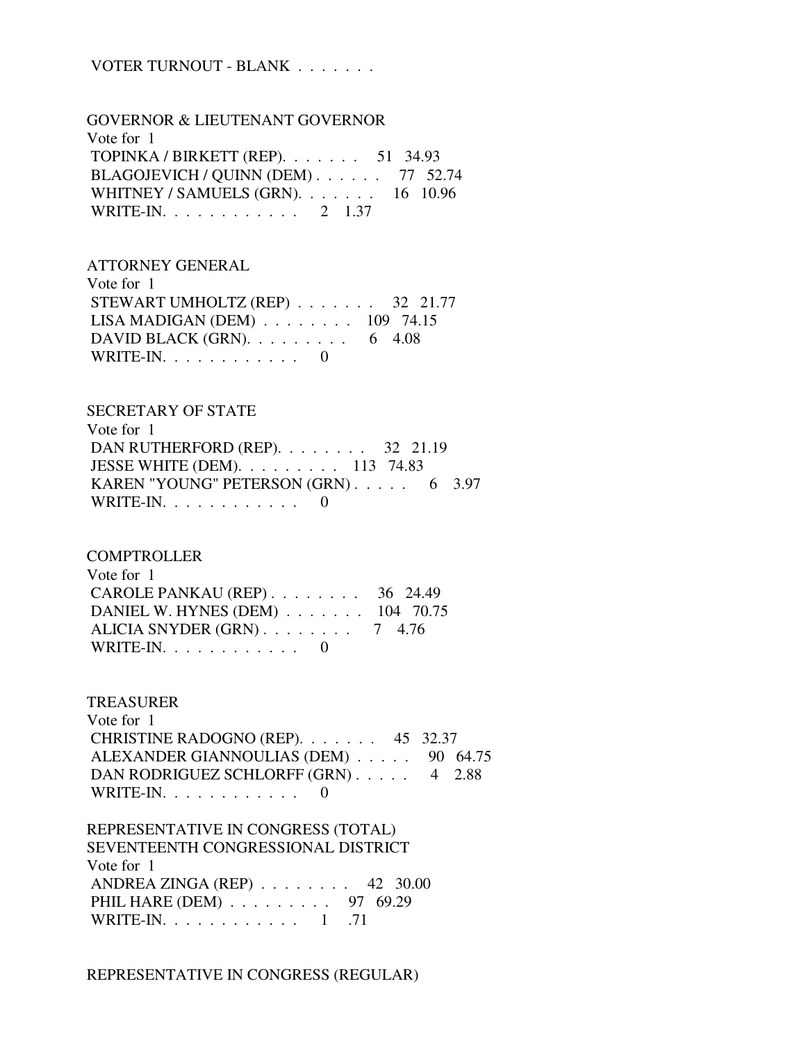## VOTER TURNOUT - BLANK . . . . . . .

 GOVERNOR & LIEUTENANT GOVERNOR Vote for 1 TOPINKA / BIRKETT (REP). . . . . . . 51 34.93 BLAGOJEVICH / QUINN (DEM) . . . . . . 77 52.74 WHITNEY / SAMUELS (GRN). . . . . . . 16 10.96 WRITE-IN. . . . . . . . . . . . 2 1.37

ATTORNEY GENERAL

| Vote for 1                                          |  |
|-----------------------------------------------------|--|
| STEWART UMHOLTZ (REP) $\ldots$ 32 21.77             |  |
| LISA MADIGAN (DEM) $\ldots \ldots \ldots 109$ 74.15 |  |
| DAVID BLACK (GRN). $\ldots$ 6 4.08                  |  |
| WRITE-IN. $\ldots$ 0                                |  |

#### SECRETARY OF STATE

| Vote for 1                                     |  |  |
|------------------------------------------------|--|--|
| DAN RUTHERFORD (REP). $\ldots$ 32 21.19        |  |  |
| JESSE WHITE (DEM). $\ldots$ $\ldots$ 113 74.83 |  |  |
| KAREN "YOUNG" PETERSON (GRN) 6 3.97            |  |  |
| WRITE-IN. $\ldots$ 0                           |  |  |

#### **COMPTROLLER**

| Vote for $1$                                            |  |
|---------------------------------------------------------|--|
| CAROLE PANKAU (REP) $\ldots$ $\ldots$ $\ldots$ 36 24.49 |  |
| DANIEL W. HYNES (DEM) $\ldots$ 104 70.75                |  |
| ALICIA SNYDER $(GRN)$ 7 4.76                            |  |
| WRITE-IN. $\ldots$ 0                                    |  |

#### TREASURER

| Vote for $1$                                 |  |
|----------------------------------------------|--|
| CHRISTINE RADOGNO (REP). $\ldots$ 45 32.37   |  |
| ALEXANDER GIANNOULIAS (DEM) 90 64.75         |  |
| DAN RODRIGUEZ SCHLORFF (GRN) 4 2.88          |  |
| WRITE-IN. $\ldots$ , $\ldots$ , $\ldots$ , 0 |  |

 REPRESENTATIVE IN CONGRESS (TOTAL) SEVENTEENTH CONGRESSIONAL DISTRICT Vote for 1 ANDREA ZINGA (REP) . . . . . . . . 42 30.00 PHIL HARE (DEM) . . . . . . . . . 97 69.29 WRITE-IN. . . . . . . . . . . . 1 .71

#### REPRESENTATIVE IN CONGRESS (REGULAR)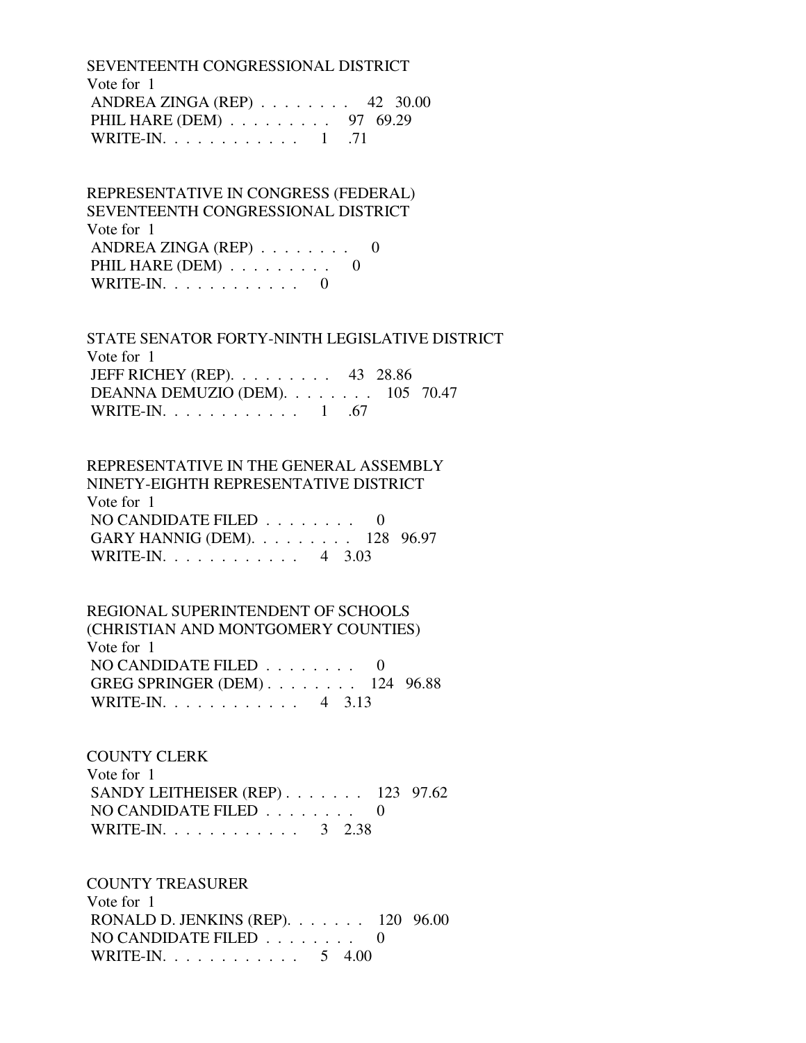SEVENTEENTH CONGRESSIONAL DISTRICT Vote for 1 ANDREA ZINGA (REP) . . . . . . . . 42 30.00 PHIL HARE (DEM) . . . . . . . . . 97 69.29 WRITE-IN. . . . . . . . . . . . 1 .71

 REPRESENTATIVE IN CONGRESS (FEDERAL) SEVENTEENTH CONGRESSIONAL DISTRICT Vote for 1 ANDREA ZINGA (REP) . . . . . . . . 0 PHIL HARE  $(DEM)$  . . . . . . . . . 0 WRITE-IN.  $\ldots$  . . . . . . . . 0

 STATE SENATOR FORTY-NINTH LEGISLATIVE DISTRICT Vote for 1 JEFF RICHEY (REP). . . . . . . . . 43 28.86 DEANNA DEMUZIO (DEM). . . . . . . . 105 70.47 WRITE-IN. . . . . . . . . . . . . 1 .67

 REPRESENTATIVE IN THE GENERAL ASSEMBLY NINETY-EIGHTH REPRESENTATIVE DISTRICT Vote for 1 NO CANDIDATE FILED . . . . . . . . 0 GARY HANNIG (DEM). . . . . . . . . 128 96.97 WRITE-IN. . . . . . . . . . . . 4 3.03

 REGIONAL SUPERINTENDENT OF SCHOOLS (CHRISTIAN AND MONTGOMERY COUNTIES) Vote for 1 NO CANDIDATE FILED . . . . . . . . 0 GREG SPRINGER (DEM) . . . . . . . . 124 96.88 WRITE-IN. . . . . . . . . . . . 4 3.13

 COUNTY CLERK Vote for 1 SANDY LEITHEISER (REP) . . . . . . . 123 97.62 NO CANDIDATE FILED . . . . . . . . 0 WRITE-IN. . . . . . . . . . . . 3 2.38

 COUNTY TREASURER Vote for 1 RONALD D. JENKINS (REP). . . . . . . 120 96.00 NO CANDIDATE FILED . . . . . . . . 0 WRITE-IN. . . . . . . . . . . . . 5 4.00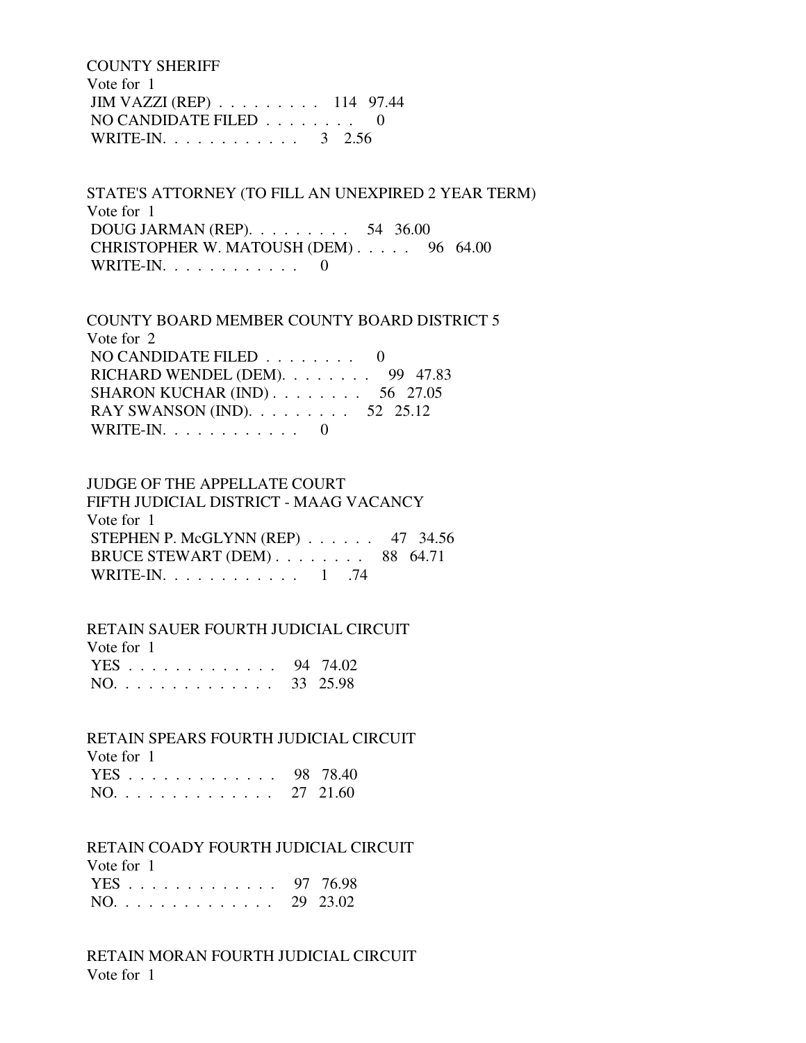COUNTY SHERIFF Vote for 1 JIM VAZZI (REP) . . . . . . . . . 114 97.44 NO CANDIDATE FILED . . . . . . . . 0 WRITE-IN. . . . . . . . . . . . . 3 2.56

 STATE'S ATTORNEY (TO FILL AN UNEXPIRED 2 YEAR TERM) Vote for 1 DOUG JARMAN (REP). . . . . . . . . 54 36.00 CHRISTOPHER W. MATOUSH (DEM) . . . . . 96 64.00 WRITE-IN.  $\ldots$  . . . . . . . . . 0

 COUNTY BOARD MEMBER COUNTY BOARD DISTRICT 5 Vote for 2 NO CANDIDATE FILED  $\ldots$  . . . . . . 0 RICHARD WENDEL (DEM). . . . . . . . 99 47.83 SHARON KUCHAR (IND) . . . . . . . . 56 27.05 RAY SWANSON (IND). . . . . . . . . . 52 25.12 WRITE-IN.  $\ldots$  . . . . . . . . . 0

#### JUDGE OF THE APPELLATE COURT

 FIFTH JUDICIAL DISTRICT - MAAG VACANCY Vote for 1 STEPHEN P. McGLYNN (REP) . . . . . . 47 34.56 BRUCE STEWART (DEM) . . . . . . . . 88 64.71 WRITE-IN. . . . . . . . . . . . 1 .74

#### RETAIN SAUER FOURTH JUDICIAL CIRCUIT

| Vote for 1   |  |
|--------------|--|
| YES 94 74.02 |  |
| NO. 33 25.98 |  |

# RETAIN SPEARS FOURTH JUDICIAL CIRCUIT

 Vote for 1 YES . . . . . . . . . . . . . 98 78.40 NO. . . . . . . . . . . . . . 27 21.60

## RETAIN COADY FOURTH JUDICIAL CIRCUIT

| Vote for 1   |  |
|--------------|--|
| YES 97 76.98 |  |
| NO. 29 23.02 |  |

# RETAIN MORAN FOURTH JUDICIAL CIRCUIT Vote for 1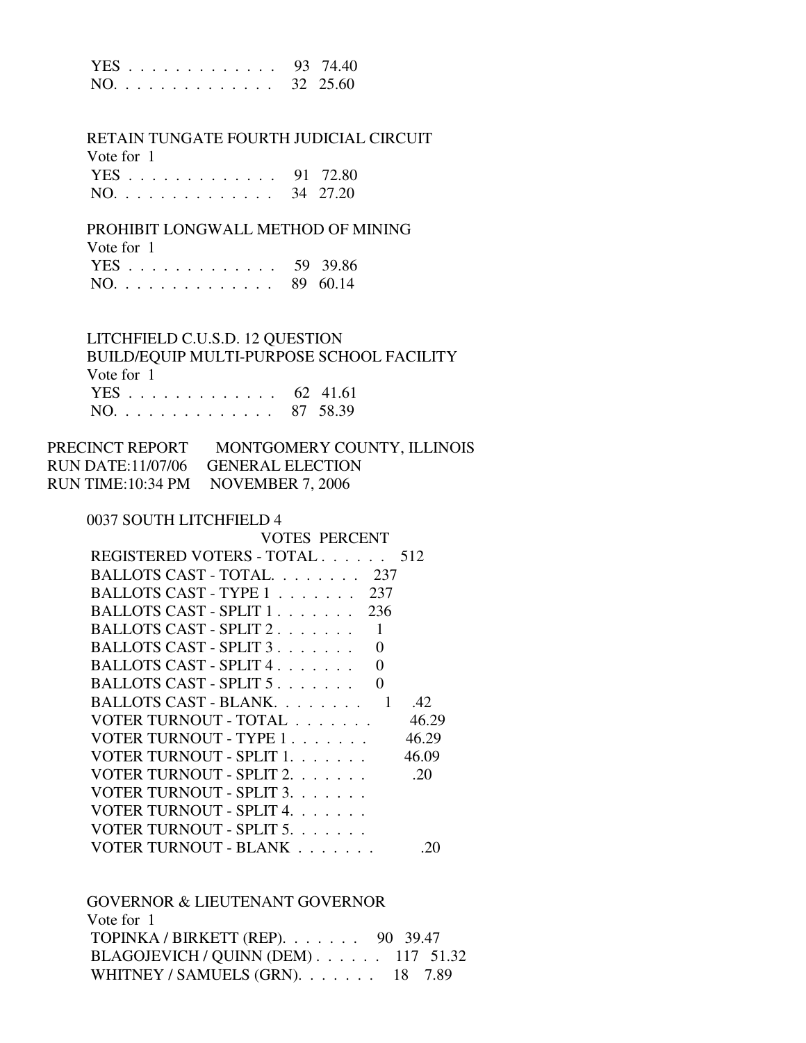|  |  |  |  |  |  |  |  | YES 93 74.40 |
|--|--|--|--|--|--|--|--|--------------|
|  |  |  |  |  |  |  |  | 32 25.60     |

# RETAIN TUNGATE FOURTH JUDICIAL CIRCUIT

Vote for 1

|  |  |  |  |  |  |  |  | YES 91 72.80 |
|--|--|--|--|--|--|--|--|--------------|
|  |  |  |  |  |  |  |  | NO. 34 27.20 |

# PROHIBIT LONGWALL METHOD OF MINING

| Vote for 1   |  |
|--------------|--|
| YES 59 39.86 |  |
| NO. 89 60.14 |  |

LITCHFIELD C.U.S.D. 12 QUESTION

 BUILD/EQUIP MULTI-PURPOSE SCHOOL FACILITY Vote for 1<br>V<sub>ES</sub>  $62, 41.61$ 

|  |  |  |  |  |  |  |  | $1E5$ 02 41.01 |
|--|--|--|--|--|--|--|--|----------------|
|  |  |  |  |  |  |  |  | NO. 87 58.39   |

| PRECINCT REPORT | MONTGOMERY COUNTY, ILLINOIS        |
|-----------------|------------------------------------|
|                 | RUN DATE:11/07/06 GENERAL ELECTION |
|                 | RUN TIME:10:34 PM NOVEMBER 7, 2006 |

#### 0037 SOUTH LITCHFIELD 4

| <b>VOTES PERCENT</b>          |       |
|-------------------------------|-------|
| REGISTERED VOTERS - TOTAL 512 |       |
| BALLOTS CAST - TOTAL 237      |       |
| BALLOTS CAST - TYPE 1<br>237  |       |
| BALLOTS CAST - SPLIT 1<br>236 |       |
| BALLOTS CAST - SPLIT 2        |       |
| BALLOTS CAST - SPLIT 3.<br>0  |       |
| BALLOTS CAST - SPLIT 4.<br>0  |       |
| BALLOTS CAST - SPLIT 5.<br>0  |       |
| BALLOTS CAST - BLANK.<br>1    | .42   |
| VOTER TURNOUT - TOTAL         | 46.29 |
| VOTER TURNOUT - TYPE 1.       | 46.29 |
| VOTER TURNOUT - SPLIT 1.      | 46.09 |
| VOTER TURNOUT - SPLIT 2.      | .20   |
| VOTER TURNOUT - SPLIT 3.      |       |
| VOTER TURNOUT - SPLIT 4.      |       |
| VOTER TURNOUT - SPLIT 5.      |       |
| VOTER TURNOUT - BLANK         |       |
|                               |       |

| <b>GOVERNOR &amp; LIEUTENANT GOVERNOR</b> |  |
|-------------------------------------------|--|
| Vote for 1                                |  |
| TOPINKA / BIRKETT (REP). 90 39.47         |  |
| BLAGOJEVICH / QUINN (DEM) 117 51.32       |  |
| WHITNEY / SAMUELS (GRN). 18 7.89          |  |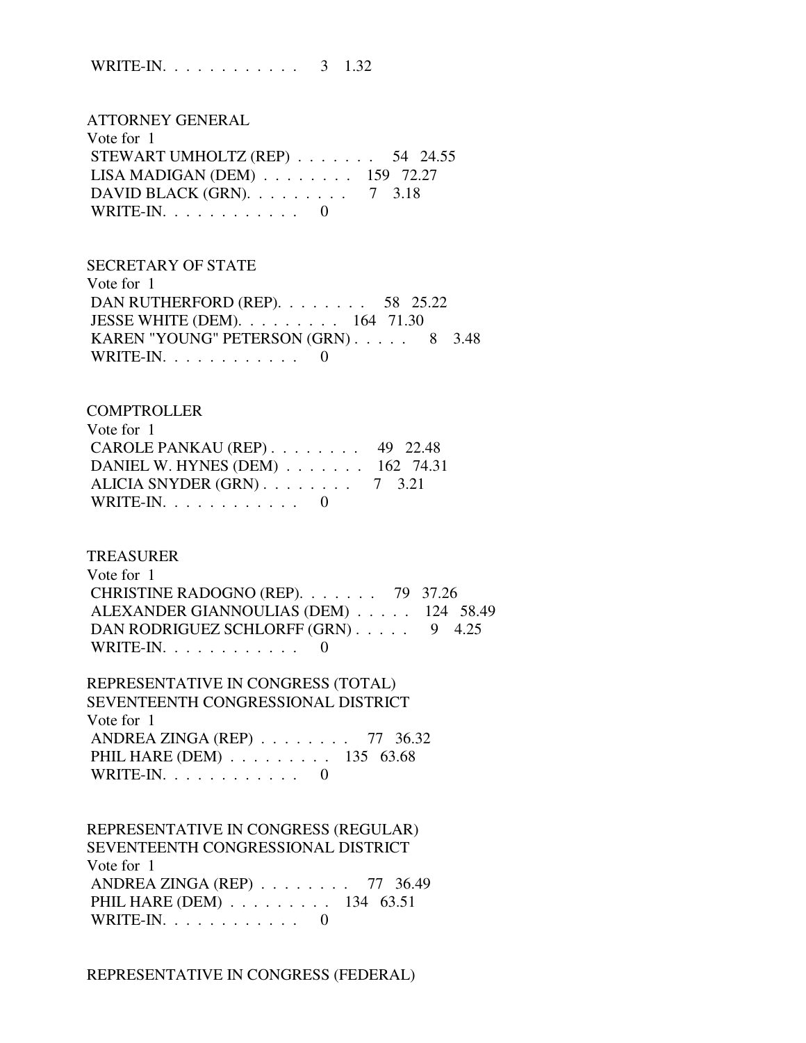WRITE-IN. . . . . . . . . . . . . 3 1.32

 ATTORNEY GENERAL Vote for 1 STEWART UMHOLTZ (REP) . . . . . . . 54 24.55 LISA MADIGAN (DEM) . . . . . . . . 159 72.27 DAVID BLACK (GRN). . . . . . . . . 7 3.18 WRITE-IN.  $\ldots$  . . . . . . . . . 0

SECRETARY OF STATE

| Vote for 1                                          |  |  |
|-----------------------------------------------------|--|--|
| DAN RUTHERFORD (REP). $\ldots$ 58 25.22             |  |  |
| JESSE WHITE (DEM). $\ldots \ldots \ldots 164$ 71.30 |  |  |
| KAREN "YOUNG" PETERSON (GRN) 8 3.48                 |  |  |
| WRITE-IN. $\ldots$ 0                                |  |  |

#### COMPTROLLER

| Vote for 1                            |  |
|---------------------------------------|--|
| CAROLE PANKAU (REP) $\ldots$ 49 22.48 |  |
| DANIEL W. HYNES (DEM) 162 74.31       |  |
| ALICIA SNYDER $(GRN)$ 7 3.21          |  |
| WRITE-IN. $\ldots$ , 0                |  |

#### TREASURER

 Vote for 1 CHRISTINE RADOGNO (REP). . . . . . . 79 37.26 ALEXANDER GIANNOULIAS (DEM) . . . . . 124 58.49 DAN RODRIGUEZ SCHLORFF (GRN) . . . . . 9 4.25 WRITE-IN. . . . . . . . . . . . 0

 REPRESENTATIVE IN CONGRESS (TOTAL) SEVENTEENTH CONGRESSIONAL DISTRICT Vote for 1 ANDREA ZINGA (REP) . . . . . . . . 77 36.32 PHIL HARE (DEM) . . . . . . . . . 135 63.68 WRITE-IN.  $\ldots$  . . . . . . . . . 0

 REPRESENTATIVE IN CONGRESS (REGULAR) SEVENTEENTH CONGRESSIONAL DISTRICT Vote for 1 ANDREA ZINGA (REP) . . . . . . . . 77 36.49 PHIL HARE (DEM) . . . . . . . . . 134 63.51 WRITE-IN. . . . . . . . . . . . 0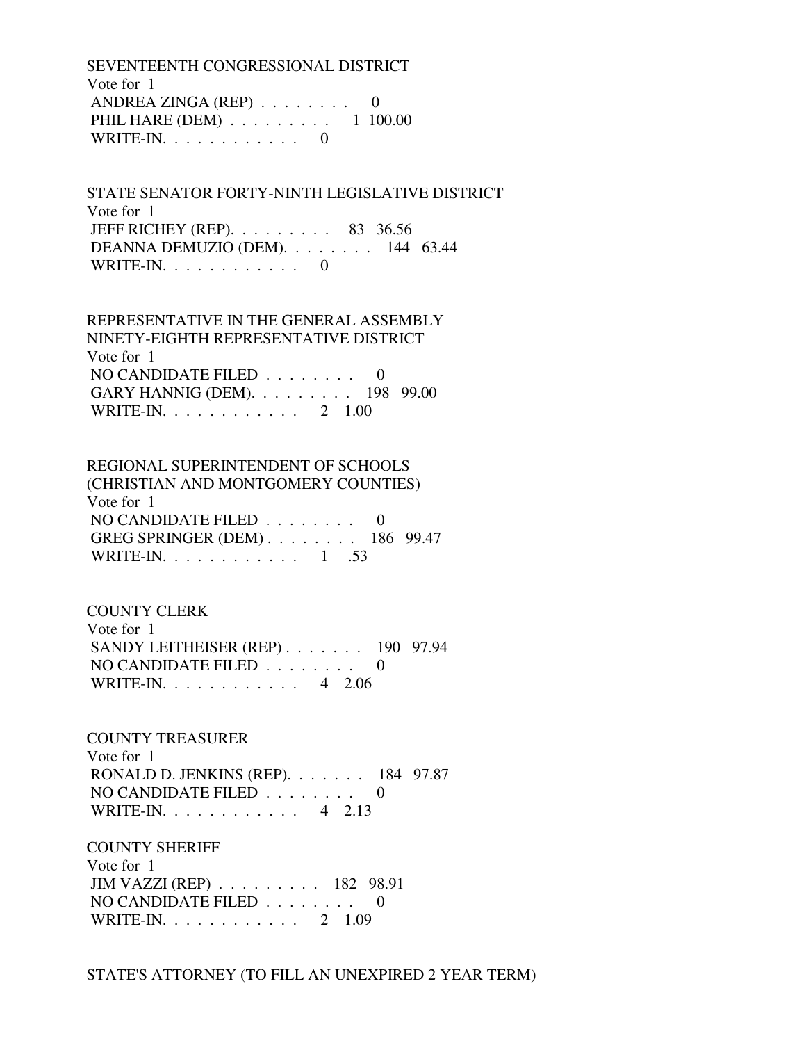SEVENTEENTH CONGRESSIONAL DISTRICT Vote for 1 ANDREA ZINGA (REP)  $\ldots \ldots \ldots$  0 PHIL HARE (DEM) . . . . . . . . . 1 100.00 WRITE-IN.  $\ldots$  . . . . . . . . . 0

 STATE SENATOR FORTY-NINTH LEGISLATIVE DISTRICT Vote for 1 JEFF RICHEY (REP). . . . . . . . . 83 36.56 DEANNA DEMUZIO (DEM). . . . . . . . 144 63.44 WRITE-IN.  $\ldots$  . . . . . . . . . 0

# REPRESENTATIVE IN THE GENERAL ASSEMBLY NINETY-EIGHTH REPRESENTATIVE DISTRICT Vote for 1 NO CANDIDATE FILED . . . . . . . . 0 GARY HANNIG (DEM). . . . . . . . . 198 99.00 WRITE-IN. . . . . . . . . . . . . 2 1.00

 REGIONAL SUPERINTENDENT OF SCHOOLS (CHRISTIAN AND MONTGOMERY COUNTIES) Vote for 1 NO CANDIDATE FILED . . . . . . . . 0 GREG SPRINGER (DEM) . . . . . . . . 186 99.47 WRITE-IN. . . . . . . . . . . . 1 .53

 COUNTY CLERK Vote for 1 SANDY LEITHEISER (REP) . . . . . . . 190 97.94 NO CANDIDATE FILED . . . . . . . . 0 WRITE-IN. . . . . . . . . . . . 4 2.06

 COUNTY TREASURER Vote for 1 RONALD D. JENKINS (REP). . . . . . . 184 97.87 NO CANDIDATE FILED . . . . . . . . . WRITE-IN. . . . . . . . . . . . 4 2.13

 COUNTY SHERIFF Vote for 1 JIM VAZZI (REP) . . . . . . . . . 182 98.91 NO CANDIDATE FILED . . . . . . . . 0 WRITE-IN. . . . . . . . . . . . 2 1.09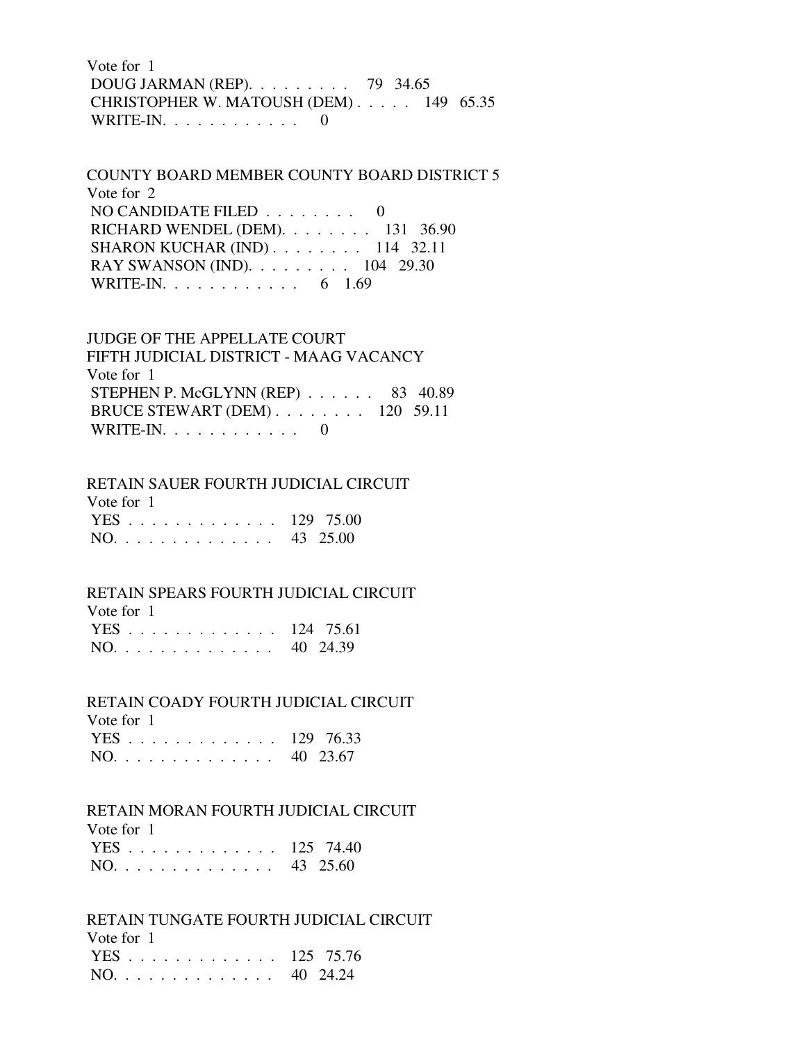Vote for 1 DOUG JARMAN (REP). . . . . . . . . 79 34.65 CHRISTOPHER W. MATOUSH (DEM) . . . . . 149 65.35 WRITE-IN.  $\ldots$  . . . . . . . . . 0

 COUNTY BOARD MEMBER COUNTY BOARD DISTRICT 5 Vote for 2 NO CANDIDATE FILED . . . . . . . . 0 RICHARD WENDEL (DEM). . . . . . . . 131 36.90 SHARON KUCHAR (IND) . . . . . . . . 114 32.11 RAY SWANSON (IND). . . . . . . . . 104 29.30 WRITE-IN. . . . . . . . . . . . . 6 1.69

 JUDGE OF THE APPELLATE COURT FIFTH JUDICIAL DISTRICT - MAAG VACANCY Vote for 1 STEPHEN P. McGLYNN (REP) . . . . . . 83 40.89 BRUCE STEWART (DEM) . . . . . . . . 120 59.11 WRITE-IN.  $\ldots$  . . . . . . . . . 0

# RETAIN SAUER FOURTH JUDICIAL CIRCUIT Vote for 1 YES . . . . . . . . . . . . . 129 75.00

| NO. |  |  |  |  |  |  |  |  |  |  |  |  |  |  | 43 25.00 |  |
|-----|--|--|--|--|--|--|--|--|--|--|--|--|--|--|----------|--|
|-----|--|--|--|--|--|--|--|--|--|--|--|--|--|--|----------|--|

### RETAIN SPEARS FOURTH JUDICIAL CIRCUIT

| Vote for 1    |  |
|---------------|--|
| YES 124 75.61 |  |
| NO. 40 24.39  |  |

### RETAIN COADY FOURTH JUDICIAL CIRCUIT

| Vote for 1    |  |
|---------------|--|
| YES 129 76.33 |  |
| NO. 40 23.67  |  |

### RETAIN MORAN FOURTH JUDICIAL CIRCUIT

 Vote for 1 YES . . . . . . . . . . . . . 125 74.40 NO. . . . . . . . . . . . . . 43 25.60

 RETAIN TUNGATE FOURTH JUDICIAL CIRCUIT Vote for 1 YES . . . . . . . . . . . . . 125 75.76

NO. . . . . . . . . . . . . . 40 24.24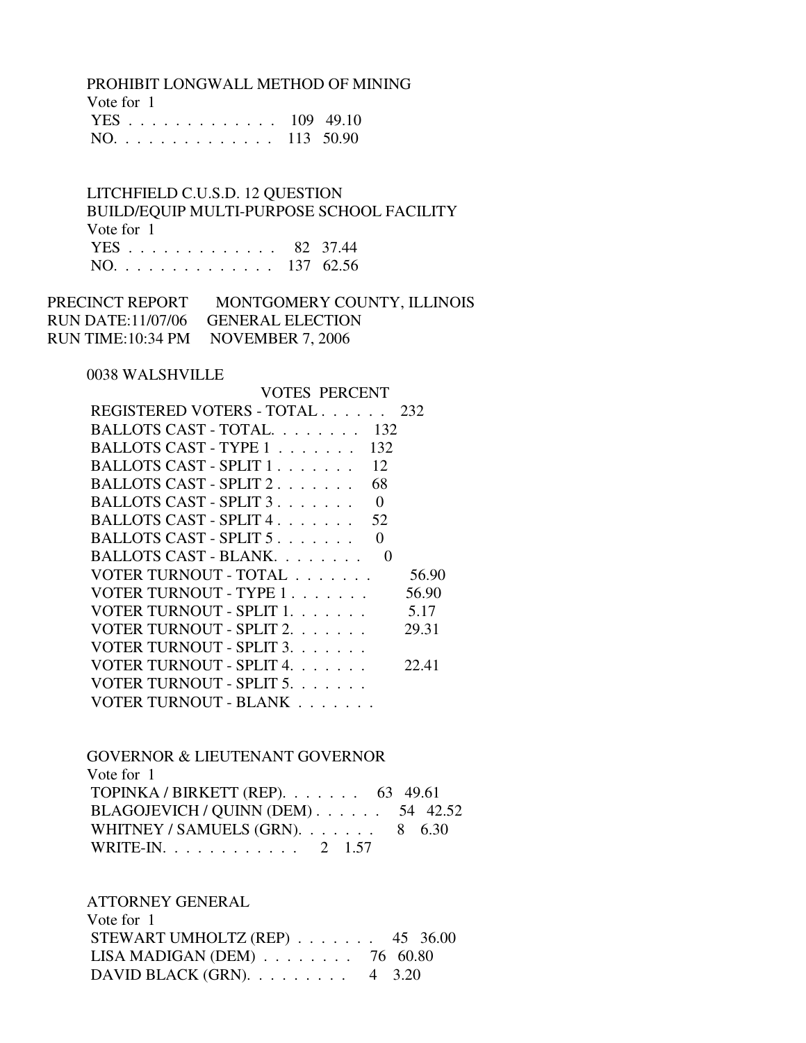PROHIBIT LONGWALL METHOD OF MINING

| Vote for 1    |  |
|---------------|--|
| YES 109 49.10 |  |
| NO. 113 50.90 |  |

 LITCHFIELD C.U.S.D. 12 QUESTION BUILD/EQUIP MULTI-PURPOSE SCHOOL FACILITY Vote for 1 YES . . . . . . . . . . . . . 82 37.44 NO. . . . . . . . . . . . . . 137 62.56

PRECINCT REPORT MONTGOMERY COUNTY, ILLINOIS RUN DATE:11/07/06 GENERAL ELECTION RUN TIME:10:34 PM NOVEMBER 7, 2006

0038 WALSHVILLE

| VOTES PERCENT                                |       |
|----------------------------------------------|-------|
| REGISTERED VOTERS - TOTAL                    | 232   |
| BALLOTS CAST - TOTAL.<br>- 132               |       |
| BALLOTS CAST - TYPE 1<br>132                 |       |
| 12<br>BALLOTS CAST - SPLIT 1                 |       |
| BALLOTS CAST - SPLIT 2<br>68                 |       |
| BALLOTS CAST - SPLIT 3<br>0                  |       |
| BALLOTS CAST - SPLIT 4.<br>52                |       |
| BALLOTS CAST - SPLIT 5.<br>$\mathbf{\Omega}$ |       |
| BALLOTS CAST - BLANK<br>$\mathbf{\Omega}$    |       |
| VOTER TURNOUT - TOTAL                        | 56.90 |
| VOTER TURNOUT - TYPE 1                       | 56.90 |
| VOTER TURNOUT - SPLIT 1.                     | 5.17  |
| VOTER TURNOUT - SPLIT 2.                     | 29.31 |
| VOTER TURNOUT - SPLIT 3.                     |       |
| VOTER TURNOUT - SPLIT 4.                     | 22.41 |
| VOTER TURNOUT - SPLIT 5.                     |       |
| VOTER TURNOUT - BLANK                        |       |

| <b>GOVERNOR &amp; LIEUTENANT GOVERNOR</b>   |
|---------------------------------------------|
| Vote for 1                                  |
| TOPINKA / BIRKETT (REP). $\ldots$ 63 49.61  |
| BLAGOJEVICH / QUINN (DEM) $\ldots$ 54 42.52 |
| WHITNEY / SAMUELS (GRN). 8 6.30             |
| WRITE-IN. 2 1.57                            |

ATTORNEY GENERAL

| Vote for $1$                                       |  |
|----------------------------------------------------|--|
| STEWART UMHOLTZ (REP) $\ldots$ 45 36.00            |  |
| LISA MADIGAN (DEM) $\ldots \ldots \ldots$ 76 60.80 |  |
| DAVID BLACK (GRN). $\ldots$ 4 3.20                 |  |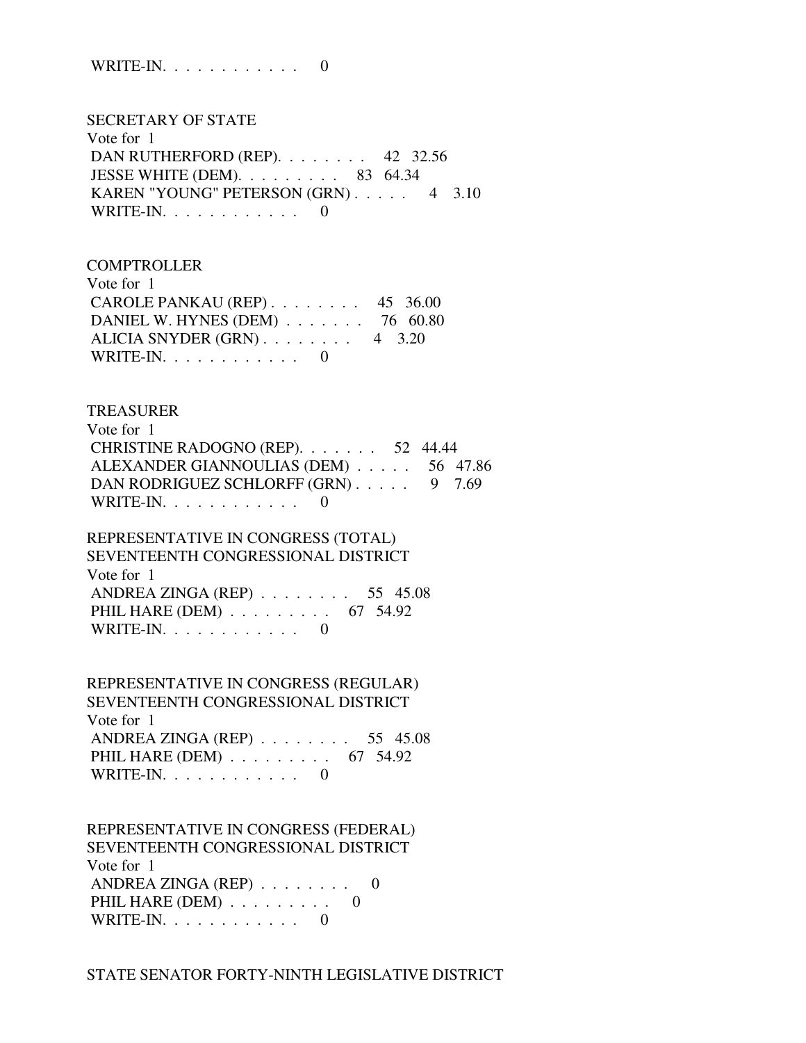WRITE-IN. . . . . . . . . . . . 0

 SECRETARY OF STATE Vote for 1 DAN RUTHERFORD (REP). . . . . . . . 42 32.56 JESSE WHITE (DEM). . . . . . . . . 83 64.34 KAREN "YOUNG" PETERSON (GRN) . . . . . 4 3.10 WRITE-IN. . . . . . . . . . . . 0

**COMPTROLLER** 

| Vote for 1                                            |  |
|-------------------------------------------------------|--|
| CAROLE PANKAU (REP) $\ldots$ 45 36.00                 |  |
| DANIEL W. HYNES (DEM) $\ldots \ldots \ldots$ 76 60.80 |  |
| ALICIA SNYDER $(GRN)$ 4 3.20                          |  |
| WRITE-IN. $\ldots$ 0                                  |  |

#### TREASURER

| Vote for $1$                               |  |
|--------------------------------------------|--|
| CHRISTINE RADOGNO (REP). $\ldots$ 52 44.44 |  |
| ALEXANDER GIANNOULIAS (DEM) 56 47.86       |  |
| DAN RODRIGUEZ SCHLORFF (GRN) 9 7.69        |  |
| WRITE-IN. $\ldots$ 0                       |  |

 REPRESENTATIVE IN CONGRESS (TOTAL) SEVENTEENTH CONGRESSIONAL DISTRICT Vote for 1 ANDREA ZINGA (REP) . . . . . . . . 55 45.08 PHIL HARE (DEM) . . . . . . . . . . 67 54.92 WRITE-IN. . . . . . . . . . . . 0

 REPRESENTATIVE IN CONGRESS (REGULAR) SEVENTEENTH CONGRESSIONAL DISTRICT Vote for 1 ANDREA ZINGA (REP) . . . . . . . . 55 45.08 PHIL HARE (DEM) . . . . . . . . . 67 54.92 WRITE-IN.  $\ldots$  . . . . . . . . . 0

 REPRESENTATIVE IN CONGRESS (FEDERAL) SEVENTEENTH CONGRESSIONAL DISTRICT Vote for 1 ANDREA ZINGA (REP) . . . . . . . . 0 PHIL HARE  $(DEM)$  . . . . . . . . . 0 WRITE-IN. . . . . . . . . . . . 0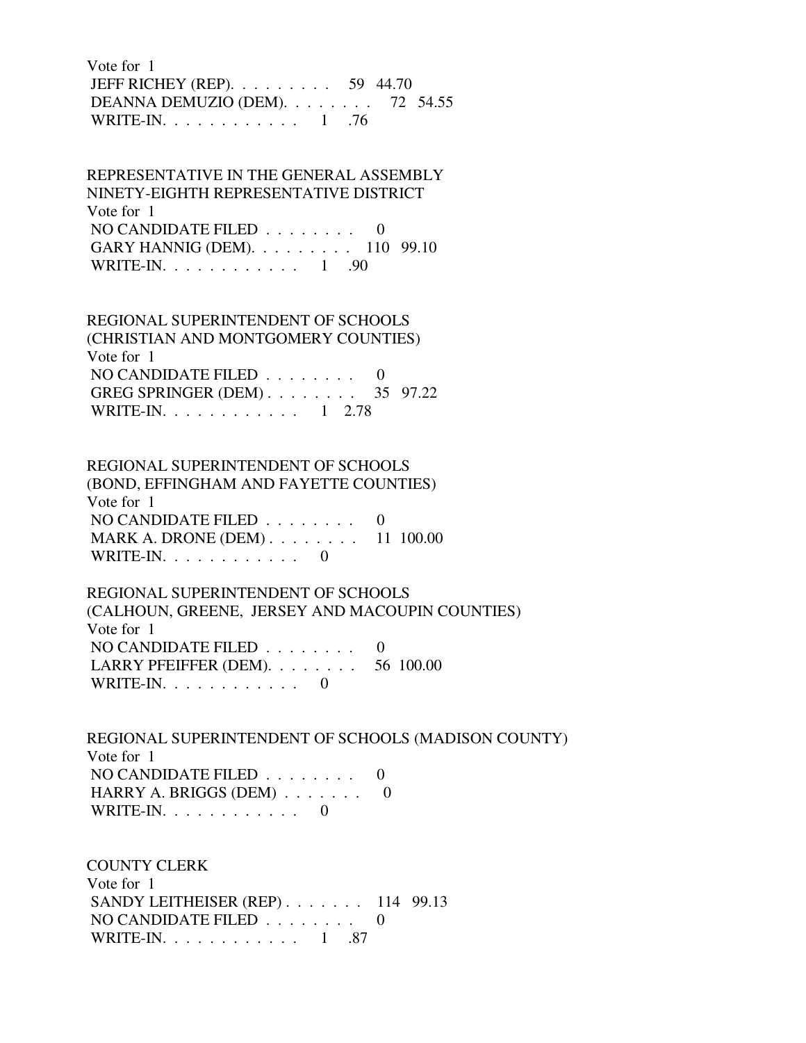Vote for 1 JEFF RICHEY (REP). . . . . . . . . 59 44.70 DEANNA DEMUZIO (DEM). . . . . . . . 72 54.55 WRITE-IN. . . . . . . . . . . . . 1 .76

 REPRESENTATIVE IN THE GENERAL ASSEMBLY NINETY-EIGHTH REPRESENTATIVE DISTRICT Vote for 1 NO CANDIDATE FILED . . . . . . . . 0 GARY HANNIG (DEM). . . . . . . . . 110 99.10 WRITE-IN. . . . . . . . . . . . 1 .90

 REGIONAL SUPERINTENDENT OF SCHOOLS (CHRISTIAN AND MONTGOMERY COUNTIES) Vote for 1 NO CANDIDATE FILED . . . . . . . . 0 GREG SPRINGER (DEM) . . . . . . . . 35 97.22 WRITE-IN. . . . . . . . . . . . 1 2.78

 REGIONAL SUPERINTENDENT OF SCHOOLS (BOND, EFFINGHAM AND FAYETTE COUNTIES) Vote for 1 NO CANDIDATE FILED . . . . . . . . 0 MARK A. DRONE (DEM) . . . . . . . . 11 100.00 WRITE-IN. . . . . . . . . . . . 0

 REGIONAL SUPERINTENDENT OF SCHOOLS (CALHOUN, GREENE, JERSEY AND MACOUPIN COUNTIES) Vote for 1 NO CANDIDATE FILED  $\ldots \ldots \ldots$  LARRY PFEIFFER (DEM). . . . . . . . 56 100.00 WRITE-IN.  $\ldots$  . . . . . . . . 0

 REGIONAL SUPERINTENDENT OF SCHOOLS (MADISON COUNTY) Vote for 1 NO CANDIDATE FILED  $\ldots \ldots \ldots$ HARRY A. BRIGGS (DEM)  $\ldots \ldots \ldots$  0 WRITE-IN. . . . . . . . . . . . 0

 COUNTY CLERK Vote for 1 SANDY LEITHEISER (REP) . . . . . . . 114 99.13 NO CANDIDATE FILED . . . . . . . . 0 WRITE-IN. . . . . . . . . . . . 1 .87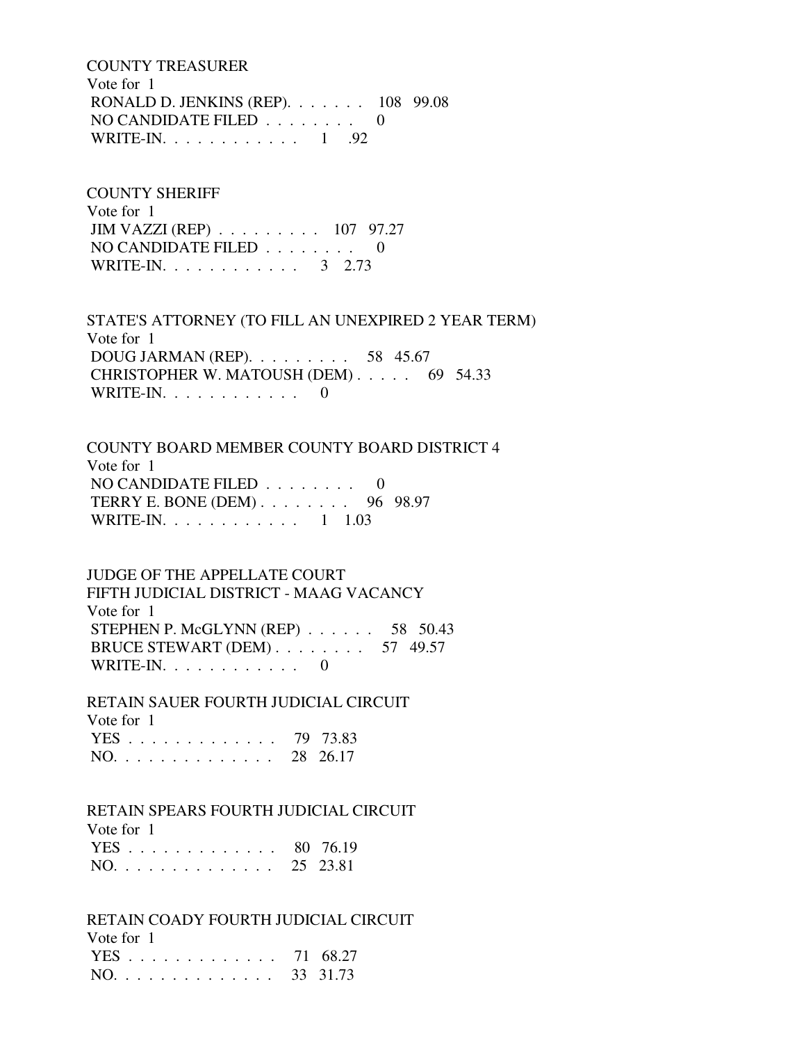COUNTY TREASURER Vote for 1 RONALD D. JENKINS (REP). . . . . . . 108 99.08 NO CANDIDATE FILED . . . . . . . . 0 WRITE-IN. . . . . . . . . . . . 1 .92

 COUNTY SHERIFF Vote for 1 JIM VAZZI (REP) . . . . . . . . . 107 97.27 NO CANDIDATE FILED . . . . . . . . 0 WRITE-IN. . . . . . . . . . . . . 3 2.73

 STATE'S ATTORNEY (TO FILL AN UNEXPIRED 2 YEAR TERM) Vote for 1 DOUG JARMAN (REP). . . . . . . . . 58 45.67 CHRISTOPHER W. MATOUSH (DEM) . . . . . 69 54.33 WRITE-IN.  $\ldots$  . . . . . . . . 0

 COUNTY BOARD MEMBER COUNTY BOARD DISTRICT 4 Vote for 1 NO CANDIDATE FILED . . . . . . . . 0 TERRY E. BONE (DEM) . . . . . . . . 96 98.97 WRITE-IN. . . . . . . . . . . . 1 1.03

 JUDGE OF THE APPELLATE COURT FIFTH JUDICIAL DISTRICT - MAAG VACANCY Vote for 1 STEPHEN P. McGLYNN (REP) . . . . . . 58 50.43 BRUCE STEWART (DEM) . . . . . . . . 57 49.57 WRITE-IN. . . . . . . . . . . . 0

 RETAIN SAUER FOURTH JUDICIAL CIRCUIT Vote for 1 YES . . . . . . . . . . . . . 79 73.83 NO. . . . . . . . . . . . . . 28 26.17

 RETAIN SPEARS FOURTH JUDICIAL CIRCUIT Vote for 1

| $\sqrt{2}$   |  |
|--------------|--|
| YES 80 76.19 |  |
| NO. 25 23.81 |  |

 RETAIN COADY FOURTH JUDICIAL CIRCUIT Vote for 1

| YES 71 68.27 |  |
|--------------|--|
| NO. 33 31.73 |  |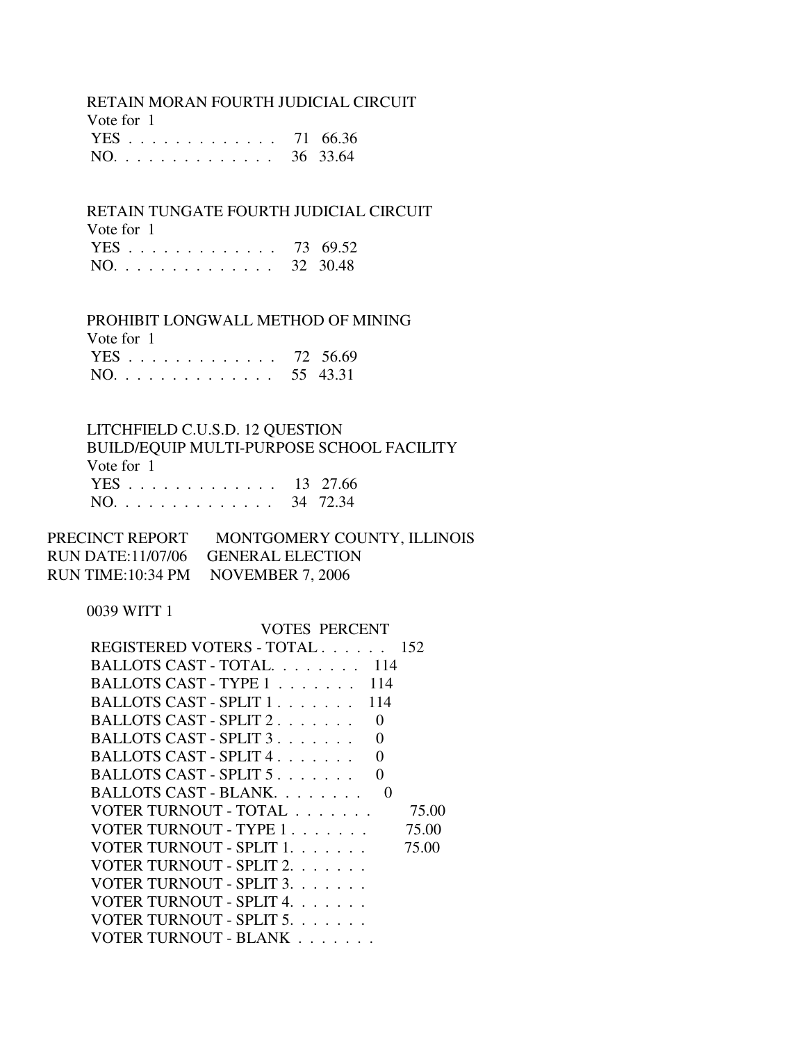#### RETAIN MORAN FOURTH JUDICIAL CIRCUIT Vote for 1

| VULC IUI I   |  |
|--------------|--|
| YES 71 66.36 |  |
| NO. 36 33.64 |  |

# RETAIN TUNGATE FOURTH JUDICIAL CIRCUIT

| Vote for 1   |  |
|--------------|--|
| YES 73 69.52 |  |
| NO. 32 30.48 |  |

# PROHIBIT LONGWALL METHOD OF MINING

| Vote for 1   |  |
|--------------|--|
| YES 72 56.69 |  |
| NO. 55 43.31 |  |

# LITCHFIELD C.U.S.D. 12 QUESTION

 BUILD/EQUIP MULTI-PURPOSE SCHOOL FACILITY Vote for 1 YES . . . . . . . . . . . . . 13 27.66 NO. . . . . . . . . . . . . . 34 72.34

| PRECINCT REPORT | MONTGOMERY COUNTY, ILLINOIS        |
|-----------------|------------------------------------|
|                 | RUN DATE:11/07/06 GENERAL ELECTION |
|                 | RUN TIME:10:34 PM NOVEMBER 7, 2006 |

# 0039 WITT 1

| <b>VOTES PERCENT</b>                         |       |
|----------------------------------------------|-------|
| REGISTERED VOTERS - TOTAL 152                |       |
| BALLOTS CAST - TOTAL 114                     |       |
| BALLOTS CAST - TYPE 1<br>114                 |       |
| BALLOTS CAST - SPLIT 1<br>114                |       |
| BALLOTS CAST - SPLIT 2.<br>$\mathbf{\Omega}$ |       |
| BALLOTS CAST - SPLIT 3<br>0                  |       |
| BALLOTS CAST - SPLIT 4<br>∩                  |       |
| BALLOTS CAST - SPLIT 5                       |       |
| BALLOTS CAST - BLANK.<br>$\mathbf{\Omega}$   |       |
| VOTER TURNOUT - TOTAL                        | 75.00 |
| VOTER TURNOUT - TYPE 1                       | 75.00 |
| VOTER TURNOUT - SPLIT 1.                     | 75.00 |
| VOTER TURNOUT - SPLIT 2.                     |       |
| VOTER TURNOUT - SPLIT 3.                     |       |
| VOTER TURNOUT - SPLIT 4.                     |       |
| VOTER TURNOUT - SPLIT 5.                     |       |
| VOTER TURNOUT - BLANK                        |       |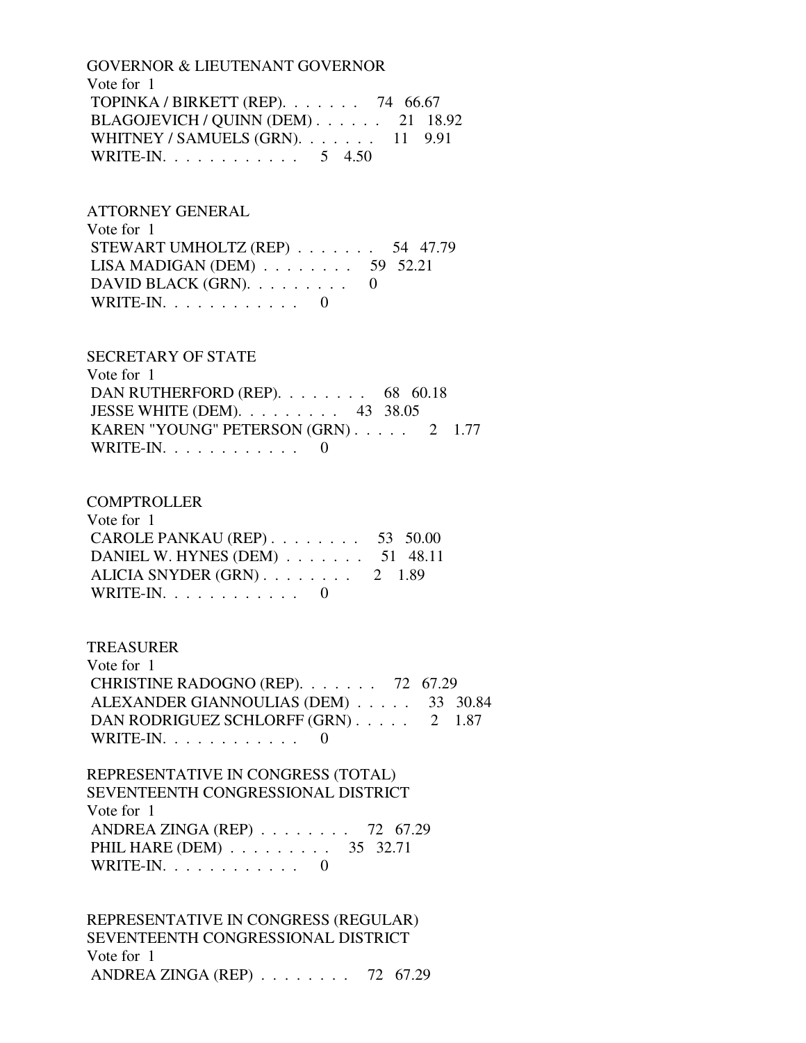GOVERNOR & LIEUTENANT GOVERNOR Vote for 1 TOPINKA / BIRKETT (REP). . . . . . . 74 66.67 BLAGOJEVICH / QUINN (DEM) . . . . . . 21 18.92 WHITNEY / SAMUELS (GRN). . . . . . . 11 9.91 WRITE-IN. . . . . . . . . . . . . 5 4.50

ATTORNEY GENERAL

 Vote for 1 STEWART UMHOLTZ (REP) . . . . . . . 54 47.79 LISA MADIGAN (DEM) . . . . . . . . 59 52.21 DAVID BLACK (GRN).  $\ldots$  . . . . . 0 WRITE-IN.  $\ldots$  . . . . . . . . . 0

SECRETARY OF STATE

 Vote for 1 DAN RUTHERFORD (REP). . . . . . . . 68 60.18 JESSE WHITE (DEM). . . . . . . . . 43 38.05 KAREN "YOUNG" PETERSON (GRN) . . . . . 2 1.77 WRITE-IN.  $\ldots$  . . . . . . . . 0

**COMPTROLLER**  Vote for 1 CAROLE PANKAU (REP) . . . . . . . . 53 50.00 DANIEL W. HYNES (DEM) . . . . . . . 51 48.11 ALICIA SNYDER (GRN) . . . . . . . . 2 1.89 WRITE-IN.  $\ldots$  . . . . . . . . . 0

 TREASURER Vote for 1 CHRISTINE RADOGNO (REP). . . . . . . 72 67.29 ALEXANDER GIANNOULIAS (DEM) . . . . . 33 30.84 DAN RODRIGUEZ SCHLORFF (GRN) . . . . . 2 1.87 WRITE-IN. . . . . . . . . . . . 0

 REPRESENTATIVE IN CONGRESS (TOTAL) SEVENTEENTH CONGRESSIONAL DISTRICT Vote for 1 ANDREA ZINGA (REP) . . . . . . . . 72 67.29 PHIL HARE (DEM) . . . . . . . . . 35 32.71 WRITE-IN. . . . . . . . . . . . 0

 REPRESENTATIVE IN CONGRESS (REGULAR) SEVENTEENTH CONGRESSIONAL DISTRICT Vote for 1 ANDREA ZINGA (REP) . . . . . . . . 72 67.29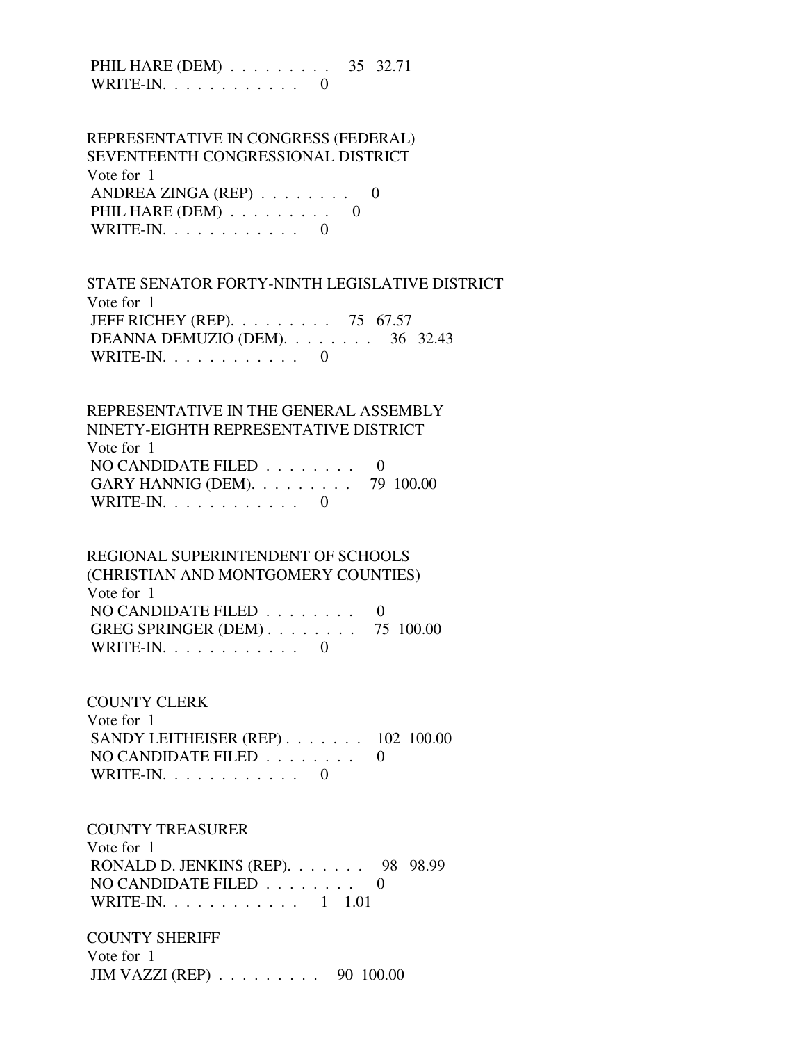PHIL HARE (DEM) . . . . . . . . . 35 32.71 WRITE-IN. . . . . . . . . . . . 0

 REPRESENTATIVE IN CONGRESS (FEDERAL) SEVENTEENTH CONGRESSIONAL DISTRICT Vote for 1 ANDREA ZINGA (REP) . . . . . . . . 0 PHIL HARE  $(DEM)$  . . . . . . . . . 0 WRITE-IN. . . . . . . . . . . . 0

 STATE SENATOR FORTY-NINTH LEGISLATIVE DISTRICT Vote for 1 JEFF RICHEY (REP). . . . . . . . . 75 67.57 DEANNA DEMUZIO (DEM). . . . . . . . 36 32.43 WRITE-IN. . . . . . . . . . . . 0

 REPRESENTATIVE IN THE GENERAL ASSEMBLY NINETY-EIGHTH REPRESENTATIVE DISTRICT Vote for 1 NO CANDIDATE FILED . . . . . . . . 0 GARY HANNIG (DEM). . . . . . . . . 79 100.00 WRITE-IN. . . . . . . . . . . . 0

 REGIONAL SUPERINTENDENT OF SCHOOLS (CHRISTIAN AND MONTGOMERY COUNTIES) Vote for 1 NO CANDIDATE FILED  $\ldots \ldots \ldots$  GREG SPRINGER (DEM) . . . . . . . . 75 100.00 WRITE-IN. . . . . . . . . . . . 0

COUNTY CLERK

 Vote for 1 SANDY LEITHEISER (REP) . . . . . . . 102 100.00 NO CANDIDATE FILED . . . . . . . . 0 WRITE-IN.  $\ldots$  . . . . . . . . . 0

COUNTY TREASURER

 Vote for 1 RONALD D. JENKINS (REP). . . . . . . 98 98.99 NO CANDIDATE FILED . . . . . . . . 0 WRITE-IN. . . . . . . . . . . . 1 1.01

 COUNTY SHERIFF Vote for 1 JIM VAZZI (REP) . . . . . . . . . 90 100.00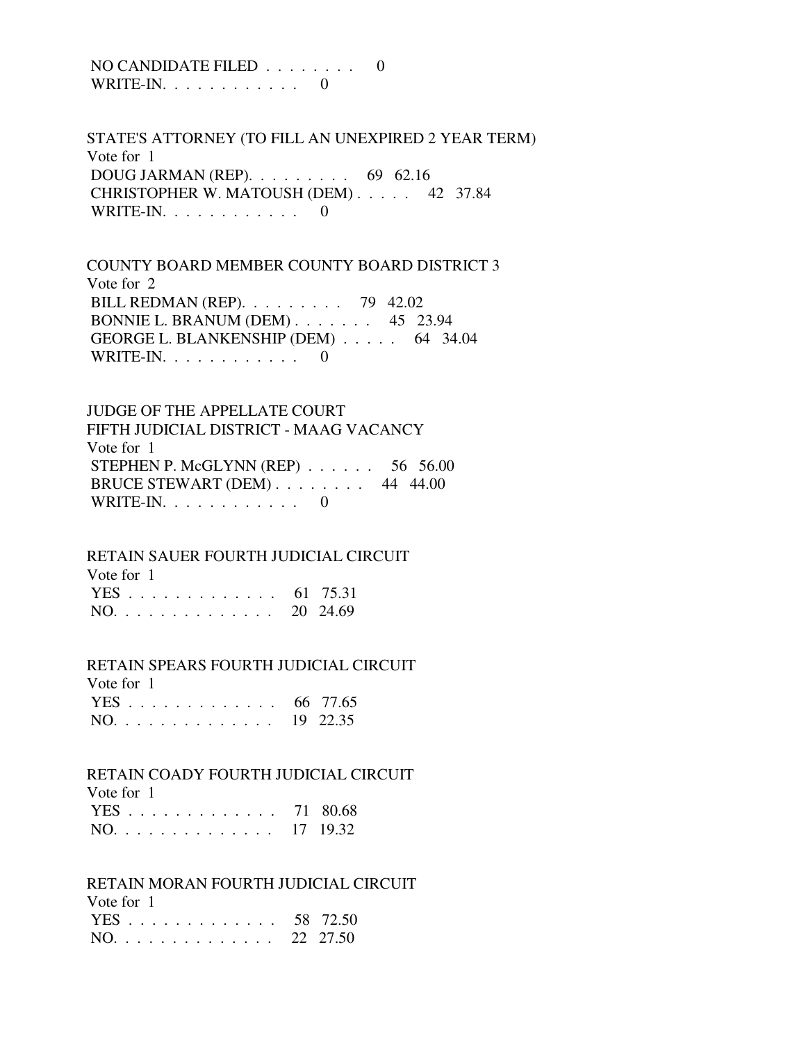# NO CANDIDATE FILED  $\ldots \ldots \ldots$ WRITE-IN.  $\ldots$  . . . . . . . . . 0

 STATE'S ATTORNEY (TO FILL AN UNEXPIRED 2 YEAR TERM) Vote for 1 DOUG JARMAN (REP). . . . . . . . . 69 62.16 CHRISTOPHER W. MATOUSH (DEM) . . . . . 42 37.84 WRITE-IN.  $\ldots$  . . . . . . . . . 0

 COUNTY BOARD MEMBER COUNTY BOARD DISTRICT 3 Vote for 2 BILL REDMAN (REP). . . . . . . . . 79 42.02 BONNIE L. BRANUM (DEM) . . . . . . . 45 23.94 GEORGE L. BLANKENSHIP (DEM) . . . . . 64 34.04 WRITE-IN.  $\ldots$  . . . . . . . . . 0

 JUDGE OF THE APPELLATE COURT FIFTH JUDICIAL DISTRICT - MAAG VACANCY Vote for 1 STEPHEN P. McGLYNN (REP) . . . . . . 56 56.00 BRUCE STEWART (DEM) . . . . . . . . 44 44.00 WRITE-IN.  $\ldots$  . . . . . . . . . 0

 RETAIN SAUER FOURTH JUDICIAL CIRCUIT Vote for 1

|  |  |  |  |  |  |  | YES 61 75.31 |
|--|--|--|--|--|--|--|--------------|
|  |  |  |  |  |  |  | NO. 20 24.69 |

## RETAIN SPEARS FOURTH JUDICIAL CIRCUIT

| Vote for 1   |  |
|--------------|--|
| YES 66 77.65 |  |
| NO. 19 22.35 |  |

# RETAIN COADY FOURTH JUDICIAL CIRCUIT

Vote for 1

| YES 71 80.68 |  |
|--------------|--|
| NO. 17 19.32 |  |

# RETAIN MORAN FOURTH JUDICIAL CIRCUIT

Vote for 1

|     |  |  |  |  |  |  |  | YES 58 72.50 |
|-----|--|--|--|--|--|--|--|--------------|
| NO. |  |  |  |  |  |  |  | 22 27.50     |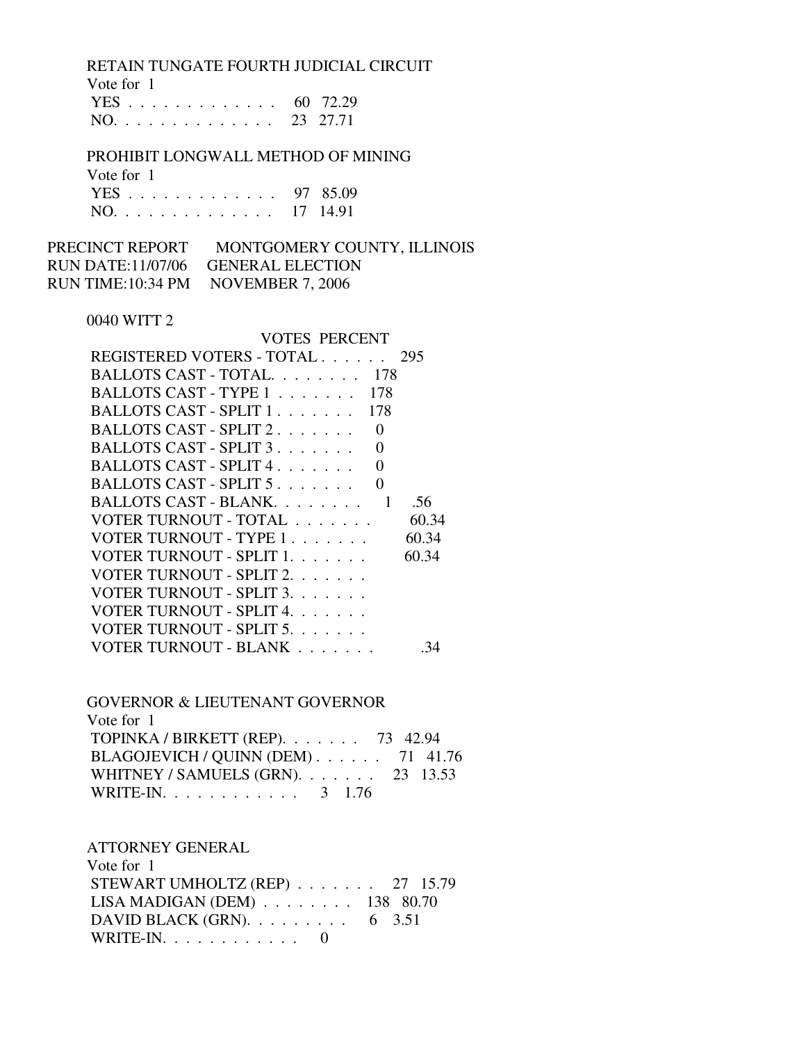RETAIN TUNGATE FOURTH JUDICIAL CIRCUIT Vote for 1 YES . . . . . . . . . . . . . 60 72.29 NO. . . . . . . . . . . . . . 23 27.71

 PROHIBIT LONGWALL METHOD OF MINING  $\overline{v}$   $\overline{v}$   $\overline{v}$  1

| vote for T   |  |
|--------------|--|
| YES 97 85.09 |  |
| NO. 17 14.91 |  |

PRECINCT REPORT MONTGOMERY COUNTY, ILLINOIS RUN DATE:11/07/06 GENERAL ELECTION RUN TIME:10:34 PM NOVEMBER 7, 2006

0040 WITT 2

VOTES PERCENT

| REGISTERED VOTERS - TOTAL | 295               |
|---------------------------|-------------------|
| BALLOTS CAST - TOTAL 178  |                   |
| BALLOTS CAST - TYPE 1     | 178               |
| BALLOTS CAST - SPLIT 1    | 178               |
| BALLOTS CAST - SPLIT 2.   | $\theta$          |
| BALLOTS CAST - SPLIT 3.   | 0                 |
| BALLOTS CAST - SPLIT 4    | ∩                 |
| BALLOTS CAST - SPLIT 5    | $\mathbf{\Omega}$ |
| BALLOTS CAST - BLANK.     | .56               |
| VOTER TURNOUT - TOTAL     | 60.34             |
| VOTER TURNOUT - TYPE 1    | 60.34             |
| VOTER TURNOUT - SPLIT 1.  | 60.34             |
| VOTER TURNOUT - SPLIT 2.  |                   |
| VOTER TURNOUT - SPLIT 3.  |                   |
| VOTER TURNOUT - SPLIT 4.  |                   |
| VOTER TURNOUT - SPLIT 5.  |                   |
| VOTER TURNOUT - BLANK     |                   |

 GOVERNOR & LIEUTENANT GOVERNOR Vote for 1 TOPINKA / BIRKETT (REP). . . . . . . 73 42.94 BLAGOJEVICH / QUINN (DEM) . . . . . . 71 41.76 WHITNEY / SAMUELS (GRN). . . . . . . 23 13.53 WRITE-IN. . . . . . . . . . . . . 3 1.76

 ATTORNEY GENERAL Vote for 1 STEWART UMHOLTZ (REP) . . . . . . . 27 15.79 LISA MADIGAN (DEM) . . . . . . . . 138 80.70 DAVID BLACK (GRN).  $\ldots$  . . . . . . . 6 3.51 WRITE-IN.  $\ldots$  . . . . . . . . . 0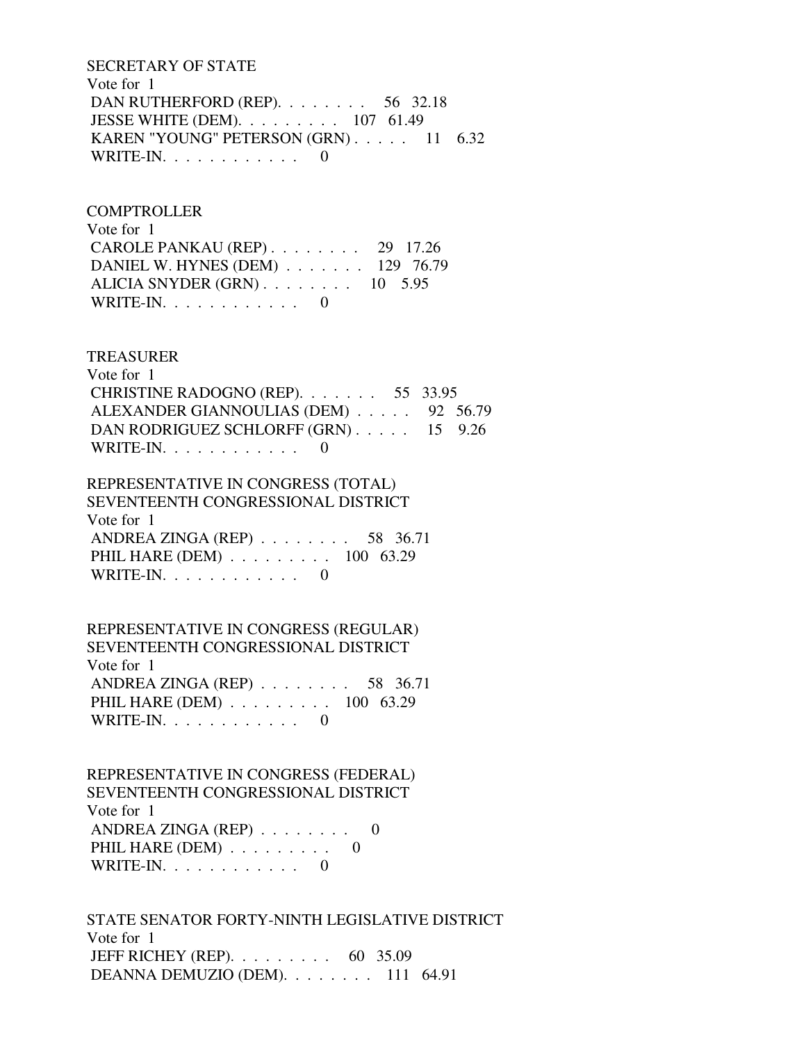# SECRETARY OF STATE Vote for 1 DAN RUTHERFORD (REP). . . . . . . . 56 32.18 JESSE WHITE (DEM). . . . . . . . . 107 61.49 KAREN "YOUNG" PETERSON (GRN) . . . . . 11 6.32 WRITE-IN.  $\ldots$  . . . . . . . . . 0

## COMPTROLLER

| Vote for $1$                          |  |
|---------------------------------------|--|
| CAROLE PANKAU (REP) $\ldots$ 29 17.26 |  |
| DANIEL W. HYNES (DEM) 129 76.79       |  |
| ALICIA SNYDER $(GRN)$ 10 5.95         |  |
| WRITE-IN. $\ldots$ 0                  |  |

## TREASURER

| Vote for 1                                 |  |
|--------------------------------------------|--|
| CHRISTINE RADOGNO (REP). $\ldots$ 55 33.95 |  |
| ALEXANDER GIANNOULIAS (DEM) 92 56.79       |  |
| DAN RODRIGUEZ SCHLORFF (GRN) 15 9.26       |  |
| WRITE-IN. $\ldots$ 0                       |  |

# REPRESENTATIVE IN CONGRESS (TOTAL) SEVENTEENTH CONGRESSIONAL DISTRICT Vote for 1 ANDREA ZINGA (REP) . . . . . . . . 58 36.71 PHIL HARE (DEM) . . . . . . . . . 100 63.29 WRITE-IN. . . . . . . . . . . . 0

 REPRESENTATIVE IN CONGRESS (REGULAR) SEVENTEENTH CONGRESSIONAL DISTRICT Vote for 1 ANDREA ZINGA (REP) . . . . . . . . 58 36.71 PHIL HARE (DEM) . . . . . . . . . 100 63.29 WRITE-IN. . . . . . . . . . . . . . . 0

 REPRESENTATIVE IN CONGRESS (FEDERAL) SEVENTEENTH CONGRESSIONAL DISTRICT Vote for 1 ANDREA ZINGA (REP) . . . . . . . . 0 PHIL HARE  $(DEM)$  . . . . . . . . . 0 WRITE-IN.  $\ldots$  . . . . . . . . 0

 STATE SENATOR FORTY-NINTH LEGISLATIVE DISTRICT Vote for 1 JEFF RICHEY (REP). . . . . . . . . 60 35.09 DEANNA DEMUZIO (DEM). . . . . . . . 111 64.91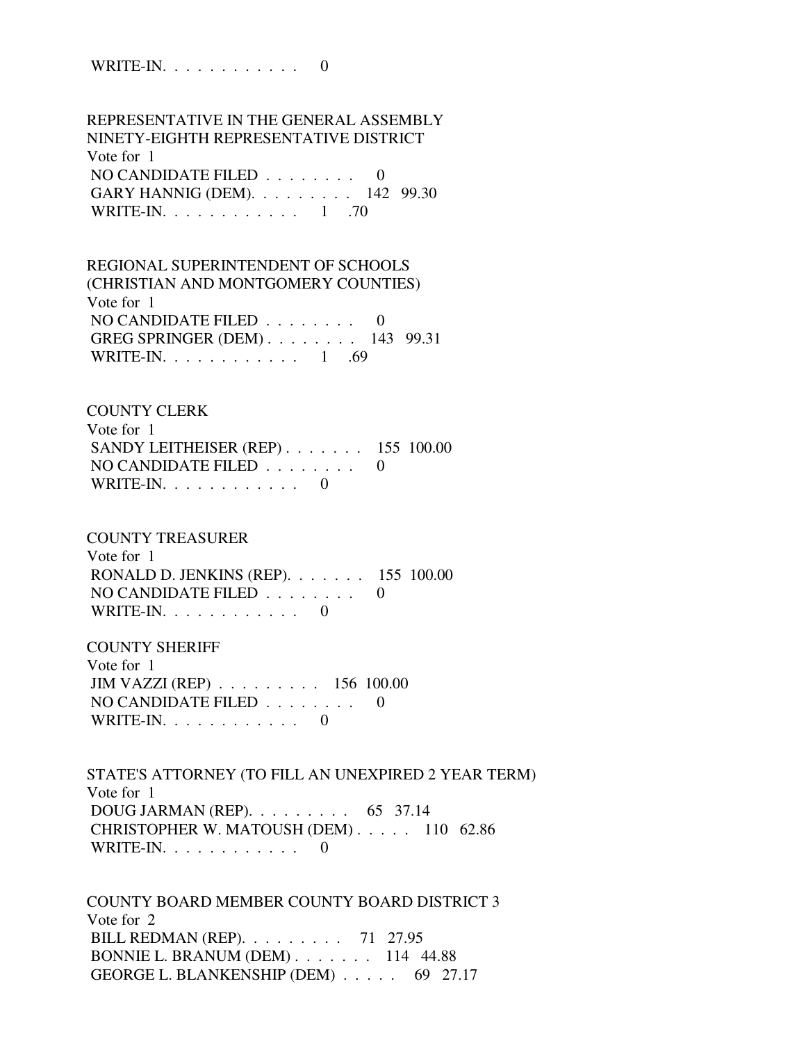WRITE-IN.  $\ldots$  . . . . . . . . . 0

 REPRESENTATIVE IN THE GENERAL ASSEMBLY NINETY-EIGHTH REPRESENTATIVE DISTRICT Vote for 1 NO CANDIDATE FILED . . . . . . . . 0 GARY HANNIG (DEM). . . . . . . . . 142 99.30 WRITE-IN. . . . . . . . . . . . . 1 .70

 REGIONAL SUPERINTENDENT OF SCHOOLS (CHRISTIAN AND MONTGOMERY COUNTIES) Vote for 1 NO CANDIDATE FILED . . . . . . . . 0 GREG SPRINGER (DEM) . . . . . . . . 143 99.31 WRITE-IN. . . . . . . . . . . . . 1 .69

 COUNTY CLERK Vote for 1 SANDY LEITHEISER (REP) . . . . . . . 155 100.00 NO CANDIDATE FILED . . . . . . . . 0 WRITE-IN.  $\ldots$  . . . . . . . . . 0

 COUNTY TREASURER Vote for 1 RONALD D. JENKINS (REP). . . . . . . 155 100.00 NO CANDIDATE FILED . . . . . . . . 0 WRITE-IN.  $\ldots$  . . . . . . . . 0

 COUNTY SHERIFF Vote for 1 JIM VAZZI (REP) . . . . . . . . . 156 100.00 NO CANDIDATE FILED . . . . . . . . 0 WRITE-IN. . . . . . . . . . . . 0

 STATE'S ATTORNEY (TO FILL AN UNEXPIRED 2 YEAR TERM) Vote for 1 DOUG JARMAN (REP). . . . . . . . . 65 37.14 CHRISTOPHER W. MATOUSH (DEM) . . . . . 110 62.86 WRITE-IN.  $\ldots$  . . . . . . . . . 0

 COUNTY BOARD MEMBER COUNTY BOARD DISTRICT 3 Vote for 2 BILL REDMAN (REP). . . . . . . . . 71 27.95 BONNIE L. BRANUM (DEM) . . . . . . . 114 44.88 GEORGE L. BLANKENSHIP (DEM) . . . . . 69 27.17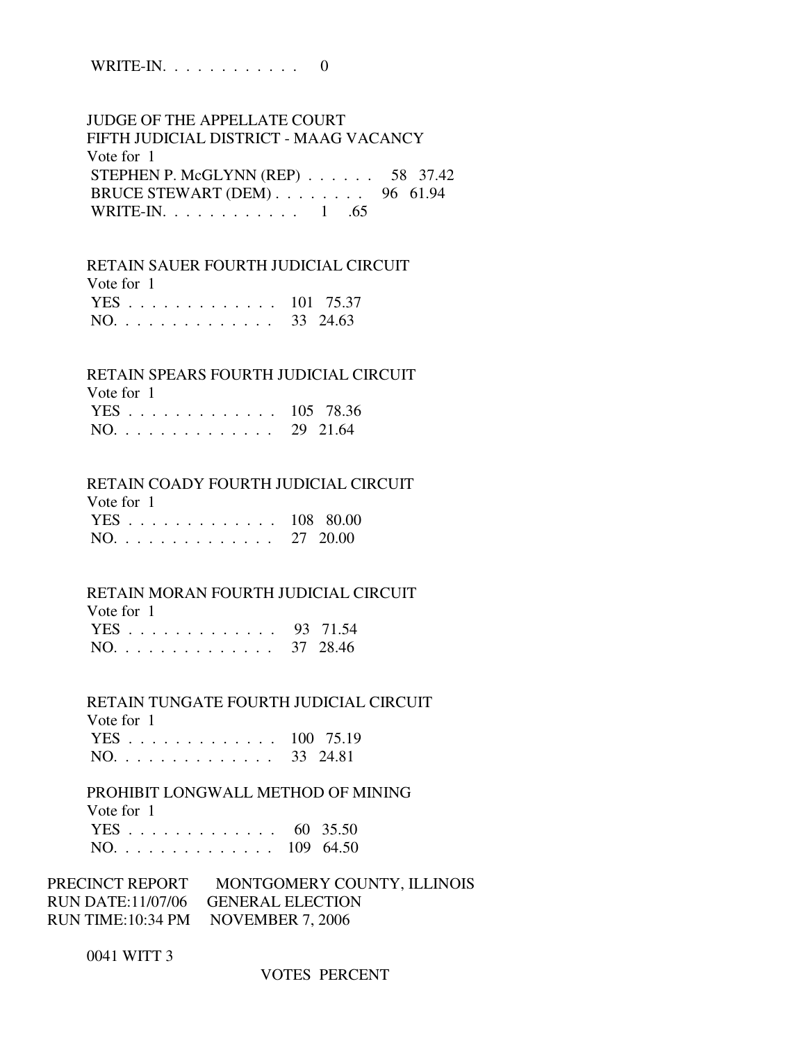WRITE-IN. . . . . . . . . . . . 0

 JUDGE OF THE APPELLATE COURT FIFTH JUDICIAL DISTRICT - MAAG VACANCY Vote for 1 STEPHEN P. McGLYNN (REP) . . . . . . 58 37.42 BRUCE STEWART (DEM) . . . . . . . . 96 61.94 WRITE-IN. . . . . . . . . . . . . 1 .65

 RETAIN SAUER FOURTH JUDICIAL CIRCUIT Vote for 1 YES . . . . . . . . . . . . . 101 75.37

| $NO.$ |  | 33 24.63 |
|-------|--|----------|
|-------|--|----------|

# RETAIN SPEARS FOURTH JUDICIAL CIRCUIT

| Vote for 1    |  |
|---------------|--|
| YES 105 78.36 |  |
| NO. 29 21.64  |  |

# RETAIN COADY FOURTH JUDICIAL CIRCUIT

| Vote for 1    |  |
|---------------|--|
| YES 108 80.00 |  |
| NO. 27 20.00  |  |

# RETAIN MORAN FOURTH JUDICIAL CIRCUIT

Vote for 1

|  |  |  |  |  |  |  |  | YES 93 71.54 |
|--|--|--|--|--|--|--|--|--------------|
|  |  |  |  |  |  |  |  | NO. 37 28.46 |

RETAIN TUNGATE FOURTH JUDICIAL CIRCUIT

| Vote for 1    |  |
|---------------|--|
| YES 100 75.19 |  |
| NO. 33 24.81  |  |

 PROHIBIT LONGWALL METHOD OF MINING Vote for 1 YES . . . . . . . . . . . . . 60 35.50 NO. . . . . . . . . . . . . . 109 64.50

| PRECINCT REPORT | MONTGOMERY COUNTY, ILLINOIS        |
|-----------------|------------------------------------|
|                 | RUN DATE:11/07/06 GENERAL ELECTION |
|                 | RUN TIME:10:34 PM NOVEMBER 7, 2006 |

0041 WITT 3

VOTES PERCENT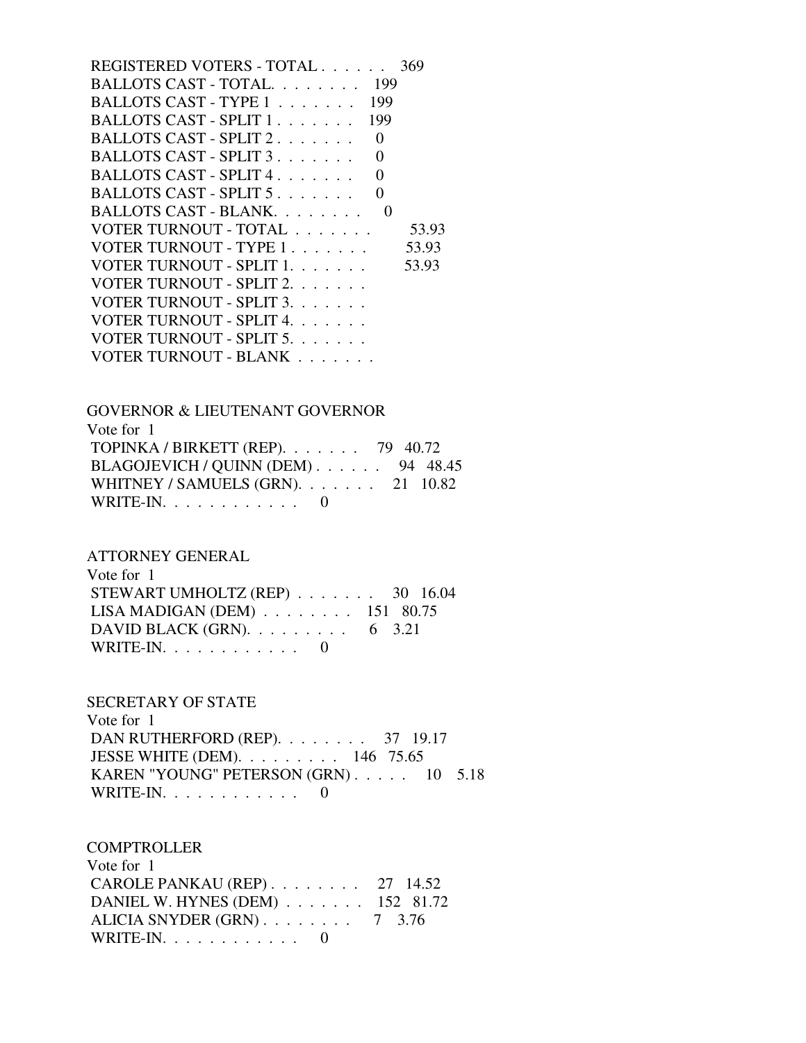| REGISTERED VOTERS - TOTAL                  | 369   |
|--------------------------------------------|-------|
| BALLOTS CAST - TOTAL.<br>- 199             |       |
| 199<br>BALLOTS CAST - TYPE 1               |       |
| 199<br>BALLOTS CAST - SPLIT 1              |       |
| BALLOTS CAST - SPLIT 2<br>0                |       |
| BALLOTS CAST - SPLIT 3<br>0                |       |
| BALLOTS CAST - SPLIT 4.<br>0               |       |
| BALLOTS CAST - SPLIT 5<br>0                |       |
| BALLOTS CAST - BLANK.<br>$\mathbf{\Omega}$ |       |
| VOTER TURNOUT - TOTAL                      | 53.93 |
| VOTER TURNOUT - TYPE 1                     | 53.93 |
| VOTER TURNOUT - SPLIT 1.                   | 53.93 |
| VOTER TURNOUT - SPLIT 2.                   |       |
| VOTER TURNOUT - SPLIT 3.                   |       |
| VOTER TURNOUT - SPLIT 4.                   |       |
| VOTER TURNOUT - SPLIT 5.                   |       |
| VOTER TURNOUT - BLANK                      |       |
|                                            |       |

# GOVERNOR & LIEUTENANT GOVERNOR Vote for 1 TOPINKA / BIRKETT (REP). . . . . . . 79 40.72 BLAGOJEVICH / QUINN (DEM) . . . . . . 94 48.45 WHITNEY / SAMUELS (GRN). . . . . . . 21 10.82 WRITE-IN.  $\ldots$  . . . . . . . . . 0

## ATTORNEY GENERAL

| Vote for 1                                            |  |  |
|-------------------------------------------------------|--|--|
| STEWART UMHOLTZ (REP) $\ldots \ldots \ldots$ 30 16.04 |  |  |
| LISA MADIGAN (DEM) $\ldots \ldots \ldots$ 151 80.75   |  |  |
| DAVID BLACK (GRN). $\ldots$ 6 3.21                    |  |  |
| WRITE-IN. $\ldots$ 0                                  |  |  |

# SECRETARY OF STATE

 Vote for 1 DAN RUTHERFORD (REP). . . . . . . . 37 19.17 JESSE WHITE (DEM). . . . . . . . . 146 75.65 KAREN "YOUNG" PETERSON (GRN) . . . . . 10 5.18 WRITE-IN. . . . . . . . . . . . 0

## **COMPTROLLER**

| Vote for $1$                                   |  |
|------------------------------------------------|--|
| CAROLE PANKAU (REP) $\ldots$ $\ldots$ 27 14.52 |  |
| DANIEL W. HYNES (DEM) $\ldots$ 152 81.72       |  |
| ALICIA SNYDER $(GRN)$ 7 3.76                   |  |
| WRITE-IN. $\ldots$ 0                           |  |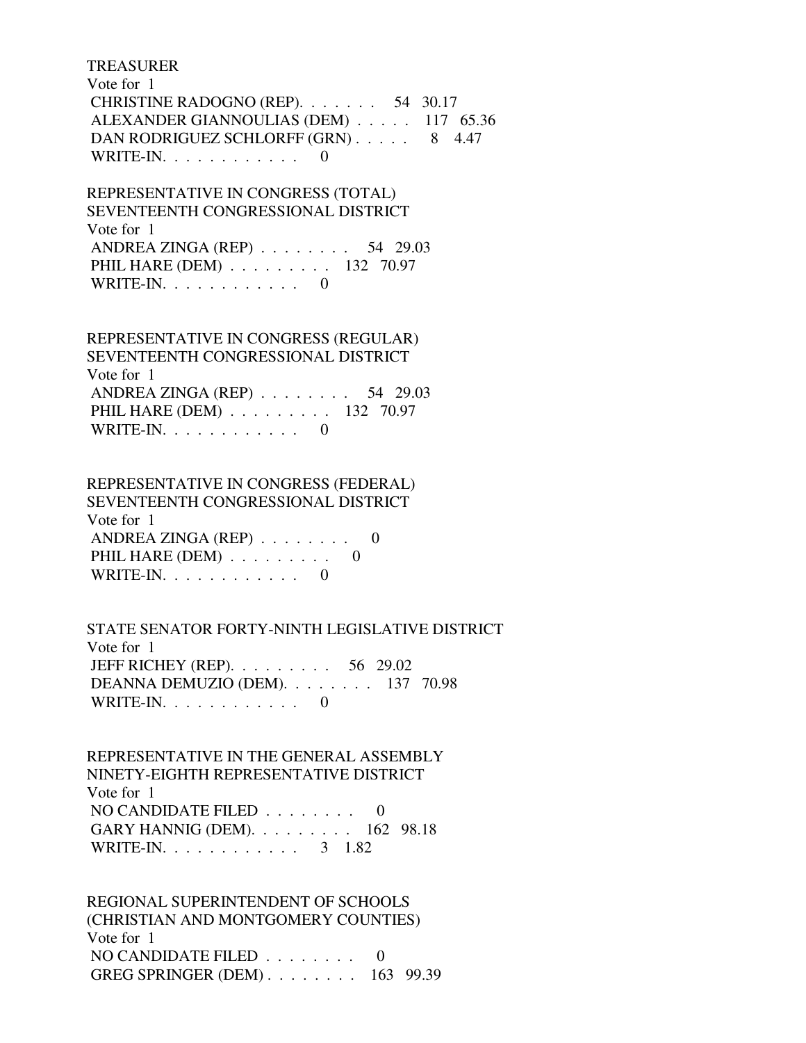#### TREASURER

 Vote for 1 CHRISTINE RADOGNO (REP). . . . . . . 54 30.17 ALEXANDER GIANNOULIAS (DEM) . . . . . 117 65.36 DAN RODRIGUEZ SCHLORFF (GRN) . . . . . 8 4.47 WRITE-IN.  $\ldots$  . . . . . . . . . 0

 REPRESENTATIVE IN CONGRESS (TOTAL) SEVENTEENTH CONGRESSIONAL DISTRICT Vote for 1 ANDREA ZINGA (REP) . . . . . . . . 54 29.03 PHIL HARE (DEM) . . . . . . . . . 132 70.97 WRITE-IN.  $\ldots$  . . . . . . . . 0

 REPRESENTATIVE IN CONGRESS (REGULAR) SEVENTEENTH CONGRESSIONAL DISTRICT Vote for 1 ANDREA ZINGA (REP) . . . . . . . . 54 29.03 PHIL HARE (DEM) . . . . . . . . . 132 70.97 WRITE-IN.  $\ldots$  . . . . . . . . 0

 REPRESENTATIVE IN CONGRESS (FEDERAL) SEVENTEENTH CONGRESSIONAL DISTRICT Vote for 1 ANDREA ZINGA (REP) . . . . . . . . 0 PHIL HARE (DEM) . . . . . . . . . 0 WRITE-IN.  $\ldots$  . . . . . . . . 0

 STATE SENATOR FORTY-NINTH LEGISLATIVE DISTRICT Vote for 1 JEFF RICHEY (REP). . . . . . . . . 56 29.02 DEANNA DEMUZIO (DEM). . . . . . . . 137 70.98 WRITE-IN. . . . . . . . . . . . 0

 REPRESENTATIVE IN THE GENERAL ASSEMBLY NINETY-EIGHTH REPRESENTATIVE DISTRICT Vote for 1 NO CANDIDATE FILED  $\ldots$ , . . . . . 0 GARY HANNIG (DEM). . . . . . . . . 162 98.18 WRITE-IN. . . . . . . . . . . . 3 1.82

 REGIONAL SUPERINTENDENT OF SCHOOLS (CHRISTIAN AND MONTGOMERY COUNTIES) Vote for 1 NO CANDIDATE FILED . . . . . . . . 0 GREG SPRINGER (DEM) . . . . . . . . 163 99.39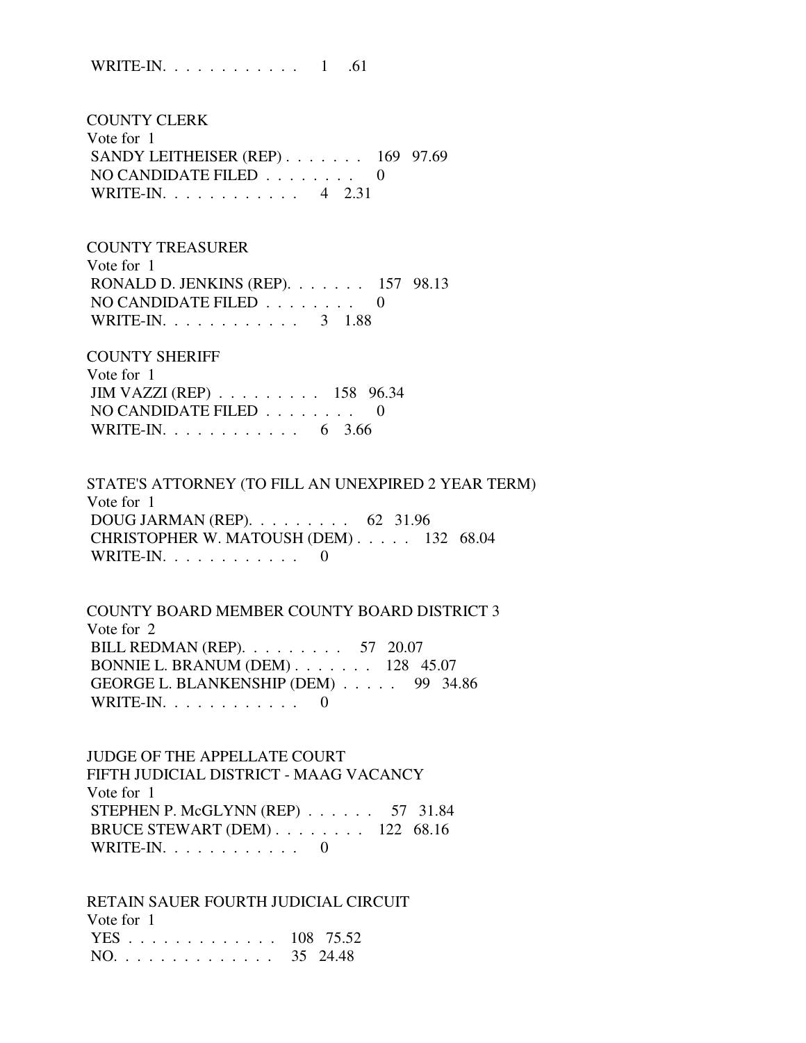WRITE-IN. . . . . . . . . . . . 1 .61

 COUNTY CLERK Vote for 1 SANDY LEITHEISER (REP) . . . . . . . 169 97.69 NO CANDIDATE FILED . . . . . . . . 0 WRITE-IN. . . . . . . . . . . . 4 2.31

 COUNTY TREASURER Vote for 1 RONALD D. JENKINS (REP). . . . . . . 157 98.13 NO CANDIDATE FILED . . . . . . . . 0 WRITE-IN. . . . . . . . . . . . . 3 1.88

 COUNTY SHERIFF Vote for 1 JIM VAZZI (REP) . . . . . . . . . 158 96.34 NO CANDIDATE FILED . . . . . . . . 0 WRITE-IN. . . . . . . . . . . . . 6 3.66

 STATE'S ATTORNEY (TO FILL AN UNEXPIRED 2 YEAR TERM) Vote for 1 DOUG JARMAN (REP). . . . . . . . . 62 31.96 CHRISTOPHER W. MATOUSH (DEM) . . . . . 132 68.04 WRITE-IN. . . . . . . . . . . . 0

 COUNTY BOARD MEMBER COUNTY BOARD DISTRICT 3 Vote for 2 BILL REDMAN (REP). . . . . . . . . 57 20.07 BONNIE L. BRANUM (DEM) . . . . . . . 128 45.07 GEORGE L. BLANKENSHIP (DEM) . . . . . 99 34.86 WRITE-IN.  $\ldots$  . . . . . . . . 0

 JUDGE OF THE APPELLATE COURT FIFTH JUDICIAL DISTRICT - MAAG VACANCY Vote for 1 STEPHEN P. McGLYNN (REP) . . . . . . 57 31.84 BRUCE STEWART (DEM) . . . . . . . . 122 68.16 WRITE-IN. . . . . . . . . . . . 0

 RETAIN SAUER FOURTH JUDICIAL CIRCUIT Vote for 1 YES . . . . . . . . . . . . . 108 75.52 NO. . . . . . . . . . . . . . 35 24.48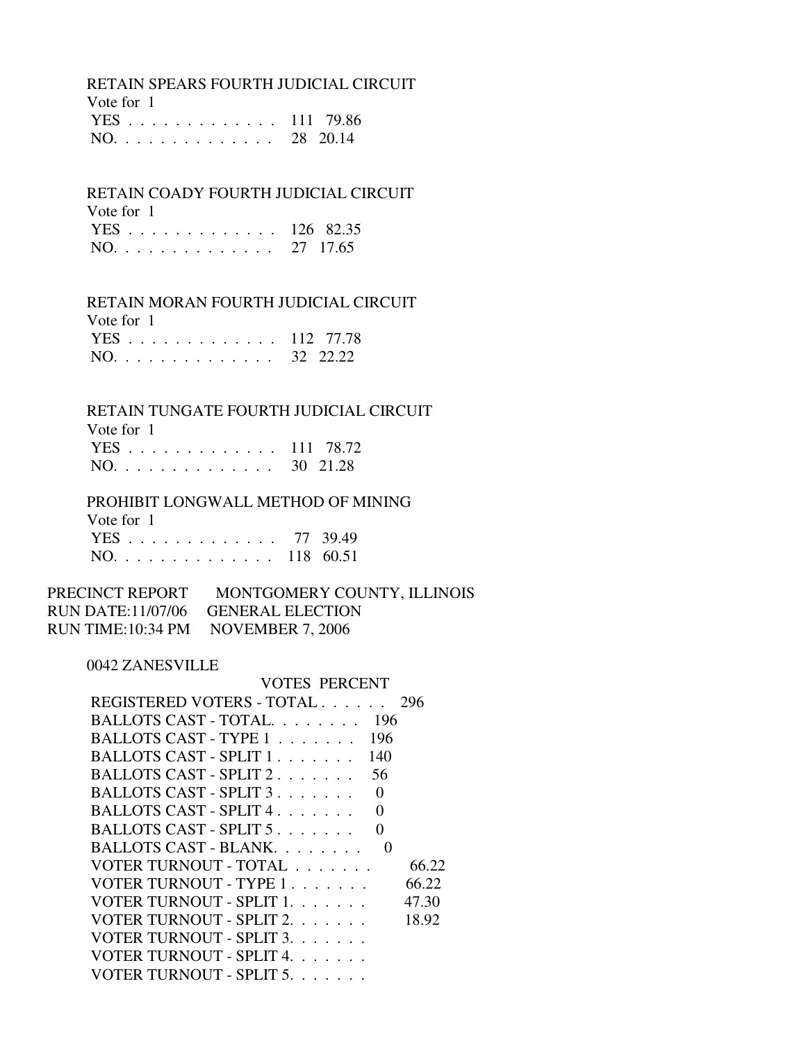RETAIN SPEARS FOURTH JUDICIAL CIRCUIT

| Vote for 1    |  |
|---------------|--|
| YES 111 79.86 |  |
| NO. 28 20.14  |  |

RETAIN COADY FOURTH JUDICIAL CIRCUIT

| Vote for 1    |  |
|---------------|--|
| YES 126 82.35 |  |
| NO. 27 17.65  |  |

RETAIN MORAN FOURTH JUDICIAL CIRCUIT

| Vote for 1    |  |
|---------------|--|
| YES 112 77.78 |  |
| NO. 32 22.22  |  |

# RETAIN TUNGATE FOURTH JUDICIAL CIRCUIT

| Vote for 1    |  |
|---------------|--|
| YES 111 78.72 |  |
| NO. 30 21.28  |  |

# PROHIBIT LONGWALL METHOD OF MINING

| Vote for 1    |  |
|---------------|--|
| YES 77 39.49  |  |
| NO. 118 60.51 |  |

# PRECINCT REPORT MONTGOMERY COUNTY, ILLINOIS RUN DATE:11/07/06 GENERAL ELECTION RUN TIME:10:34 PM NOVEMBER 7, 2006

## 0042 ZANESVILLE

| VOTES PERCENT                              |       |
|--------------------------------------------|-------|
| REGISTERED VOTERS - TOTAL                  | 296   |
| BALLOTS CAST - TOTAL.<br>- 196             |       |
| BALLOTS CAST - TYPE 1<br>196               |       |
| BALLOTS CAST - SPLIT 1<br>140              |       |
| BALLOTS CAST - SPLIT 2.<br>56              |       |
| BALLOTS CAST - SPLIT 3.<br>0               |       |
| BALLOTS CAST - SPLIT 4<br>∩                |       |
| BALLOTS CAST - SPLIT 5                     |       |
| BALLOTS CAST - BLANK.<br>$\mathbf{\Omega}$ |       |
| VOTER TURNOUT - TOTAL                      | 66.22 |
| VOTER TURNOUT - TYPE 1                     | 66.22 |
| VOTER TURNOUT - SPLIT 1.                   | 47.30 |
| VOTER TURNOUT - SPLIT 2.                   | 18.92 |
| VOTER TURNOUT - SPLIT 3.                   |       |
| VOTER TURNOUT - SPLIT 4.                   |       |
| VOTER TURNOUT - SPLIT 5.                   |       |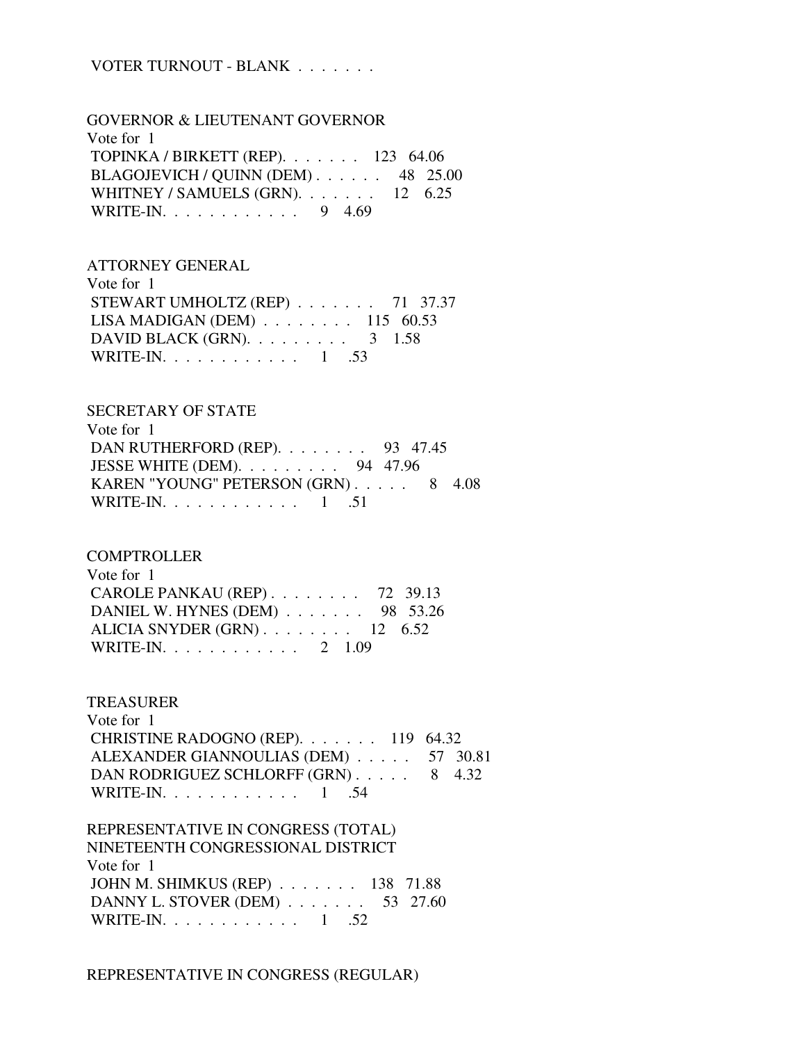# VOTER TURNOUT - BLANK . . . . . . .

 GOVERNOR & LIEUTENANT GOVERNOR Vote for 1 TOPINKA / BIRKETT (REP). . . . . . . 123 64.06 BLAGOJEVICH / QUINN (DEM) . . . . . . 48 25.00 WHITNEY / SAMUELS (GRN). . . . . . . 12 6.25 WRITE-IN. . . . . . . . . . . . 9 4.69

ATTORNEY GENERAL

| Vote for 1                              |  |  |
|-----------------------------------------|--|--|
| STEWART UMHOLTZ (REP) $\ldots$ 71 37.37 |  |  |
| LISA MADIGAN (DEM) $\ldots$ 115 60.53   |  |  |
| DAVID BLACK (GRN). $\ldots$ 3 1.58      |  |  |
| WRITE-IN. 1 .53                         |  |  |

## SECRETARY OF STATE

| Vote for $1$                                       |  |
|----------------------------------------------------|--|
| DAN RUTHERFORD (REP). $\ldots$ 93 47.45            |  |
| JESSE WHITE (DEM). $\ldots \ldots \ldots$ 94 47.96 |  |
| KAREN "YOUNG" PETERSON (GRN) 8 4.08                |  |
| WRITE-IN. 1 .51                                    |  |

#### **COMPTROLLER**

| Vote for 1                              |  |
|-----------------------------------------|--|
| CAROLE PANKAU (REP) $\ldots$ 72 39.13   |  |
| DANIEL W. HYNES (DEM) $\ldots$ 98 53.26 |  |
| ALICIA SNYDER $(GRN)$ 12 6.52           |  |
| WRITE-IN. 2 1.09                        |  |

## TREASURER

| Vote for $1$                                             |  |
|----------------------------------------------------------|--|
| CHRISTINE RADOGNO (REP). 119 64.32                       |  |
| ALEXANDER GIANNOULIAS (DEM) 57 30.81                     |  |
| DAN RODRIGUEZ SCHLORFF (GRN) 8 4.32                      |  |
| WRITE-IN $\ldots$ $\ldots$ $\ldots$ $\ldots$ $\ldots$ 54 |  |

 REPRESENTATIVE IN CONGRESS (TOTAL) NINETEENTH CONGRESSIONAL DISTRICT Vote for 1 JOHN M. SHIMKUS (REP) . . . . . . . 138 71.88 DANNY L. STOVER (DEM) . . . . . . . 53 27.60 WRITE-IN. . . . . . . . . . . . 1 .52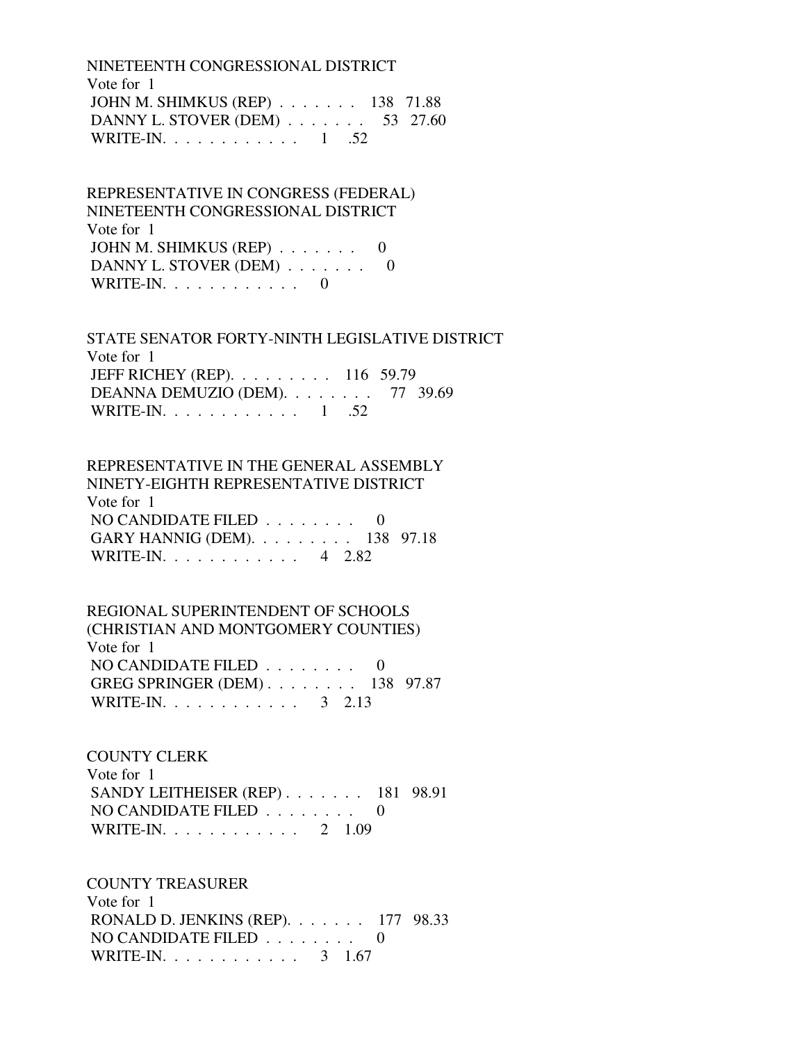NINETEENTH CONGRESSIONAL DISTRICT Vote for 1 JOHN M. SHIMKUS (REP) . . . . . . . 138 71.88 DANNY L. STOVER (DEM) . . . . . . . 53 27.60 WRITE-IN. . . . . . . . . . . . 1 .52

 REPRESENTATIVE IN CONGRESS (FEDERAL) NINETEENTH CONGRESSIONAL DISTRICT Vote for 1 JOHN M. SHIMKUS (REP)  $\ldots \ldots$  0 DANNY L. STOVER (DEM) . . . . . . . 0 WRITE-IN.  $\ldots$  . . . . . . . . 0

 STATE SENATOR FORTY-NINTH LEGISLATIVE DISTRICT Vote for 1 JEFF RICHEY (REP). . . . . . . . . 116 59.79 DEANNA DEMUZIO (DEM). . . . . . . . 77 39.69 WRITE-IN. . . . . . . . . . . . . 1 .52

 REPRESENTATIVE IN THE GENERAL ASSEMBLY NINETY-EIGHTH REPRESENTATIVE DISTRICT Vote for 1 NO CANDIDATE FILED . . . . . . . . 0 GARY HANNIG (DEM). . . . . . . . . 138 97.18 WRITE-IN. . . . . . . . . . . . 4 2.82

 REGIONAL SUPERINTENDENT OF SCHOOLS (CHRISTIAN AND MONTGOMERY COUNTIES) Vote for 1 NO CANDIDATE FILED . . . . . . . . 0 GREG SPRINGER (DEM) . . . . . . . . 138 97.87 WRITE-IN. . . . . . . . . . . . . 3 2.13

 COUNTY CLERK Vote for 1 SANDY LEITHEISER (REP) . . . . . . . 181 98.91 NO CANDIDATE FILED . . . . . . . . 0 WRITE-IN. . . . . . . . . . . . 2 1.09

 COUNTY TREASURER Vote for 1 RONALD D. JENKINS (REP). . . . . . . 177 98.33 NO CANDIDATE FILED . . . . . . . . 0 WRITE-IN. . . . . . . . . . . . . 3 1.67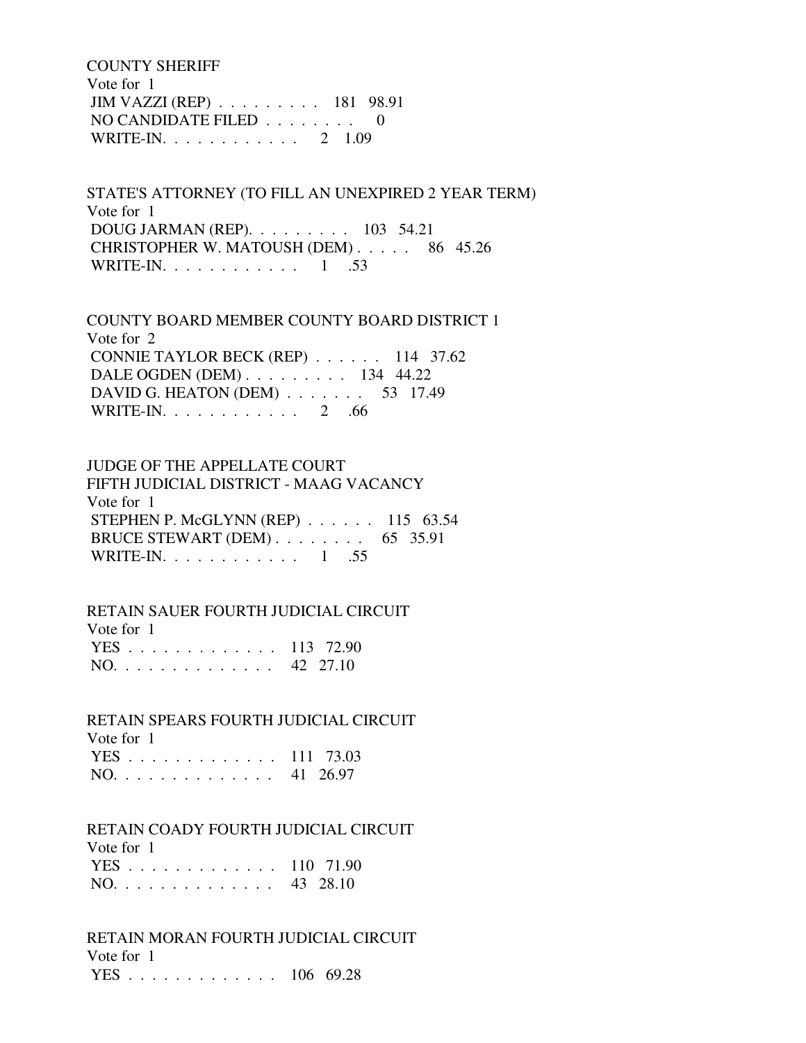COUNTY SHERIFF Vote for 1 JIM VAZZI (REP) . . . . . . . . . 181 98.91 NO CANDIDATE FILED . . . . . . . . 0 WRITE-IN. . . . . . . . . . . . 2 1.09

 STATE'S ATTORNEY (TO FILL AN UNEXPIRED 2 YEAR TERM) Vote for 1 DOUG JARMAN (REP). . . . . . . . . 103 54.21 CHRISTOPHER W. MATOUSH (DEM) . . . . . 86 45.26 WRITE-IN. . . . . . . . . . . . 1 .53

 COUNTY BOARD MEMBER COUNTY BOARD DISTRICT 1 Vote for 2 CONNIE TAYLOR BECK (REP) . . . . . . 114 37.62 DALE OGDEN (DEM) . . . . . . . . . 134 44.22 DAVID G. HEATON (DEM) . . . . . . . 53 17.49 WRITE-IN. . . . . . . . . . . . 2 .66

 JUDGE OF THE APPELLATE COURT FIFTH JUDICIAL DISTRICT - MAAG VACANCY Vote for 1 STEPHEN P. McGLYNN (REP) . . . . . . 115 63.54 BRUCE STEWART (DEM) . . . . . . . . 65 35.91 WRITE-IN. . . . . . . . . . . . 1 .55

 RETAIN SAUER FOURTH JUDICIAL CIRCUIT Vote for 1 YES . . . . . . . . . . . . . 113 72.90 NO. . . . . . . . . . . . . . 42 27.10

 RETAIN SPEARS FOURTH JUDICIAL CIRCUIT Vote for 1

|  |  |  |  |  |  |  | YES 111 73.03 |
|--|--|--|--|--|--|--|---------------|
|  |  |  |  |  |  |  | NO. 41 26.97  |

# RETAIN COADY FOURTH JUDICIAL CIRCUIT

 Vote for 1 YES . . . . . . . . . . . . . 110 71.90 NO. . . . . . . . . . . . . . 43 28.10

 RETAIN MORAN FOURTH JUDICIAL CIRCUIT Vote for 1 YES . . . . . . . . . . . . . 106 69.28